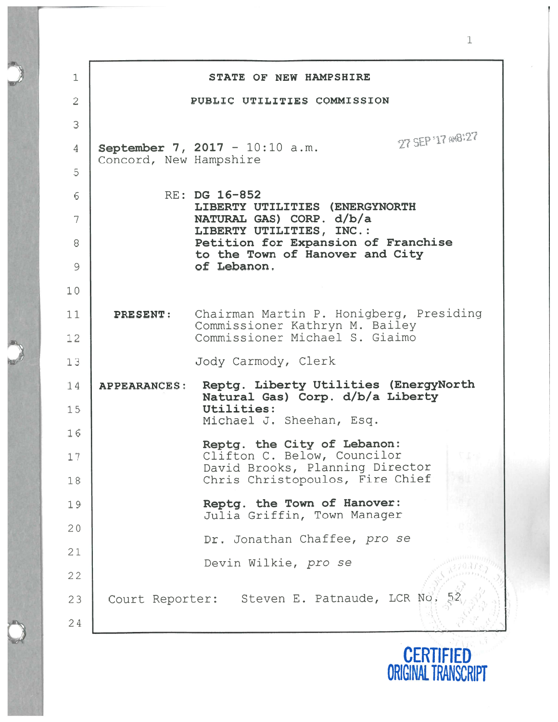$\mathbf 1$ STATE OF NEW HAMPSHIRE  $\overline{2}$ PUBLIC UTILITIES COMMISSION 3 27 SEP '17 av8:27 4 | September 7, 2017 - 10:10 a.m. Concord, New Hampshire 56RE: DG 16-852 LIBERTY UTILITIES (ENERGYNORTH 7NATURAL GAS) CORP . d/b/a LIBERTY UTILITIES, INC. 8Petition for Expansion of Franchise to the Town of Hanover and City 9of Lebanon. 10 11PRESENT: Chairman Martin P. Honigberg, Presiding Commissioner Kathryn N. Bailey 12Commissioner Michael S. Giaimo Jody Carmody, Clerk  $1:$ APPEARANCES: Reptg. Liberty Utilities (EnergyNorth 14Natural Gas) Corp. d/b/a Liberty Utilities: 15Michael J. Sheehan, Esq. 16Reptg. the City of Lebanon: Clifton C. Below, Councilor  $1^{\cdot}$ David Brooks, Planning Director 18Chris Christopoulos, Fire Chief Reptg. the Town of Hanover: 19Julia Griffin, Town Manager 20Dr. Jonathan Chaffee, pro se 21 Devin Wilkie, pro se 22J1))), ) Court Reporter: Steven E. Patnaude, LCR No, 52 2324

> **CERTIFIED** ORIGINAL TRANSCRIPT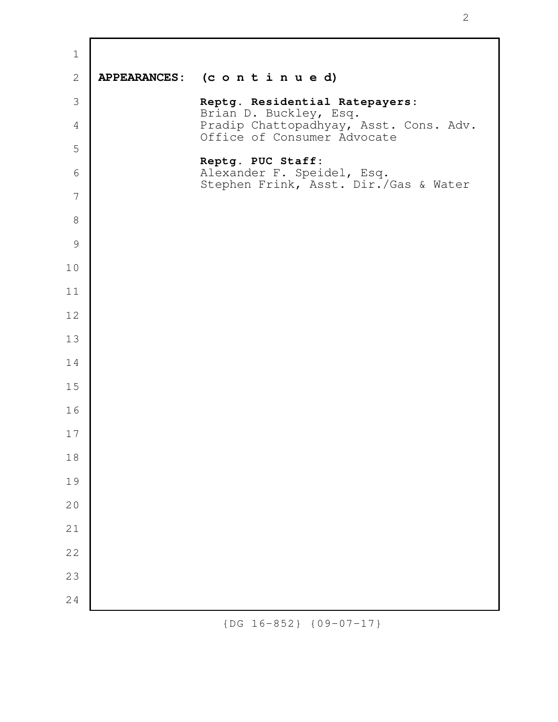| $\mathbf{2}$   | APPEARANCES: (continued)                                              |
|----------------|-----------------------------------------------------------------------|
| $\mathcal{S}$  | Reptg. Residential Ratepayers:<br>Brian D. Buckley, Esq.              |
| $\overline{4}$ | Pradip Chattopadhyay, Asst. Cons. Adv.<br>Office of Consumer Advocate |
| 5              | Reptg. PUC Staff:                                                     |
| 6              | Alexander F. Speidel, Esq.<br>Stephen Frink, Asst. Dir./Gas & Water   |
| 7              |                                                                       |
| $\,8\,$        |                                                                       |
| $\mathcal{G}$  |                                                                       |
| 10             |                                                                       |
| 11             |                                                                       |
| 12             |                                                                       |
| 13             |                                                                       |
| 14             |                                                                       |
| 15             |                                                                       |
| 16             |                                                                       |
| 17             |                                                                       |
| $1\,8$         |                                                                       |
| 19             |                                                                       |
| 20             |                                                                       |
| 21             |                                                                       |
| 22             |                                                                       |
| 23             |                                                                       |
| 24             |                                                                       |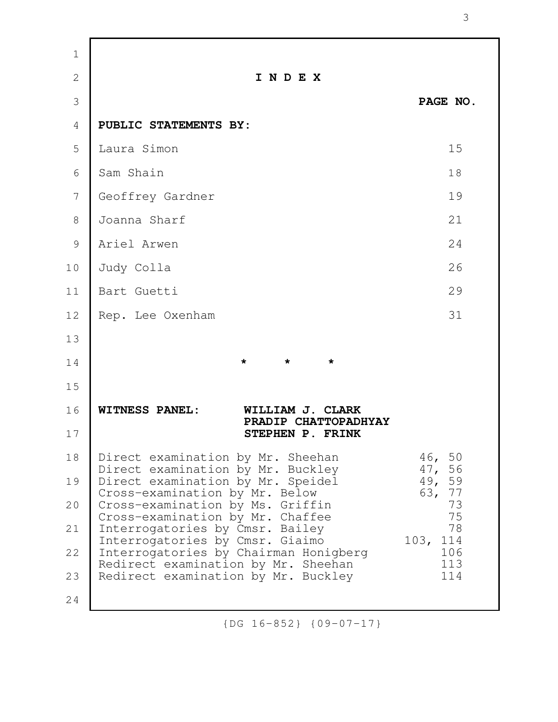| $\mathbf 1$    |                                                                              |                   |
|----------------|------------------------------------------------------------------------------|-------------------|
| $\overline{2}$ | INDEX                                                                        |                   |
| 3              |                                                                              | PAGE NO.          |
| 4              | PUBLIC STATEMENTS BY:                                                        |                   |
| 5              | Laura Simon                                                                  | 15                |
| 6              | Sam Shain                                                                    | 18                |
| 7              | Geoffrey Gardner                                                             | 19                |
| 8              | Joanna Sharf                                                                 | 21                |
| 9              | Ariel Arwen                                                                  | 24                |
| 10             | Judy Colla                                                                   | 26                |
| 11             | Bart Guetti                                                                  | 29                |
| 12             | Rep. Lee Oxenham                                                             | 31                |
| 13             |                                                                              |                   |
| 14             | $\star$<br>$\star$<br>$\star$                                                |                   |
| 15             |                                                                              |                   |
| 16             | <b>WITNESS PANEL:</b><br>WILLIAM J. CLARK<br>PRADIP CHATTOPADHYAY            |                   |
| 17             | STEPHEN P. FRINK                                                             |                   |
| 18             | Direct examination by Mr. Sheehan<br>Direct examination by Mr. Buckley       | 46, 50<br>47, 56  |
| 19             | Direct examination by Mr. Speidel<br>Cross-examination by Mr. Below          | 49, 59<br>63, 77  |
| 20             | Cross-examination by Ms. Griffin<br>Cross-examination by Mr. Chaffee         | 73<br>75          |
| 21             | Interrogatories by Cmsr. Bailey<br>Interrogatories by Cmsr. Giaimo           | 78<br>114<br>103, |
| 22             | Interrogatories by Chairman Honigberg<br>Redirect examination by Mr. Sheehan | 106<br>113        |
| 23             | Redirect examination by Mr. Buckley                                          | 114               |
| 24             |                                                                              |                   |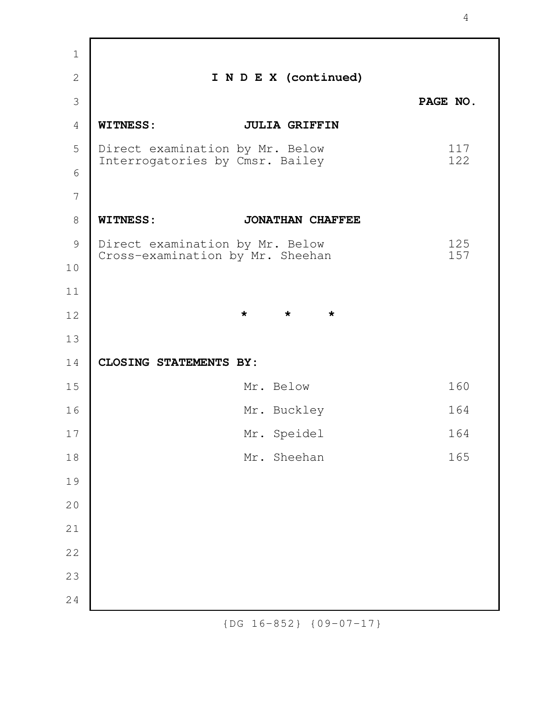| $\mathbf 1$    |                                                                     |                               |            |
|----------------|---------------------------------------------------------------------|-------------------------------|------------|
| $\overline{2}$ |                                                                     | I N D E X (continued)         |            |
| 3              |                                                                     |                               | PAGE NO.   |
| $\overline{4}$ | <b>WITNESS:</b>                                                     | <b>JULIA GRIFFIN</b>          |            |
| 5              | Direct examination by Mr. Below                                     |                               | 117<br>122 |
| 6              | Interrogatories by Cmsr. Bailey                                     |                               |            |
| 7              |                                                                     |                               |            |
| 8              | <b>WITNESS:</b>                                                     | <b>JONATHAN CHAFFEE</b>       |            |
| 9              | Direct examination by Mr. Below<br>Cross-examination by Mr. Sheehan |                               | 125<br>157 |
| 10             |                                                                     |                               |            |
| 11             |                                                                     |                               |            |
| 12             |                                                                     | $\star$<br>$\star$<br>$\star$ |            |
| 13             |                                                                     |                               |            |
| 14             | <b>CLOSING STATEMENTS BY:</b>                                       |                               |            |
| 15             |                                                                     | Mr. Below                     | 160        |
| 16             |                                                                     | Mr. Buckley                   | 164        |
| 17             |                                                                     | Mr. Speidel                   | 164        |
| 18             |                                                                     | Mr. Sheehan                   | 165        |
| 19             |                                                                     |                               |            |
| 20             |                                                                     |                               |            |
| 21             |                                                                     |                               |            |
| 22             |                                                                     |                               |            |
| 23             |                                                                     |                               |            |
| 24             |                                                                     |                               |            |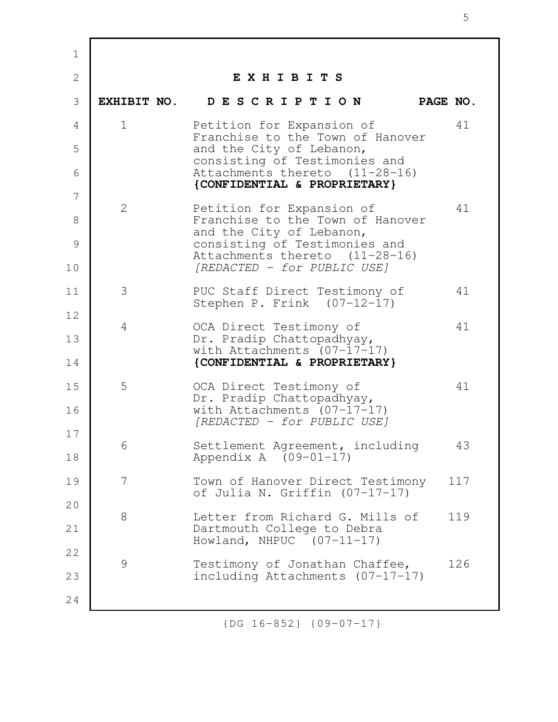| $\mathbf 1$    |             |                                                                    |     |
|----------------|-------------|--------------------------------------------------------------------|-----|
| $\overline{2}$ |             | EXHIBITS                                                           |     |
| 3              |             | EXHIBIT NO. DESCRIPTION<br>PAGE NO.                                |     |
| 4              | $\mathbf 1$ | Petition for Expansion of<br>Franchise to the Town of Hanover      | 41  |
| 5              |             | and the City of Lebanon,<br>consisting of Testimonies and          |     |
| 6              |             | Attachments thereto (11-28-16)<br>{CONFIDENTIAL & PROPRIETARY}     |     |
| 7              | 2           | Petition for Expansion of                                          | 41  |
| 8              |             | Franchise to the Town of Hanover<br>and the City of Lebanon,       |     |
| 9              |             | consisting of Testimonies and<br>Attachments thereto (11-28-16)    |     |
| 10             |             | [REDACTED - for PUBLIC USE]                                        |     |
| 11             | 3           | PUC Staff Direct Testimony of<br>Stephen P. Frink (07-12-17)       | 41  |
| 12             | 4           | OCA Direct Testimony of                                            | 41  |
| 13             |             | Dr. Pradip Chattopadhyay,<br>with Attachments $(07-17-17)$         |     |
| 14             |             | {CONFIDENTIAL & PROPRIETARY}                                       |     |
| 15             | 5           | OCA Direct Testimony of<br>Dr. Pradip Chattopadhyay,               | 41  |
| 16             |             | with Attachments $(07-17-17)$<br>[REDACTED - for PUBLIC USE]       |     |
| 17             | 6           | Settlement Agreement, including                                    | 43  |
| 18             |             | Appendix A $(09-01-17)$                                            |     |
| 19             | 7           | Town of Hanover Direct Testimony<br>of Julia N. Griffin (07-17-17) | 117 |
| 20             | 8           | Letter from Richard G. Mills of                                    | 119 |
| 21             |             | Dartmouth College to Debra<br>Howland, NHPUC $(07-11-17)$          |     |
| 22             | 9           | Testimony of Jonathan Chaffee,                                     | 126 |
| 23             |             | including Attachments (07-17-17)                                   |     |
| 24             |             |                                                                    |     |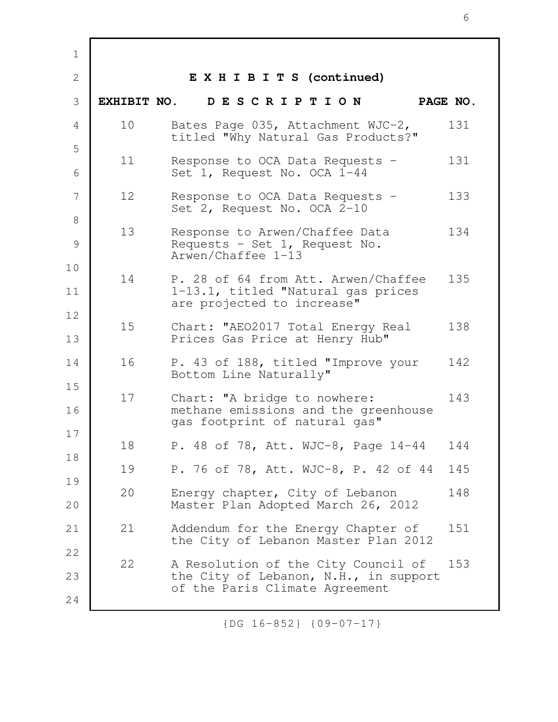| $\mathbf 1$    |             |                                                                                                         |          |
|----------------|-------------|---------------------------------------------------------------------------------------------------------|----------|
| $\overline{2}$ |             | EXHIBITS (continued)                                                                                    |          |
| 3              | EXHIBIT NO. | DESCRIPTION                                                                                             | PAGE NO. |
| 4              | 10          | Bates Page 035, Attachment WJC-2,<br>titled "Why Natural Gas Products?"                                 | 131      |
| 5<br>6         | 11          | Response to OCA Data Requests -<br>Set 1, Request No. OCA 1-44                                          | 131      |
| 7              | 12          | Response to OCA Data Requests -<br>Set 2, Request No. OCA 2-10                                          | 133      |
| 8<br>9         | 13          | Response to Arwen/Chaffee Data<br>Requests - Set 1, Request No.<br>Arwen/Chaffee 1-13                   | 134      |
| 10<br>11       | 14          | P. 28 of 64 from Att. Arwen/Chaffee<br>1-13.1, titled "Natural gas prices<br>are projected to increase" | 135      |
| 12<br>13       | 15          | Chart: "AEO2017 Total Energy Real<br>Prices Gas Price at Henry Hub"                                     | 138      |
| 14             | 16          | P. 43 of 188, titled "Improve your<br>Bottom Line Naturally"                                            | 142      |
| 15<br>16       | 17          | Chart: "A bridge to nowhere:<br>methane emissions and the greenhouse<br>gas footprint of natural gas"   | 143      |
| 17             | 18          | P. 48 of 78, Att. WJC-8, Page 14-44                                                                     | 144      |
| 18             | 19          | P. 76 of 78, Att. WJC-8, P. 42 of 44                                                                    | 145      |
| 19<br>20       | 20          | Energy chapter, City of Lebanon<br>Master Plan Adopted March 26, 2012                                   | 148      |
| 21             | 21          | Addendum for the Energy Chapter of<br>the City of Lebanon Master Plan 2012                              | 151      |
| 22             | 22          | A Resolution of the City Council of                                                                     | 153      |
| 23             |             | the City of Lebanon, N.H., in support<br>of the Paris Climate Agreement                                 |          |
| 24             |             |                                                                                                         |          |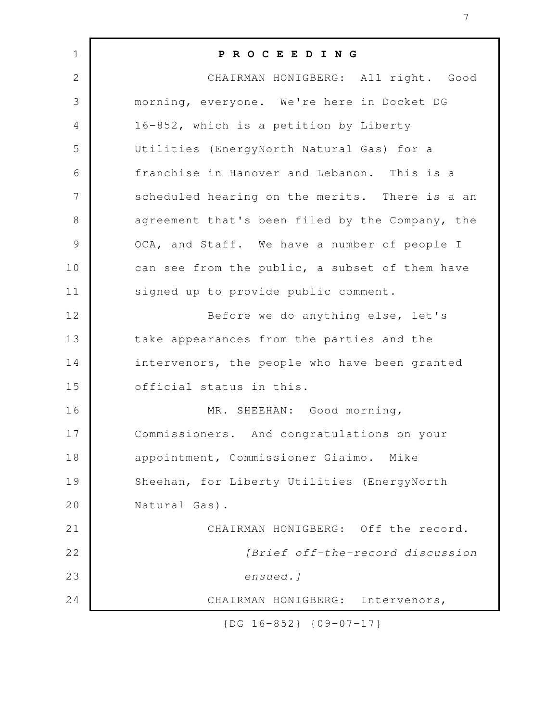| $\mathbf 1$    | PROCEEDING                                      |
|----------------|-------------------------------------------------|
| $\mathbf{2}$   | CHAIRMAN HONIGBERG: All right. Good             |
| 3              | morning, everyone. We're here in Docket DG      |
| $\overline{4}$ | 16-852, which is a petition by Liberty          |
| 5              | Utilities (EnergyNorth Natural Gas) for a       |
| 6              | franchise in Hanover and Lebanon. This is a     |
| 7              | scheduled hearing on the merits. There is a an  |
| $8\,$          | agreement that's been filed by the Company, the |
| $\mathcal{G}$  | OCA, and Staff. We have a number of people I    |
| 10             | can see from the public, a subset of them have  |
| 11             | signed up to provide public comment.            |
| 12             | Before we do anything else, let's               |
| 13             | take appearances from the parties and the       |
| 14             | intervenors, the people who have been granted   |
| 15             | official status in this.                        |
| 16             | MR. SHEEHAN: Good morning,                      |
| 17             | Commissioners. And congratulations on your      |
| 18             | appointment, Commissioner Giaimo. Mike          |
| 19             | Sheehan, for Liberty Utilities (EnergyNorth     |
| 20             | Natural Gas).                                   |
| 21             | CHAIRMAN HONIGBERG: Off the record.             |
| 22             | [Brief off-the-record discussion                |
| 23             | ensued.]                                        |
| 24             | CHAIRMAN HONIGBERG: Intervenors,                |

7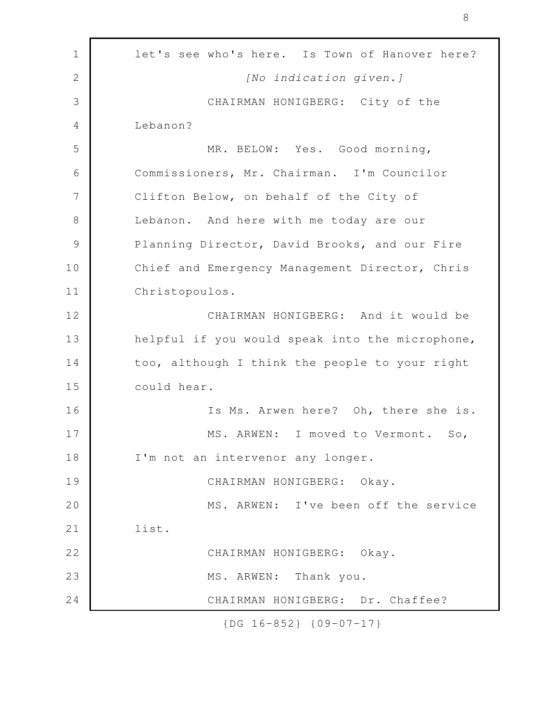| $\mathbf 1$   | let's see who's here. Is Town of Hanover here?  |
|---------------|-------------------------------------------------|
| $\mathbf{2}$  | [No indication given.]                          |
| 3             | CHAIRMAN HONIGBERG: City of the                 |
| 4             | Lebanon?                                        |
| 5             | MR. BELOW: Yes. Good morning,                   |
| 6             | Commissioners, Mr. Chairman. I'm Councilor      |
| 7             | Clifton Below, on behalf of the City of         |
| 8             | Lebanon. And here with me today are our         |
| $\mathcal{G}$ | Planning Director, David Brooks, and our Fire   |
| 10            | Chief and Emergency Management Director, Chris  |
| 11            | Christopoulos.                                  |
| 12            | CHAIRMAN HONIGBERG: And it would be             |
| 13            | helpful if you would speak into the microphone, |
| 14            | too, although I think the people to your right  |
| 15            | could hear.                                     |
| 16            | Is Ms. Arwen here? Oh, there she is.            |
| 17            | MS. ARWEN: I moved to Vermont. So,              |
| 18            | I'm not an intervenor any longer.               |
| 19            | CHAIRMAN HONIGBERG: Okay.                       |
| 20            | MS. ARWEN: I've been off the service            |
| 21            | list.                                           |
| 22            | CHAIRMAN HONIGBERG: Okay.                       |
| 23            | MS. ARWEN: Thank you.                           |
| 24            | CHAIRMAN HONIGBERG: Dr. Chaffee?                |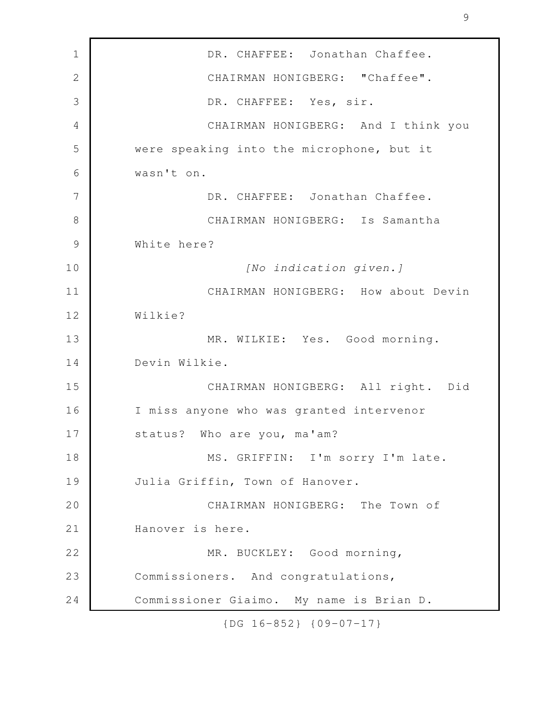DR. CHAFFEE: Jonathan Chaffee. CHAIRMAN HONIGBERG: "Chaffee". DR. CHAFFEE: Yes, sir. CHAIRMAN HONIGBERG: And I think you were speaking into the microphone, but it wasn't on. DR. CHAFFEE: Jonathan Chaffee. CHAIRMAN HONIGBERG: Is Samantha White here? *[No indication given.]* CHAIRMAN HONIGBERG: How about Devin Wilkie? MR. WILKIE: Yes. Good morning. Devin Wilkie. CHAIRMAN HONIGBERG: All right. Did I miss anyone who was granted intervenor status? Who are you, ma'am? MS. GRIFFIN: I'm sorry I'm late. Julia Griffin, Town of Hanover. CHAIRMAN HONIGBERG: The Town of Hanover is here. MR. BUCKLEY: Good morning, Commissioners. And congratulations, Commissioner Giaimo. My name is Brian D. 1 2 3 4 5 6 7 8 9 10 11 12 13 14 15 16 17 18 19 20 21 22 23 24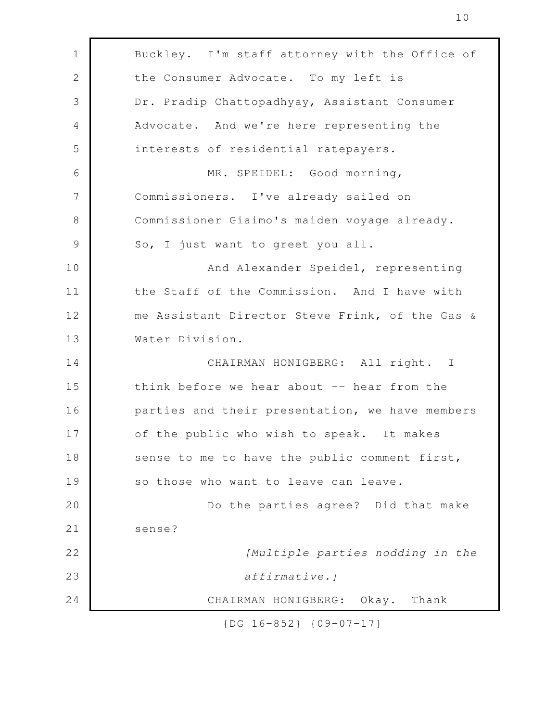| Buckley. I'm staff attorney with the Office of<br>1<br>$\mathbf{2}$<br>the Consumer Advocate. To my left is<br>3<br>Dr. Pradip Chattopadhyay, Assistant Consumer<br>Advocate. And we're here representing the<br>4<br>5<br>interests of residential ratepayers.<br>MR. SPEIDEL: Good morning,<br>6<br>7<br>Commissioners. I've already sailed on<br>$8\,$<br>Commissioner Giaimo's maiden voyage already.<br>$\mathcal{G}$<br>So, I just want to greet you all.<br>And Alexander Speidel, representing<br>the Staff of the Commission. And I have with<br>me Assistant Director Steve Frink, of the Gas &<br>Water Division.<br>CHAIRMAN HONIGBERG: All right. I<br>think before we hear about -- hear from the<br>parties and their presentation, we have members<br>of the public who wish to speak. It makes<br>sense to me to have the public comment first,<br>so those who want to leave can leave.<br>Do the parties agree? Did that make<br>sense?<br>[Multiple parties nodding in the<br>affirmative.]<br>CHAIRMAN HONIGBERG: Okay. Thank |    |  |
|----------------------------------------------------------------------------------------------------------------------------------------------------------------------------------------------------------------------------------------------------------------------------------------------------------------------------------------------------------------------------------------------------------------------------------------------------------------------------------------------------------------------------------------------------------------------------------------------------------------------------------------------------------------------------------------------------------------------------------------------------------------------------------------------------------------------------------------------------------------------------------------------------------------------------------------------------------------------------------------------------------------------------------------------------|----|--|
|                                                                                                                                                                                                                                                                                                                                                                                                                                                                                                                                                                                                                                                                                                                                                                                                                                                                                                                                                                                                                                                    |    |  |
|                                                                                                                                                                                                                                                                                                                                                                                                                                                                                                                                                                                                                                                                                                                                                                                                                                                                                                                                                                                                                                                    |    |  |
|                                                                                                                                                                                                                                                                                                                                                                                                                                                                                                                                                                                                                                                                                                                                                                                                                                                                                                                                                                                                                                                    |    |  |
|                                                                                                                                                                                                                                                                                                                                                                                                                                                                                                                                                                                                                                                                                                                                                                                                                                                                                                                                                                                                                                                    |    |  |
|                                                                                                                                                                                                                                                                                                                                                                                                                                                                                                                                                                                                                                                                                                                                                                                                                                                                                                                                                                                                                                                    |    |  |
|                                                                                                                                                                                                                                                                                                                                                                                                                                                                                                                                                                                                                                                                                                                                                                                                                                                                                                                                                                                                                                                    |    |  |
|                                                                                                                                                                                                                                                                                                                                                                                                                                                                                                                                                                                                                                                                                                                                                                                                                                                                                                                                                                                                                                                    |    |  |
|                                                                                                                                                                                                                                                                                                                                                                                                                                                                                                                                                                                                                                                                                                                                                                                                                                                                                                                                                                                                                                                    |    |  |
|                                                                                                                                                                                                                                                                                                                                                                                                                                                                                                                                                                                                                                                                                                                                                                                                                                                                                                                                                                                                                                                    |    |  |
|                                                                                                                                                                                                                                                                                                                                                                                                                                                                                                                                                                                                                                                                                                                                                                                                                                                                                                                                                                                                                                                    | 10 |  |
|                                                                                                                                                                                                                                                                                                                                                                                                                                                                                                                                                                                                                                                                                                                                                                                                                                                                                                                                                                                                                                                    | 11 |  |
|                                                                                                                                                                                                                                                                                                                                                                                                                                                                                                                                                                                                                                                                                                                                                                                                                                                                                                                                                                                                                                                    | 12 |  |
|                                                                                                                                                                                                                                                                                                                                                                                                                                                                                                                                                                                                                                                                                                                                                                                                                                                                                                                                                                                                                                                    | 13 |  |
|                                                                                                                                                                                                                                                                                                                                                                                                                                                                                                                                                                                                                                                                                                                                                                                                                                                                                                                                                                                                                                                    | 14 |  |
|                                                                                                                                                                                                                                                                                                                                                                                                                                                                                                                                                                                                                                                                                                                                                                                                                                                                                                                                                                                                                                                    | 15 |  |
|                                                                                                                                                                                                                                                                                                                                                                                                                                                                                                                                                                                                                                                                                                                                                                                                                                                                                                                                                                                                                                                    | 16 |  |
|                                                                                                                                                                                                                                                                                                                                                                                                                                                                                                                                                                                                                                                                                                                                                                                                                                                                                                                                                                                                                                                    | 17 |  |
|                                                                                                                                                                                                                                                                                                                                                                                                                                                                                                                                                                                                                                                                                                                                                                                                                                                                                                                                                                                                                                                    | 18 |  |
|                                                                                                                                                                                                                                                                                                                                                                                                                                                                                                                                                                                                                                                                                                                                                                                                                                                                                                                                                                                                                                                    | 19 |  |
|                                                                                                                                                                                                                                                                                                                                                                                                                                                                                                                                                                                                                                                                                                                                                                                                                                                                                                                                                                                                                                                    | 20 |  |
|                                                                                                                                                                                                                                                                                                                                                                                                                                                                                                                                                                                                                                                                                                                                                                                                                                                                                                                                                                                                                                                    | 21 |  |
|                                                                                                                                                                                                                                                                                                                                                                                                                                                                                                                                                                                                                                                                                                                                                                                                                                                                                                                                                                                                                                                    | 22 |  |
|                                                                                                                                                                                                                                                                                                                                                                                                                                                                                                                                                                                                                                                                                                                                                                                                                                                                                                                                                                                                                                                    | 23 |  |
|                                                                                                                                                                                                                                                                                                                                                                                                                                                                                                                                                                                                                                                                                                                                                                                                                                                                                                                                                                                                                                                    | 24 |  |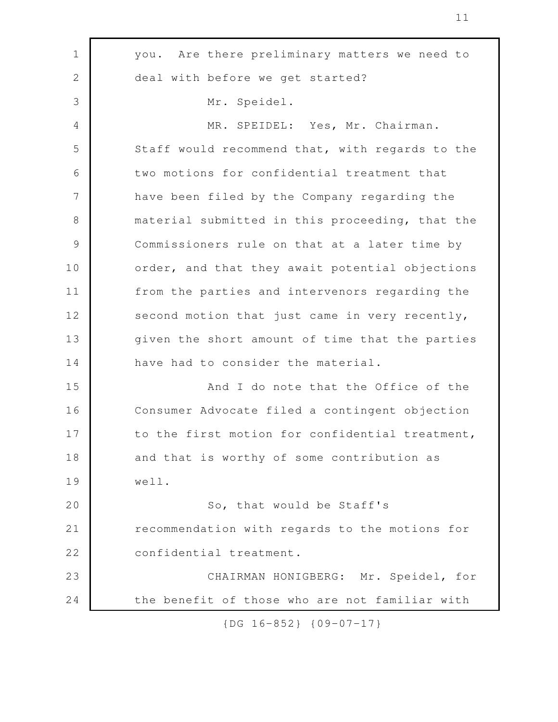you. Are there preliminary matters we need to deal with before we get started? Mr. Speidel. MR. SPEIDEL: Yes, Mr. Chairman. Staff would recommend that, with regards to the two motions for confidential treatment that have been filed by the Company regarding the material submitted in this proceeding, that the Commissioners rule on that at a later time by order, and that they await potential objections from the parties and intervenors regarding the second motion that just came in very recently, given the short amount of time that the parties have had to consider the material. And I do note that the Office of the Consumer Advocate filed a contingent objection to the first motion for confidential treatment, and that is worthy of some contribution as well. So, that would be Staff's recommendation with regards to the motions for confidential treatment. CHAIRMAN HONIGBERG: Mr. Speidel, for the benefit of those who are not familiar with 1 2 3 4 5 6 7 8 9 10 11 12 13 14 15 16 17 18 19 20 21 22 23 24

{DG 16-852} {09-07-17}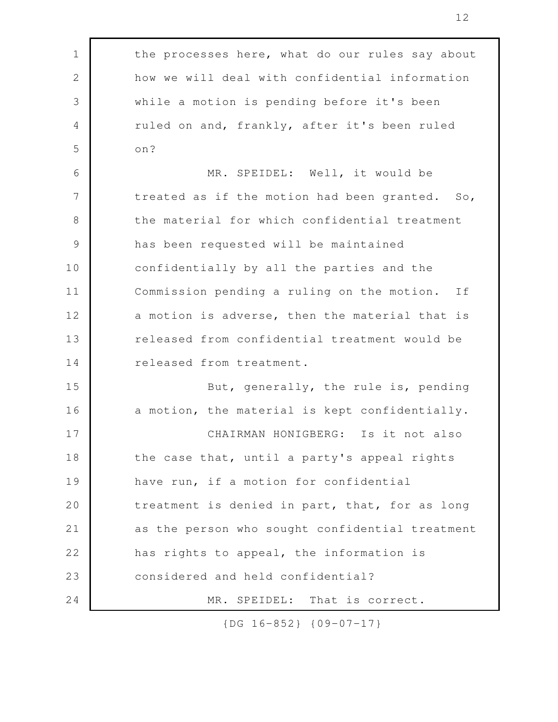| $\mathbf 1$   | the processes here, what do our rules say about |
|---------------|-------------------------------------------------|
| 2             | how we will deal with confidential information  |
| 3             | while a motion is pending before it's been      |
| 4             | ruled on and, frankly, after it's been ruled    |
| 5             | on?                                             |
| 6             | MR. SPEIDEL: Well, it would be                  |
| 7             | treated as if the motion had been granted. So,  |
| 8             | the material for which confidential treatment   |
| $\mathcal{G}$ | has been requested will be maintained           |
| 10            | confidentially by all the parties and the       |
| 11            | Commission pending a ruling on the motion. If   |
| 12            | a motion is adverse, then the material that is  |
| 13            | released from confidential treatment would be   |
| 14            | released from treatment.                        |
| 15            | But, generally, the rule is, pending            |
| 16            | a motion, the material is kept confidentially.  |
| 17            | CHAIRMAN HONIGBERG: Is it not also              |
| 18            | the case that, until a party's appeal rights    |
| 19            | have run, if a motion for confidential          |
| 20            | treatment is denied in part, that, for as long  |
| 21            | as the person who sought confidential treatment |
| 22            | has rights to appeal, the information is        |
| 23            | considered and held confidential?               |
| 24            | That is correct.<br>MR. SPEIDEL:                |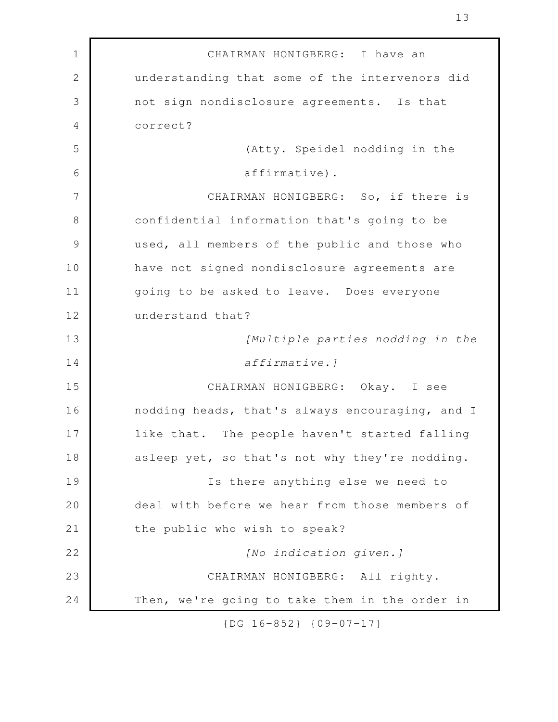CHAIRMAN HONIGBERG: I have an understanding that some of the intervenors did not sign nondisclosure agreements. Is that correct? (Atty. Speidel nodding in the affirmative). CHAIRMAN HONIGBERG: So, if there is confidential information that's going to be used, all members of the public and those who have not signed nondisclosure agreements are going to be asked to leave. Does everyone understand that? *[Multiple parties nodding in the affirmative.]* CHAIRMAN HONIGBERG: Okay. I see nodding heads, that's always encouraging, and I like that. The people haven't started falling asleep yet, so that's not why they're nodding. Is there anything else we need to deal with before we hear from those members of the public who wish to speak? *[No indication given.]* CHAIRMAN HONIGBERG: All righty. Then, we're going to take them in the order in 1 2 3 4 5 6 7 8 9 10 11 12 13 14 15 16 17 18 19 20 21 22 23 24

13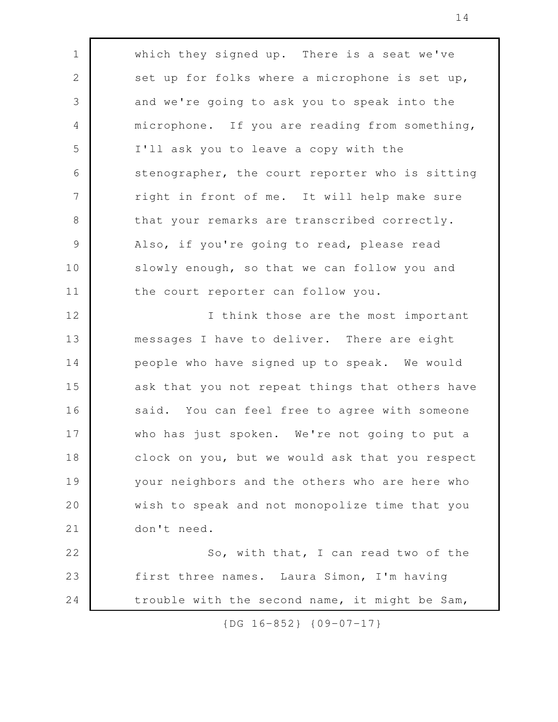which they signed up. There is a seat we've set up for folks where a microphone is set up, and we're going to ask you to speak into the microphone. If you are reading from something, I'll ask you to leave a copy with the stenographer, the court reporter who is sitting right in front of me. It will help make sure that your remarks are transcribed correctly. Also, if you're going to read, please read slowly enough, so that we can follow you and the court reporter can follow you. I think those are the most important messages I have to deliver. There are eight people who have signed up to speak. We would ask that you not repeat things that others have said. You can feel free to agree with someone who has just spoken. We're not going to put a clock on you, but we would ask that you respect your neighbors and the others who are here who wish to speak and not monopolize time that you don't need. So, with that, I can read two of the first three names. Laura Simon, I'm having trouble with the second name, it might be Sam, 1 2 3 4 5 6 7 8 9 10 11 12 13 14 15 16 17 18 19 20 21 22 23 24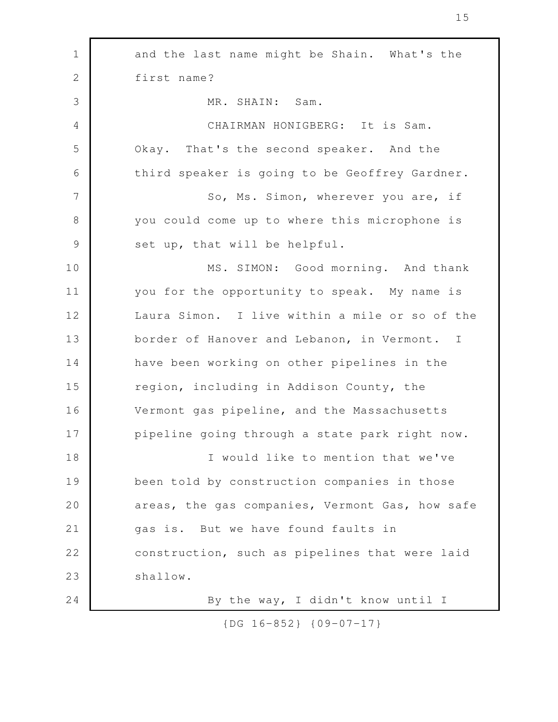| $\mathbf 1$    | and the last name might be Shain. What's the    |
|----------------|-------------------------------------------------|
| $\mathbf{2}$   | first name?                                     |
| 3              | MR. SHAIN: Sam.                                 |
| $\overline{4}$ | CHAIRMAN HONIGBERG: It is Sam.                  |
| 5              | Okay. That's the second speaker. And the        |
| 6              | third speaker is going to be Geoffrey Gardner.  |
| $\overline{7}$ | So, Ms. Simon, wherever you are, if             |
| $8\,$          | you could come up to where this microphone is   |
| $\mathcal{G}$  | set up, that will be helpful.                   |
| 10             | MS. SIMON: Good morning. And thank              |
| 11             | you for the opportunity to speak. My name is    |
| 12             | Laura Simon. I live within a mile or so of the  |
| 13             | border of Hanover and Lebanon, in Vermont. I    |
| 14             | have been working on other pipelines in the     |
| 15             | region, including in Addison County, the        |
| 16             | Vermont gas pipeline, and the Massachusetts     |
| 17             | pipeline going through a state park right now.  |
| 18             | I would like to mention that we've              |
| 19             | been told by construction companies in those    |
| 20             | areas, the gas companies, Vermont Gas, how safe |
| 21             | gas is. But we have found faults in             |
| 22             | construction, such as pipelines that were laid  |
| 23             | shallow.                                        |
| 24             | By the way, I didn't know until I               |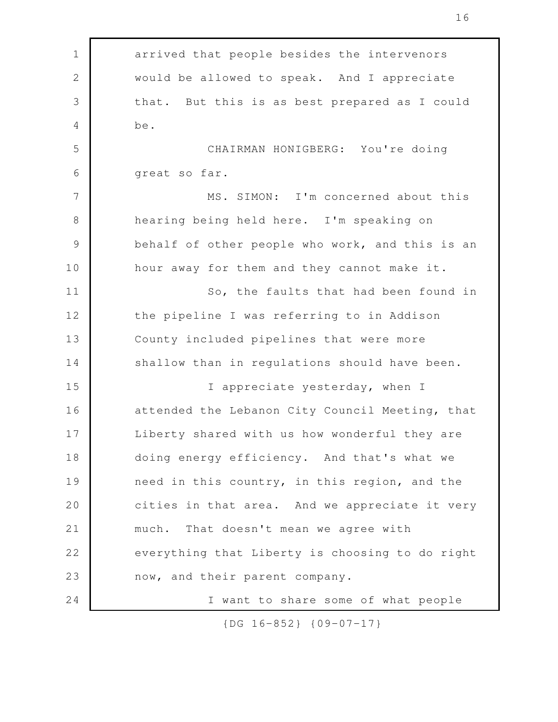| $\mathbf 1$    | arrived that people besides the intervenors     |
|----------------|-------------------------------------------------|
| $\sqrt{2}$     | would be allowed to speak. And I appreciate     |
| 3              | that. But this is as best prepared as I could   |
| $\overline{4}$ | be.                                             |
| 5              | CHAIRMAN HONIGBERG: You're doing                |
| 6              | great so far.                                   |
| 7              | MS. SIMON: I'm concerned about this             |
| $\,8\,$        | hearing being held here. I'm speaking on        |
| $\mathcal{G}$  | behalf of other people who work, and this is an |
| 10             | hour away for them and they cannot make it.     |
| 11             | So, the faults that had been found in           |
| 12             | the pipeline I was referring to in Addison      |
| 13             | County included pipelines that were more        |
| 14             | shallow than in regulations should have been.   |
| 15             | I appreciate yesterday, when I                  |
| 16             | attended the Lebanon City Council Meeting, that |
| 17             | Liberty shared with us how wonderful they are   |
| 18             | doing energy efficiency. And that's what we     |
| 19             | need in this country, in this region, and the   |
| 20             | cities in that area. And we appreciate it very  |
| 21             | That doesn't mean we agree with<br>much.        |
| 22             | everything that Liberty is choosing to do right |
| 23             | now, and their parent company.                  |
| 24             | I want to share some of what people             |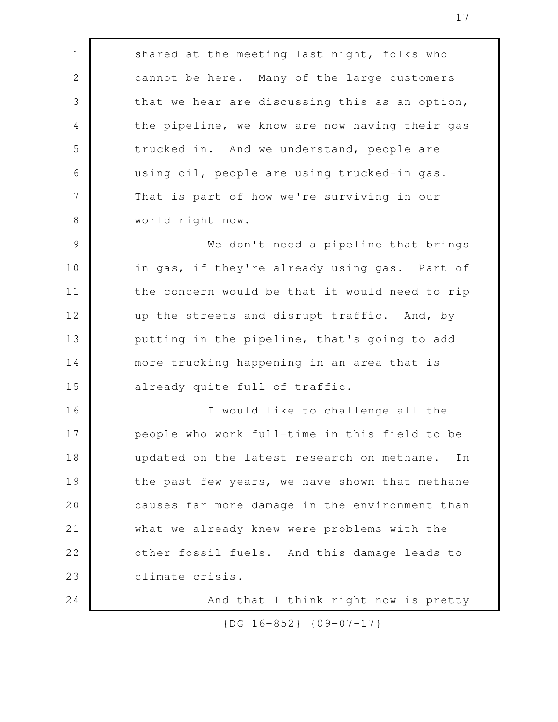shared at the meeting last night, folks who cannot be here. Many of the large customers that we hear are discussing this as an option, the pipeline, we know are now having their gas trucked in. And we understand, people are using oil, people are using trucked-in gas. That is part of how we're surviving in our world right now. We don't need a pipeline that brings in gas, if they're already using gas. Part of the concern would be that it would need to rip up the streets and disrupt traffic. And, by putting in the pipeline, that's going to add more trucking happening in an area that is already quite full of traffic. I would like to challenge all the people who work full-time in this field to be updated on the latest research on methane. In the past few years, we have shown that methane causes far more damage in the environment than what we already knew were problems with the other fossil fuels. And this damage leads to climate crisis. And that I think right now is pretty 1 2 3 4 5 6 7 8 9 10 11 12 13 14 15 16 17 18 19 20 21 22 23 24

{DG 16-852} {09-07-17}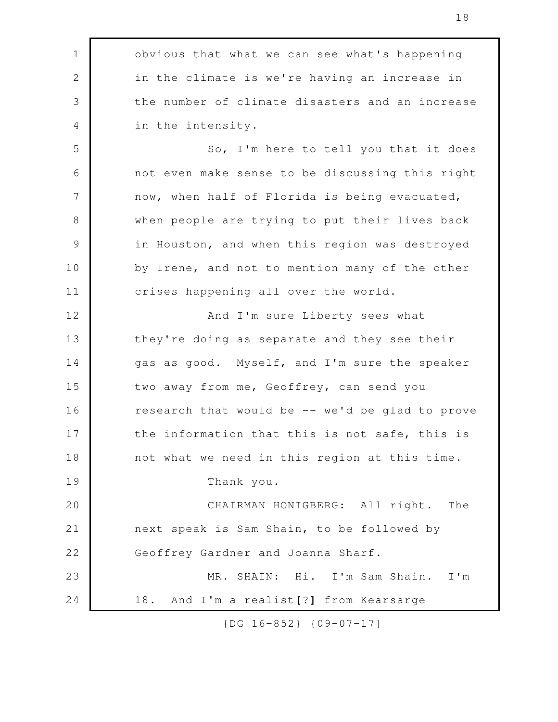obvious that what we can see what's happening in the climate is we're having an increase in the number of climate disasters and an increase in the intensity. So, I'm here to tell you that it does not even make sense to be discussing this right now, when half of Florida is being evacuated, when people are trying to put their lives back in Houston, and when this region was destroyed by Irene, and not to mention many of the other crises happening all over the world. And I'm sure Liberty sees what they're doing as separate and they see their gas as good. Myself, and I'm sure the speaker two away from me, Geoffrey, can send you research that would be -- we'd be glad to prove the information that this is not safe, this is not what we need in this region at this time. Thank you. CHAIRMAN HONIGBERG: All right. The next speak is Sam Shain, to be followed by Geoffrey Gardner and Joanna Sharf. MR. SHAIN: Hi. I'm Sam Shain. I'm 18. And I'm a realist**[**?**]** from Kearsarge 1 2 3 4 5 6 7 8 9 10 11 12 13 14 15 16 17 18 19 20 21 22 23 24

{DG 16-852} {09-07-17}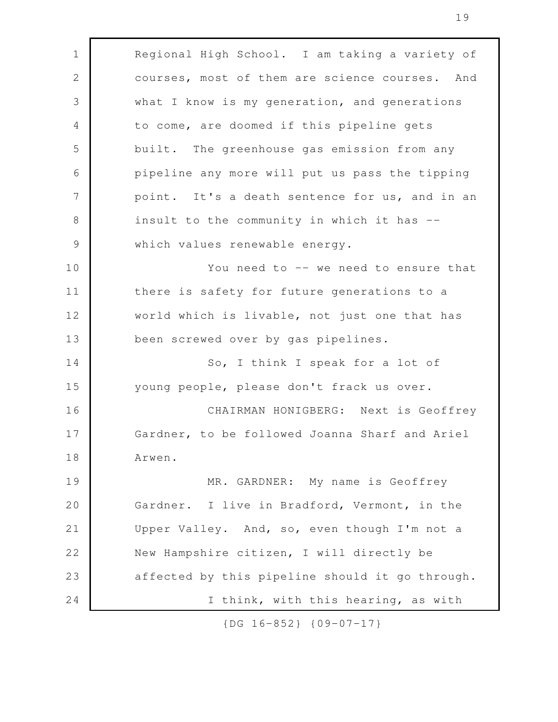Regional High School. I am taking a variety of courses, most of them are science courses. And what I know is my generation, and generations to come, are doomed if this pipeline gets built. The greenhouse gas emission from any pipeline any more will put us pass the tipping point. It's a death sentence for us, and in an insult to the community in which it has - which values renewable energy. You need to -- we need to ensure that there is safety for future generations to a world which is livable, not just one that has been screwed over by gas pipelines. So, I think I speak for a lot of young people, please don't frack us over. CHAIRMAN HONIGBERG: Next is Geoffrey Gardner, to be followed Joanna Sharf and Ariel Arwen. MR. GARDNER: My name is Geoffrey Gardner. I live in Bradford, Vermont, in the Upper Valley. And, so, even though I'm not a New Hampshire citizen, I will directly be affected by this pipeline should it go through. I think, with this hearing, as with 1 2 3 4 5 6 7 8 9 10 11 12 13 14 15 16 17 18 19 20 21 22 23 24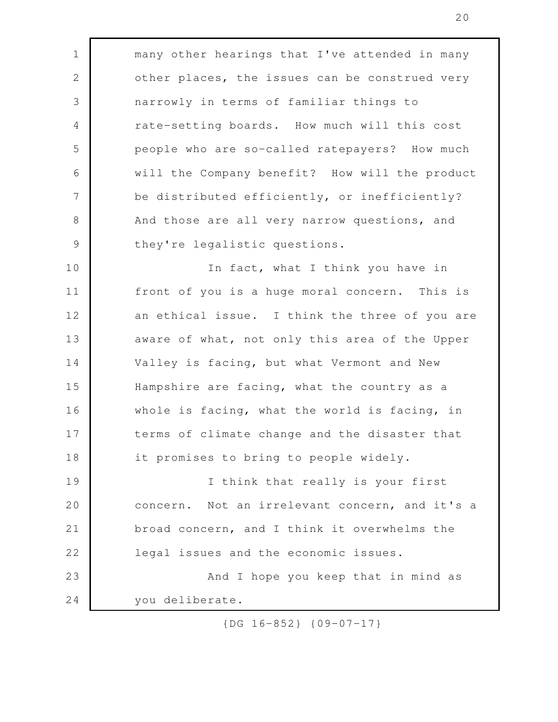many other hearings that I've attended in many other places, the issues can be construed very narrowly in terms of familiar things to rate-setting boards. How much will this cost people who are so-called ratepayers? How much will the Company benefit? How will the product be distributed efficiently, or inefficiently? And those are all very narrow questions, and they're legalistic questions. In fact, what I think you have in front of you is a huge moral concern. This is an ethical issue. I think the three of you are aware of what, not only this area of the Upper Valley is facing, but what Vermont and New Hampshire are facing, what the country as a whole is facing, what the world is facing, in terms of climate change and the disaster that it promises to bring to people widely. I think that really is your first concern. Not an irrelevant concern, and it's a broad concern, and I think it overwhelms the legal issues and the economic issues. And I hope you keep that in mind as you deliberate. 1 2 3 4 5 6 7 8 9 10 11 12 13 14 15 16 17 18 19 20 21 22 23 24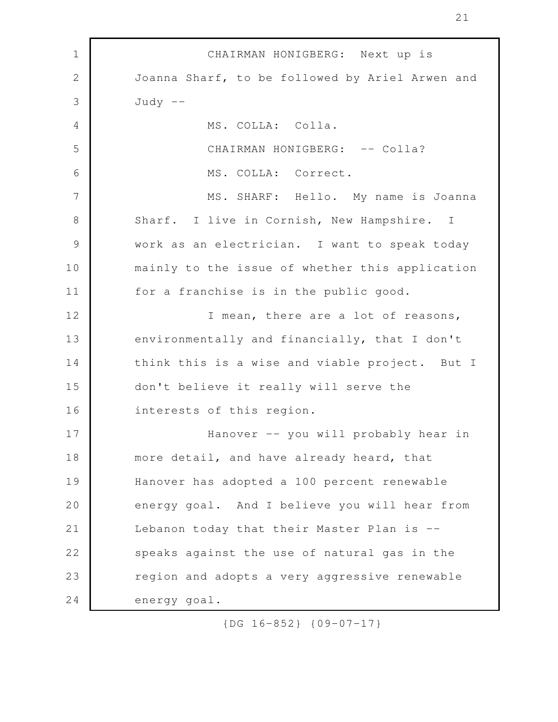CHAIRMAN HONIGBERG: Next up is Joanna Sharf, to be followed by Ariel Arwen and  $Judy$  --MS. COLLA: Colla. CHAIRMAN HONIGBERG: -- Colla? MS. COLLA: Correct. MS. SHARF: Hello. My name is Joanna Sharf. I live in Cornish, New Hampshire. I work as an electrician. I want to speak today mainly to the issue of whether this application for a franchise is in the public good. I mean, there are a lot of reasons, environmentally and financially, that I don't think this is a wise and viable project. But I don't believe it really will serve the interests of this region. Hanover -- you will probably hear in more detail, and have already heard, that Hanover has adopted a 100 percent renewable energy goal. And I believe you will hear from Lebanon today that their Master Plan is -speaks against the use of natural gas in the region and adopts a very aggressive renewable energy goal. 1 2 3 4 5 6 7 8 9 10 11 12 13 14 15 16 17 18 19 20 21 22 23 24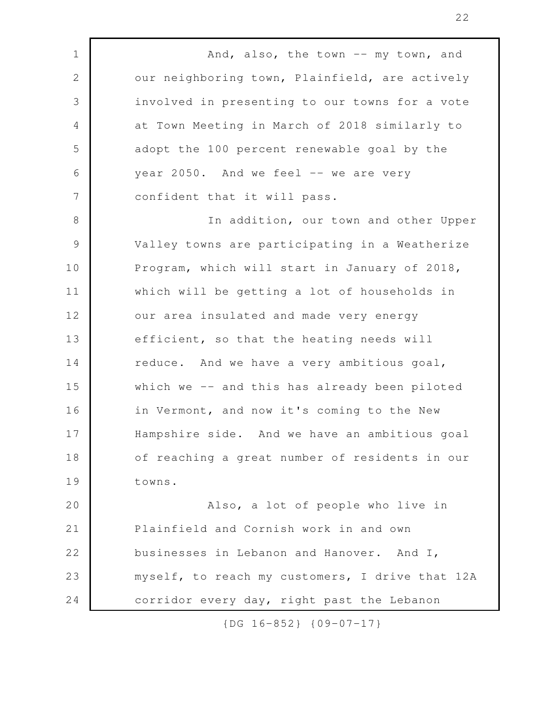And, also, the town -- my town, and our neighboring town, Plainfield, are actively involved in presenting to our towns for a vote at Town Meeting in March of 2018 similarly to adopt the 100 percent renewable goal by the year  $2050$ . And we feel  $-$  we are very confident that it will pass. In addition, our town and other Upper Valley towns are participating in a Weatherize Program, which will start in January of 2018, which will be getting a lot of households in our area insulated and made very energy efficient, so that the heating needs will reduce. And we have a very ambitious goal, which we -- and this has already been piloted in Vermont, and now it's coming to the New Hampshire side. And we have an ambitious goal of reaching a great number of residents in our towns. Also, a lot of people who live in Plainfield and Cornish work in and own businesses in Lebanon and Hanover. And I, myself, to reach my customers, I drive that 12A corridor every day, right past the Lebanon 1 2 3 4 5 6 7 8 9 10 11 12 13 14 15 16 17 18 19 20 21 22 23 24

{DG 16-852} {09-07-17}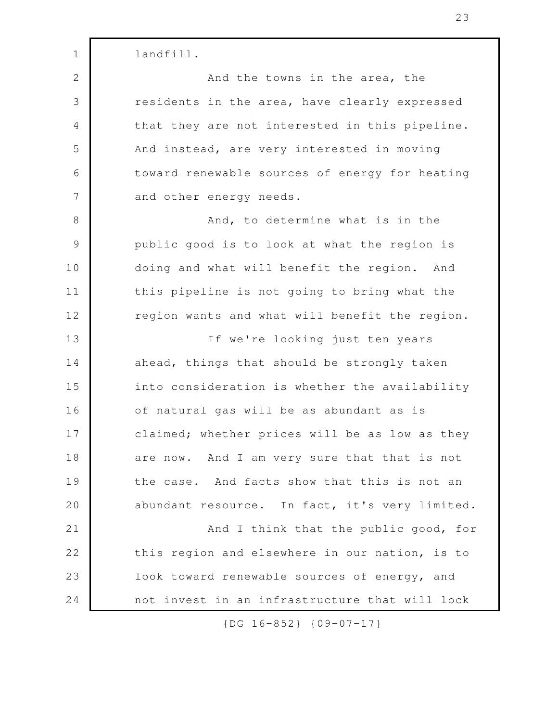landfill. And the towns in the area, the residents in the area, have clearly expressed that they are not interested in this pipeline. And instead, are very interested in moving toward renewable sources of energy for heating and other energy needs. And, to determine what is in the public good is to look at what the region is doing and what will benefit the region. And this pipeline is not going to bring what the region wants and what will benefit the region. If we're looking just ten years ahead, things that should be strongly taken into consideration is whether the availability of natural gas will be as abundant as is claimed; whether prices will be as low as they are now. And I am very sure that that is not the case. And facts show that this is not an abundant resource. In fact, it's very limited. And I think that the public good, for this region and elsewhere in our nation, is to look toward renewable sources of energy, and not invest in an infrastructure that will lock 1 2 3 4 5 6 7 8 9 10 11 12 13 14 15 16 17 18 19 20 21 22 23 24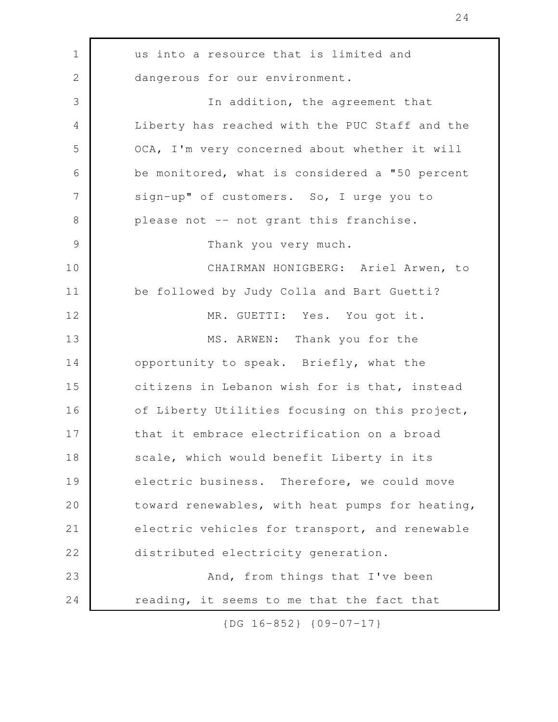us into a resource that is limited and dangerous for our environment. In addition, the agreement that Liberty has reached with the PUC Staff and the OCA, I'm very concerned about whether it will be monitored, what is considered a "50 percent sign-up" of customers. So, I urge you to please not -- not grant this franchise. Thank you very much. CHAIRMAN HONIGBERG: Ariel Arwen, to be followed by Judy Colla and Bart Guetti? MR. GUETTI: Yes. You got it. MS. ARWEN: Thank you for the opportunity to speak. Briefly, what the citizens in Lebanon wish for is that, instead of Liberty Utilities focusing on this project, that it embrace electrification on a broad scale, which would benefit Liberty in its electric business. Therefore, we could move toward renewables, with heat pumps for heating, electric vehicles for transport, and renewable distributed electricity generation. And, from things that I've been reading, it seems to me that the fact that 1 2 3 4 5 6 7 8 9 10 11 12 13 14 15 16 17 18 19 20 21 22 23 24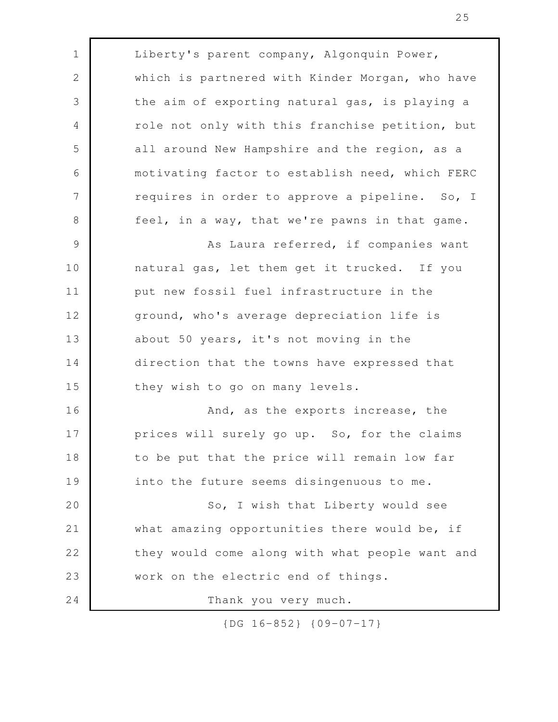| $\mathbf 1$    | Liberty's parent company, Algonquin Power,      |
|----------------|-------------------------------------------------|
| $\mathbf{2}$   | which is partnered with Kinder Morgan, who have |
| 3              | the aim of exporting natural gas, is playing a  |
| $\overline{4}$ | role not only with this franchise petition, but |
| 5              | all around New Hampshire and the region, as a   |
| 6              | motivating factor to establish need, which FERC |
| 7              | requires in order to approve a pipeline. So, I  |
| $8\,$          | feel, in a way, that we're pawns in that game.  |
| 9              | As Laura referred, if companies want            |
| 10             | natural gas, let them get it trucked. If you    |
| 11             | put new fossil fuel infrastructure in the       |
| 12             | ground, who's average depreciation life is      |
| 13             | about 50 years, it's not moving in the          |
| 14             | direction that the towns have expressed that    |
| 15             | they wish to go on many levels.                 |
| 16             | And, as the exports increase, the               |
| 17             | prices will surely go up. So, for the claims    |
| 18             | to be put that the price will remain low far    |
| 19             | into the future seems disingenuous to me.       |
| 20             | So, I wish that Liberty would see               |
| 21             | what amazing opportunities there would be, if   |
| 22             | they would come along with what people want and |
| 23             | work on the electric end of things.             |
| 24             | Thank you very much.                            |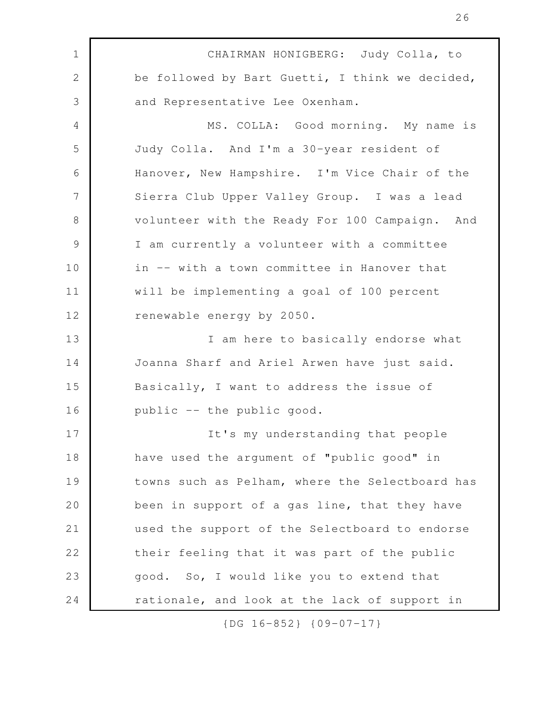CHAIRMAN HONIGBERG: Judy Colla, to be followed by Bart Guetti, I think we decided, and Representative Lee Oxenham. MS. COLLA: Good morning. My name is Judy Colla. And I'm a 30-year resident of Hanover, New Hampshire. I'm Vice Chair of the Sierra Club Upper Valley Group. I was a lead volunteer with the Ready For 100 Campaign. And I am currently a volunteer with a committee in -- with a town committee in Hanover that will be implementing a goal of 100 percent renewable energy by 2050. I am here to basically endorse what Joanna Sharf and Ariel Arwen have just said. Basically, I want to address the issue of public -- the public good. It's my understanding that people have used the argument of "public good" in towns such as Pelham, where the Selectboard has been in support of a gas line, that they have used the support of the Selectboard to endorse their feeling that it was part of the public good. So, I would like you to extend that rationale, and look at the lack of support in 1 2 3 4 5 6 7 8 9 10 11 12 13 14 15 16 17 18 19 20 21 22 23 24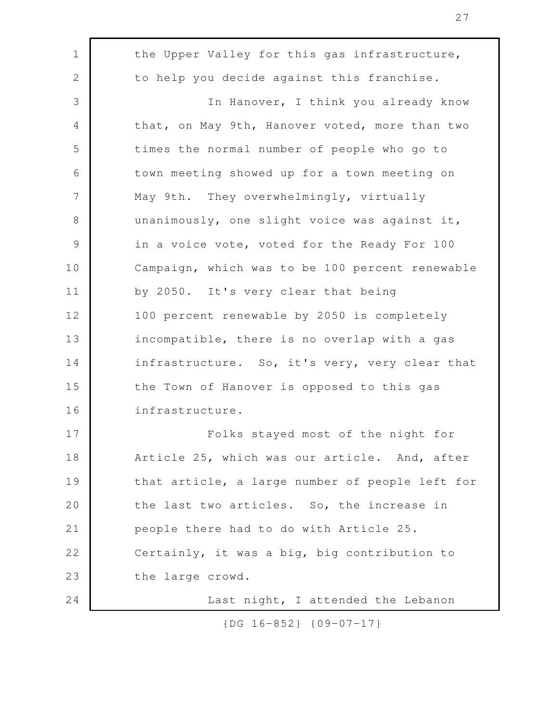the Upper Valley for this gas infrastructure, to help you decide against this franchise. In Hanover, I think you already know that, on May 9th, Hanover voted, more than two times the normal number of people who go to town meeting showed up for a town meeting on May 9th. They overwhelmingly, virtually unanimously, one slight voice was against it, in a voice vote, voted for the Ready For 100 Campaign, which was to be 100 percent renewable by 2050. It's very clear that being 100 percent renewable by 2050 is completely incompatible, there is no overlap with a gas infrastructure. So, it's very, very clear that the Town of Hanover is opposed to this gas infrastructure. Folks stayed most of the night for Article 25, which was our article. And, after that article, a large number of people left for the last two articles. So, the increase in people there had to do with Article 25. Certainly, it was a big, big contribution to the large crowd. Last night, I attended the Lebanon 1 2 3 4 5 6 7 8 9 10 11 12 13 14 15 16 17 18 19 20 21 22 23 24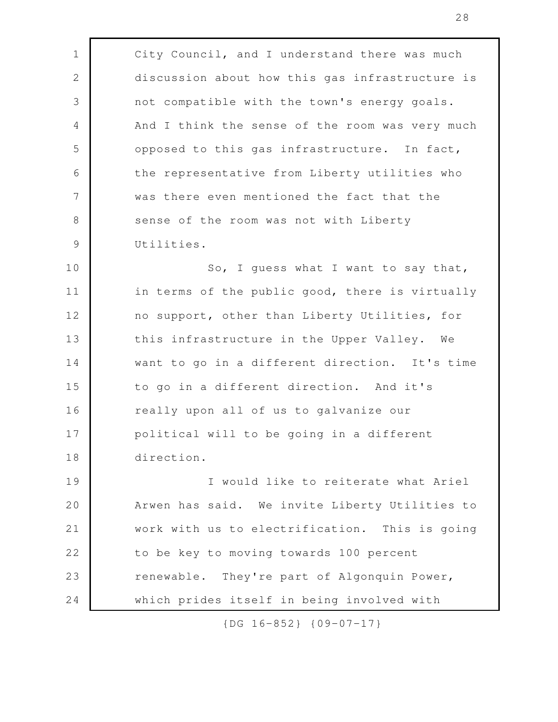City Council, and I understand there was much discussion about how this gas infrastructure is not compatible with the town's energy goals. And I think the sense of the room was very much opposed to this gas infrastructure. In fact, the representative from Liberty utilities who was there even mentioned the fact that the sense of the room was not with Liberty Utilities. So, I guess what I want to say that, in terms of the public good, there is virtually no support, other than Liberty Utilities, for this infrastructure in the Upper Valley. We want to go in a different direction. It's time to go in a different direction. And it's really upon all of us to galvanize our political will to be going in a different direction. I would like to reiterate what Ariel Arwen has said. We invite Liberty Utilities to work with us to electrification. This is going to be key to moving towards 100 percent renewable. They're part of Algonquin Power, which prides itself in being involved with 1 2 3 4 5 6 7 8 9 10 11 12 13 14 15 16 17 18 19 20 21 22 23 24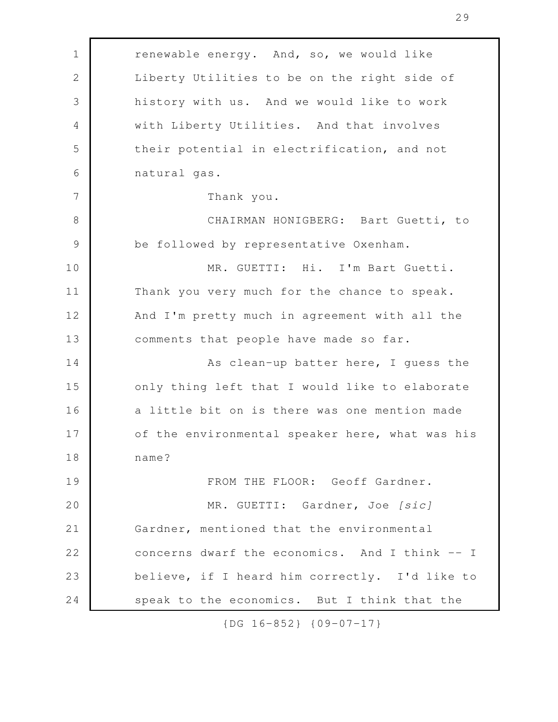| $\mathbf 1$   | renewable energy. And, so, we would like        |
|---------------|-------------------------------------------------|
| 2             | Liberty Utilities to be on the right side of    |
| 3             | history with us. And we would like to work      |
| 4             | with Liberty Utilities. And that involves       |
| 5             | their potential in electrification, and not     |
| 6             | natural gas.                                    |
| 7             | Thank you.                                      |
| 8             | CHAIRMAN HONIGBERG: Bart Guetti, to             |
| $\mathcal{G}$ | be followed by representative Oxenham.          |
| 10            | MR. GUETTI: Hi. I'm Bart Guetti.                |
| 11            | Thank you very much for the chance to speak.    |
| 12            | And I'm pretty much in agreement with all the   |
| 13            | comments that people have made so far.          |
| 14            | As clean-up batter here, I guess the            |
| 15            | only thing left that I would like to elaborate  |
| 16            | a little bit on is there was one mention made   |
| 17            | of the environmental speaker here, what was his |
| 18            | name?                                           |
| 19            | FROM THE FLOOR: Geoff Gardner.                  |
| 20            | MR. GUETTI: Gardner, Joe [sic]                  |
| 21            | Gardner, mentioned that the environmental       |
| 22            | concerns dwarf the economics. And I think -- I  |
| 23            | believe, if I heard him correctly. I'd like to  |
| 24            | speak to the economics. But I think that the    |

speak to the economics. But I think that the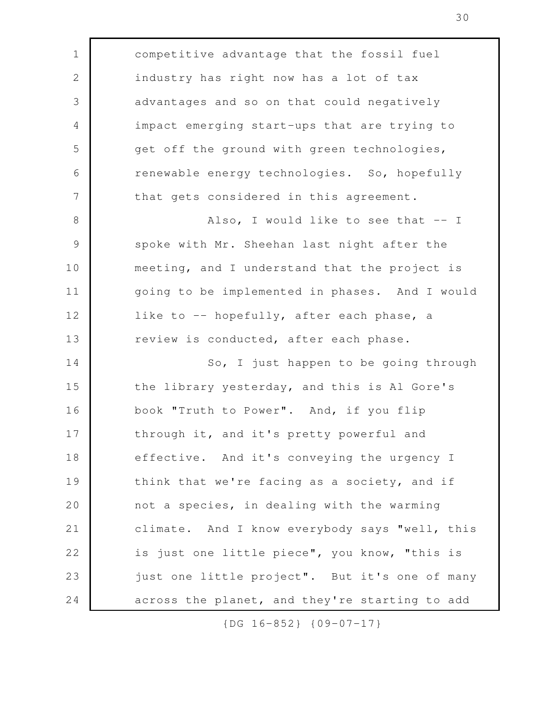competitive advantage that the fossil fuel industry has right now has a lot of tax advantages and so on that could negatively impact emerging start-ups that are trying to get off the ground with green technologies, renewable energy technologies. So, hopefully that gets considered in this agreement. Also, I would like to see that  $-$  I spoke with Mr. Sheehan last night after the meeting, and I understand that the project is going to be implemented in phases. And I would like to -- hopefully, after each phase, a review is conducted, after each phase. So, I just happen to be going through the library yesterday, and this is Al Gore's book "Truth to Power". And, if you flip through it, and it's pretty powerful and effective. And it's conveying the urgency I think that we're facing as a society, and if not a species, in dealing with the warming climate. And I know everybody says "well, this is just one little piece", you know, "this is just one little project". But it's one of many across the planet, and they're starting to add 1 2 3 4 5 6 7 8 9 10 11 12 13 14 15 16 17 18 19 20 21 22 23 24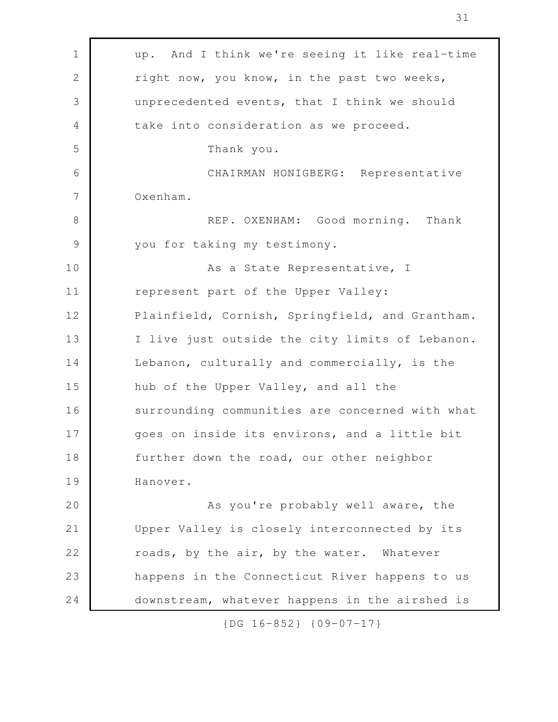| 1             | up. And I think we're seeing it like real-time  |
|---------------|-------------------------------------------------|
| $\mathbf{2}$  | right now, you know, in the past two weeks,     |
| 3             | unprecedented events, that I think we should    |
| 4             | take into consideration as we proceed.          |
| 5             | Thank you.                                      |
| 6             | CHAIRMAN HONIGBERG: Representative              |
| 7             | Oxenham.                                        |
| 8             | REP. OXENHAM: Good morning. Thank               |
| $\mathcal{G}$ | you for taking my testimony.                    |
| 10            | As a State Representative, I                    |
| 11            | represent part of the Upper Valley:             |
| 12            | Plainfield, Cornish, Springfield, and Grantham. |
| 13            | I live just outside the city limits of Lebanon. |
| 14            | Lebanon, culturally and commercially, is the    |
| 15            | hub of the Upper Valley, and all the            |
| 16            | surrounding communities are concerned with what |
| 17            | goes on inside its environs, and a little bit   |
| 18            | further down the road, our other neighbor       |
| 19            | Hanover.                                        |
| 20            | As you're probably well aware, the              |
| 21            | Upper Valley is closely interconnected by its   |
| 22            | roads, by the air, by the water. Whatever       |
| 23            | happens in the Connecticut River happens to us  |
| 24            | downstream, whatever happens in the airshed is  |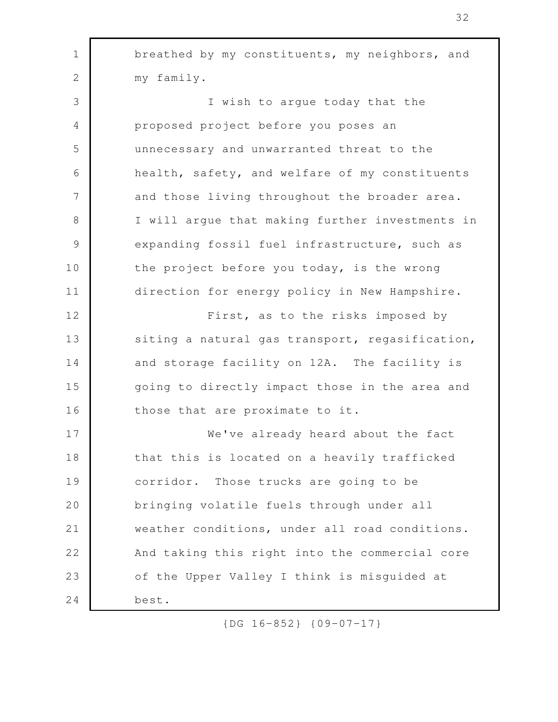| $\mathbf 1$     | breathed by my constituents, my neighbors, and  |
|-----------------|-------------------------------------------------|
| $\mathbf{2}$    | my family.                                      |
| 3               | I wish to argue today that the                  |
| 4               | proposed project before you poses an            |
| 5               | unnecessary and unwarranted threat to the       |
| 6               | health, safety, and welfare of my constituents  |
| $7\phantom{.0}$ | and those living throughout the broader area.   |
| $8\,$           | I will argue that making further investments in |
| $\mathcal{G}$   | expanding fossil fuel infrastructure, such as   |
| 10              | the project before you today, is the wrong      |
| 11              | direction for energy policy in New Hampshire.   |
| 12              | First, as to the risks imposed by               |
| 13              | siting a natural gas transport, regasification, |
| 14              | and storage facility on 12A. The facility is    |
| 15              | going to directly impact those in the area and  |
| 16              | those that are proximate to it.                 |
| 17              | We've already heard about the fact              |
| 18              | that this is located on a heavily trafficked    |
| 19              | corridor. Those trucks are going to be          |
| 20              | bringing volatile fuels through under all       |
| 21              | weather conditions, under all road conditions.  |
| 22              | And taking this right into the commercial core  |
| 23              | of the Upper Valley I think is misguided at     |
| 24              | best.                                           |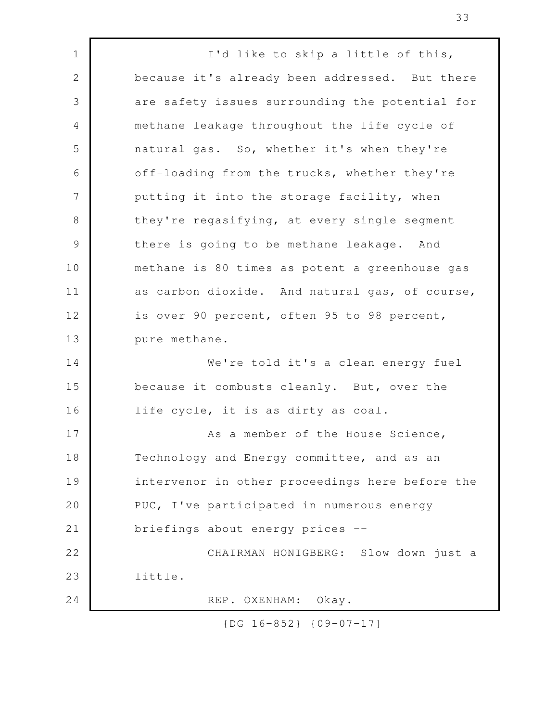I'd like to skip a little of this, because it's already been addressed. But there are safety issues surrounding the potential for methane leakage throughout the life cycle of natural gas. So, whether it's when they're off-loading from the trucks, whether they're putting it into the storage facility, when they're regasifying, at every single segment there is going to be methane leakage. And methane is 80 times as potent a greenhouse gas as carbon dioxide. And natural gas, of course, is over 90 percent, often 95 to 98 percent, pure methane. We're told it's a clean energy fuel because it combusts cleanly. But, over the life cycle, it is as dirty as coal. As a member of the House Science, Technology and Energy committee, and as an intervenor in other proceedings here before the PUC, I've participated in numerous energy briefings about energy prices -- CHAIRMAN HONIGBERG: Slow down just a little. REP. OXENHAM: Okay. 1 2 3 4 5 6 7 8 9 10 11 12 13 14 15 16 17 18 19 20 21 22 23 24

{DG 16-852} {09-07-17}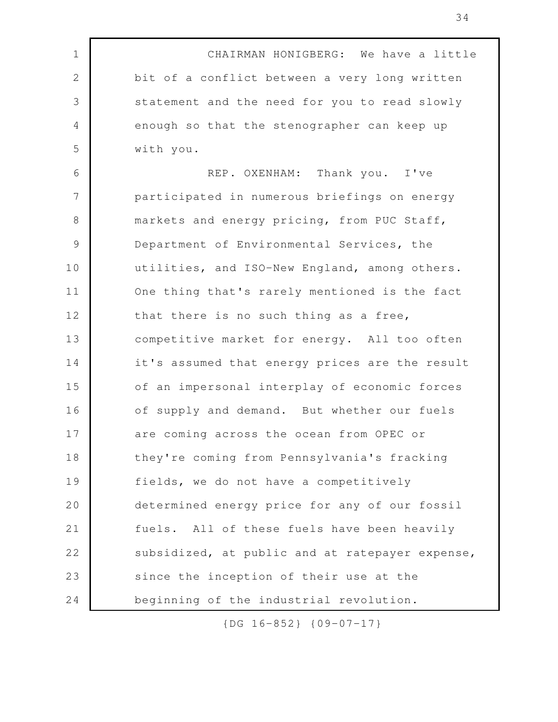CHAIRMAN HONIGBERG: We have a little bit of a conflict between a very long written statement and the need for you to read slowly enough so that the stenographer can keep up with you. REP. OXENHAM: Thank you. I've participated in numerous briefings on energy markets and energy pricing, from PUC Staff, Department of Environmental Services, the utilities, and ISO-New England, among others. One thing that's rarely mentioned is the fact that there is no such thing as a free, competitive market for energy. All too often it's assumed that energy prices are the result of an impersonal interplay of economic forces of supply and demand. But whether our fuels are coming across the ocean from OPEC or they're coming from Pennsylvania's fracking fields, we do not have a competitively determined energy price for any of our fossil fuels. All of these fuels have been heavily subsidized, at public and at ratepayer expense, since the inception of their use at the beginning of the industrial revolution. 1 2 3 4 5 6 7 8 9 10 11 12 13 14 15 16 17 18 19 20 21 22 23 24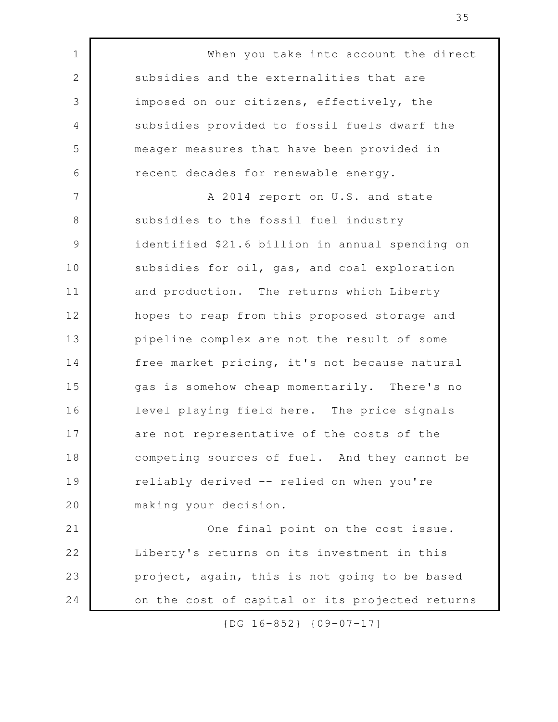When you take into account the direct subsidies and the externalities that are imposed on our citizens, effectively, the subsidies provided to fossil fuels dwarf the meager measures that have been provided in recent decades for renewable energy. A 2014 report on U.S. and state subsidies to the fossil fuel industry identified \$21.6 billion in annual spending on subsidies for oil, gas, and coal exploration and production. The returns which Liberty hopes to reap from this proposed storage and pipeline complex are not the result of some free market pricing, it's not because natural gas is somehow cheap momentarily. There's no level playing field here. The price signals are not representative of the costs of the competing sources of fuel. And they cannot be reliably derived -- relied on when you're making your decision. One final point on the cost issue. Liberty's returns on its investment in this project, again, this is not going to be based on the cost of capital or its projected returns 1 2 3 4 5 6 7 8 9 10 11 12 13 14 15 16 17 18 19 20 21 22 23 24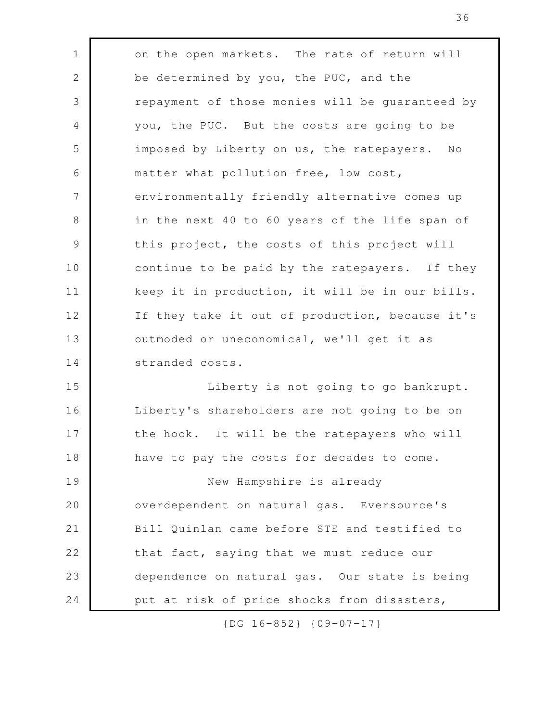| $\mathbf 1$<br>on the open markets. The rate of return will<br>$\mathbf{2}$<br>be determined by you, the PUC, and the<br>3<br>repayment of those monies will be guaranteed by<br>$\overline{4}$<br>you, the PUC. But the costs are going to be<br>5<br>imposed by Liberty on us, the ratepayers.<br>N <sub>O</sub><br>6<br>matter what pollution-free, low cost,<br>7<br>environmentally friendly alternative comes up<br>8<br>in the next 40 to 60 years of the life span of<br>$\mathcal{G}$<br>this project, the costs of this project will<br>continue to be paid by the ratepayers. If they<br>keep it in production, it will be in our bills.<br>If they take it out of production, because it's<br>outmoded or uneconomical, we'll get it as<br>stranded costs.<br>Liberty is not going to go bankrupt.<br>Liberty's shareholders are not going to be on<br>the hook. It will be the ratepayers who will<br>have to pay the costs for decades to come.<br>New Hampshire is already<br>overdependent on natural gas. Eversource's<br>Bill Quinlan came before STE and testified to<br>that fact, saying that we must reduce our<br>dependence on natural gas. Our state is being<br>put at risk of price shocks from disasters, |    |  |
|---------------------------------------------------------------------------------------------------------------------------------------------------------------------------------------------------------------------------------------------------------------------------------------------------------------------------------------------------------------------------------------------------------------------------------------------------------------------------------------------------------------------------------------------------------------------------------------------------------------------------------------------------------------------------------------------------------------------------------------------------------------------------------------------------------------------------------------------------------------------------------------------------------------------------------------------------------------------------------------------------------------------------------------------------------------------------------------------------------------------------------------------------------------------------------------------------------------------------------------|----|--|
|                                                                                                                                                                                                                                                                                                                                                                                                                                                                                                                                                                                                                                                                                                                                                                                                                                                                                                                                                                                                                                                                                                                                                                                                                                       |    |  |
|                                                                                                                                                                                                                                                                                                                                                                                                                                                                                                                                                                                                                                                                                                                                                                                                                                                                                                                                                                                                                                                                                                                                                                                                                                       |    |  |
|                                                                                                                                                                                                                                                                                                                                                                                                                                                                                                                                                                                                                                                                                                                                                                                                                                                                                                                                                                                                                                                                                                                                                                                                                                       |    |  |
|                                                                                                                                                                                                                                                                                                                                                                                                                                                                                                                                                                                                                                                                                                                                                                                                                                                                                                                                                                                                                                                                                                                                                                                                                                       |    |  |
|                                                                                                                                                                                                                                                                                                                                                                                                                                                                                                                                                                                                                                                                                                                                                                                                                                                                                                                                                                                                                                                                                                                                                                                                                                       |    |  |
|                                                                                                                                                                                                                                                                                                                                                                                                                                                                                                                                                                                                                                                                                                                                                                                                                                                                                                                                                                                                                                                                                                                                                                                                                                       |    |  |
|                                                                                                                                                                                                                                                                                                                                                                                                                                                                                                                                                                                                                                                                                                                                                                                                                                                                                                                                                                                                                                                                                                                                                                                                                                       |    |  |
|                                                                                                                                                                                                                                                                                                                                                                                                                                                                                                                                                                                                                                                                                                                                                                                                                                                                                                                                                                                                                                                                                                                                                                                                                                       |    |  |
|                                                                                                                                                                                                                                                                                                                                                                                                                                                                                                                                                                                                                                                                                                                                                                                                                                                                                                                                                                                                                                                                                                                                                                                                                                       |    |  |
|                                                                                                                                                                                                                                                                                                                                                                                                                                                                                                                                                                                                                                                                                                                                                                                                                                                                                                                                                                                                                                                                                                                                                                                                                                       | 10 |  |
|                                                                                                                                                                                                                                                                                                                                                                                                                                                                                                                                                                                                                                                                                                                                                                                                                                                                                                                                                                                                                                                                                                                                                                                                                                       | 11 |  |
|                                                                                                                                                                                                                                                                                                                                                                                                                                                                                                                                                                                                                                                                                                                                                                                                                                                                                                                                                                                                                                                                                                                                                                                                                                       | 12 |  |
|                                                                                                                                                                                                                                                                                                                                                                                                                                                                                                                                                                                                                                                                                                                                                                                                                                                                                                                                                                                                                                                                                                                                                                                                                                       | 13 |  |
|                                                                                                                                                                                                                                                                                                                                                                                                                                                                                                                                                                                                                                                                                                                                                                                                                                                                                                                                                                                                                                                                                                                                                                                                                                       | 14 |  |
|                                                                                                                                                                                                                                                                                                                                                                                                                                                                                                                                                                                                                                                                                                                                                                                                                                                                                                                                                                                                                                                                                                                                                                                                                                       | 15 |  |
|                                                                                                                                                                                                                                                                                                                                                                                                                                                                                                                                                                                                                                                                                                                                                                                                                                                                                                                                                                                                                                                                                                                                                                                                                                       | 16 |  |
|                                                                                                                                                                                                                                                                                                                                                                                                                                                                                                                                                                                                                                                                                                                                                                                                                                                                                                                                                                                                                                                                                                                                                                                                                                       | 17 |  |
|                                                                                                                                                                                                                                                                                                                                                                                                                                                                                                                                                                                                                                                                                                                                                                                                                                                                                                                                                                                                                                                                                                                                                                                                                                       | 18 |  |
|                                                                                                                                                                                                                                                                                                                                                                                                                                                                                                                                                                                                                                                                                                                                                                                                                                                                                                                                                                                                                                                                                                                                                                                                                                       | 19 |  |
|                                                                                                                                                                                                                                                                                                                                                                                                                                                                                                                                                                                                                                                                                                                                                                                                                                                                                                                                                                                                                                                                                                                                                                                                                                       | 20 |  |
|                                                                                                                                                                                                                                                                                                                                                                                                                                                                                                                                                                                                                                                                                                                                                                                                                                                                                                                                                                                                                                                                                                                                                                                                                                       | 21 |  |
|                                                                                                                                                                                                                                                                                                                                                                                                                                                                                                                                                                                                                                                                                                                                                                                                                                                                                                                                                                                                                                                                                                                                                                                                                                       | 22 |  |
|                                                                                                                                                                                                                                                                                                                                                                                                                                                                                                                                                                                                                                                                                                                                                                                                                                                                                                                                                                                                                                                                                                                                                                                                                                       | 23 |  |
|                                                                                                                                                                                                                                                                                                                                                                                                                                                                                                                                                                                                                                                                                                                                                                                                                                                                                                                                                                                                                                                                                                                                                                                                                                       | 24 |  |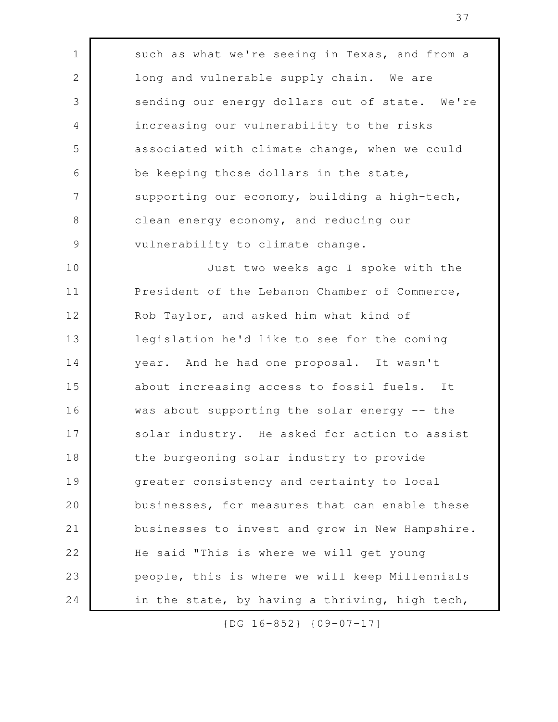such as what we're seeing in Texas, and from a long and vulnerable supply chain. We are sending our energy dollars out of state. We're increasing our vulnerability to the risks associated with climate change, when we could be keeping those dollars in the state, supporting our economy, building a high-tech, clean energy economy, and reducing our vulnerability to climate change. Just two weeks ago I spoke with the President of the Lebanon Chamber of Commerce, Rob Taylor, and asked him what kind of legislation he'd like to see for the coming year. And he had one proposal. It wasn't about increasing access to fossil fuels. It was about supporting the solar energy -- the solar industry. He asked for action to assist the burgeoning solar industry to provide greater consistency and certainty to local businesses, for measures that can enable these businesses to invest and grow in New Hampshire. He said "This is where we will get young people, this is where we will keep Millennials in the state, by having a thriving, high-tech, 1 2 3 4 5 6 7 8 9 10 11 12 13 14 15 16 17 18 19 20 21 22 23 24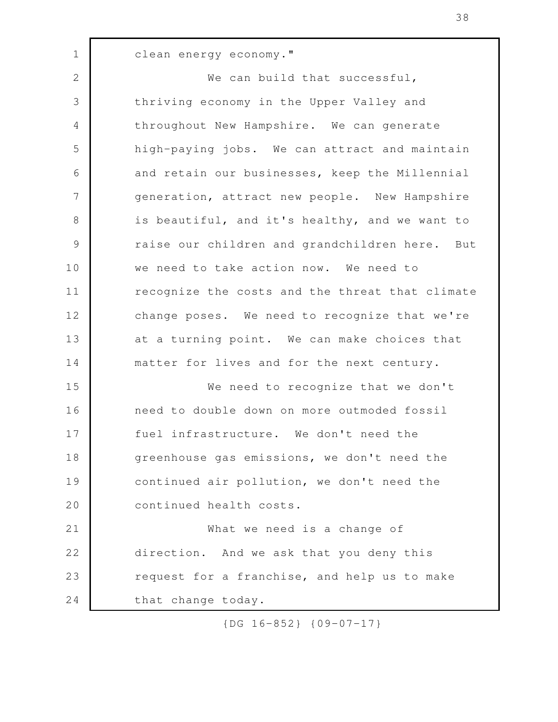clean energy economy." We can build that successful, thriving economy in the Upper Valley and throughout New Hampshire. We can generate high-paying jobs. We can attract and maintain and retain our businesses, keep the Millennial generation, attract new people. New Hampshire is beautiful, and it's healthy, and we want to raise our children and grandchildren here. But we need to take action now. We need to recognize the costs and the threat that climate change poses. We need to recognize that we're at a turning point. We can make choices that matter for lives and for the next century. We need to recognize that we don't need to double down on more outmoded fossil fuel infrastructure. We don't need the greenhouse gas emissions, we don't need the continued air pollution, we don't need the continued health costs. What we need is a change of direction. And we ask that you deny this request for a franchise, and help us to make that change today. 1 2 3 4 5 6 7 8 9 10 11 12 13 14 15 16 17 18 19 20 21 22 23 24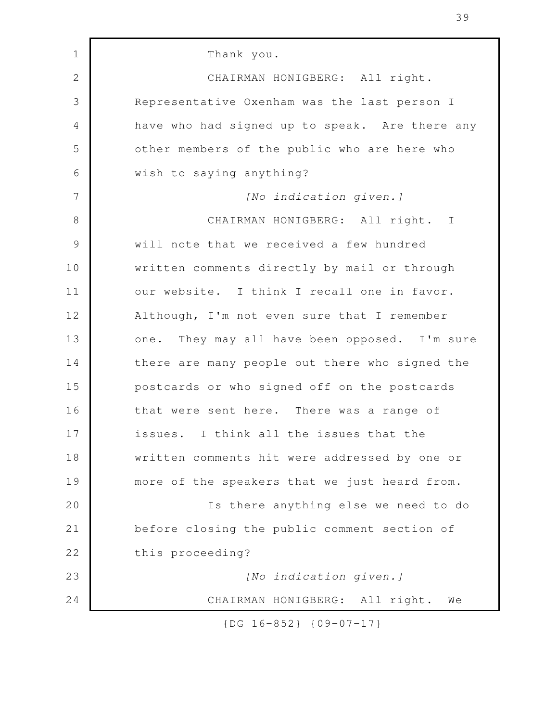Thank you. CHAIRMAN HONIGBERG: All right. Representative Oxenham was the last person I have who had signed up to speak. Are there any other members of the public who are here who wish to saying anything? *[No indication given.]* CHAIRMAN HONIGBERG: All right. I will note that we received a few hundred written comments directly by mail or through our website. I think I recall one in favor. Although, I'm not even sure that I remember one. They may all have been opposed. I'm sure there are many people out there who signed the postcards or who signed off on the postcards that were sent here. There was a range of issues. I think all the issues that the written comments hit were addressed by one or more of the speakers that we just heard from. Is there anything else we need to do before closing the public comment section of this proceeding? *[No indication given.]* CHAIRMAN HONIGBERG: All right. We 1 2 3 4 5 6 7 8 9 10 11 12 13 14 15 16 17 18 19 20 21 22 23 24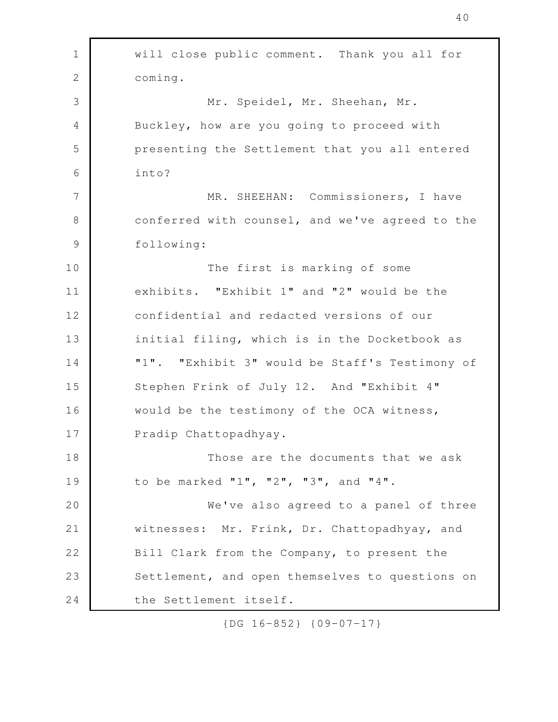will close public comment. Thank you all for coming. Mr. Speidel, Mr. Sheehan, Mr. Buckley, how are you going to proceed with presenting the Settlement that you all entered into? MR. SHEEHAN: Commissioners, I have conferred with counsel, and we've agreed to the following: The first is marking of some exhibits. "Exhibit 1" and "2" would be the confidential and redacted versions of our initial filing, which is in the Docketbook as "1". "Exhibit 3" would be Staff's Testimony of Stephen Frink of July 12. And "Exhibit 4" would be the testimony of the OCA witness, Pradip Chattopadhyay. Those are the documents that we ask to be marked "1", "2", "3", and "4". We've also agreed to a panel of three witnesses: Mr. Frink, Dr. Chattopadhyay, and Bill Clark from the Company, to present the Settlement, and open themselves to questions on the Settlement itself. 1 2 3 4 5 6 7 8 9 10 11 12 13 14 15 16 17 18 19 20 21 22 23 24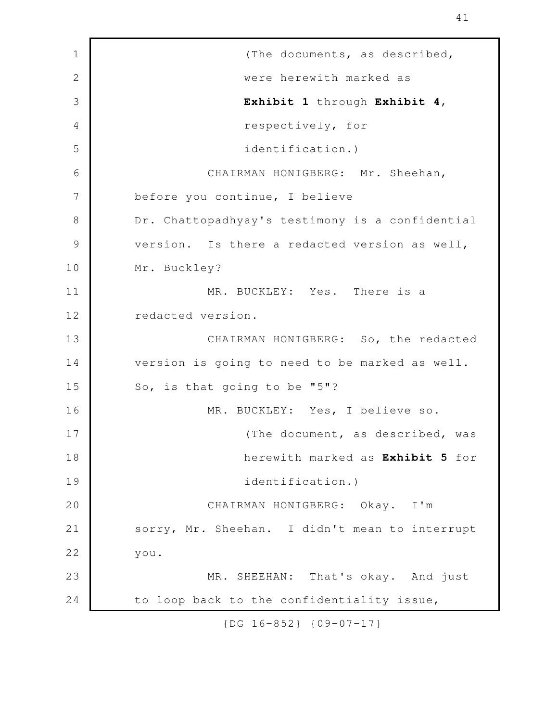(The documents, as described, were herewith marked as **Exhibit 1** through **Exhibit 4**, respectively, for identification.) CHAIRMAN HONIGBERG: Mr. Sheehan, before you continue, I believe Dr. Chattopadhyay's testimony is a confidential version. Is there a redacted version as well, Mr. Buckley? MR. BUCKLEY: Yes. There is a redacted version. CHAIRMAN HONIGBERG: So, the redacted version is going to need to be marked as well. So, is that going to be "5"? MR. BUCKLEY: Yes, I believe so. (The document, as described, was herewith marked as **Exhibit 5** for identification.) CHAIRMAN HONIGBERG: Okay. I'm sorry, Mr. Sheehan. I didn't mean to interrupt you. MR. SHEEHAN: That's okay. And just to loop back to the confidentiality issue, 1 2 3 4 5 6 7 8 9 10 11 12 13 14 15 16 17 18 19 20 21 22 23 24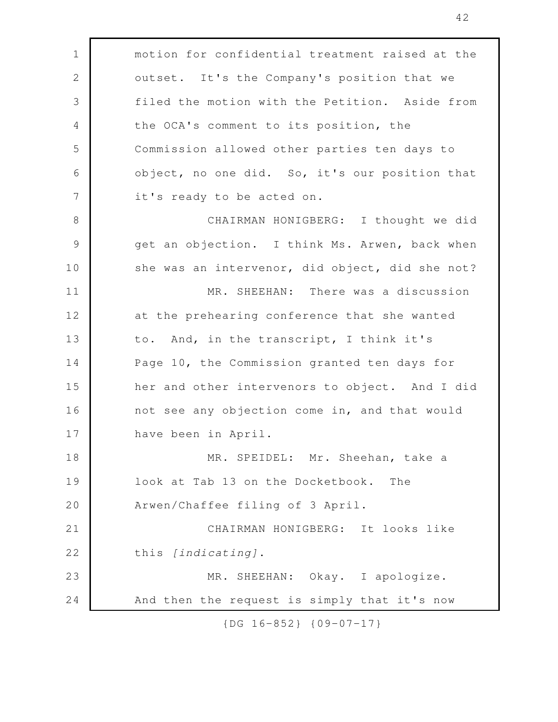| $\mathbf 1$   | motion for confidential treatment raised at the |
|---------------|-------------------------------------------------|
| $\mathbf{2}$  | outset. It's the Company's position that we     |
| 3             | filed the motion with the Petition. Aside from  |
| 4             | the OCA's comment to its position, the          |
| 5             | Commission allowed other parties ten days to    |
| 6             | object, no one did. So, it's our position that  |
| 7             | it's ready to be acted on.                      |
| $8\,$         | CHAIRMAN HONIGBERG: I thought we did            |
| $\mathcal{G}$ | get an objection. I think Ms. Arwen, back when  |
| 10            | she was an intervenor, did object, did she not? |
| 11            | MR. SHEEHAN: There was a discussion             |
| 12            | at the prehearing conference that she wanted    |
| 13            | to. And, in the transcript, I think it's        |
| 14            | Page 10, the Commission granted ten days for    |
| 15            | her and other intervenors to object. And I did  |
| 16            | not see any objection come in, and that would   |
| 17            | have been in April.                             |
| 18            | MR. SPEIDEL: Mr. Sheehan, take a                |
| 19            | look at Tab 13 on the Docketbook.<br>The        |
| 20            | Arwen/Chaffee filing of 3 April.                |
| 21            | CHAIRMAN HONIGBERG: It looks like               |
| 22            | this [indicating].                              |
| 23            | MR. SHEEHAN: Okay. I apologize.                 |
| 24            | And then the request is simply that it's now    |
|               |                                                 |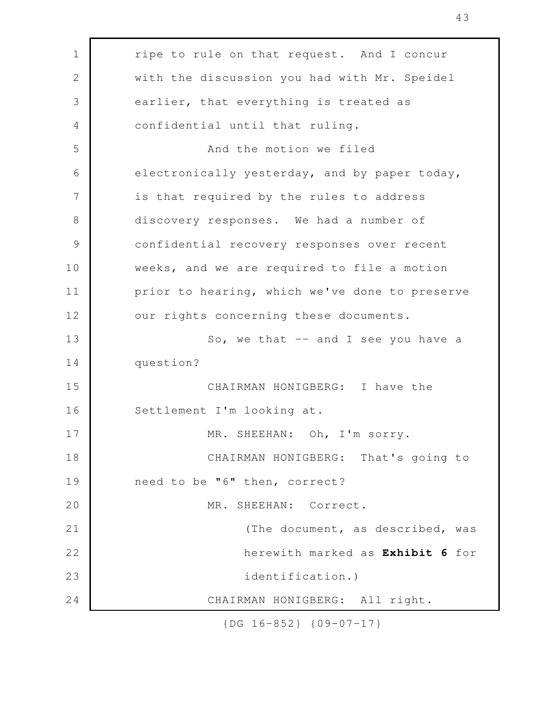| $\mathbf 1$   | ripe to rule on that request. And I concur     |
|---------------|------------------------------------------------|
| $\mathbf{2}$  | with the discussion you had with Mr. Speidel   |
| 3             | earlier, that everything is treated as         |
| 4             | confidential until that ruling.                |
| 5             | And the motion we filed                        |
| 6             | electronically yesterday, and by paper today,  |
| 7             | is that required by the rules to address       |
| $8\,$         | discovery responses. We had a number of        |
| $\mathcal{G}$ | confidential recovery responses over recent    |
| 10            | weeks, and we are required to file a motion    |
| 11            | prior to hearing, which we've done to preserve |
| 12            | our rights concerning these documents.         |
| 13            | So, we that -- and I see you have a            |
| 14            | question?                                      |
| 15            | CHAIRMAN HONIGBERG: I have the                 |
| 16            | Settlement I'm looking at.                     |
| 17            | MR. SHEEHAN: Oh, I'm sorry.                    |
| 18            | CHAIRMAN HONIGBERG: That's going to            |
| 19            | need to be "6" then, correct?                  |
| 20            | MR. SHEEHAN: Correct.                          |
| 21            | (The document, as described, was               |
| 22            | herewith marked as Exhibit 6 for               |
| 23            | identification.)                               |
| 24            | CHAIRMAN HONIGBERG: All right.                 |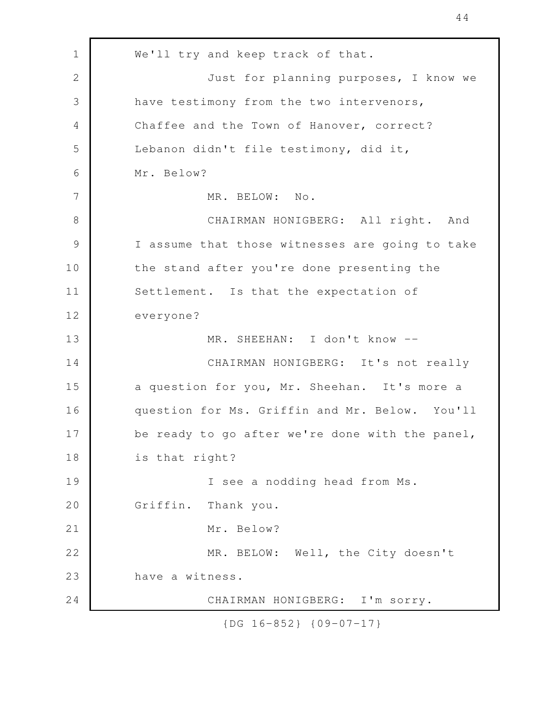We'll try and keep track of that. Just for planning purposes, I know we have testimony from the two intervenors, Chaffee and the Town of Hanover, correct? Lebanon didn't file testimony, did it, Mr. Below? MR. BELOW: No. CHAIRMAN HONIGBERG: All right. And I assume that those witnesses are going to take the stand after you're done presenting the Settlement. Is that the expectation of everyone? MR. SHEEHAN: I don't know -- CHAIRMAN HONIGBERG: It's not really a question for you, Mr. Sheehan. It's more a question for Ms. Griffin and Mr. Below. You'll be ready to go after we're done with the panel, is that right? I see a nodding head from Ms. Griffin. Thank you. Mr. Below? MR. BELOW: Well, the City doesn't have a witness. CHAIRMAN HONIGBERG: I'm sorry. 1 2 3 4 5 6 7 8 9 10 11 12 13 14 15 16 17 18 19 20 21 22 23 24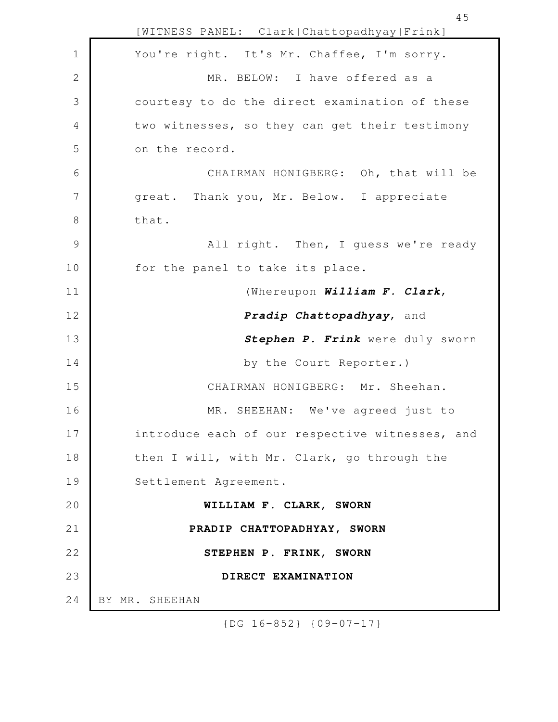[WITNESS PANEL: Clark|Chattopadhyay|Frink] You're right. It's Mr. Chaffee, I'm sorry. MR. BELOW: I have offered as a courtesy to do the direct examination of these two witnesses, so they can get their testimony on the record. CHAIRMAN HONIGBERG: Oh, that will be great. Thank you, Mr. Below. I appreciate that. All right. Then, I guess we're ready for the panel to take its place. (Whereupon *William F. Clark*, *Pradip Chattopadhyay*, and *Stephen P. Frink* were duly sworn by the Court Reporter.) CHAIRMAN HONIGBERG: Mr. Sheehan. MR. SHEEHAN: We've agreed just to introduce each of our respective witnesses, and then I will, with Mr. Clark, go through the Settlement Agreement. **WILLIAM F. CLARK, SWORN PRADIP CHATTOPADHYAY, SWORN STEPHEN P. FRINK, SWORN DIRECT EXAMINATION** BY MR. SHEEHAN 1 2 3 4 5 6 7 8 9 10 11 12 13 14 15 16 17 18 19 20 21 22 23 24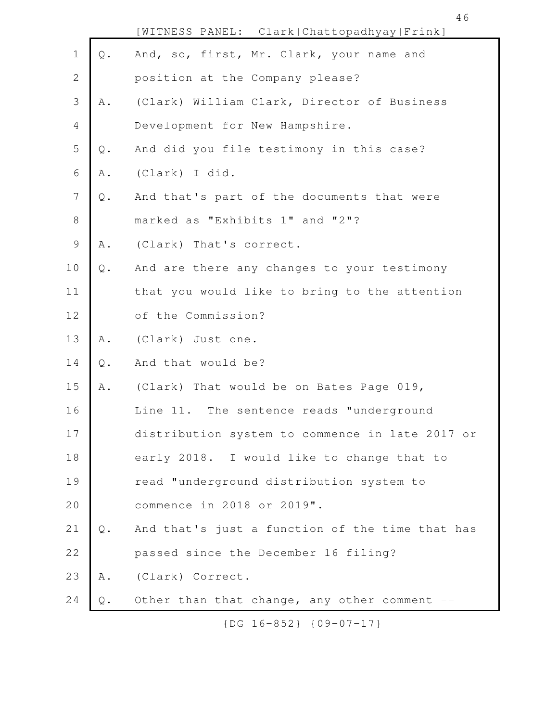|                |                | [WITNESS PANEL: Clark   Chattopadhyay   Frink]  |
|----------------|----------------|-------------------------------------------------|
| $\mathbf 1$    | $\mathbb Q$ .  | And, so, first, Mr. Clark, your name and        |
| $\mathbf{2}$   |                | position at the Company please?                 |
| 3              | A .            | (Clark) William Clark, Director of Business     |
| $\overline{4}$ |                | Development for New Hampshire.                  |
| 5              | $\mathbb Q$ .  | And did you file testimony in this case?        |
| $\epsilon$     | A .            | (Clark) I did.                                  |
| 7              | $\mathsf{Q}$ . | And that's part of the documents that were      |
| $\,8\,$        |                | marked as "Exhibits 1" and "2"?                 |
| $\mathcal{G}$  | Α.             | (Clark) That's correct.                         |
| 10             | $Q$ .          | And are there any changes to your testimony     |
| 11             |                | that you would like to bring to the attention   |
| 12             |                | of the Commission?                              |
| 13             | A .            | (Clark) Just one.                               |
| 14             | $\mathsf Q$ .  | And that would be?                              |
| 15             | A .            | (Clark) That would be on Bates Page 019,        |
| 16             |                | Line 11. The sentence reads "underground        |
| 17             |                | distribution system to commence in late 2017 or |
| 18             |                | early 2018. I would like to change that to      |
| 19             |                | read "underground distribution system to        |
| 20             |                | commence in 2018 or 2019".                      |
| 21             | Q.             | And that's just a function of the time that has |
| 22             |                | passed since the December 16 filing?            |
| 23             | A .            | (Clark) Correct.                                |
| 24             | Q.             | Other than that change, any other comment       |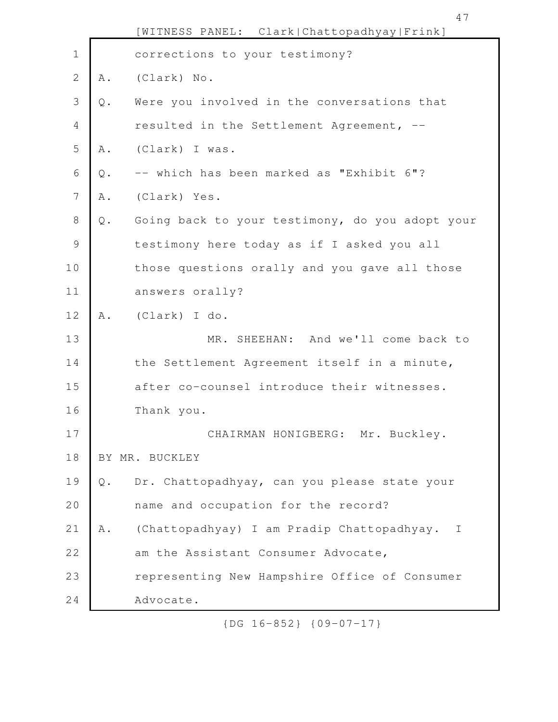|                |               | [WITNESS PANEL: Clark Chattopadhyay Frink]      |
|----------------|---------------|-------------------------------------------------|
| $\mathbf 1$    |               | corrections to your testimony?                  |
| $\overline{2}$ | Α.            | (Clark) No.                                     |
| 3              | $\mathsf Q$ . | Were you involved in the conversations that     |
| $\overline{4}$ |               | resulted in the Settlement Agreement, --        |
| 5              | Α.            | (Clark) I was.                                  |
| $\sqrt{6}$     | $\mathbb Q$ . | -- which has been marked as "Exhibit 6"?        |
| 7              | Α.            | (Clark) Yes.                                    |
| $8\,$          | $\mathbb Q$ . | Going back to your testimony, do you adopt your |
| $\mathcal{G}$  |               | testimony here today as if I asked you all      |
| 10             |               | those questions orally and you gave all those   |
| 11             |               | answers orally?                                 |
| 12             | Α.            | (Clark) I do.                                   |
| 13             |               | MR. SHEEHAN: And we'll come back to             |
| 14             |               | the Settlement Agreement itself in a minute,    |
| 15             |               | after co-counsel introduce their witnesses.     |
| 16             |               | Thank you.                                      |
| 17             |               | CHAIRMAN HONIGBERG: Mr. Buckley.                |
| 18             |               | BY MR. BUCKLEY                                  |
| 19             | $Q$ .         | Dr. Chattopadhyay, can you please state your    |
| 20             |               | name and occupation for the record?             |
| 21             | Α.            | (Chattopadhyay) I am Pradip Chattopadhyay.<br>I |
| 22             |               | am the Assistant Consumer Advocate,             |
| 23             |               | representing New Hampshire Office of Consumer   |
| 24             |               | Advocate.                                       |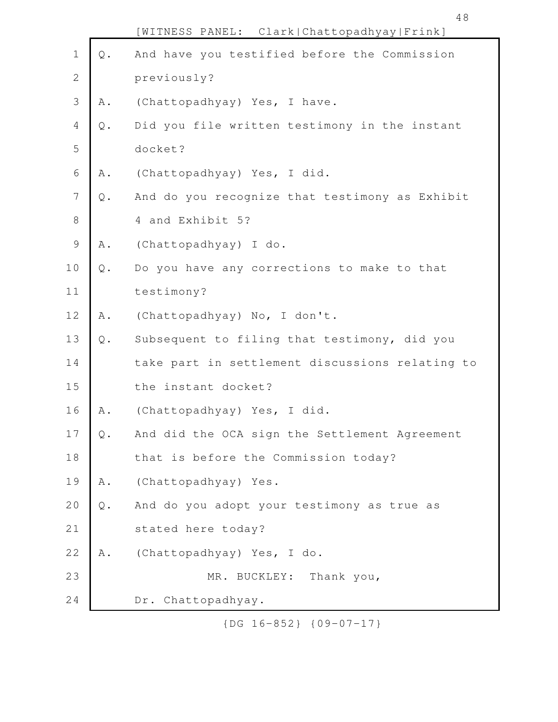|                |                               | WITNESS PANEL: Clark   Chattopadhyay   Frink]   |
|----------------|-------------------------------|-------------------------------------------------|
| $\mathbf 1$    | $\mathbb Q$ .                 | And have you testified before the Commission    |
| $\overline{2}$ |                               | previously?                                     |
| 3              | A .                           | (Chattopadhyay) Yes, I have.                    |
| 4              | $\mathsf Q$ .                 | Did you file written testimony in the instant   |
| 5              |                               | docket?                                         |
| 6              | A .                           | (Chattopadhyay) Yes, I did.                     |
| 7              | $\mathsf Q$ .                 | And do you recognize that testimony as Exhibit  |
| $\,8\,$        |                               | 4 and Exhibit 5?                                |
| $\mathcal{G}$  | Α.                            | (Chattopadhyay) I do.                           |
| 10             | $\mathbb Q$ .                 | Do you have any corrections to make to that     |
| 11             |                               | testimony?                                      |
| 12             | A .                           | (Chattopadhyay) No, I don't.                    |
| 13             | $\mathbb Q$ .                 | Subsequent to filing that testimony, did you    |
| 14             |                               | take part in settlement discussions relating to |
| 15             |                               | the instant docket?                             |
| 16             | Α.                            | (Chattopadhyay) Yes, I did.                     |
| $17$           | $\mathsf{Q}% _{\mathsf{Q}}$ . | And did the OCA sign the Settlement Agreement   |
| 18             |                               | that is before the Commission today?            |
| 19             | A .                           | (Chattopadhyay) Yes.                            |
| 20             | $Q$ .                         | And do you adopt your testimony as true as      |
| 21             |                               | stated here today?                              |
| 22             | A .                           | (Chattopadhyay) Yes, I do.                      |
| 23             |                               | Thank you,<br>MR. BUCKLEY:                      |
| 24             |                               | Dr. Chattopadhyay.                              |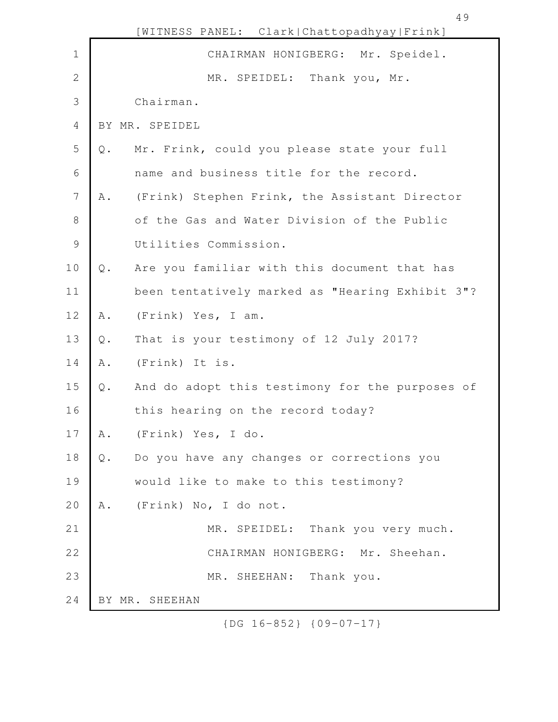| $1\,$<br>CHAIRMAN HONIGBERG: Mr. Speidel.<br>$\mathbf{2}$<br>MR. SPEIDEL: Thank you, Mr. |  |
|------------------------------------------------------------------------------------------|--|
|                                                                                          |  |
|                                                                                          |  |
| $\mathfrak{Z}$<br>Chairman.                                                              |  |
| $\overline{4}$<br>BY MR. SPEIDEL                                                         |  |
| 5<br>Mr. Frink, could you please state your full<br>$\mathbb Q$ .                        |  |
| 6<br>name and business title for the record.                                             |  |
| 7<br>(Frink) Stephen Frink, the Assistant Director<br>Α.                                 |  |
| $8\,$<br>of the Gas and Water Division of the Public                                     |  |
| $\mathcal{G}$<br>Utilities Commission.                                                   |  |
| 10<br>Are you familiar with this document that has<br>$Q$ .                              |  |
| 11<br>been tentatively marked as "Hearing Exhibit 3"?                                    |  |
| 12<br>(Frink) Yes, I am.<br>A .                                                          |  |
| 13<br>That is your testimony of 12 July 2017?<br>$Q$ .                                   |  |
| 14<br>(Frink) It is.<br>A .                                                              |  |
| 15<br>And do adopt this testimony for the purposes of<br>$Q$ .                           |  |
| 16<br>this hearing on the record today?                                                  |  |
| 17<br>(Frink) Yes, I do.<br>Α.                                                           |  |
| 18<br>Do you have any changes or corrections you<br>$\mathsf Q$ .                        |  |
| 19<br>would like to make to this testimony?                                              |  |
| 20<br>(Frink) No, I do not.<br>Α.                                                        |  |
| 21<br>MR. SPEIDEL: Thank you very much.                                                  |  |
| 22<br>CHAIRMAN HONIGBERG: Mr. Sheehan.                                                   |  |
| 23<br>MR. SHEEHAN: Thank you.                                                            |  |
| 24<br>BY MR. SHEEHAN                                                                     |  |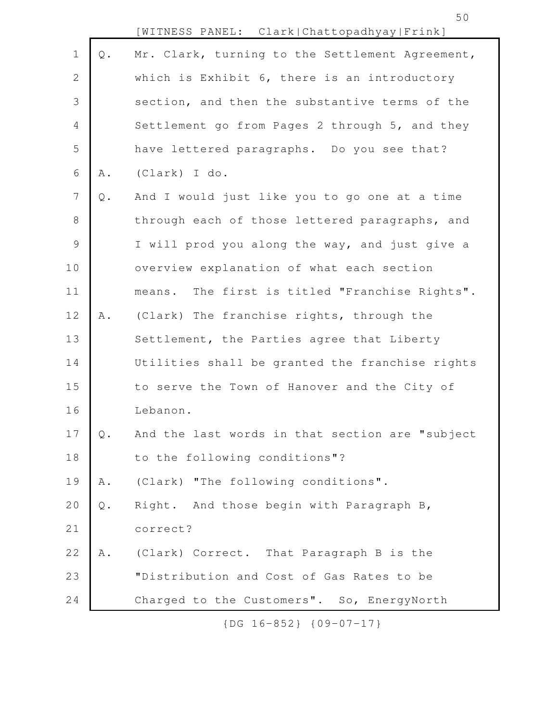50

|                |               | [WITNESS PANEL: Clark Chattopadhyay Frink]      |
|----------------|---------------|-------------------------------------------------|
| $1\,$          | $\mathbb Q$ . | Mr. Clark, turning to the Settlement Agreement, |
| 2              |               | which is Exhibit 6, there is an introductory    |
| 3              |               | section, and then the substantive terms of the  |
| $\overline{4}$ |               | Settlement go from Pages 2 through 5, and they  |
| 5              |               | have lettered paragraphs. Do you see that?      |
| $\sqrt{6}$     | A .           | (Clark) I do.                                   |
| $\overline{7}$ | $\mathsf Q$ . | And I would just like you to go one at a time   |
| $8\,$          |               | through each of those lettered paragraphs, and  |
| $\mathcal{G}$  |               | I will prod you along the way, and just give a  |
| 10             |               | overview explanation of what each section       |
| 11             |               | means. The first is titled "Franchise Rights".  |
| 12             | A .           | (Clark) The franchise rights, through the       |
| 13             |               | Settlement, the Parties agree that Liberty      |
| 14             |               | Utilities shall be granted the franchise rights |
| 15             |               | to serve the Town of Hanover and the City of    |
| 16             |               | Lebanon.                                        |
| 17             | Q.            | And the last words in that section are "subject |
| 18             |               | to the following conditions"?                   |
| 19             | A .           | (Clark) "The following conditions".             |
| 20             | $\mathsf Q$ . | Right. And those begin with Paragraph B,        |
| 21             |               | correct?                                        |
| 22             | Α.            | (Clark) Correct. That Paragraph B is the        |
| 23             |               | "Distribution and Cost of Gas Rates to be       |
| 24             |               | Charged to the Customers". So, EnergyNorth      |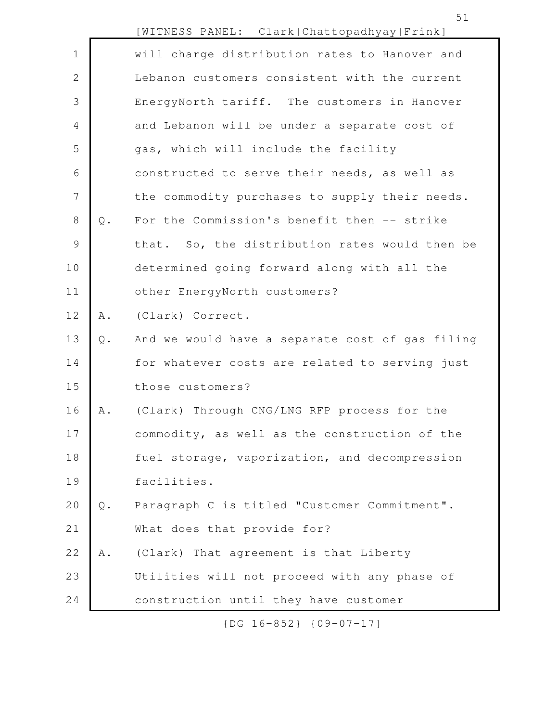|                |               | [WITNESS PANEL: Clark Chattopadhyay Frink]      |
|----------------|---------------|-------------------------------------------------|
| $\mathbf 1$    |               | will charge distribution rates to Hanover and   |
| $\mathbf{2}$   |               | Lebanon customers consistent with the current   |
| 3              |               | EnergyNorth tariff. The customers in Hanover    |
| $\overline{4}$ |               | and Lebanon will be under a separate cost of    |
| 5              |               | gas, which will include the facility            |
| 6              |               | constructed to serve their needs, as well as    |
| 7              |               | the commodity purchases to supply their needs.  |
| $8\,$          | $\mathbb Q$ . | For the Commission's benefit then -- strike     |
| 9              |               | that. So, the distribution rates would then be  |
| 10             |               | determined going forward along with all the     |
| 11             |               | other EnergyNorth customers?                    |
| 12             | A .           | (Clark) Correct.                                |
| 13             | $\mathbb Q$ . | And we would have a separate cost of gas filing |
| 14             |               | for whatever costs are related to serving just  |
| 15             |               | those customers?                                |
| 16             | Α.            | (Clark) Through CNG/LNG RFP process for the     |
| 17             |               | commodity, as well as the construction of the   |
| 18             |               | fuel storage, vaporization, and decompression   |
| 19             |               | facilities.                                     |
| 20             | $Q$ .         | Paragraph C is titled "Customer Commitment".    |
| 21             |               | What does that provide for?                     |
| 22             | Α.            | (Clark) That agreement is that Liberty          |
| 23             |               | Utilities will not proceed with any phase of    |
| 24             |               | construction until they have customer           |

51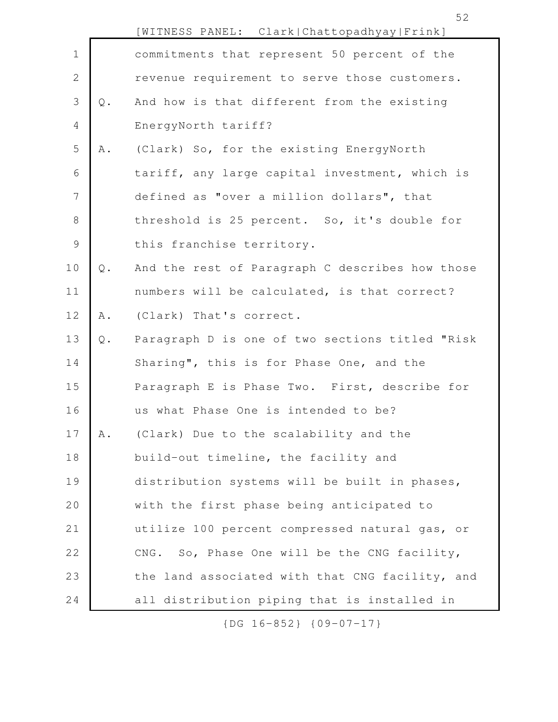|                |               | [WITNESS PANEL: Clark Chattopadhyay Frink]      |
|----------------|---------------|-------------------------------------------------|
| $\mathbf 1$    |               | commitments that represent 50 percent of the    |
| $\sqrt{2}$     |               | revenue requirement to serve those customers.   |
| $\mathcal{S}$  | $\mathsf Q$ . | And how is that different from the existing     |
| $\overline{4}$ |               | EnergyNorth tariff?                             |
| 5              | Α.            | (Clark) So, for the existing EnergyNorth        |
| 6              |               | tariff, any large capital investment, which is  |
| $\overline{7}$ |               | defined as "over a million dollars", that       |
| $8\,$          |               | threshold is 25 percent. So, it's double for    |
| $\mathcal{G}$  |               | this franchise territory.                       |
| 10             | $Q$ .         | And the rest of Paragraph C describes how those |
| 11             |               | numbers will be calculated, is that correct?    |
| 12             | A .           | (Clark) That's correct.                         |
| 13             | $\mathsf Q$ . | Paragraph D is one of two sections titled "Risk |
| 14             |               | Sharing", this is for Phase One, and the        |
| 15             |               | Paragraph E is Phase Two. First, describe for   |
| 16             |               | us what Phase One is intended to be?            |
| 17             | Α.            | (Clark) Due to the scalability and the          |
| 18             |               | build-out timeline, the facility and            |
| 19             |               | distribution systems will be built in phases,   |
| 20             |               | with the first phase being anticipated to       |
| 21             |               | utilize 100 percent compressed natural gas, or  |
| 22             |               | CNG. So, Phase One will be the CNG facility,    |
| 23             |               | the land associated with that CNG facility, and |
| 24             |               | all distribution piping that is installed in    |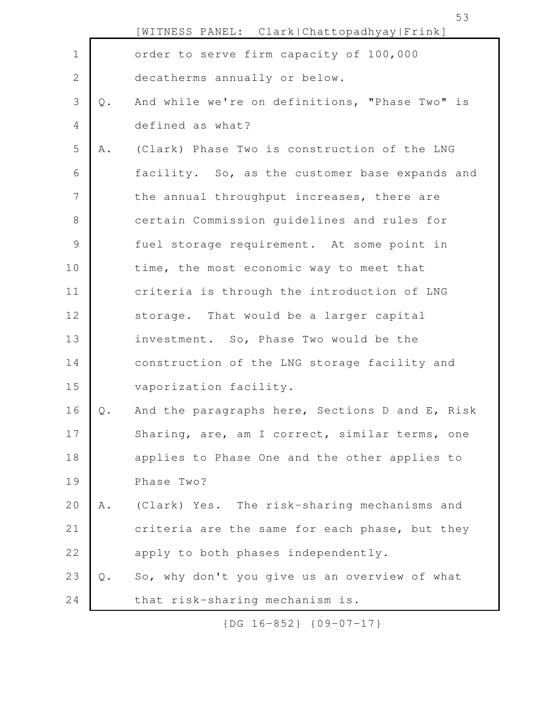|               |               | [WITNESS PANEL: Clark Chattopadhyay Frink]      |
|---------------|---------------|-------------------------------------------------|
| $\mathbf 1$   |               | order to serve firm capacity of 100,000         |
| $\sqrt{2}$    |               | decatherms annually or below.                   |
| 3             | $\mathsf Q$ . | And while we're on definitions, "Phase Two" is  |
| 4             |               | defined as what?                                |
| 5             | Α.            | (Clark) Phase Two is construction of the LNG    |
| 6             |               | facility. So, as the customer base expands and  |
| 7             |               | the annual throughput increases, there are      |
| $8\,$         |               | certain Commission quidelines and rules for     |
| $\mathcal{G}$ |               | fuel storage requirement. At some point in      |
| 10            |               | time, the most economic way to meet that        |
| 11            |               | criteria is through the introduction of LNG     |
| 12            |               | storage. That would be a larger capital         |
| 13            |               | investment. So, Phase Two would be the          |
| 14            |               | construction of the LNG storage facility and    |
| 15            |               | vaporization facility.                          |
| 16            | Q.            | And the paragraphs here, Sections D and E, Risk |
| 17            |               | Sharing, are, am I correct, similar terms, one  |
| 18            |               | applies to Phase One and the other applies to   |
| 19            |               | Phase Two?                                      |
| 20            | Α.            | (Clark) Yes. The risk-sharing mechanisms and    |
| 21            |               | criteria are the same for each phase, but they  |
| 22            |               | apply to both phases independently.             |
| 23            | $\mathbb Q$ . | So, why don't you give us an overview of what   |
| 24            |               | that risk-sharing mechanism is.                 |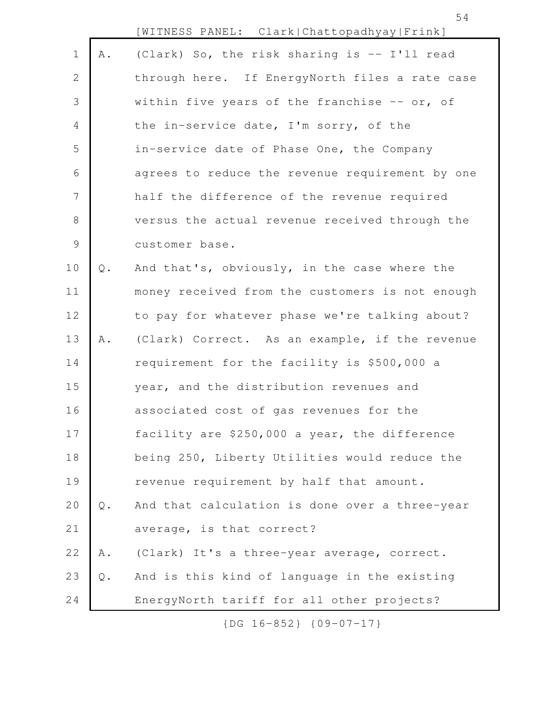|                |                | [WITNESS PANEL: Clark Chattopadhyay Frink]      |
|----------------|----------------|-------------------------------------------------|
| $\mathbf 1$    | A .            | (Clark) So, the risk sharing is -- I'll read    |
| 2              |                | through here. If EnergyNorth files a rate case  |
| 3              |                | within five years of the franchise $-$ or, of   |
| $\overline{4}$ |                | the in-service date, I'm sorry, of the          |
| 5              |                | in-service date of Phase One, the Company       |
| 6              |                | agrees to reduce the revenue requirement by one |
| $\overline{7}$ |                | half the difference of the revenue required     |
| $8\,$          |                | versus the actual revenue received through the  |
| $\mathcal{G}$  |                | customer base.                                  |
| 10             | Q.             | And that's, obviously, in the case where the    |
| 11             |                | money received from the customers is not enough |
| 12             |                | to pay for whatever phase we're talking about?  |
| 13             | Α.             | (Clark) Correct. As an example, if the revenue  |
| 14             |                | requirement for the facility is \$500,000 a     |
| 15             |                | year, and the distribution revenues and         |
| 16             |                | associated cost of gas revenues for the         |
| 17             |                | facility are \$250,000 a year, the difference   |
| 18             |                | being 250, Liberty Utilities would reduce the   |
| 19             |                | revenue requirement by half that amount.        |
| 20             | $\mathsf{Q}$ . | And that calculation is done over a three-year  |
| 21             |                | average, is that correct?                       |
| 22             | ${\tt A}$ .    | (Clark) It's a three-year average, correct.     |
| 23             | Q.             | And is this kind of language in the existing    |
| 24             |                | EnergyNorth tariff for all other projects?      |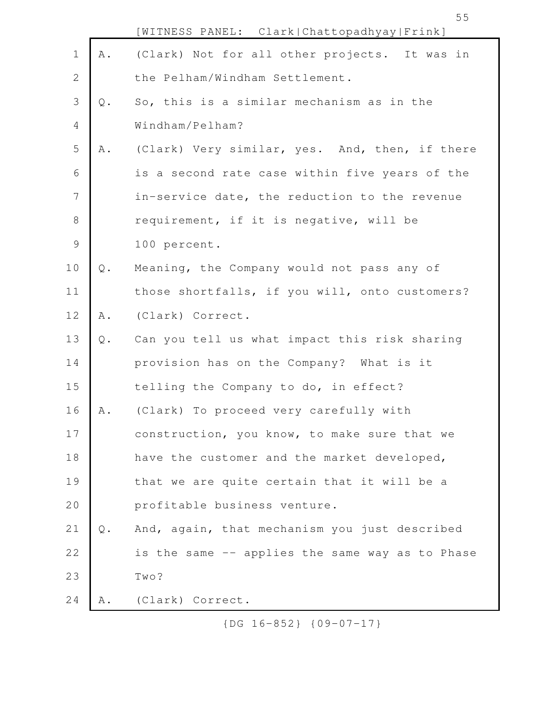|                |                | [WITNESS PANEL: Clark Chattopadhyay Frink]      |
|----------------|----------------|-------------------------------------------------|
| $\mathbf 1$    | Α.             | (Clark) Not for all other projects. It was in   |
| $\mathbf{2}$   |                | the Pelham/Windham Settlement.                  |
| 3              | Q.             | So, this is a similar mechanism as in the       |
| $\overline{4}$ |                | Windham/Pelham?                                 |
| 5              | Α.             | (Clark) Very similar, yes. And, then, if there  |
| 6              |                | is a second rate case within five years of the  |
| $7\phantom{.}$ |                | in-service date, the reduction to the revenue   |
| $\,8\,$        |                | requirement, if it is negative, will be         |
| $\mathsf 9$    |                | 100 percent.                                    |
| 10             | $\mathsf Q$ .  | Meaning, the Company would not pass any of      |
| 11             |                | those shortfalls, if you will, onto customers?  |
| 12             | A .            | (Clark) Correct.                                |
| 13             | $\mathsf{Q}$ . | Can you tell us what impact this risk sharing   |
| 14             |                | provision has on the Company? What is it        |
| 15             |                | telling the Company to do, in effect?           |
| 16             | Α.             | (Clark) To proceed very carefully with          |
| 17             |                | construction, you know, to make sure that we    |
| 18             |                | have the customer and the market developed,     |
| 19             |                | that we are quite certain that it will be a     |
| 20             |                | profitable business venture.                    |
| 21             | $Q$ .          | And, again, that mechanism you just described   |
| 22             |                | is the same -- applies the same way as to Phase |
| 23             |                | Two?                                            |
| 24             | Α.             | (Clark) Correct.                                |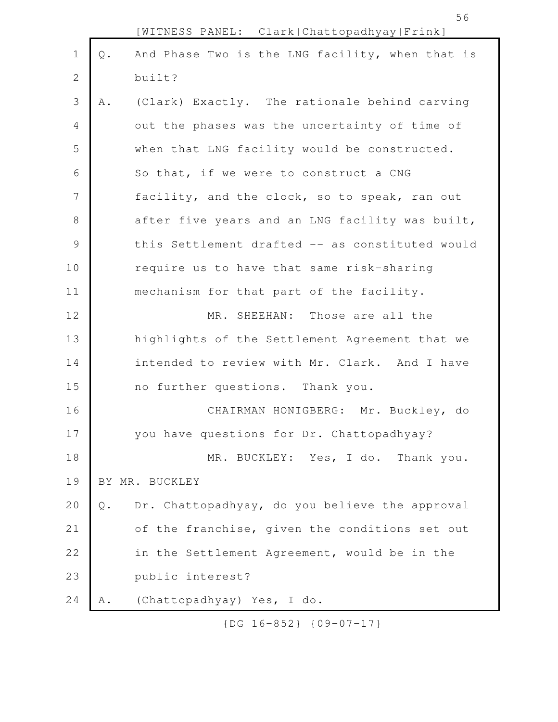|                |                | [WITNESS PANEL: Clark Chattopadhyay Frink]      |
|----------------|----------------|-------------------------------------------------|
| $\mathbf 1$    | $Q$ .          | And Phase Two is the LNG facility, when that is |
| $\mathbf{2}$   |                | built?                                          |
| 3              | A .            | (Clark) Exactly. The rationale behind carving   |
| 4              |                | out the phases was the uncertainty of time of   |
| 5              |                | when that LNG facility would be constructed.    |
| 6              |                | So that, if we were to construct a CNG          |
| $\overline{7}$ |                | facility, and the clock, so to speak, ran out   |
| 8              |                | after five years and an LNG facility was built, |
| $\mathsf 9$    |                | this Settlement drafted -- as constituted would |
| 10             |                | require us to have that same risk-sharing       |
| 11             |                | mechanism for that part of the facility.        |
| 12             |                | MR. SHEEHAN: Those are all the                  |
| 13             |                | highlights of the Settlement Agreement that we  |
| 14             |                | intended to review with Mr. Clark. And I have   |
| 15             |                | no further questions. Thank you.                |
| 16             |                | CHAIRMAN HONIGBERG: Mr. Buckley, do             |
| 17             |                | you have questions for Dr. Chattopadhyay?       |
| 18             |                | MR. BUCKLEY: Yes, I do. Thank you.              |
| 19             |                | BY MR. BUCKLEY                                  |
| 20             | $\mathsf{Q}$ . | Dr. Chattopadhyay, do you believe the approval  |
| 21             |                | of the franchise, given the conditions set out  |
| 22             |                | in the Settlement Agreement, would be in the    |
| 23             |                | public interest?                                |
| 24             | Α.             | (Chattopadhyay) Yes, I do.                      |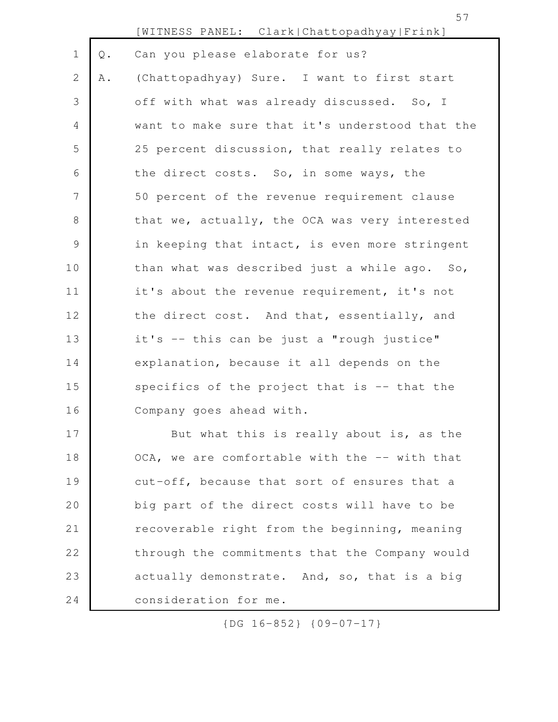|             |               | [WITNESS PANEL: Clark Chattopadhyay Frink]      |
|-------------|---------------|-------------------------------------------------|
| $\mathbf 1$ | $\mathbb Q$ . | Can you please elaborate for us?                |
| 2           | Α.            | (Chattopadhyay) Sure. I want to first start     |
| 3           |               | off with what was already discussed. So, I      |
| 4           |               | want to make sure that it's understood that the |
| 5           |               | 25 percent discussion, that really relates to   |
| 6           |               | the direct costs. So, in some ways, the         |
| 7           |               | 50 percent of the revenue requirement clause    |
| $8\,$       |               | that we, actually, the OCA was very interested  |
| $\mathsf 9$ |               | in keeping that intact, is even more stringent  |
| 10          |               | than what was described just a while ago. So,   |
| 11          |               | it's about the revenue requirement, it's not    |
| 12          |               | the direct cost. And that, essentially, and     |
| 13          |               | it's -- this can be just a "rough justice"      |
| 14          |               | explanation, because it all depends on the      |
| 15          |               | specifics of the project that is -- that the    |
| 16          |               | Company goes ahead with.                        |
| 17          |               | But what this is really about is, as the        |
| 18          |               | OCA, we are comfortable with the -- with that   |
| 19          |               | cut-off, because that sort of ensures that a    |
| 20          |               | big part of the direct costs will have to be    |
| 21          |               | recoverable right from the beginning, meaning   |
| 22          |               | through the commitments that the Company would  |
| 23          |               | actually demonstrate. And, so, that is a big    |
| 24          |               | consideration for me.                           |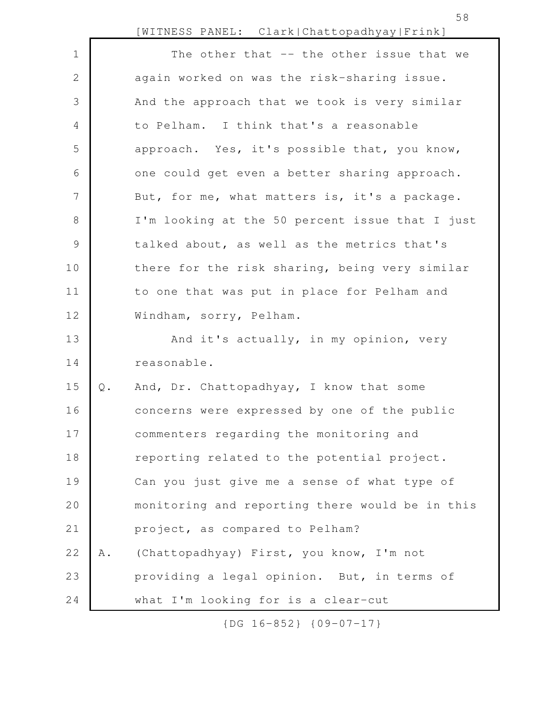|                |               | [WITNESS PANEL: Clark Chattopadhyay Frink]      |
|----------------|---------------|-------------------------------------------------|
| $\mathbf 1$    |               | The other that -- the other issue that we       |
| 2              |               | again worked on was the risk-sharing issue.     |
| 3              |               | And the approach that we took is very similar   |
| 4              |               | to Pelham. I think that's a reasonable          |
| 5              |               | approach. Yes, it's possible that, you know,    |
| 6              |               | one could get even a better sharing approach.   |
| $\overline{7}$ |               | But, for me, what matters is, it's a package.   |
| 8              |               | I'm looking at the 50 percent issue that I just |
| $\mathsf 9$    |               | talked about, as well as the metrics that's     |
| 10             |               | there for the risk sharing, being very similar  |
| 11             |               | to one that was put in place for Pelham and     |
| 12             |               | Windham, sorry, Pelham.                         |
| 13             |               | And it's actually, in my opinion, very          |
| 14             |               | reasonable.                                     |
| 15             | $\mathbb Q$ . | And, Dr. Chattopadhyay, I know that some        |
| 16             |               | concerns were expressed by one of the public    |
| 17             |               | commenters regarding the monitoring and         |
| 18             |               | reporting related to the potential project.     |
| 19             |               | Can you just give me a sense of what type of    |
| 20             |               | monitoring and reporting there would be in this |
| 21             |               | project, as compared to Pelham?                 |
| 22             | Α.            | (Chattopadhyay) First, you know, I'm not        |
| 23             |               | providing a legal opinion. But, in terms of     |
| 24             |               | what I'm looking for is a clear-cut             |

58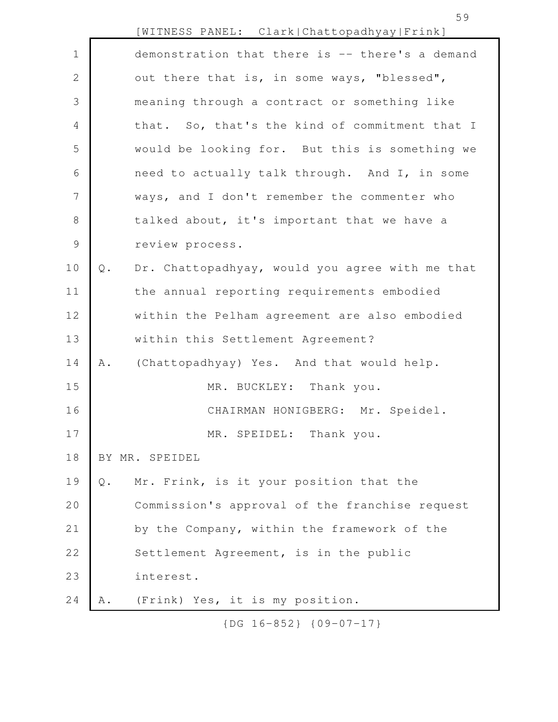|                |               | [WITNESS PANEL: Clark Chattopadhyay Frink]      |
|----------------|---------------|-------------------------------------------------|
| $\mathbf 1$    |               | demonstration that there is -- there's a demand |
| 2              |               | out there that is, in some ways, "blessed",     |
| 3              |               | meaning through a contract or something like    |
| 4              |               | that. So, that's the kind of commitment that I  |
| 5              |               | would be looking for. But this is something we  |
| 6              |               | need to actually talk through. And I, in some   |
| $\overline{7}$ |               | ways, and I don't remember the commenter who    |
| $8\,$          |               | talked about, it's important that we have a     |
| $\mathcal{G}$  |               | review process.                                 |
| 10             | $\mathbb Q$ . | Dr. Chattopadhyay, would you agree with me that |
| 11             |               | the annual reporting requirements embodied      |
| 12             |               | within the Pelham agreement are also embodied   |
| 13             |               | within this Settlement Agreement?               |
| 14             | A .           | (Chattopadhyay) Yes. And that would help.       |
| 15             |               | MR. BUCKLEY: Thank you.                         |
| 16             |               | CHAIRMAN HONIGBERG: Mr. Speidel.                |
| 17             |               | MR. SPEIDEL: Thank you.                         |
| 18             |               | BY MR. SPEIDEL                                  |
| 19             | $Q$ .         | Mr. Frink, is it your position that the         |
| 20             |               | Commission's approval of the franchise request  |
| 21             |               | by the Company, within the framework of the     |
| 22             |               | Settlement Agreement, is in the public          |
| 23             |               | interest.                                       |
| 24             | Α.            | (Frink) Yes, it is my position.                 |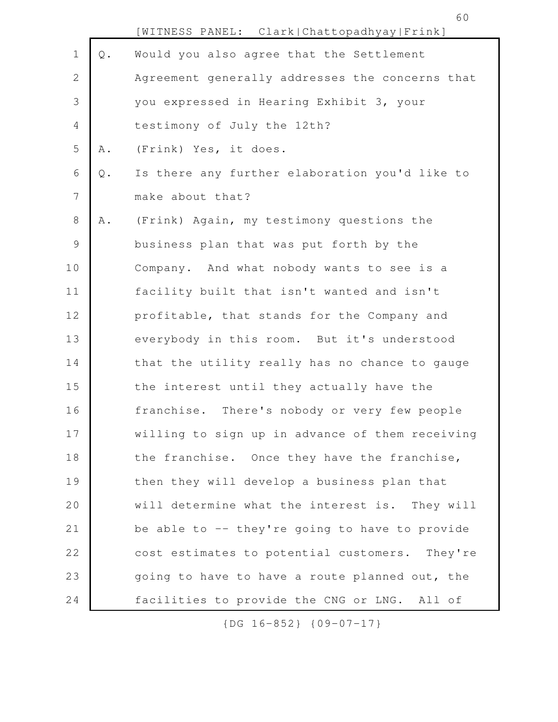60

|             |               | [WITNESS PANEL: Clark Chattopadhyay Frink]      |
|-------------|---------------|-------------------------------------------------|
| $1\,$       | $\mathbb Q$ . | Would you also agree that the Settlement        |
| 2           |               | Agreement generally addresses the concerns that |
| 3           |               | you expressed in Hearing Exhibit 3, your        |
| 4           |               | testimony of July the 12th?                     |
| 5           | Α.            | (Frink) Yes, it does.                           |
| 6           | $\mathsf Q$ . | Is there any further elaboration you'd like to  |
| 7           |               | make about that?                                |
| 8           | Α.            | (Frink) Again, my testimony questions the       |
| $\mathsf 9$ |               | business plan that was put forth by the         |
| 10          |               | Company. And what nobody wants to see is a      |
| 11          |               | facility built that isn't wanted and isn't      |
| 12          |               | profitable, that stands for the Company and     |
| 13          |               | everybody in this room. But it's understood     |
| 14          |               | that the utility really has no chance to gauge  |
| 15          |               | the interest until they actually have the       |
| 16          |               | franchise. There's nobody or very few people    |
| 17          |               | willing to sign up in advance of them receiving |
| 18          |               | the franchise. Once they have the franchise,    |
| 19          |               | then they will develop a business plan that     |
| 20          |               | will determine what the interest is. They will  |
| 21          |               | be able to -- they're going to have to provide  |
| 22          |               | cost estimates to potential customers. They're  |
| 23          |               | going to have to have a route planned out, the  |
| 24          |               | facilities to provide the CNG or LNG. All of    |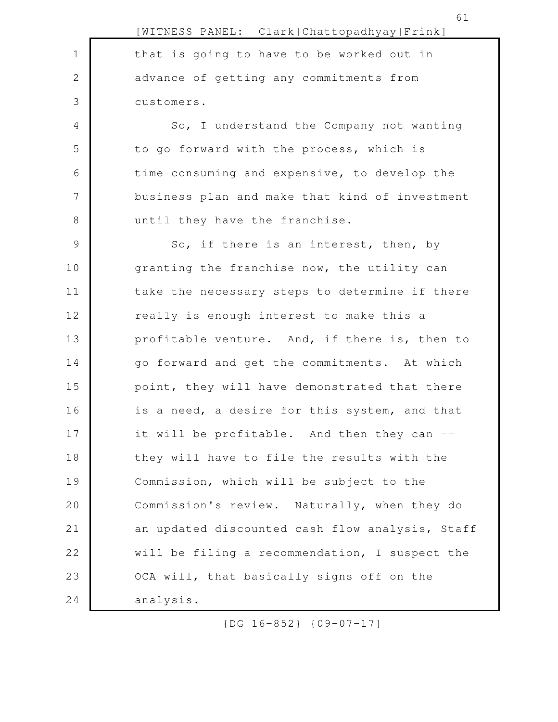|               | [WITNESS PANEL: Clark Chattopadhyay Frink]      |
|---------------|-------------------------------------------------|
| $\mathbf 1$   | that is going to have to be worked out in       |
| $\mathbf{2}$  | advance of getting any commitments from         |
| 3             | customers.                                      |
| 4             | So, I understand the Company not wanting        |
| 5             | to go forward with the process, which is        |
| 6             | time-consuming and expensive, to develop the    |
| 7             | business plan and make that kind of investment  |
| $\,8\,$       | until they have the franchise.                  |
| $\mathcal{G}$ | So, if there is an interest, then, by           |
| 10            | granting the franchise now, the utility can     |
| 11            | take the necessary steps to determine if there  |
| 12            | really is enough interest to make this a        |
| 13            | profitable venture. And, if there is, then to   |
| 14            | go forward and get the commitments. At which    |
| 15            | point, they will have demonstrated that there   |
| 16            | is a need, a desire for this system, and that   |
| 17            | it will be profitable. And then they can --     |
| 18            | they will have to file the results with the     |
| 19            | Commission, which will be subject to the        |
| 20            | Commission's review. Naturally, when they do    |
| $2\,1$        | an updated discounted cash flow analysis, Staff |
| 22            | will be filing a recommendation, I suspect the  |
| 23            | OCA will, that basically signs off on the       |
| 24            | analysis.                                       |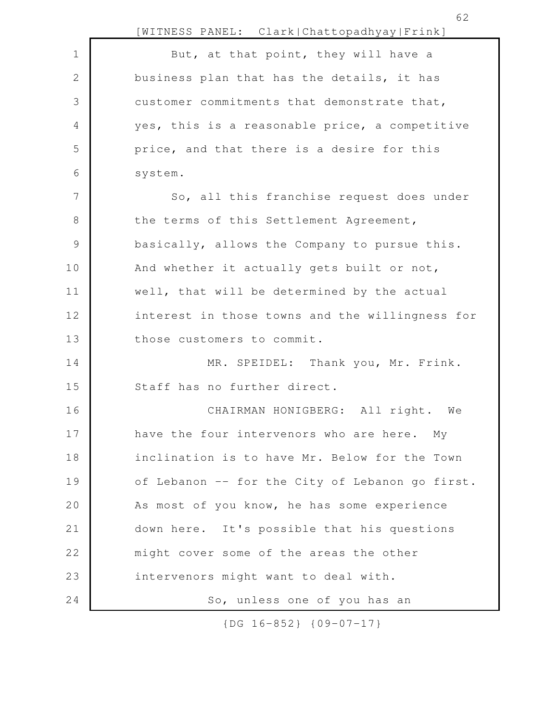|               | 62<br>[WITNESS PANEL: Clark Chattopadhyay Frink] |
|---------------|--------------------------------------------------|
| $\mathbf 1$   | But, at that point, they will have a             |
| 2             | business plan that has the details, it has       |
| 3             | customer commitments that demonstrate that,      |
| 4             | yes, this is a reasonable price, a competitive   |
| 5             | price, and that there is a desire for this       |
| 6             | system.                                          |
| 7             | So, all this franchise request does under        |
| $8\,$         | the terms of this Settlement Agreement,          |
| $\mathcal{G}$ | basically, allows the Company to pursue this.    |
| 10            | And whether it actually gets built or not,       |
| 11            | well, that will be determined by the actual      |
| 12            | interest in those towns and the willingness for  |
| 13            | those customers to commit.                       |
| 14            | MR. SPEIDEL: Thank you, Mr. Frink.               |
| 15            | Staff has no further direct.                     |
| 16            | CHAIRMAN HONIGBERG: All right. We                |
| 17            | have the four intervenors who are here. My       |
| 18            | inclination is to have Mr. Below for the Town    |
| 19            | of Lebanon -- for the City of Lebanon go first.  |
| 20            | As most of you know, he has some experience      |
| 21            | down here. It's possible that his questions      |
| 22            | might cover some of the areas the other          |
| 23            | intervenors might want to deal with.             |
| 24            | So, unless one of you has an                     |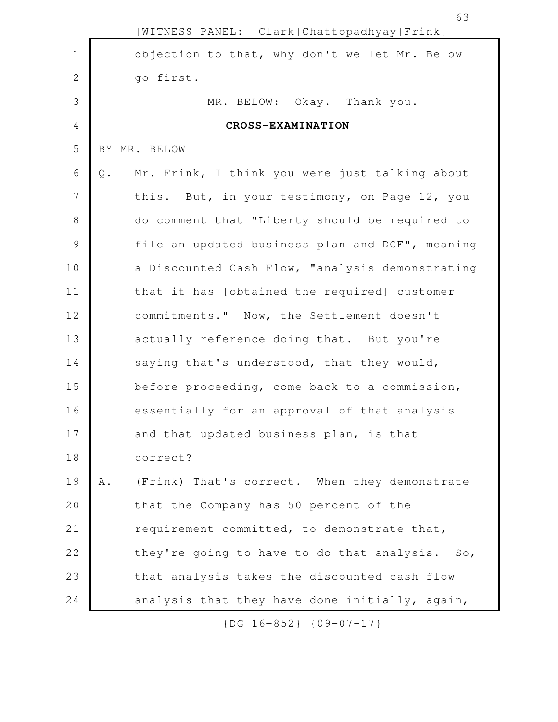|                |       | [WITNESS PANEL: Clark Chattopadhyay Frink]      |
|----------------|-------|-------------------------------------------------|
| $\mathbf 1$    |       | objection to that, why don't we let Mr. Below   |
| $\mathbf{2}$   |       | go first.                                       |
| 3              |       | MR. BELOW: Okay. Thank you.                     |
| $\overline{4}$ |       | CROSS-EXAMINATION                               |
| 5              |       | BY MR. BELOW                                    |
| 6              | $Q$ . | Mr. Frink, I think you were just talking about  |
| 7              |       | this. But, in your testimony, on Page 12, you   |
| $8\,$          |       | do comment that "Liberty should be required to  |
| $\mathsf 9$    |       | file an updated business plan and DCF", meaning |
| 10             |       | a Discounted Cash Flow, "analysis demonstrating |
| 11             |       | that it has [obtained the required] customer    |
| 12             |       | commitments." Now, the Settlement doesn't       |
| 13             |       | actually reference doing that. But you're       |
| 14             |       | saying that's understood, that they would,      |
| 15             |       | before proceeding, come back to a commission,   |
| 16             |       | essentially for an approval of that analysis    |
| 17             |       | and that updated business plan, is that         |
| 18             |       | correct?                                        |
| 19             | Α.    | (Frink) That's correct. When they demonstrate   |
| 20             |       | that the Company has 50 percent of the          |
| 21             |       | requirement committed, to demonstrate that,     |
| 22             |       | they're going to have to do that analysis. So,  |
| 23             |       | that analysis takes the discounted cash flow    |
| 24             |       | analysis that they have done initially, again,  |

63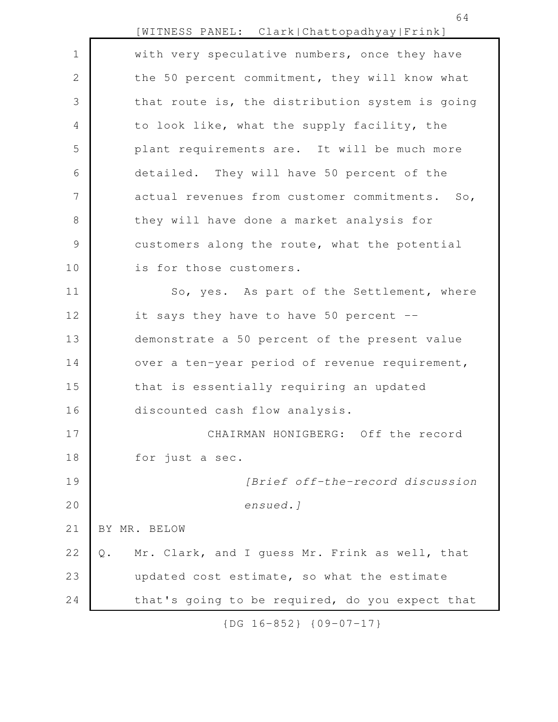|               | [WITNESS PANEL: Clark Chattopadhyay Frink]           |
|---------------|------------------------------------------------------|
| $\mathbf 1$   | with very speculative numbers, once they have        |
| $\mathbf{2}$  | the 50 percent commitment, they will know what       |
| 3             | that route is, the distribution system is going      |
| 4             | to look like, what the supply facility, the          |
| 5             | plant requirements are. It will be much more         |
| 6             | detailed. They will have 50 percent of the           |
| 7             | actual revenues from customer commitments. So,       |
| 8             | they will have done a market analysis for            |
| $\mathcal{G}$ | customers along the route, what the potential        |
| 10            | is for those customers.                              |
| 11            | So, yes. As part of the Settlement, where            |
| 12            | it says they have to have 50 percent --              |
| 13            | demonstrate a 50 percent of the present value        |
| 14            | over a ten-year period of revenue requirement,       |
| 15            | that is essentially requiring an updated             |
| 16            | discounted cash flow analysis.                       |
| 17            | CHAIRMAN HONIGBERG: Off the record                   |
| 18            | for just a sec.                                      |
| 19            | [Brief off-the-record discussion                     |
| 20            | ensued.]                                             |
| 21            | BY MR. BELOW                                         |
| 22            | Mr. Clark, and I guess Mr. Frink as well, that<br>Q. |
| 23            | updated cost estimate, so what the estimate          |
| 24            | that's going to be required, do you expect that      |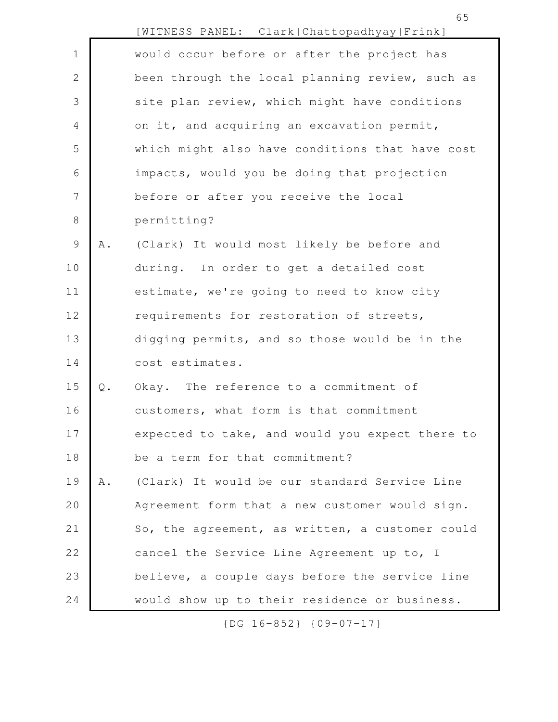|                |       | [WITNESS PANEL: Clark Chattopadhyay Frink]      |
|----------------|-------|-------------------------------------------------|
| $\mathbf 1$    |       | would occur before or after the project has     |
| $\overline{2}$ |       | been through the local planning review, such as |
| 3              |       | site plan review, which might have conditions   |
| $\overline{4}$ |       | on it, and acquiring an excavation permit,      |
| 5              |       | which might also have conditions that have cost |
| 6              |       | impacts, would you be doing that projection     |
| 7              |       | before or after you receive the local           |
| $\,8\,$        |       | permitting?                                     |
| $\mathsf 9$    | Α.    | (Clark) It would most likely be before and      |
| 10             |       | during. In order to get a detailed cost         |
| 11             |       | estimate, we're going to need to know city      |
| 12             |       | requirements for restoration of streets,        |
| 13             |       | digging permits, and so those would be in the   |
| 14             |       | cost estimates.                                 |
| 15             | $Q$ . | Okay. The reference to a commitment of          |
| 16             |       | customers, what form is that commitment         |
| 17             |       | expected to take, and would you expect there to |
| 18             |       | be a term for that commitment?                  |
| 19             | Α.    | (Clark) It would be our standard Service Line   |
| 20             |       | Agreement form that a new customer would sign.  |
| 21             |       | So, the agreement, as written, a customer could |
| 22             |       | cancel the Service Line Agreement up to, I      |
| 23             |       | believe, a couple days before the service line  |
| 24             |       | would show up to their residence or business.   |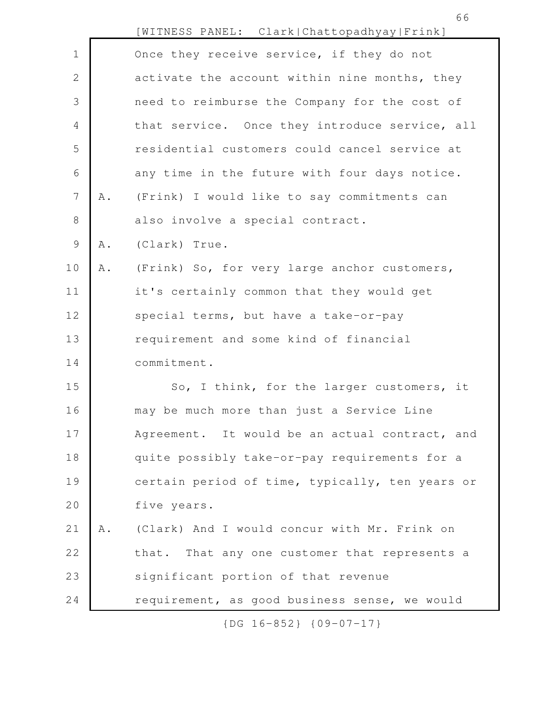|                 |                 | [WITNESS PANEL: Clark Chattopadhyay Frink]        |
|-----------------|-----------------|---------------------------------------------------|
| $\mathbf 1$     |                 | Once they receive service, if they do not         |
| $\mathbf{2}$    |                 | activate the account within nine months, they     |
| 3               |                 | need to reimburse the Company for the cost of     |
| 4               |                 | that service. Once they introduce service, all    |
| 5               |                 | residential customers could cancel service at     |
| 6               |                 | any time in the future with four days notice.     |
| $7\phantom{.0}$ | Α.              | (Frink) I would like to say commitments can       |
| $\,8\,$         |                 | also involve a special contract.                  |
| 9               | Α.              | (Clark) True.                                     |
| 10              | A .             | (Frink) So, for very large anchor customers,      |
| 11              |                 | it's certainly common that they would get         |
| 12              |                 | special terms, but have a take-or-pay             |
| 13              |                 | requirement and some kind of financial            |
| 14              |                 | commitment.                                       |
| 15              |                 | So, I think, for the larger customers, it         |
| 16              |                 | may be much more than just a Service Line         |
| 17              |                 | Agreement. It would be an actual contract,<br>and |
| 18              |                 | quite possibly take-or-pay requirements for a     |
| 19              |                 | certain period of time, typically, ten years or   |
| 20              |                 | five years.                                       |
| 21              | $\mathbbm{A}$ . | (Clark) And I would concur with Mr. Frink on      |
| 22              |                 | that. That any one customer that represents a     |
| 23              |                 | significant portion of that revenue               |
| 24              |                 | requirement, as good business sense, we would     |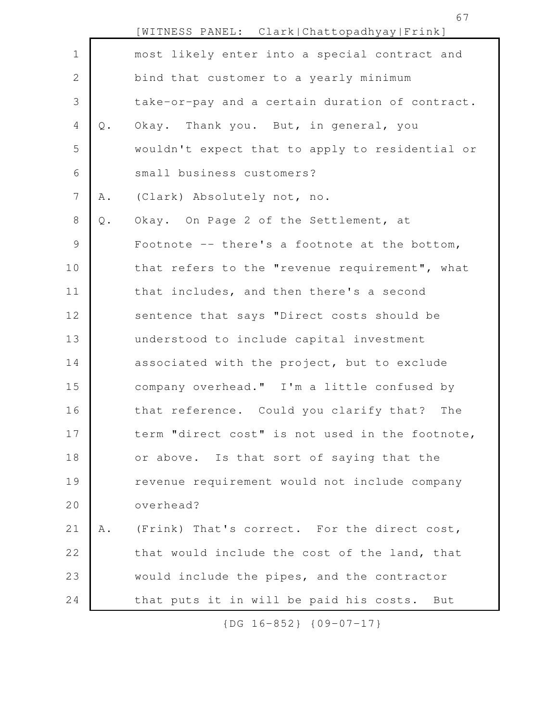67

|                |               | [WITNESS PANEL: Clark Chattopadhyay Frink]       |
|----------------|---------------|--------------------------------------------------|
| $\mathbf 1$    |               | most likely enter into a special contract and    |
| $\overline{2}$ |               | bind that customer to a yearly minimum           |
| 3              |               | take-or-pay and a certain duration of contract.  |
| $\overline{4}$ | $\mathsf Q$ . | Okay. Thank you. But, in general, you            |
| 5              |               | wouldn't expect that to apply to residential or  |
| 6              |               | small business customers?                        |
| $\overline{7}$ | Α.            | (Clark) Absolutely not, no.                      |
| 8              | $\mathbb Q$ . | Okay. On Page 2 of the Settlement, at            |
| $\mathsf 9$    |               | Footnote $-$ - there's a footnote at the bottom, |
| 10             |               | that refers to the "revenue requirement", what   |
| 11             |               | that includes, and then there's a second         |
| 12             |               | sentence that says "Direct costs should be       |
| 13             |               | understood to include capital investment         |
| 14             |               | associated with the project, but to exclude      |
| 15             |               | company overhead." I'm a little confused by      |
| 16             |               | that reference. Could you clarify that?<br>The   |
| 17             |               | term "direct cost" is not used in the footnote,  |
| 18             |               | or above. Is that sort of saying that the        |
| 19             |               | revenue requirement would not include company    |
| 20             |               | overhead?                                        |
| 21             | A .           | (Frink) That's correct. For the direct cost,     |
| 22             |               | that would include the cost of the land, that    |
| 23             |               | would include the pipes, and the contractor      |
| 24             |               | that puts it in will be paid his costs.<br>But   |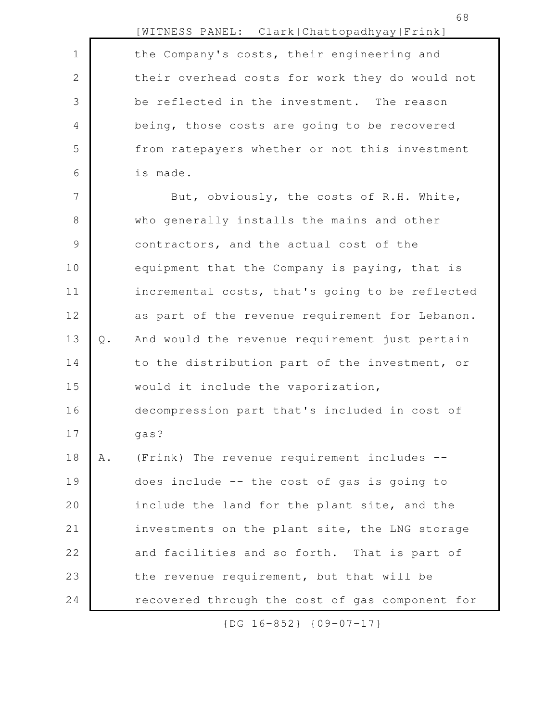|    |       | [WITNESS PANEL: Clark Chattopadhyay Frink]      |
|----|-------|-------------------------------------------------|
| 1  |       | the Company's costs, their engineering and      |
| 2  |       | their overhead costs for work they do would not |
| 3  |       | be reflected in the investment. The reason      |
| 4  |       | being, those costs are going to be recovered    |
| 5  |       | from ratepayers whether or not this investment  |
| 6  |       | is made.                                        |
| 7  |       | But, obviously, the costs of R.H. White,        |
| 8  |       | who generally installs the mains and other      |
| 9  |       | contractors, and the actual cost of the         |
| 10 |       | equipment that the Company is paying, that is   |
| 11 |       | incremental costs, that's going to be reflected |
| 12 |       | as part of the revenue requirement for Lebanon. |
| 13 | $Q$ . | And would the revenue requirement just pertain  |
| 14 |       | to the distribution part of the investment, or  |
| 15 |       | would it include the vaporization,              |
| 16 |       | decompression part that's included in cost of   |
| 17 |       | gas?                                            |
| 18 | Α.    | (Frink) The revenue requirement includes --     |
| 19 |       | does include -- the cost of gas is going to     |
| 20 |       | include the land for the plant site, and the    |
| 21 |       | investments on the plant site, the LNG storage  |
| 22 |       | and facilities and so forth. That is part of    |
| 23 |       | the revenue requirement, but that will be       |
| 24 |       | recovered through the cost of gas component for |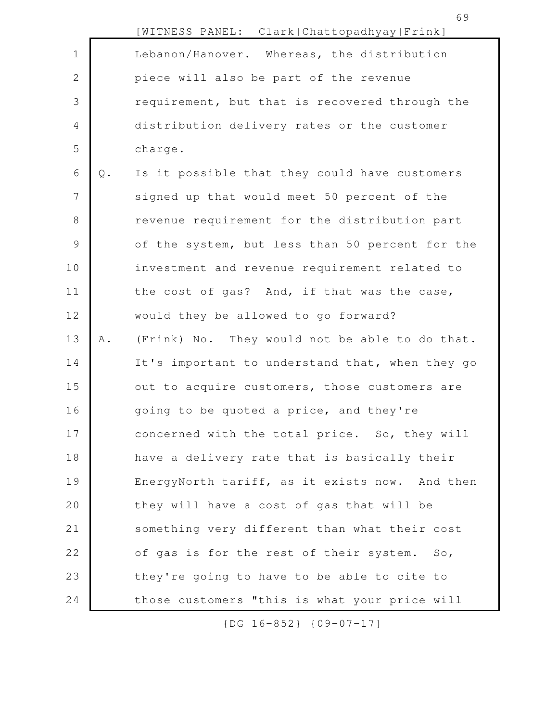|               |               | [WITNESS PANEL: Clark Chattopadhyay Frink]      |
|---------------|---------------|-------------------------------------------------|
| $\mathbf 1$   |               | Lebanon/Hanover. Whereas, the distribution      |
| $\mathbf{2}$  |               | piece will also be part of the revenue          |
| 3             |               | requirement, but that is recovered through the  |
| 4             |               | distribution delivery rates or the customer     |
| 5             |               | charge.                                         |
| 6             | $\mathbb Q$ . | Is it possible that they could have customers   |
| 7             |               | signed up that would meet 50 percent of the     |
| 8             |               | revenue requirement for the distribution part   |
| $\mathcal{G}$ |               | of the system, but less than 50 percent for the |
| 10            |               | investment and revenue requirement related to   |
| 11            |               | the cost of gas? And, if that was the case,     |
| 12            |               | would they be allowed to go forward?            |
| 13            | Α.            | (Frink) No. They would not be able to do that.  |
| 14            |               | It's important to understand that, when they go |
| 15            |               | out to acquire customers, those customers are   |
| 16            |               | going to be quoted a price, and they're         |
| 17            |               | concerned with the total price. So, they will   |
| 18            |               | have a delivery rate that is basically their    |
| 19            |               | EnergyNorth tariff, as it exists now. And then  |
| 20            |               | they will have a cost of gas that will be       |
| 21            |               | something very different than what their cost   |
| 22            |               | of gas is for the rest of their system. So,     |
| 23            |               | they're going to have to be able to cite to     |
| 24            |               | those customers "this is what your price will   |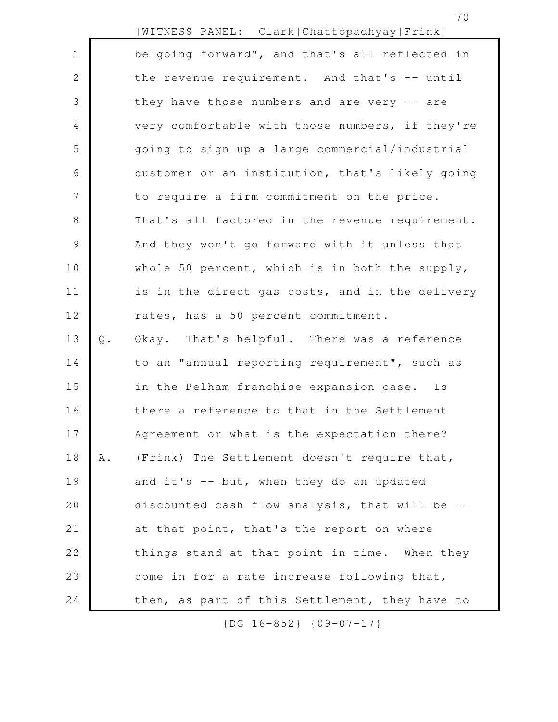|                |               | [WITNESS PANEL: Clark Chattopadhyay Frink]      |
|----------------|---------------|-------------------------------------------------|
| $\mathbf 1$    |               | be going forward", and that's all reflected in  |
| $\mathbf{2}$   |               | the revenue requirement. And that's -- until    |
| 3              |               | they have those numbers and are very -- are     |
| $\overline{4}$ |               | very comfortable with those numbers, if they're |
| 5              |               | going to sign up a large commercial/industrial  |
| 6              |               | customer or an institution, that's likely going |
| 7              |               | to require a firm commitment on the price.      |
| $8\,$          |               | That's all factored in the revenue requirement. |
| $\mathcal{G}$  |               | And they won't go forward with it unless that   |
| 10             |               | whole 50 percent, which is in both the supply,  |
| 11             |               | is in the direct gas costs, and in the delivery |
| 12             |               | rates, has a 50 percent commitment.             |
| 13             | $\mathbb Q$ . | Okay. That's helpful. There was a reference     |
| 14             |               | to an "annual reporting requirement", such as   |
| 15             |               | in the Pelham franchise expansion case. Is      |
| 16             |               | there a reference to that in the Settlement     |
| 17             |               | Agreement or what is the expectation there?     |
| 18             | Α.            | (Frink) The Settlement doesn't require that,    |
| 19             |               | and it's -- but, when they do an updated        |
| 20             |               | discounted cash flow analysis, that will be --  |
| 21             |               | at that point, that's the report on where       |
| 22             |               | things stand at that point in time. When they   |
| 23             |               | come in for a rate increase following that,     |
| 24             |               | then, as part of this Settlement, they have to  |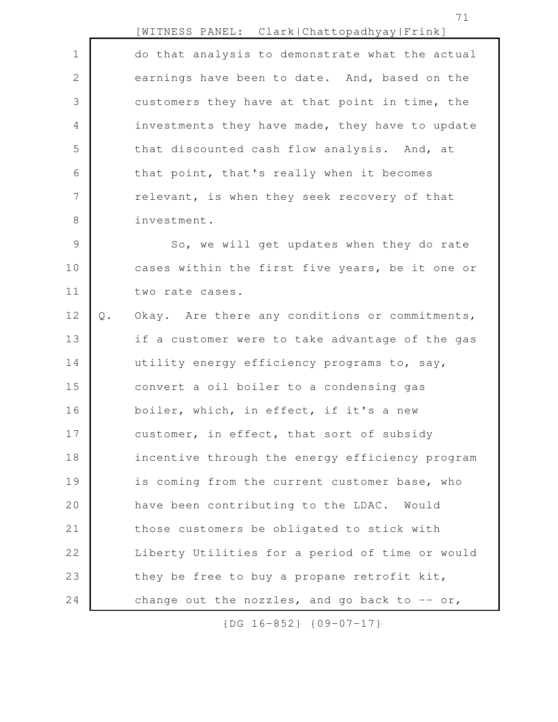| IWITNESS PANEL: |  | Clark   Chattopadhyay   Frink ] |
|-----------------|--|---------------------------------|
|-----------------|--|---------------------------------|

do that analysis to demonstrate what the actual earnings have been to date. And, based on the customers they have at that point in time, the investments they have made, they have to update that discounted cash flow analysis. And, at that point, that's really when it becomes relevant, is when they seek recovery of that investment. 1 2 3 4 5 6 7 8

So, we will get updates when they do rate cases within the first five years, be it one or two rate cases. 9 10 11

Q. Okay. Are there any conditions or commitments, if a customer were to take advantage of the gas utility energy efficiency programs to, say, convert a oil boiler to a condensing gas boiler, which, in effect, if it's a new customer, in effect, that sort of subsidy incentive through the energy efficiency program is coming from the current customer base, who have been contributing to the LDAC. Would those customers be obligated to stick with Liberty Utilities for a period of time or would they be free to buy a propane retrofit kit, change out the nozzles, and go back to  $-$  or, 12 13 14 15 16 17 18 19 20 21 22 23 24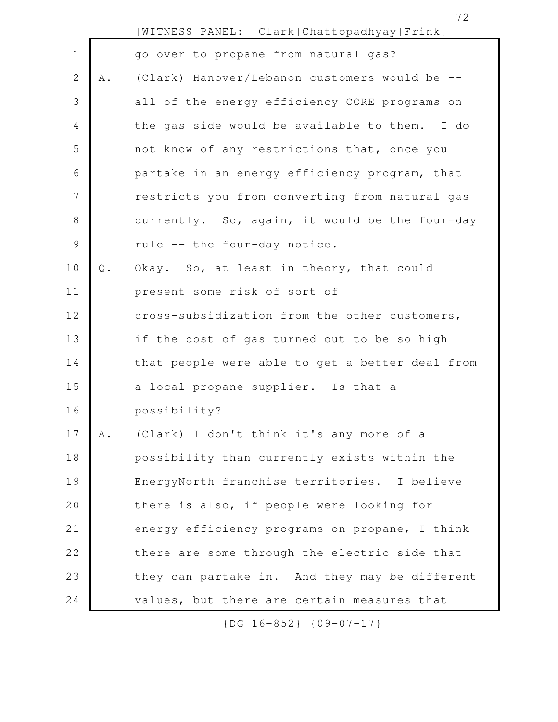|               |       | [WITNESS PANEL: Clark Chattopadhyay Frink]      |
|---------------|-------|-------------------------------------------------|
| $\mathbf 1$   |       | go over to propane from natural gas?            |
| $\mathbf{2}$  | Α.    | (Clark) Hanover/Lebanon customers would be --   |
| 3             |       | all of the energy efficiency CORE programs on   |
| 4             |       | the gas side would be available to them. I do   |
| 5             |       | not know of any restrictions that, once you     |
| 6             |       | partake in an energy efficiency program, that   |
| 7             |       | restricts you from converting from natural gas  |
| 8             |       | currently. So, again, it would be the four-day  |
| $\mathcal{G}$ |       | rule -- the four-day notice.                    |
| 10            | $Q$ . | Okay. So, at least in theory, that could        |
| 11            |       | present some risk of sort of                    |
| 12            |       | cross-subsidization from the other customers,   |
| 13            |       | if the cost of gas turned out to be so high     |
| 14            |       | that people were able to get a better deal from |
| 15            |       | a local propane supplier. Is that a             |
| 16            |       | possibility?                                    |
| 17            | A .   | (Clark) I don't think it's any more of a        |
| 18            |       | possibility than currently exists within the    |
| 19            |       | EnergyNorth franchise territories. I believe    |
| 20            |       | there is also, if people were looking for       |
| 21            |       | energy efficiency programs on propane, I think  |
| 22            |       | there are some through the electric side that   |
| 23            |       | they can partake in. And they may be different  |
| 24            |       | values, but there are certain measures that     |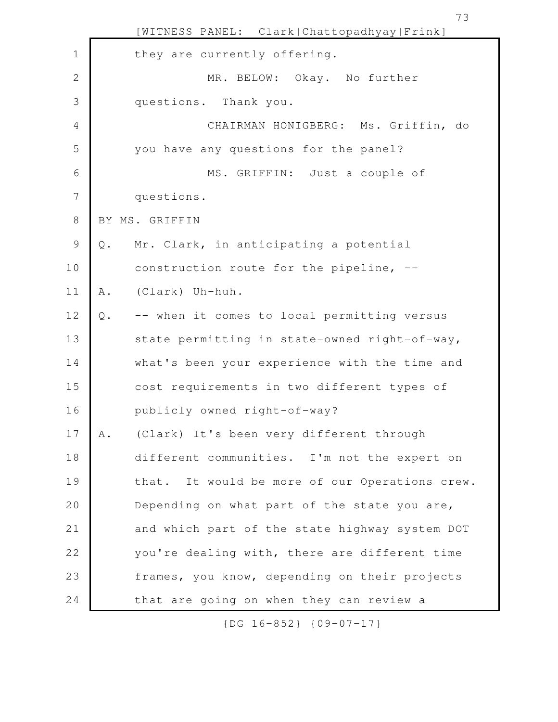|                |               | [WITNESS PANEL: Clark Chattopadhyay Frink]     |
|----------------|---------------|------------------------------------------------|
| 1              |               | they are currently offering.                   |
| $\mathbf{2}$   |               | MR. BELOW: Okay. No further                    |
| 3              |               | questions. Thank you.                          |
| 4              |               | CHAIRMAN HONIGBERG: Ms. Griffin, do            |
| 5              |               | you have any questions for the panel?          |
| 6              |               | MS. GRIFFIN: Just a couple of                  |
| $\overline{7}$ |               | questions.                                     |
| $\,8\,$        |               | BY MS. GRIFFIN                                 |
| $\mathsf 9$    | $\mathbb Q$ . | Mr. Clark, in anticipating a potential         |
| 10             |               | construction route for the pipeline, --        |
| 11             | Α.            | (Clark) Uh-huh.                                |
| 12             | $Q$ .         | -- when it comes to local permitting versus    |
| 13             |               | state permitting in state-owned right-of-way,  |
| 14             |               | what's been your experience with the time and  |
| 15             |               | cost requirements in two different types of    |
| 16             |               | publicly owned right-of-way?                   |
| 17             | A .           | (Clark) It's been very different through       |
| 18             |               | different communities. I'm not the expert on   |
| 19             |               | that. It would be more of our Operations crew. |
| 20             |               | Depending on what part of the state you are,   |
| 21             |               | and which part of the state highway system DOT |
| 22             |               | you're dealing with, there are different time  |
| 23             |               | frames, you know, depending on their projects  |
| 24             |               | that are going on when they can review a       |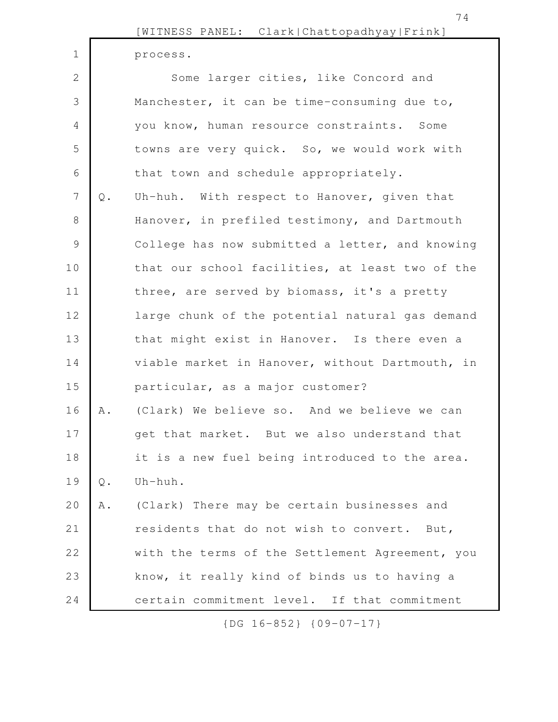74

process.

1

Some larger cities, like Concord and Manchester, it can be time-consuming due to, you know, human resource constraints. Some towns are very quick. So, we would work with that town and schedule appropriately. Q. Uh-huh. With respect to Hanover, given that Hanover, in prefiled testimony, and Dartmouth College has now submitted a letter, and knowing that our school facilities, at least two of the three, are served by biomass, it's a pretty large chunk of the potential natural gas demand that might exist in Hanover. Is there even a viable market in Hanover, without Dartmouth, in particular, as a major customer? A. (Clark) We believe so. And we believe we can get that market. But we also understand that it is a new fuel being introduced to the area. Q. Uh-huh. A. (Clark) There may be certain businesses and residents that do not wish to convert. But, with the terms of the Settlement Agreement, you know, it really kind of binds us to having a certain commitment level. If that commitment 2 3 4 5 6 7 8 9 10 11 12 13 14 15 16 17 18 19 20 21 22 23 24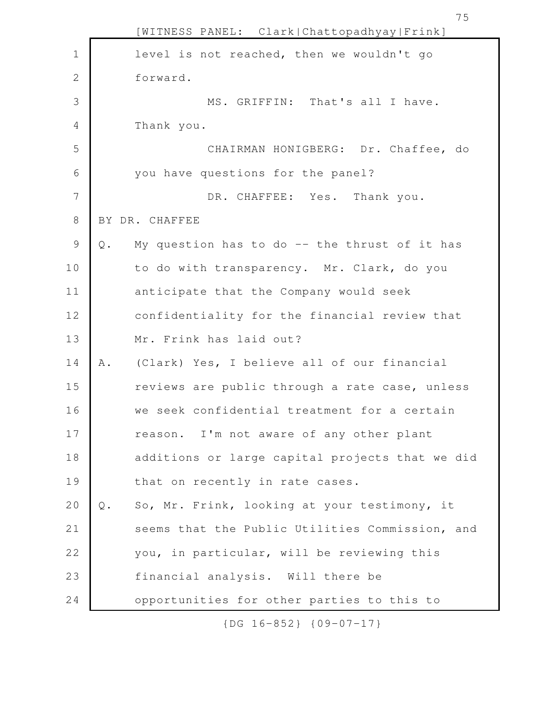|                |                | [WITNESS PANEL: Clark Chattopadhyay Frink]      |
|----------------|----------------|-------------------------------------------------|
| $\mathbf 1$    |                | level is not reached, then we wouldn't go       |
| 2              |                | forward.                                        |
| 3              |                | MS. GRIFFIN: That's all I have.                 |
| $\overline{4}$ |                | Thank you.                                      |
| 5              |                | CHAIRMAN HONIGBERG: Dr. Chaffee, do             |
| 6              |                | you have questions for the panel?               |
| 7              |                | DR. CHAFFEE: Yes. Thank you.                    |
| $8\,$          |                | BY DR. CHAFFEE                                  |
| 9              | $Q$ .          | My question has to do $-$ the thrust of it has  |
| 10             |                | to do with transparency. Mr. Clark, do you      |
| 11             |                | anticipate that the Company would seek          |
| 12             |                | confidentiality for the financial review that   |
| 13             |                | Mr. Frink has laid out?                         |
| 14             | Α.             | (Clark) Yes, I believe all of our financial     |
| 15             |                | reviews are public through a rate case, unless  |
| 16             |                | we seek confidential treatment for a certain    |
| 17             |                | reason. I'm not aware of any other plant        |
| 18             |                | additions or large capital projects that we did |
| 19             |                | that on recently in rate cases.                 |
| 20             | $\mathsf{Q}$ . | So, Mr. Frink, looking at your testimony, it    |
| 21             |                | seems that the Public Utilities Commission, and |
| 22             |                | you, in particular, will be reviewing this      |
| 23             |                | financial analysis. Will there be               |
| 24             |                | opportunities for other parties to this to      |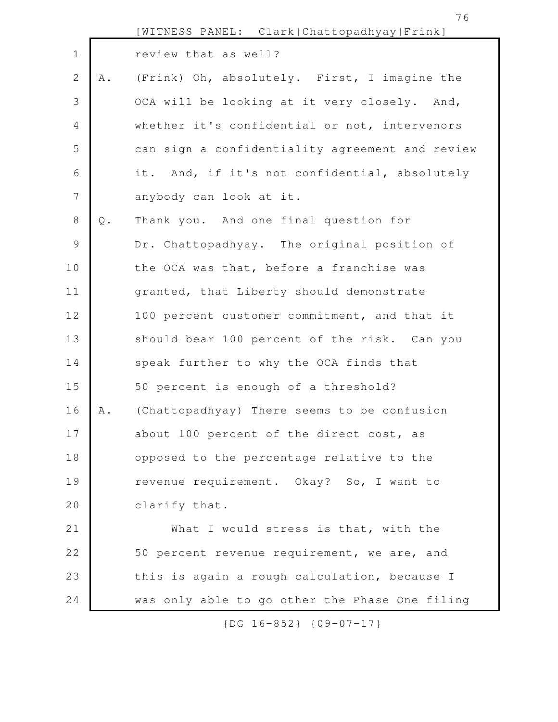[WITNESS PANEL: Clark|Chattopadhyay|Frink] review that as well? A. (Frink) Oh, absolutely. First, I imagine the OCA will be looking at it very closely. And, whether it's confidential or not, intervenors can sign a confidentiality agreement and review it. And, if it's not confidential, absolutely anybody can look at it. Q. Thank you. And one final question for Dr. Chattopadhyay. The original position of the OCA was that, before a franchise was granted, that Liberty should demonstrate 100 percent customer commitment, and that it should bear 100 percent of the risk. Can you speak further to why the OCA finds that 50 percent is enough of a threshold? A. (Chattopadhyay) There seems to be confusion about 100 percent of the direct cost, as opposed to the percentage relative to the revenue requirement. Okay? So, I want to clarify that. What I would stress is that, with the 50 percent revenue requirement, we are, and 1 2 3 4 5 6 7 8 9 10 11 12 13 14 15 16 17 18 19 20 21 22

was only able to go other the Phase One filing

23

24

this is again a rough calculation, because I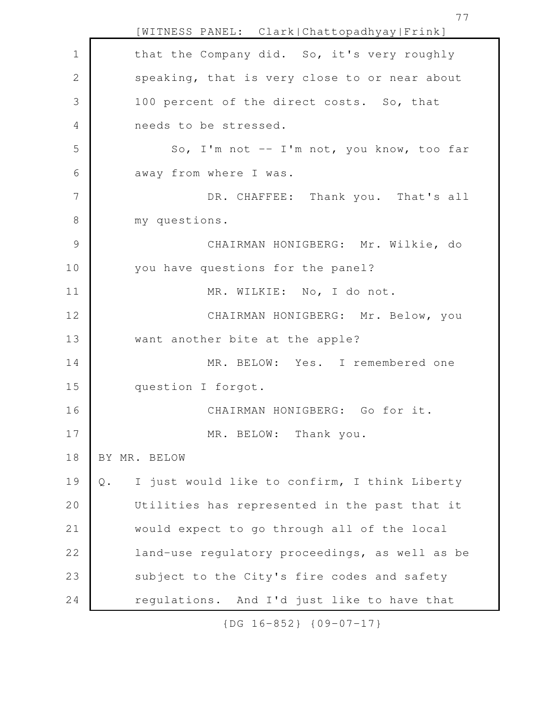[WITNESS PANEL: Clark|Chattopadhyay|Frink] that the Company did. So, it's very roughly speaking, that is very close to or near about 100 percent of the direct costs. So, that needs to be stressed. So, I'm not -- I'm not, you know, too far away from where I was. DR. CHAFFEE: Thank you. That's all my questions. CHAIRMAN HONIGBERG: Mr. Wilkie, do you have questions for the panel? MR. WILKIE: No, I do not. CHAIRMAN HONIGBERG: Mr. Below, you want another bite at the apple? MR. BELOW: Yes. I remembered one question I forgot. CHAIRMAN HONIGBERG: Go for it. MR. BELOW: Thank you. BY MR. BELOW Q. I just would like to confirm, I think Liberty Utilities has represented in the past that it would expect to go through all of the local land-use regulatory proceedings, as well as be subject to the City's fire codes and safety regulations. And I'd just like to have that 1 2 3 4 5 6 7 8 9 10 11 12 13 14 15 16 17 18 19 20 21 22 23 24

{DG 16-852} {09-07-17}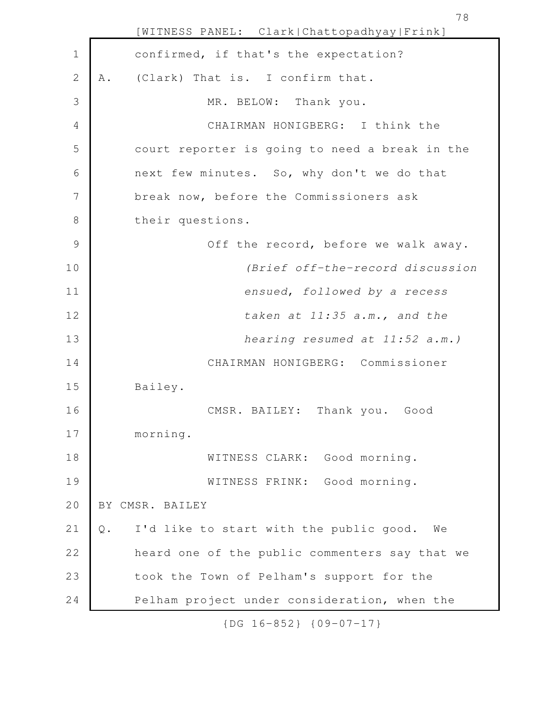[WITNESS PANEL: Clark|Chattopadhyay|Frink] confirmed, if that's the expectation? A. (Clark) That is. I confirm that. MR. BELOW: Thank you. CHAIRMAN HONIGBERG: I think the court reporter is going to need a break in the next few minutes. So, why don't we do that break now, before the Commissioners ask their questions. Off the record, before we walk away. *(Brief off-the-record discussion ensued*, *followed by a recess taken at 11:35 a.m., and the hearing resumed at 11:52 a.m.)*  CHAIRMAN HONIGBERG: Commissioner Bailey. CMSR. BAILEY: Thank you. Good morning. WITNESS CLARK: Good morning. WITNESS FRINK: Good morning. BY CMSR. BAILEY Q. I'd like to start with the public good. We heard one of the public commenters say that we took the Town of Pelham's support for the Pelham project under consideration, when the 1 2 3 4 5 6 7 8 9 10 11 12 13 14 15 16 17 18 19 20 21 22 23 24

{DG 16-852} {09-07-17}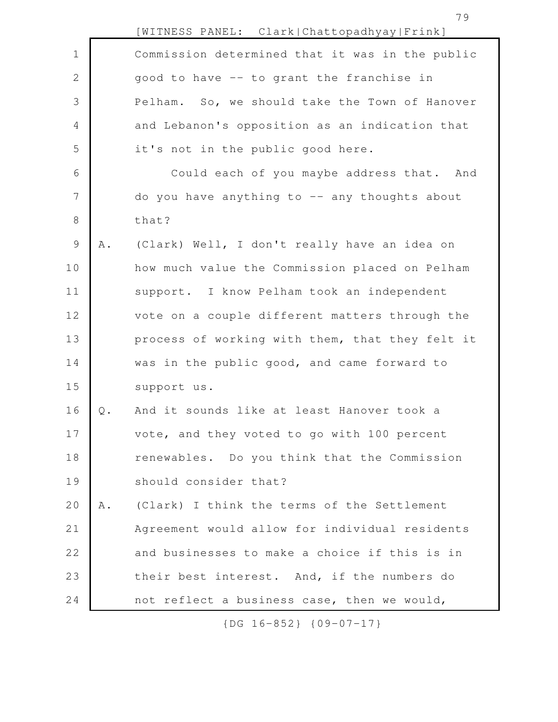|                |     | [WITNESS PANEL: Clark Chattopadhyay Frink]      |
|----------------|-----|-------------------------------------------------|
| $1\,$          |     | Commission determined that it was in the public |
| $\mathbf 2$    |     | good to have -- to grant the franchise in       |
| 3              |     | Pelham. So, we should take the Town of Hanover  |
| $\overline{4}$ |     | and Lebanon's opposition as an indication that  |
| 5              |     | it's not in the public good here.               |
| 6              |     | Could each of you maybe address that. And       |
| 7              |     | do you have anything to $-$ any thoughts about  |
| $8\,$          |     | that?                                           |
| $\mathcal{G}$  | A . | (Clark) Well, I don't really have an idea on    |
| 10             |     | how much value the Commission placed on Pelham  |
| 11             |     | support. I know Pelham took an independent      |
| 12             |     | vote on a couple different matters through the  |
| 13             |     | process of working with them, that they felt it |
| 14             |     | was in the public good, and came forward to     |
| 15             |     | support us.                                     |
| 16             | Q.  | And it sounds like at least Hanover took a      |
| 17             |     | vote, and they voted to go with 100 percent     |
| 18             |     | renewables. Do you think that the Commission    |
| 19             |     | should consider that?                           |
| 20             | Α.  | (Clark) I think the terms of the Settlement     |
| 21             |     | Agreement would allow for individual residents  |
| 22             |     | and businesses to make a choice if this is in   |
| 23             |     | their best interest. And, if the numbers do     |
| 24             |     | not reflect a business case, then we would,     |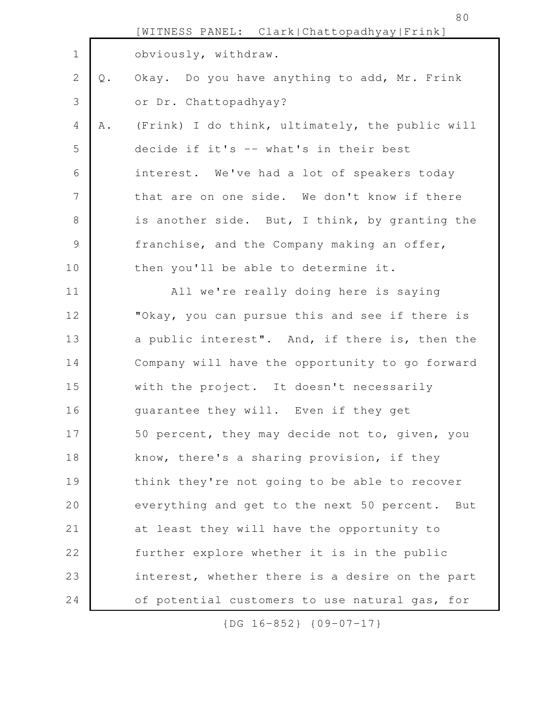|             |    | [WITNESS PANEL: Clark Chattopadhyay Frink]        |
|-------------|----|---------------------------------------------------|
| $\mathbf 1$ |    | obviously, withdraw.                              |
| 2           | Q. | Okay. Do you have anything to add, Mr. Frink      |
| 3           |    | or Dr. Chattopadhyay?                             |
| 4           | Α. | (Frink) I do think, ultimately, the public will   |
| 5           |    | decide if it's -- what's in their best            |
| 6           |    | interest. We've had a lot of speakers today       |
| 7           |    | that are on one side. We don't know if there      |
| 8           |    | is another side. But, I think, by granting the    |
| $\mathsf 9$ |    | franchise, and the Company making an offer,       |
| 10          |    | then you'll be able to determine it.              |
| 11          |    | All we're really doing here is saying             |
| 12          |    | "Okay, you can pursue this and see if there is    |
| 13          |    | a public interest". And, if there is, then the    |
| 14          |    | Company will have the opportunity to go forward   |
| 15          |    | with the project. It doesn't necessarily          |
| 16          |    | guarantee they will. Even if they get             |
| 17          |    | 50 percent, they may decide not to, given, you    |
| 18          |    | know, there's a sharing provision, if they        |
| 19          |    | think they're not going to be able to recover     |
| 20          |    | everything and get to the next 50 percent.<br>But |
| 21          |    | at least they will have the opportunity to        |
| 22          |    | further explore whether it is in the public       |
| 23          |    | interest, whether there is a desire on the part   |
| 24          |    | of potential customers to use natural gas, for    |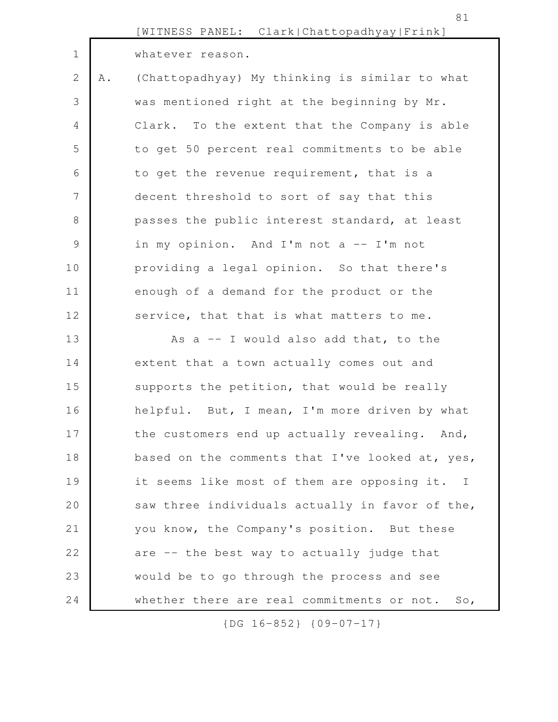|                |    | [WITNESS PANEL: Clark Chattopadhyay Frink]      |
|----------------|----|-------------------------------------------------|
| $\mathbf 1$    |    | whatever reason.                                |
| $\mathbf{2}$   | Α. | (Chattopadhyay) My thinking is similar to what  |
| 3              |    | was mentioned right at the beginning by Mr.     |
| 4              |    | Clark. To the extent that the Company is able   |
| 5              |    | to get 50 percent real commitments to be able   |
| 6              |    | to get the revenue requirement, that is a       |
| $\overline{7}$ |    | decent threshold to sort of say that this       |
| $8\,$          |    | passes the public interest standard, at least   |
| $\mathsf 9$    |    | in my opinion. And I'm not a -- I'm not         |
| 10             |    | providing a legal opinion. So that there's      |
| 11             |    | enough of a demand for the product or the       |
| 12             |    | service, that that is what matters to me.       |
| 13             |    | As $a$ -- I would also add that, to the         |
| 14             |    | extent that a town actually comes out and       |
| 15             |    | supports the petition, that would be really     |
| 16             |    | helpful. But, I mean, I'm more driven by what   |
| 17             |    | the customers end up actually revealing. And,   |
| 18             |    | based on the comments that I've looked at, yes, |
| 19             |    | it seems like most of them are opposing it. I   |
| 20             |    | saw three individuals actually in favor of the, |
| 21             |    | you know, the Company's position. But these     |
| 22             |    | are -- the best way to actually judge that      |
| 23             |    | would be to go through the process and see      |
| 24             |    | whether there are real commitments or not. So,  |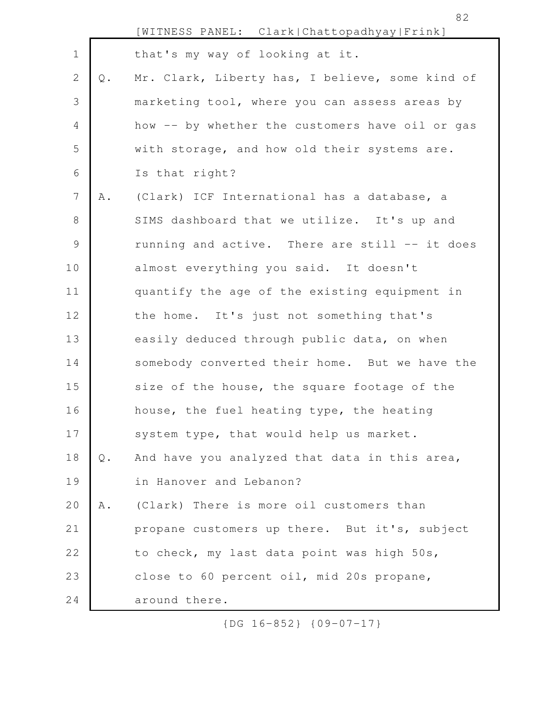|                | [WITNESS PANEL: Clark Chattopadhyay Frink]      |
|----------------|-------------------------------------------------|
|                | that's my way of looking at it.                 |
| $\mathsf{Q}$ . | Mr. Clark, Liberty has, I believe, some kind of |
|                | marketing tool, where you can assess areas by   |
|                | how -- by whether the customers have oil or gas |
|                | with storage, and how old their systems are.    |
|                | Is that right?                                  |
| Α.             | (Clark) ICF International has a database, a     |
|                | SIMS dashboard that we utilize. It's up and     |
|                | running and active. There are still -- it does  |
|                | almost everything you said. It doesn't          |
|                | quantify the age of the existing equipment in   |
|                | the home. It's just not something that's        |
|                | easily deduced through public data, on when     |
|                | somebody converted their home. But we have the  |
|                | size of the house, the square footage of the    |
|                | house, the fuel heating type, the heating       |
|                | system type, that would help us market.         |
| $\mathsf{Q}$ . | And have you analyzed that data in this area,   |
|                | in Hanover and Lebanon?                         |
| Α.             | (Clark) There is more oil customers than        |
|                | propane customers up there. But it's, subject   |

to check, my last data point was high 50s, 22

close to 60 percent oil, mid 20s propane, 23

around there. 24

1

2

3

4

5

6

7

8

9

10

11

12

13

14

15

16

17

18

19

20

21

{DG 16-852} {09-07-17}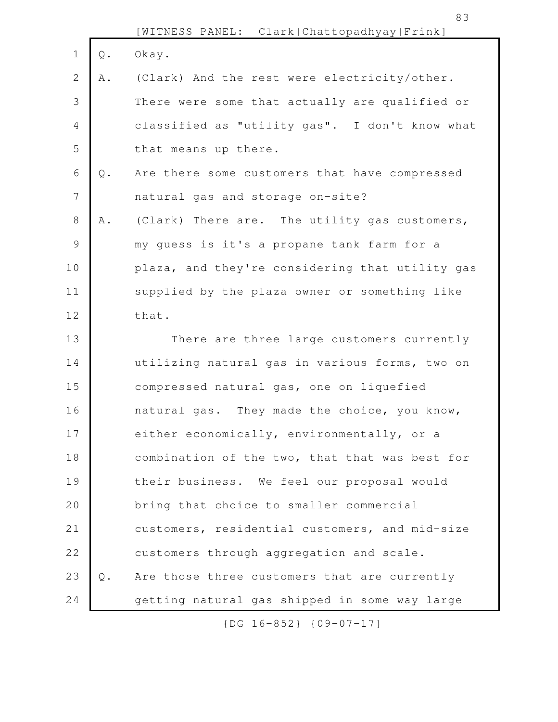|                |               | [WITNESS PANEL: Clark Chattopadhyay Frink]      |
|----------------|---------------|-------------------------------------------------|
| $\mathbf 1$    | $\mathbb Q$ . | Okay.                                           |
| 2              | Α.            | (Clark) And the rest were electricity/other.    |
| 3              |               | There were some that actually are qualified or  |
| $\overline{4}$ |               | classified as "utility gas". I don't know what  |
| 5              |               | that means up there.                            |
| 6              | $\mathbb Q$ . | Are there some customers that have compressed   |
| $7\phantom{.}$ |               | natural gas and storage on-site?                |
| $8\,$          | A .           | (Clark) There are. The utility gas customers,   |
| $\mathsf 9$    |               | my guess is it's a propane tank farm for a      |
| 10             |               | plaza, and they're considering that utility gas |
| 11             |               | supplied by the plaza owner or something like   |
| 12             |               | that.                                           |
| 13             |               | There are three large customers currently       |
| 14             |               | utilizing natural gas in various forms, two on  |
| 15             |               | compressed natural gas, one on liquefied        |
| 16             |               | natural gas. They made the choice, you know,    |
| 17             |               | either economically, environmentally, or a      |
| 18             |               | combination of the two, that that was best for  |
| 19             |               | their business. We feel our proposal would      |
| 20             |               | bring that choice to smaller commercial         |
| 21             |               | customers, residential customers, and mid-size  |
| 22             |               | customers through aggregation and scale.        |
| 23             | $Q$ .         | Are those three customers that are currently    |
| 24             |               | getting natural gas shipped in some way large   |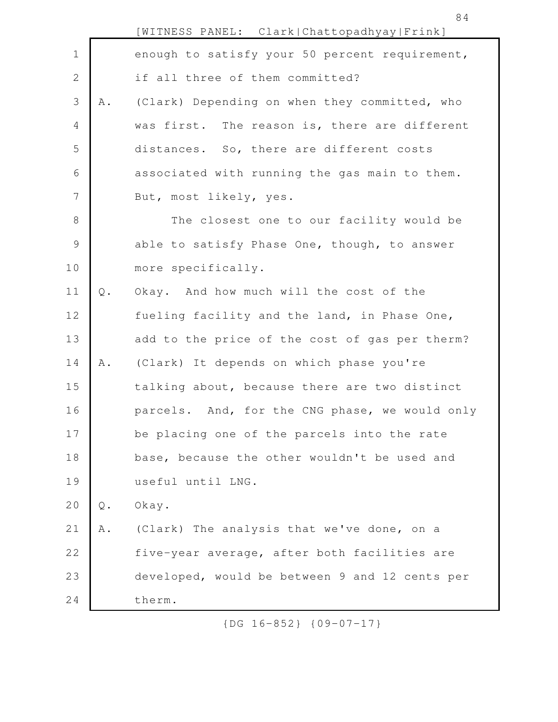|                |               | [WITNESS PANEL: Clark Chattopadhyay Frink]     |
|----------------|---------------|------------------------------------------------|
| $\mathbf 1$    |               | enough to satisfy your 50 percent requirement, |
| $\mathbf{2}$   |               | if all three of them committed?                |
| 3              | Α.            | (Clark) Depending on when they committed, who  |
| 4              |               | was first. The reason is, there are different  |
| 5              |               | distances. So, there are different costs       |
| 6              |               | associated with running the gas main to them.  |
| $\overline{7}$ |               | But, most likely, yes.                         |
| $8\,$          |               | The closest one to our facility would be       |
| $\mathsf 9$    |               | able to satisfy Phase One, though, to answer   |
| 10             |               | more specifically.                             |
| 11             | $Q$ .         | Okay. And how much will the cost of the        |
| 12             |               | fueling facility and the land, in Phase One,   |
| 13             |               | add to the price of the cost of gas per therm? |
| 14             | Α.            | (Clark) It depends on which phase you're       |
| 15             |               | talking about, because there are two distinct  |
| 16             |               | parcels. And, for the CNG phase, we would only |
| 17             |               | be placing one of the parcels into the rate    |
| 18             |               | base, because the other wouldn't be used and   |
| 19             |               | useful until LNG.                              |
| 20             | $\mathsf Q$ . | Okay.                                          |
| 21             | Α.            | (Clark) The analysis that we've done, on a     |
| 22             |               | five-year average, after both facilities are   |
| 23             |               | developed, would be between 9 and 12 cents per |
| 24             |               | therm.                                         |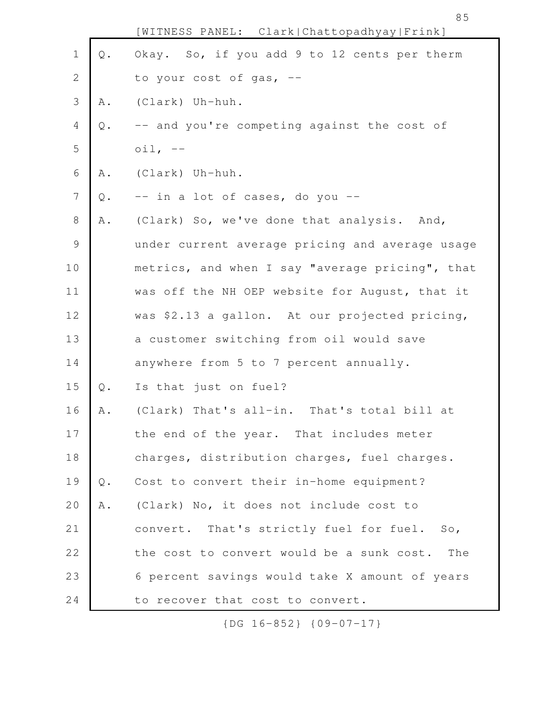|                |               | [WITNESS PANEL: Clark Chattopadhyay Frink]       |
|----------------|---------------|--------------------------------------------------|
| $\mathbf 1$    | $\mathbb Q$ . | Okay. So, if you add 9 to 12 cents per therm     |
| $\mathbf{2}$   |               | to your cost of gas, --                          |
| 3              | Α.            | (Clark) Uh-huh.                                  |
| $\overline{4}$ | Q.            | -- and you're competing against the cost of      |
| 5              |               | $\circ$ il, $-$                                  |
| 6              | Α.            | (Clark) Uh-huh.                                  |
| $\overline{7}$ | Q.            | -- in a lot of cases, do you --                  |
| $\,8\,$        | Α.            | (Clark) So, we've done that analysis. And,       |
| $\mathsf{S}$   |               | under current average pricing and average usage  |
| 10             |               | metrics, and when I say "average pricing", that  |
| 11             |               | was off the NH OEP website for August, that it   |
| 12             |               | was \$2.13 a gallon. At our projected pricing,   |
| 13             |               | a customer switching from oil would save         |
| 14             |               | anywhere from 5 to 7 percent annually.           |
| 15             | $\mathbb Q$ . | Is that just on fuel?                            |
| 16             | Α.            | (Clark) That's all-in. That's total bill at      |
| 17             |               | the end of the year. That includes meter         |
| 18             |               | charges, distribution charges, fuel charges.     |
| 19             | $Q$ .         | Cost to convert their in-home equipment?         |
| 20             | A .           | (Clark) No, it does not include cost to          |
| 21             |               | convert. That's strictly fuel for fuel. So,      |
| 22             |               | the cost to convert would be a sunk cost.<br>The |
| 23             |               | 6 percent savings would take X amount of years   |
| 24             |               | to recover that cost to convert.                 |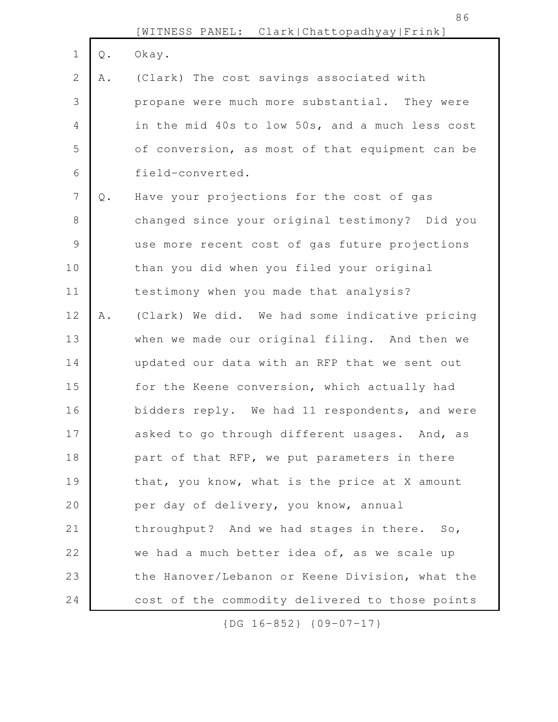|                |               | [WITNESS PANEL: Clark Chattopadhyay Frink]      |
|----------------|---------------|-------------------------------------------------|
| $\mathbf 1$    | $\mathbb Q$ . | Okay.                                           |
| $\mathbf{2}$   | Α.            | (Clark) The cost savings associated with        |
| 3              |               | propane were much more substantial. They were   |
| $\overline{4}$ |               | in the mid 40s to low 50s, and a much less cost |
| 5              |               | of conversion, as most of that equipment can be |
| $\sqrt{6}$     |               | field-converted.                                |
| $\overline{7}$ | $\mathbb Q$ . | Have your projections for the cost of gas       |
| $8\,$          |               | changed since your original testimony? Did you  |
| $\mathcal{G}$  |               | use more recent cost of gas future projections  |
| 10             |               | than you did when you filed your original       |
| 11             |               | testimony when you made that analysis?          |
| 12             | A .           | (Clark) We did. We had some indicative pricing  |
| 13             |               | when we made our original filing. And then we   |
| 14             |               | updated our data with an RFP that we sent out   |
| 15             |               | for the Keene conversion, which actually had    |
| 16             |               | bidders reply. We had 11 respondents, and were  |
| 17             |               | asked to go through different usages. And, as   |
| 18             |               | part of that RFP, we put parameters in there    |
| 19             |               | that, you know, what is the price at X amount   |
| 20             |               | per day of delivery, you know, annual           |
| 21             |               | throughput? And we had stages in there. So,     |
| 22             |               | we had a much better idea of, as we scale up    |
| 23             |               | the Hanover/Lebanon or Keene Division, what the |
| 24             |               | cost of the commodity delivered to those points |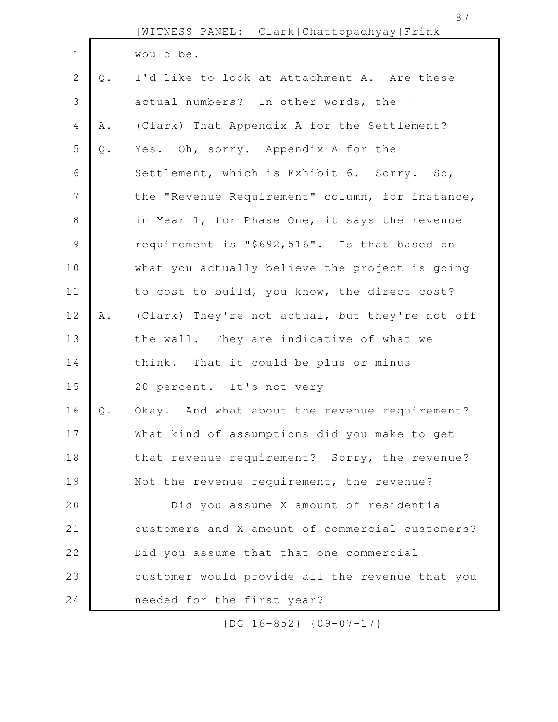|                |               | [WITNESS PANEL: Clark Chattopadhyay Frink]      |
|----------------|---------------|-------------------------------------------------|
| $\mathbf 1$    |               | would be.                                       |
| 2              | Q.            | I'd like to look at Attachment A. Are these     |
| 3              |               | actual numbers? In other words, the --          |
| 4              | Α.            | (Clark) That Appendix A for the Settlement?     |
| 5              | $\mathsf Q$ . | Yes. Oh, sorry. Appendix A for the              |
| 6              |               | Settlement, which is Exhibit 6. Sorry. So,      |
| $7\phantom{.}$ |               | the "Revenue Requirement" column, for instance, |
| $8\,$          |               | in Year 1, for Phase One, it says the revenue   |
| $\mathcal{G}$  |               | requirement is "\$692,516". Is that based on    |
| 10             |               | what you actually believe the project is going  |
| 11             |               | to cost to build, you know, the direct cost?    |
| 12             | A .           | (Clark) They're not actual, but they're not off |
| 13             |               | the wall. They are indicative of what we        |
| 14             |               | think. That it could be plus or minus           |
| 15             |               | 20 percent. It's not very --                    |
| 16             | Q.            | Okay. And what about the revenue requirement?   |
| 17             |               | What kind of assumptions did you make to get    |
| 18             |               | that revenue requirement? Sorry, the revenue?   |
| 19             |               | Not the revenue requirement, the revenue?       |
| 20             |               | Did you assume X amount of residential          |
| 21             |               | customers and X amount of commercial customers? |
| 22             |               | Did you assume that that one commercial         |
| 23             |               | customer would provide all the revenue that you |
| 24             |               | needed for the first year?                      |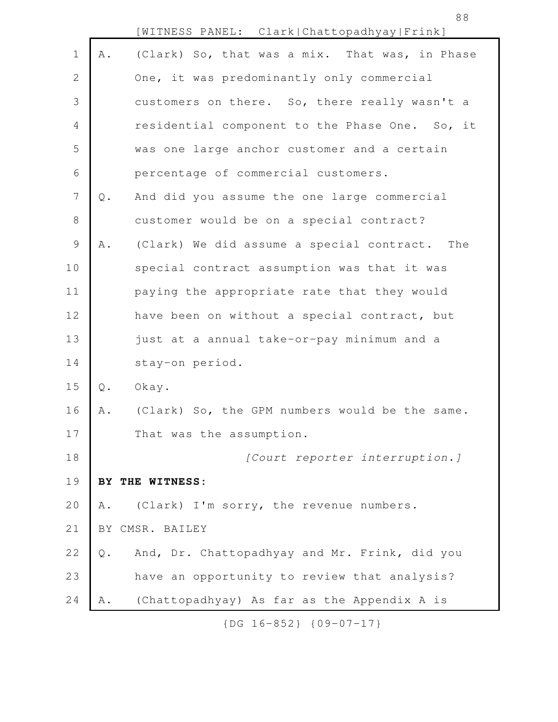|                |               | [WITNESS PANEL: Clark Chattopadhyay Frink]     |
|----------------|---------------|------------------------------------------------|
| $\mathbf 1$    | A .           | (Clark) So, that was a mix. That was, in Phase |
| $\mathbf{2}$   |               | One, it was predominantly only commercial      |
| 3              |               | customers on there. So, there really wasn't a  |
| $\overline{4}$ |               | residential component to the Phase One. So, it |
| 5              |               | was one large anchor customer and a certain    |
| 6              |               | percentage of commercial customers.            |
| $\overline{7}$ | $\mathsf Q$ . | And did you assume the one large commercial    |
| $\,8\,$        |               | customer would be on a special contract?       |
| $\mathcal{G}$  | Α.            | (Clark) We did assume a special contract. The  |
| 10             |               | special contract assumption was that it was    |
| 11             |               | paying the appropriate rate that they would    |
| 12             |               | have been on without a special contract, but   |
| 13             |               | just at a annual take-or-pay minimum and a     |
| 14             |               | stay-on period.                                |
| 15             | $\mathbb Q$ . | Okay.                                          |
| 16             | Α.            | (Clark) So, the GPM numbers would be the same. |
| 17             |               | That was the assumption.                       |
| 18             |               | [Court reporter interruption.]                 |
| 19             |               | BY THE WITNESS:                                |
| 20             | Α.            | (Clark) I'm sorry, the revenue numbers.        |
| 21             |               | BY CMSR. BAILEY                                |
| 22             | Q.            | And, Dr. Chattopadhyay and Mr. Frink, did you  |
| 23             |               | have an opportunity to review that analysis?   |
| 24             | Α.            | (Chattopadhyay) As far as the Appendix A is    |

88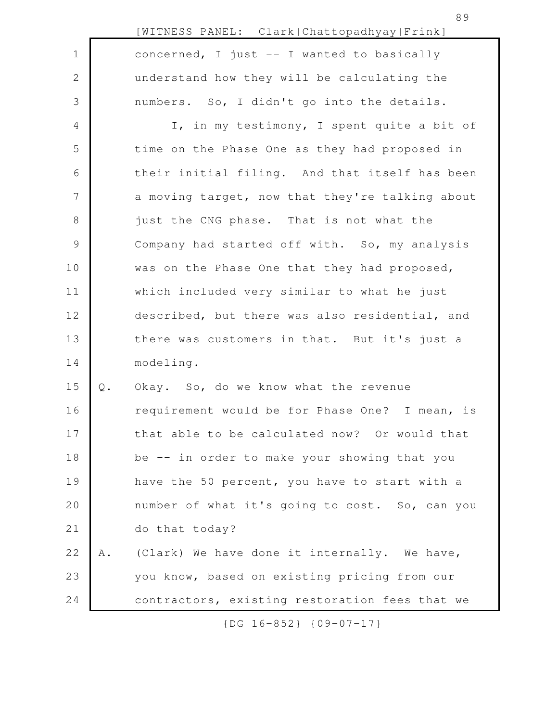|               |       | [WITNESS PANEL: Clark Chattopadhyay Frink]      |
|---------------|-------|-------------------------------------------------|
| $\mathbf 1$   |       | concerned, I just -- I wanted to basically      |
| $\sqrt{2}$    |       | understand how they will be calculating the     |
| 3             |       | numbers. So, I didn't go into the details.      |
| 4             |       | I, in my testimony, I spent quite a bit of      |
| 5             |       | time on the Phase One as they had proposed in   |
| 6             |       | their initial filing. And that itself has been  |
| 7             |       | a moving target, now that they're talking about |
| $\,8\,$       |       | just the CNG phase. That is not what the        |
| $\mathcal{G}$ |       | Company had started off with. So, my analysis   |
| 10            |       | was on the Phase One that they had proposed,    |
| 11            |       | which included very similar to what he just     |
| 12            |       | described, but there was also residential, and  |
| 13            |       | there was customers in that. But it's just a    |
| 14            |       | modeling.                                       |
| 15            | $Q$ . | Okay. So, do we know what the revenue           |
| 16            |       | requirement would be for Phase One? I mean, is  |
| 17            |       | that able to be calculated now? Or would that   |
| 18            |       | be -- in order to make your showing that you    |
| 19            |       | have the 50 percent, you have to start with a   |
| 20            |       | number of what it's going to cost. So, can you  |
| 21            |       | do that today?                                  |
| 22            | Α.    | (Clark) We have done it internally. We have,    |
| 23            |       | you know, based on existing pricing from our    |
| 24            |       | contractors, existing restoration fees that we  |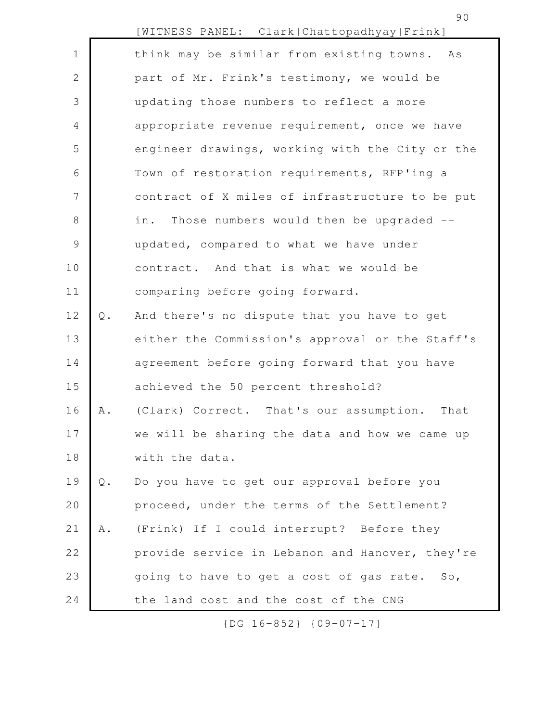|                |       | [WITNESS PANEL: Clark Chattopadhyay Frink]      |
|----------------|-------|-------------------------------------------------|
| $\mathbf 1$    |       | think may be similar from existing towns. As    |
| $\overline{2}$ |       | part of Mr. Frink's testimony, we would be      |
| 3              |       | updating those numbers to reflect a more        |
| 4              |       | appropriate revenue requirement, once we have   |
| 5              |       | engineer drawings, working with the City or the |
| 6              |       | Town of restoration requirements, RFP'ing a     |
| 7              |       | contract of X miles of infrastructure to be put |
| 8              |       | Those numbers would then be upgraded --<br>in.  |
| $\mathcal{G}$  |       | updated, compared to what we have under         |
| 10             |       | contract. And that is what we would be          |
| 11             |       | comparing before going forward.                 |
| 12             | $Q$ . | And there's no dispute that you have to get     |
| 13             |       | either the Commission's approval or the Staff's |
| 14             |       | agreement before going forward that you have    |
| 15             |       | achieved the 50 percent threshold?              |
| 16             | Α.    | (Clark) Correct. That's our assumption.<br>That |
| 17             |       | we will be sharing the data and how we came up  |
| 18             |       | with the data.                                  |
| 19             | $Q$ . | Do you have to get our approval before you      |
| 20             |       | proceed, under the terms of the Settlement?     |
| 21             | A .   | (Frink) If I could interrupt? Before they       |
| 22             |       | provide service in Lebanon and Hanover, they're |
| 23             |       | going to have to get a cost of gas rate. So,    |
| 24             |       | the land cost and the cost of the CNG           |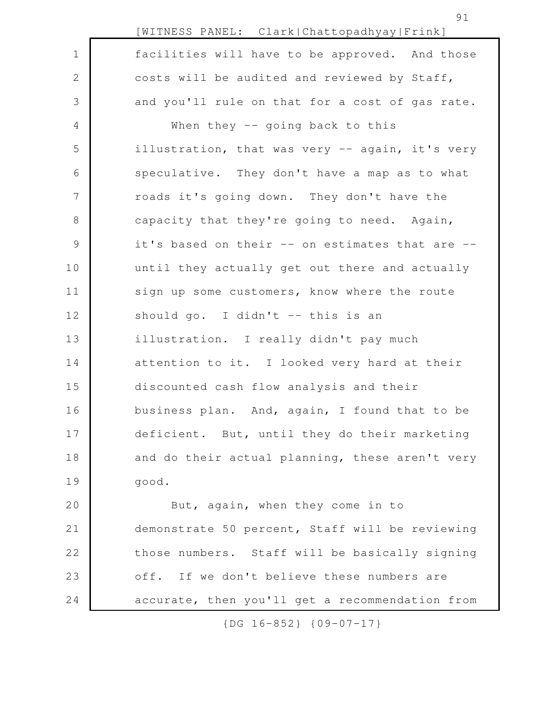|                | [WITNESS PANEL: Clark Chattopadhyay Frink]      |
|----------------|-------------------------------------------------|
| $\mathbf 1$    | facilities will have to be approved. And those  |
| 2              | costs will be audited and reviewed by Staff,    |
| 3              | and you'll rule on that for a cost of gas rate. |
| 4              | When they $-$ going back to this                |
| 5              | illustration, that was very -- again, it's very |
| 6              | speculative. They don't have a map as to what   |
| 7              | roads it's going down. They don't have the      |
| 8              | capacity that they're going to need. Again,     |
| $\overline{9}$ | it's based on their -- on estimates that are -- |
| 10             | until they actually get out there and actually  |
| 11             | sign up some customers, know where the route    |
| 12             | should go. I didn't -- this is an               |
| 13             | illustration. I really didn't pay much          |
| 14             | attention to it. I looked very hard at their    |
| 15             | discounted cash flow analysis and their         |
| 16             | business plan. And, again, I found that to be   |
| 17             | deficient. But, until they do their marketing   |
| 18             | and do their actual planning, these aren't very |
| 19             | good.                                           |
| 20             | But, again, when they come in to                |
| 21             | demonstrate 50 percent, Staff will be reviewing |
| 22             | those numbers. Staff will be basically signing  |

accurate, then you'll get a recommendation from

off. If we don't believe these numbers are

23

24

{DG 16-852} {09-07-17}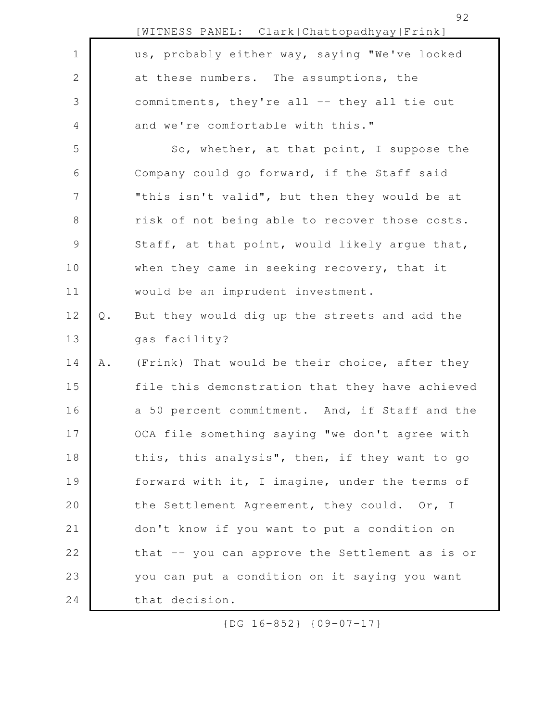|                |       | [WITNESS PANEL: Clark Chattopadhyay Frink]      |
|----------------|-------|-------------------------------------------------|
| $\mathbf 1$    |       | us, probably either way, saying "We've looked   |
| $\mathbf{2}$   |       | at these numbers. The assumptions, the          |
| 3              |       | commitments, they're all -- they all tie out    |
| 4              |       | and we're comfortable with this."               |
| 5              |       | So, whether, at that point, I suppose the       |
| 6              |       | Company could go forward, if the Staff said     |
| $\overline{7}$ |       | "this isn't valid", but then they would be at   |
| $8\,$          |       | risk of not being able to recover those costs.  |
| $\mathsf 9$    |       | Staff, at that point, would likely argue that,  |
| 10             |       | when they came in seeking recovery, that it     |
| 11             |       | would be an imprudent investment.               |
| 12             | $Q$ . | But they would dig up the streets and add the   |
| 13             |       | gas facility?                                   |
| 14             | Α.    | (Frink) That would be their choice, after they  |
| 15             |       | file this demonstration that they have achieved |
| 16             |       | a 50 percent commitment. And, if Staff and the  |
| 17             |       | OCA file something saying "we don't agree with  |
| 18             |       | this, this analysis", then, if they want to go  |
| 19             |       | forward with it, I imagine, under the terms of  |
| 20             |       | the Settlement Agreement, they could. Or, I     |
| 21             |       | don't know if you want to put a condition on    |
| 22             |       | that -- you can approve the Settlement as is or |
| 23             |       | you can put a condition on it saying you want   |
| 24             |       | that decision.                                  |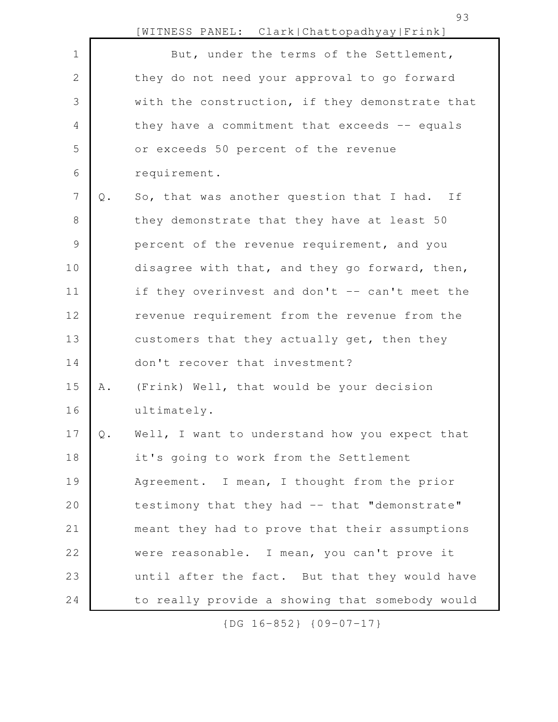|                |                | [WITNESS PANEL: Clark Chattopadhyay Frink]      |
|----------------|----------------|-------------------------------------------------|
| $\mathbf 1$    |                | But, under the terms of the Settlement,         |
| $\mathbf{2}$   |                | they do not need your approval to go forward    |
| 3              |                | with the construction, if they demonstrate that |
| $\overline{4}$ |                | they have a commitment that exceeds -- equals   |
| 5              |                | or exceeds 50 percent of the revenue            |
| 6              |                | requirement.                                    |
| 7              | $\mathbb Q$ .  | So, that was another question that I had. If    |
| 8              |                | they demonstrate that they have at least 50     |
| $\mathcal{G}$  |                | percent of the revenue requirement, and you     |
| 10             |                | disagree with that, and they go forward, then,  |
| 11             |                | if they overinvest and don't -- can't meet the  |
| 12             |                | revenue requirement from the revenue from the   |
| 13             |                | customers that they actually get, then they     |
| 14             |                | don't recover that investment?                  |
| 15             | Α.             | (Frink) Well, that would be your decision       |
| 16             |                | ultimately.                                     |
| 17             | $\mathsf{Q}$ . | Well, I want to understand how you expect that  |
| 18             |                | it's going to work from the Settlement          |
| 19             |                | Agreement. I mean, I thought from the prior     |
| 20             |                | testimony that they had -- that "demonstrate"   |
| 21             |                | meant they had to prove that their assumptions  |
| 22             |                | were reasonable. I mean, you can't prove it     |
| 23             |                | until after the fact. But that they would have  |
| 24             |                | to really provide a showing that somebody would |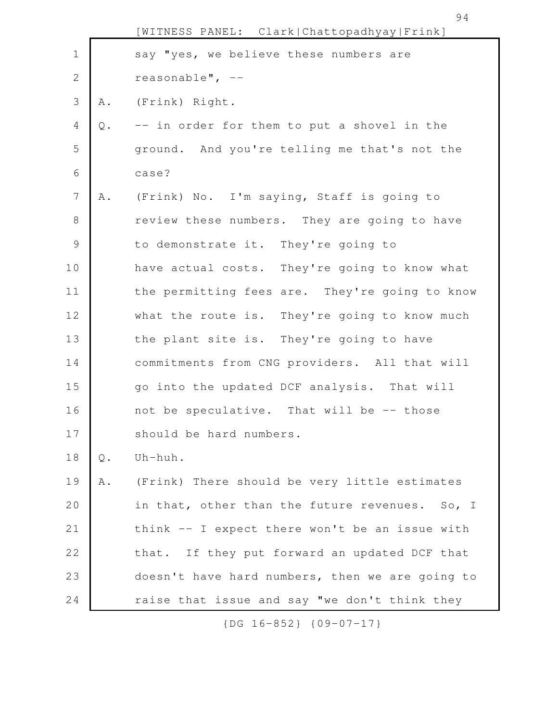|                 |       | [WITNESS PANEL: Clark Chattopadhyay Frink]      |
|-----------------|-------|-------------------------------------------------|
| $\mathbf 1$     |       | say "yes, we believe these numbers are          |
| $\mathbf{2}$    |       | reasonable", $--$                               |
| $\mathsf 3$     | A .   | (Frink) Right.                                  |
| $\overline{4}$  | Q.    | -- in order for them to put a shovel in the     |
| 5               |       | ground. And you're telling me that's not the    |
| 6               |       | case?                                           |
| $7\phantom{.0}$ | Α.    | (Frink) No. I'm saying, Staff is going to       |
| $8\,$           |       | review these numbers. They are going to have    |
| $\mathsf 9$     |       | to demonstrate it. They're going to             |
| 10              |       | have actual costs. They're going to know what   |
| 11              |       | the permitting fees are. They're going to know  |
| 12              |       | what the route is. They're going to know much   |
| 13              |       | the plant site is. They're going to have        |
| 14              |       | commitments from CNG providers. All that will   |
| 15              |       | go into the updated DCF analysis. That will     |
| 16              |       | not be speculative. That will be -- those       |
| 17              |       | should be hard numbers.                         |
| 18              | $Q$ . | Uh-huh.                                         |
| 19              | Α.    | (Frink) There should be very little estimates   |
| 20              |       | in that, other than the future revenues. So, I  |
| 21              |       | think -- I expect there won't be an issue with  |
| 22              |       | that. If they put forward an updated DCF that   |
| 23              |       | doesn't have hard numbers, then we are going to |
| 24              |       | raise that issue and say "we don't think they   |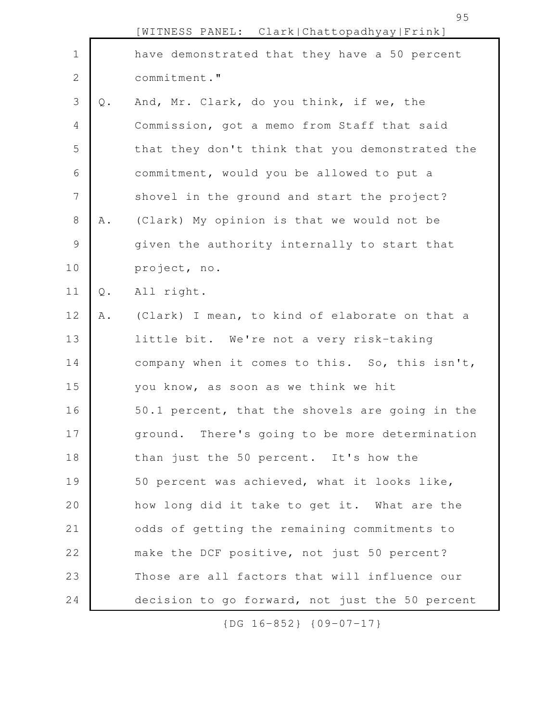|              |               | [WITNESS PANEL: Clark Chattopadhyay Frink]      |
|--------------|---------------|-------------------------------------------------|
| $\mathbf 1$  |               | have demonstrated that they have a 50 percent   |
| $\mathbf{2}$ |               | commitment."                                    |
| $\mathsf 3$  | $Q$ .         | And, Mr. Clark, do you think, if we, the        |
| 4            |               | Commission, got a memo from Staff that said     |
| 5            |               | that they don't think that you demonstrated the |
| 6            |               | commitment, would you be allowed to put a       |
| 7            |               | shovel in the ground and start the project?     |
| $8\,$        | Α.            | (Clark) My opinion is that we would not be      |
| 9            |               | given the authority internally to start that    |
| 10           |               | project, no.                                    |
| 11           | $\mathbb Q$ . | All right.                                      |
| 12           | A .           | (Clark) I mean, to kind of elaborate on that a  |
| 13           |               | little bit. We're not a very risk-taking        |
| 14           |               | company when it comes to this. So, this isn't,  |
| 15           |               | you know, as soon as we think we hit            |
| 16           |               | 50.1 percent, that the shovels are going in the |
| 17           |               | ground. There's going to be more determination  |
| 18           |               | than just the 50 percent. It's how the          |
| 19           |               | 50 percent was achieved, what it looks like,    |
| 20           |               | how long did it take to get it. What are the    |
| 21           |               | odds of getting the remaining commitments to    |
| 22           |               | make the DCF positive, not just 50 percent?     |
| 23           |               | Those are all factors that will influence our   |
| 24           |               | decision to go forward, not just the 50 percent |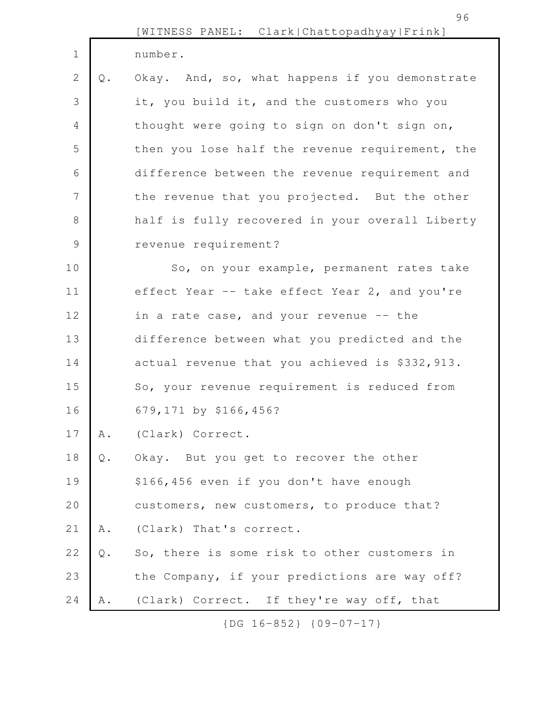|               |    | [WITNESS PANEL: Clark Chattopadhyay Frink]      |
|---------------|----|-------------------------------------------------|
| $\mathbf 1$   |    | number.                                         |
| $\mathbf{2}$  | Q. | Okay. And, so, what happens if you demonstrate  |
| 3             |    | it, you build it, and the customers who you     |
| 4             |    | thought were going to sign on don't sign on,    |
| 5             |    | then you lose half the revenue requirement, the |
| 6             |    | difference between the revenue requirement and  |
| 7             |    | the revenue that you projected. But the other   |
| 8             |    | half is fully recovered in your overall Liberty |
| $\mathcal{G}$ |    | revenue requirement?                            |
| 10            |    | So, on your example, permanent rates take       |
| 11            |    | effect Year -- take effect Year 2, and you're   |
| 12            |    | in a rate case, and your revenue -- the         |
| 13            |    | difference between what you predicted and the   |
| 14            |    | actual revenue that you achieved is \$332,913.  |
| 15            |    | So, your revenue requirement is reduced from    |
| 16            |    | 679,171 by \$166,456?                           |
| 17            | Α. | (Clark) Correct.                                |
| 18            | Q. | Okay. But you get to recover the other          |
| 19            |    | \$166,456 even if you don't have enough         |
| 20            |    | customers, new customers, to produce that?      |
| 21            | Α. | (Clark) That's correct.                         |
| 22            | Q. | So, there is some risk to other customers in    |
| 23            |    | the Company, if your predictions are way off?   |
| 24            | Α. | (Clark) Correct. If they're way off, that       |
|               |    |                                                 |

96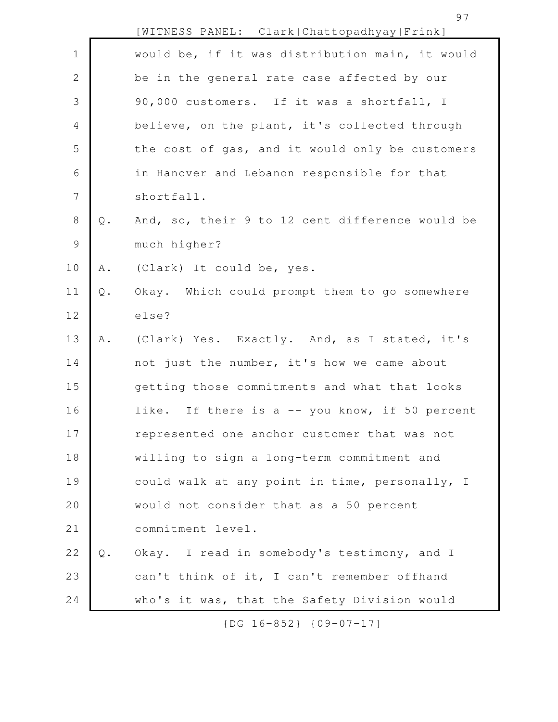97

|                |               | [WITNESS PANEL: Clark Chattopadhyay Frink]      |
|----------------|---------------|-------------------------------------------------|
| $\mathbf 1$    |               | would be, if it was distribution main, it would |
| 2              |               | be in the general rate case affected by our     |
| 3              |               | 90,000 customers. If it was a shortfall, I      |
| $\overline{4}$ |               | believe, on the plant, it's collected through   |
| 5              |               | the cost of gas, and it would only be customers |
| 6              |               | in Hanover and Lebanon responsible for that     |
| $\overline{7}$ |               | shortfall.                                      |
| $\,8\,$        | $\mathsf Q$ . | And, so, their 9 to 12 cent difference would be |
| $\mathcal{G}$  |               | much higher?                                    |
| 10             | A .           | (Clark) It could be, yes.                       |
| 11             | $\mathbb Q$ . | Okay. Which could prompt them to go somewhere   |
| 12             |               | else?                                           |
| 13             | Α.            | (Clark) Yes. Exactly. And, as I stated, it's    |
| 14             |               | not just the number, it's how we came about     |
| 15             |               | getting those commitments and what that looks   |
| 16             |               | like. If there is a -- you know, if 50 percent  |
| 17             |               | represented one anchor customer that was not    |
| 18             |               | willing to sign a long-term commitment and      |
| 19             |               | could walk at any point in time, personally, I  |
| 20             |               | would not consider that as a 50 percent         |
| 21             |               | commitment level.                               |
| 22             | $Q$ .         | Okay. I read in somebody's testimony, and I     |
| 23             |               | can't think of it, I can't remember offhand     |
| 24             |               | who's it was, that the Safety Division would    |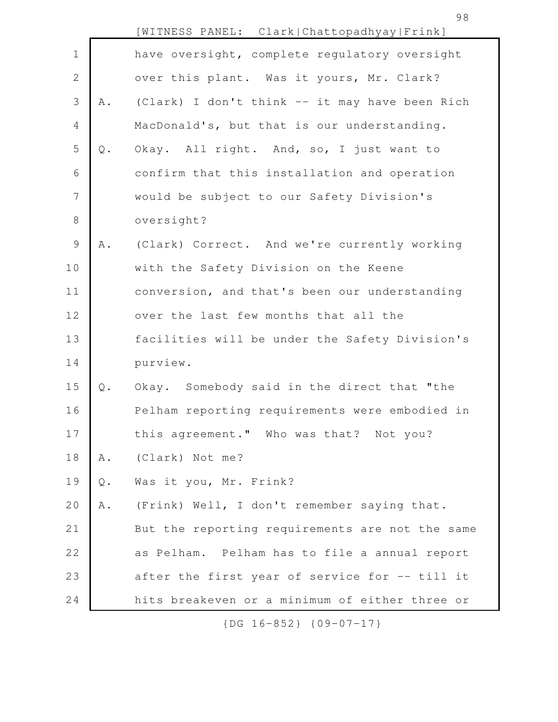|             |               | [WITNESS PANEL: Clark Chattopadhyay Frink]      |
|-------------|---------------|-------------------------------------------------|
| $\mathbf 1$ |               | have oversight, complete regulatory oversight   |
| 2           |               | over this plant. Was it yours, Mr. Clark?       |
| 3           | Α.            | (Clark) I don't think -- it may have been Rich  |
| 4           |               | MacDonald's, but that is our understanding.     |
| 5           | $Q$ .         | Okay. All right. And, so, I just want to        |
| 6           |               | confirm that this installation and operation    |
| 7           |               | would be subject to our Safety Division's       |
| $8\,$       |               | oversight?                                      |
| 9           | Α.            | (Clark) Correct. And we're currently working    |
| 10          |               | with the Safety Division on the Keene           |
| 11          |               | conversion, and that's been our understanding   |
| 12          |               | over the last few months that all the           |
| 13          |               | facilities will be under the Safety Division's  |
| 14          |               | purview.                                        |
| 15          | $\mathsf Q$ . | Okay. Somebody said in the direct that "the     |
| 16          |               | Pelham reporting requirements were embodied in  |
| 17          |               | this agreement." Who was that? Not you?         |
| 18          | Α.            | (Clark) Not me?                                 |
| 19          | $\mathsf Q$ . | Was it you, Mr. Frink?                          |
| 20          | A .           | (Frink) Well, I don't remember saying that.     |
| 21          |               | But the reporting requirements are not the same |
| 22          |               | as Pelham. Pelham has to file a annual report   |
| 23          |               | after the first year of service for -- till it  |
| 24          |               | hits breakeven or a minimum of either three or  |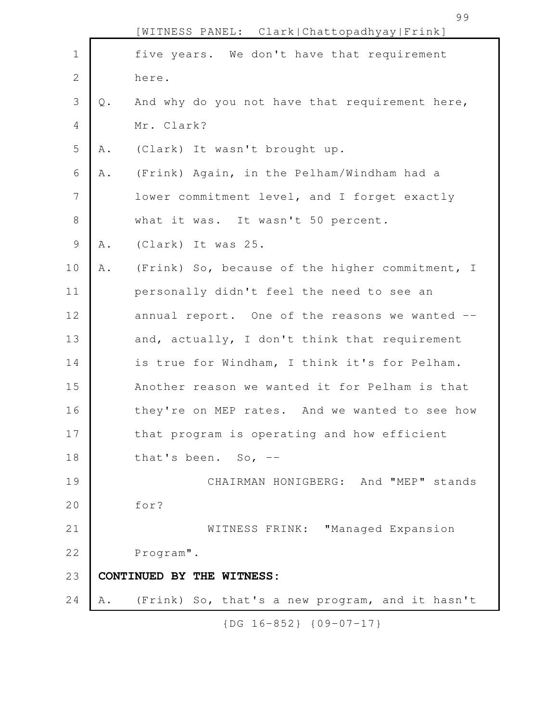|               |     | [WITNESS PANEL: Clark Chattopadhyay Frink]      |
|---------------|-----|-------------------------------------------------|
| $\mathbf 1$   |     | five years. We don't have that requirement      |
| $\sqrt{2}$    |     | here.                                           |
| 3             | Q.  | And why do you not have that requirement here,  |
| 4             |     | Mr. Clark?                                      |
| 5             | Α.  | (Clark) It wasn't brought up.                   |
| 6             | Α.  | (Frink) Again, in the Pelham/Windham had a      |
| 7             |     | lower commitment level, and I forget exactly    |
| $8\,$         |     | what it was. It wasn't 50 percent.              |
| $\mathcal{G}$ | Α.  | (Clark) It was 25.                              |
| 10            | A . | (Frink) So, because of the higher commitment, I |
| 11            |     | personally didn't feel the need to see an       |
| 12            |     | annual report. One of the reasons we wanted --  |
| 13            |     | and, actually, I don't think that requirement   |
| 14            |     | is true for Windham, I think it's for Pelham.   |
| 15            |     | Another reason we wanted it for Pelham is that  |
| 16            |     | they're on MEP rates. And we wanted to see how  |
| 17            |     | that program is operating and how efficient     |
| 18            |     | that's been. So, $-$                            |
| 19            |     | CHAIRMAN HONIGBERG: And "MEP" stands            |
| 20            |     | for?                                            |
| 21            |     | WITNESS FRINK: "Managed Expansion               |
| 22            |     | Program".                                       |
| 23            |     | CONTINUED BY THE WITNESS:                       |
| 24            | Α.  | (Frink) So, that's a new program, and it hasn't |
|               |     |                                                 |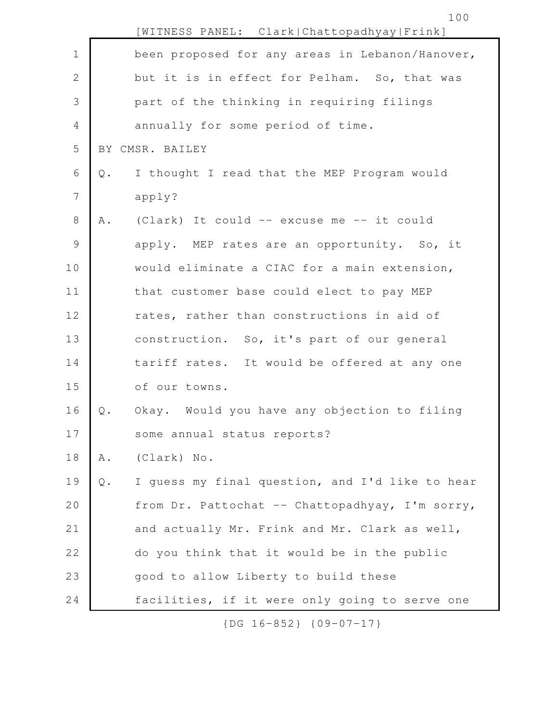|                |       | [WITNESS PANEL: Clark Chattopadhyay Frink]      |
|----------------|-------|-------------------------------------------------|
| $\mathbf 1$    |       | been proposed for any areas in Lebanon/Hanover, |
| $\mathbf{2}$   |       | but it is in effect for Pelham. So, that was    |
| 3              |       | part of the thinking in requiring filings       |
| $\overline{4}$ |       | annually for some period of time.               |
| 5              |       | BY CMSR. BAILEY                                 |
| 6              | Q.    | I thought I read that the MEP Program would     |
| $\overline{7}$ |       | apply?                                          |
| 8              | Α.    | (Clark) It could -- excuse me -- it could       |
| $\mathcal{G}$  |       | apply. MEP rates are an opportunity. So, it     |
| 10             |       | would eliminate a CIAC for a main extension,    |
| 11             |       | that customer base could elect to pay MEP       |
| 12             |       | rates, rather than constructions in aid of      |
| 13             |       | construction. So, it's part of our general      |
| 14             |       | tariff rates. It would be offered at any one    |
| 15             |       | of our towns.                                   |
| 16             | $Q$ . | Okay. Would you have any objection to filing    |
| 17             |       | some annual status reports?                     |
| $1\,8$         | A .   | (Clark) No.                                     |
| 19             | Q.    | I guess my final question, and I'd like to hear |
| 20             |       | from Dr. Pattochat -- Chattopadhyay, I'm sorry, |
| 21             |       | and actually Mr. Frink and Mr. Clark as well,   |
| 22             |       | do you think that it would be in the public     |
| 23             |       | good to allow Liberty to build these            |
| 24             |       | facilities, if it were only going to serve one  |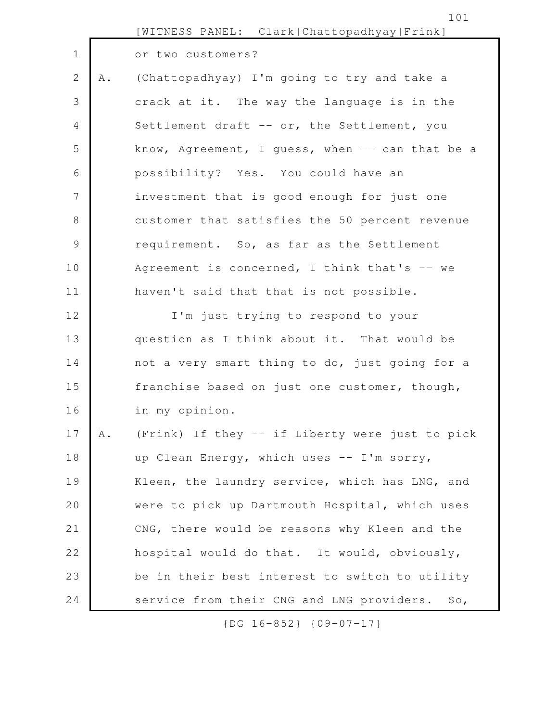|                |    | [WITNESS PANEL: Clark Chattopadhyay Frink]      |
|----------------|----|-------------------------------------------------|
| $\mathbf 1$    |    | or two customers?                               |
| $\mathbf{2}$   | Α. | (Chattopadhyay) I'm going to try and take a     |
| 3              |    | crack at it. The way the language is in the     |
| $\overline{4}$ |    | Settlement draft -- or, the Settlement, you     |
| 5              |    | know, Agreement, I guess, when -- can that be a |
| 6              |    | possibility? Yes. You could have an             |
| 7              |    | investment that is good enough for just one     |
| $8\,$          |    | customer that satisfies the 50 percent revenue  |
| $\mathsf 9$    |    | requirement. So, as far as the Settlement       |
| 10             |    | Agreement is concerned, I think that's -- we    |
| 11             |    | haven't said that that is not possible.         |
| 12             |    | I'm just trying to respond to your              |
| 13             |    | question as I think about it. That would be     |
| 14             |    | not a very smart thing to do, just going for a  |
| 15             |    | franchise based on just one customer, though,   |
| 16             |    | in my opinion.                                  |
| 17             | Α. | (Frink) If they -- if Liberty were just to pick |
| 18             |    | up Clean Energy, which uses -- I'm sorry,       |
| 19             |    | Kleen, the laundry service, which has LNG, and  |
| 20             |    | were to pick up Dartmouth Hospital, which uses  |
| 21             |    | CNG, there would be reasons why Kleen and the   |
| 22             |    | hospital would do that. It would, obviously,    |
| 23             |    | be in their best interest to switch to utility  |
| 24             |    | service from their CNG and LNG providers. So,   |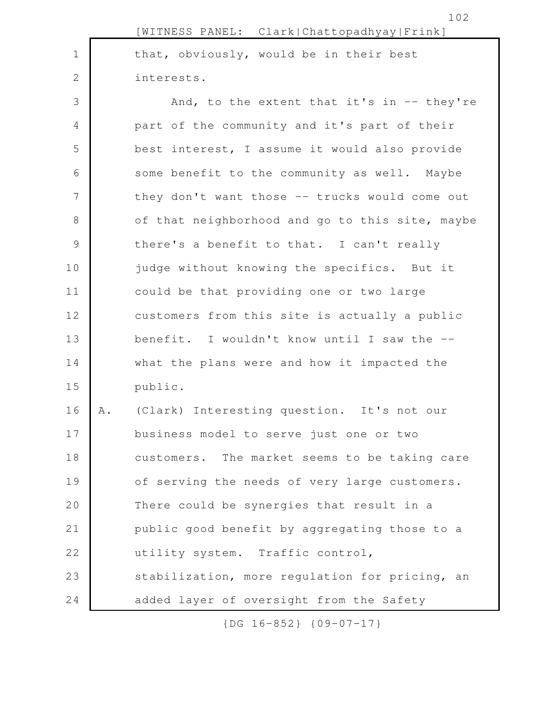|                |    | [WITNESS PANEL: Clark Chattopadhyay Frink]       |
|----------------|----|--------------------------------------------------|
| $\mathbf 1$    |    | that, obviously, would be in their best          |
| 2              |    | interests.                                       |
| 3              |    | And, to the extent that it's in $-$ they're      |
| 4              |    | part of the community and it's part of their     |
| 5              |    | best interest, I assume it would also provide    |
| 6              |    | some benefit to the community as well. Maybe     |
| $7\phantom{.}$ |    | they don't want those -- trucks would come out   |
| $8\,$          |    | of that neighborhood and go to this site, maybe  |
| $\mathcal{G}$  |    | there's a benefit to that. I can't really        |
| 10             |    | judge without knowing the specifics. But it      |
| 11             |    | could be that providing one or two large         |
| 12             |    | customers from this site is actually a public    |
| 13             |    | benefit. I wouldn't know until I saw the --      |
| 14             |    | what the plans were and how it impacted the      |
| 15             |    | public.                                          |
| 16             | Α. | (Clark) Interesting question. It's not our       |
| 17             |    | business model to serve just one or two          |
| 18             |    | The market seems to be taking care<br>customers. |
| 19             |    | of serving the needs of very large customers.    |
| 20             |    | There could be synergies that result in a        |
| 21             |    | public good benefit by aggregating those to a    |
| 22             |    | utility system. Traffic control,                 |
| 23             |    | stabilization, more regulation for pricing, an   |
| 24             |    | added layer of oversight from the Safety         |

102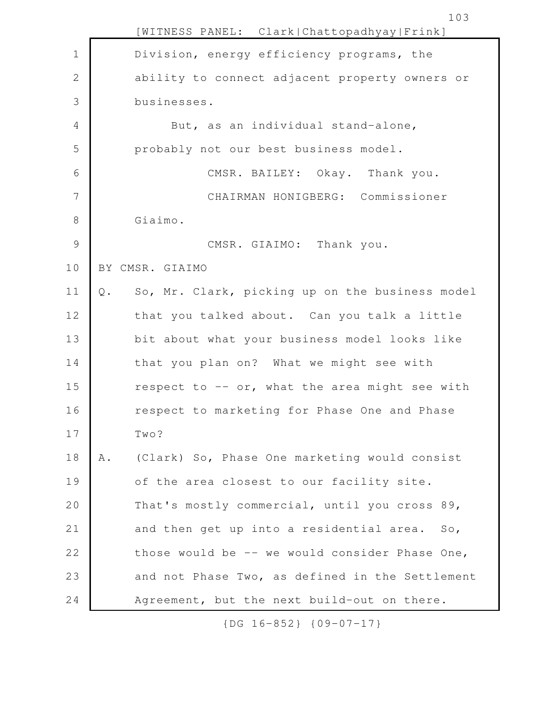|              |       | [WITNESS PANEL: Clark Chattopadhyay Frink]      |
|--------------|-------|-------------------------------------------------|
| $\mathbf 1$  |       | Division, energy efficiency programs, the       |
| $\mathbf{2}$ |       | ability to connect adjacent property owners or  |
| 3            |       | businesses.                                     |
| 4            |       | But, as an individual stand-alone,              |
| 5            |       | probably not our best business model.           |
| 6            |       | CMSR. BAILEY: Okay. Thank you.                  |
| 7            |       | CHAIRMAN HONIGBERG: Commissioner                |
| $8\,$        |       | Giaimo.                                         |
| 9            |       | CMSR. GIAIMO: Thank you.                        |
| 10           |       | BY CMSR. GIAIMO                                 |
| 11           | $Q$ . | So, Mr. Clark, picking up on the business model |
| 12           |       | that you talked about. Can you talk a little    |
| 13           |       | bit about what your business model looks like   |
| 14           |       | that you plan on? What we might see with        |
| 15           |       | respect to -- or, what the area might see with  |
| 16           |       | respect to marketing for Phase One and Phase    |
| 17           |       | Two?                                            |
| 18           | Α.    | (Clark) So, Phase One marketing would consist   |
| 19           |       | of the area closest to our facility site.       |
| 20           |       | That's mostly commercial, until you cross 89,   |
| 21           |       | and then get up into a residential area. So,    |
| 22           |       | those would be -- we would consider Phase One,  |
| 23           |       | and not Phase Two, as defined in the Settlement |
| 24           |       | Agreement, but the next build-out on there.     |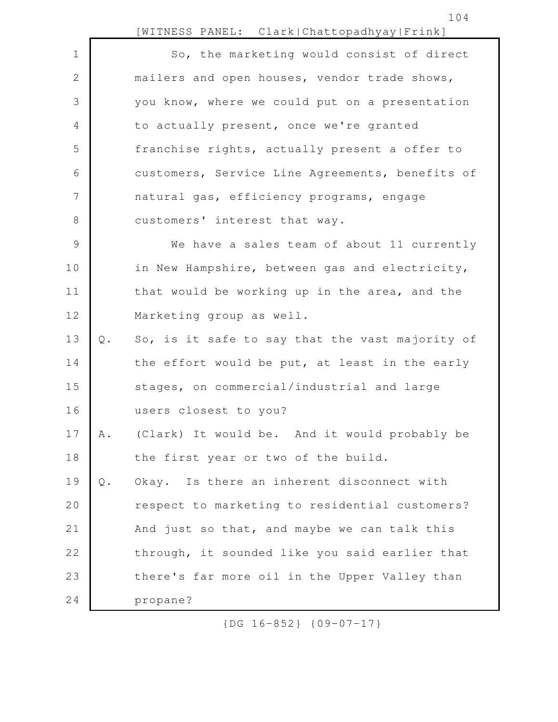|             |       | [WITNESS PANEL: Clark Chattopadhyay Frink]      |
|-------------|-------|-------------------------------------------------|
| $\mathbf 1$ |       | So, the marketing would consist of direct       |
| 2           |       | mailers and open houses, vendor trade shows,    |
| 3           |       | you know, where we could put on a presentation  |
| 4           |       | to actually present, once we're granted         |
| 5           |       | franchise rights, actually present a offer to   |
| 6           |       | customers, Service Line Agreements, benefits of |
| 7           |       | natural gas, efficiency programs, engage        |
| 8           |       | customers' interest that way.                   |
| 9           |       | We have a sales team of about 11 currently      |
| 10          |       | in New Hampshire, between gas and electricity,  |
| 11          |       | that would be working up in the area, and the   |
| 12          |       | Marketing group as well.                        |
| 13          | $Q$ . | So, is it safe to say that the vast majority of |
| 14          |       | the effort would be put, at least in the early  |
| 15          |       | stages, on commercial/industrial and large      |
| 16          |       | users closest to you?                           |
| 17          | Α.    | (Clark) It would be. And it would probably be   |
| 18          |       | the first year or two of the build.             |
| 19          | $Q$ . | Okay. Is there an inherent disconnect with      |
| 20          |       | respect to marketing to residential customers?  |
| 21          |       | And just so that, and maybe we can talk this    |
| 22          |       | through, it sounded like you said earlier that  |
| 23          |       | there's far more oil in the Upper Valley than   |
| 24          |       | propane?                                        |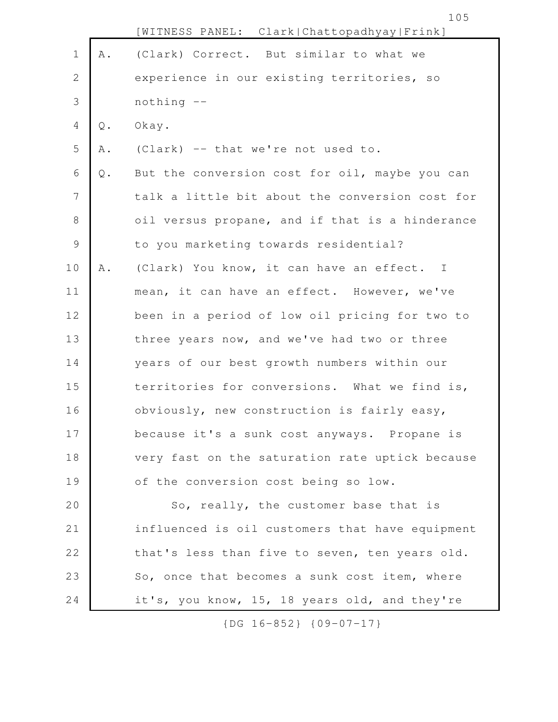|               |               | 105<br>[WITNESS PANEL: Clark Chattopadhyay Frink] |
|---------------|---------------|---------------------------------------------------|
| $\mathbf 1$   | A .           | (Clark) Correct. But similar to what we           |
| $\mathbf{2}$  |               | experience in our existing territories, so        |
| 3             |               | nothing --                                        |
| 4             | $Q$ .         | Okay.                                             |
| 5             | Α.            | (Clark) -- that we're not used to.                |
| 6             | $\mathbb Q$ . | But the conversion cost for oil, maybe you can    |
| 7             |               | talk a little bit about the conversion cost for   |
| 8             |               | oil versus propane, and if that is a hinderance   |
| $\mathcal{G}$ |               | to you marketing towards residential?             |
| 10            | Α.            | (Clark) You know, it can have an effect. I        |
| 11            |               | mean, it can have an effect. However, we've       |
| 12            |               | been in a period of low oil pricing for two to    |
| 13            |               | three years now, and we've had two or three       |
| 14            |               | years of our best growth numbers within our       |
| 15            |               | territories for conversions. What we find is,     |
| 16            |               | obviously, new construction is fairly easy,       |
| 17            |               | because it's a sunk cost anyways. Propane is      |
| 18            |               | very fast on the saturation rate uptick because   |
| 19            |               | of the conversion cost being so low.              |
| 20            |               | So, really, the customer base that is             |
| 21            |               | influenced is oil customers that have equipment   |
| 22            |               | that's less than five to seven, ten years old.    |
| 23            |               | So, once that becomes a sunk cost item, where     |
| 24            |               | it's, you know, 15, 18 years old, and they're     |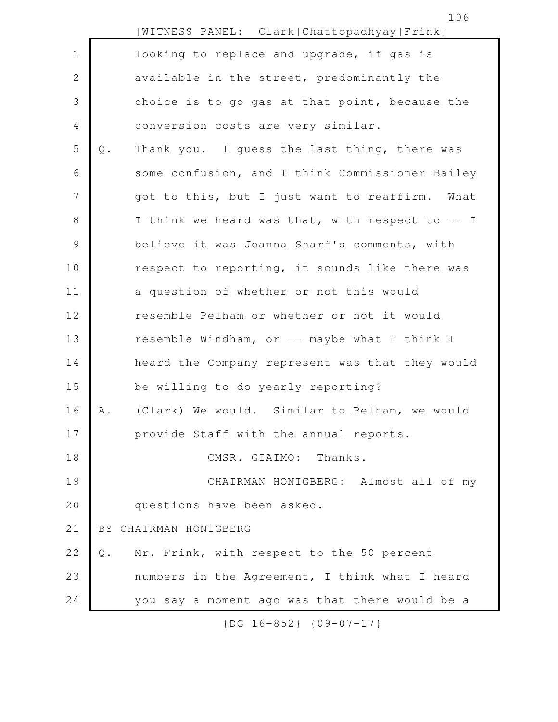|                |               | [WITNESS PANEL: Clark Chattopadhyay Frink]      |
|----------------|---------------|-------------------------------------------------|
| $\mathbf 1$    |               | looking to replace and upgrade, if gas is       |
| $\mathbf{2}$   |               | available in the street, predominantly the      |
| 3              |               | choice is to go gas at that point, because the  |
| 4              |               | conversion costs are very similar.              |
| 5              | $\mathbb Q$ . | Thank you. I guess the last thing, there was    |
| 6              |               | some confusion, and I think Commissioner Bailey |
| $\overline{7}$ |               | got to this, but I just want to reaffirm. What  |
| 8              |               | I think we heard was that, with respect to -- I |
| $\mathcal{G}$  |               | believe it was Joanna Sharf's comments, with    |
| 10             |               | respect to reporting, it sounds like there was  |
| 11             |               | a question of whether or not this would         |
| 12             |               | resemble Pelham or whether or not it would      |
| 13             |               | resemble Windham, or -- maybe what I think I    |
| 14             |               | heard the Company represent was that they would |
| 15             |               | be willing to do yearly reporting?              |
| 16             | Α.            | (Clark) We would. Similar to Pelham, we would   |
| 17             |               | provide Staff with the annual reports.          |
| 18             |               | CMSR. GIAIMO: Thanks.                           |
| 19             |               | CHAIRMAN HONIGBERG: Almost all of my            |
| 20             |               | questions have been asked.                      |
| 21             |               | BY CHAIRMAN HONIGBERG                           |
| 22             | $\mathbb Q$ . | Mr. Frink, with respect to the 50 percent       |
| 23             |               | numbers in the Agreement, I think what I heard  |
| 24             |               | you say a moment ago was that there would be a  |

106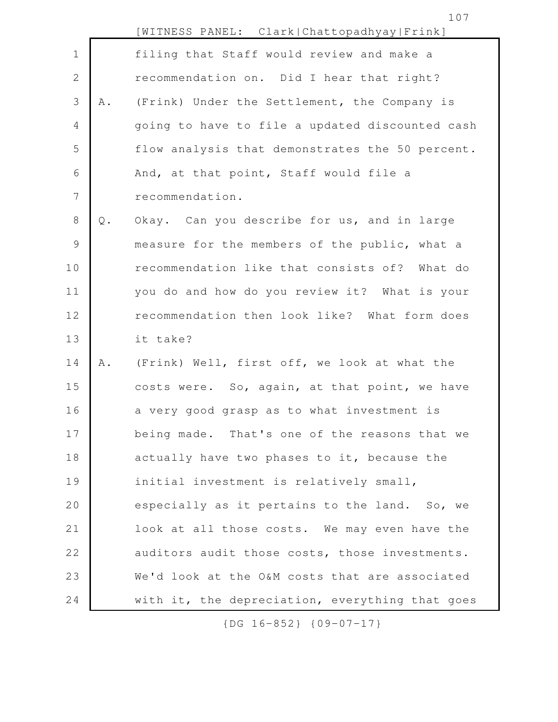|                |               | [WITNESS PANEL: Clark Chattopadhyay Frink]      |
|----------------|---------------|-------------------------------------------------|
| $1\,$          |               | filing that Staff would review and make a       |
| $\mathbf{2}$   |               | recommendation on. Did I hear that right?       |
| 3              | Α.            | (Frink) Under the Settlement, the Company is    |
| 4              |               | going to have to file a updated discounted cash |
| 5              |               | flow analysis that demonstrates the 50 percent. |
| 6              |               | And, at that point, Staff would file a          |
| $\overline{7}$ |               | recommendation.                                 |
| 8              | $\mathbb Q$ . | Okay. Can you describe for us, and in large     |
| 9              |               | measure for the members of the public, what a   |
| 10             |               | recommendation like that consists of? What do   |
| 11             |               | you do and how do you review it? What is your   |
| 12             |               | recommendation then look like? What form does   |
| 13             |               | it take?                                        |
| 14             | Α.            | (Frink) Well, first off, we look at what the    |
| 15             |               | costs were. So, again, at that point, we have   |
| 16             |               | a very good grasp as to what investment is      |
| 17             |               | being made. That's one of the reasons that we   |
| 18             |               | actually have two phases to it, because the     |
| 19             |               | initial investment is relatively small,         |
| 20             |               | especially as it pertains to the land. So, we   |
| 21             |               | look at all those costs. We may even have the   |
| 22             |               | auditors audit those costs, those investments.  |
| 23             |               | We'd look at the O&M costs that are associated  |
| 24             |               | with it, the depreciation, everything that goes |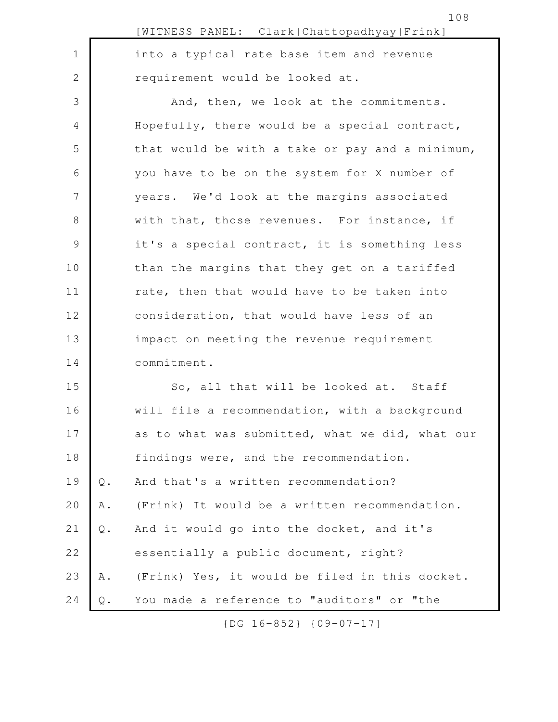|               |               | [WITNESS PANEL: Clark Chattopadhyay Frink]      |
|---------------|---------------|-------------------------------------------------|
| $\mathbf 1$   |               | into a typical rate base item and revenue       |
| $\mathbf{2}$  |               | requirement would be looked at.                 |
| 3             |               | And, then, we look at the commitments.          |
| 4             |               | Hopefully, there would be a special contract,   |
| 5             |               | that would be with a take-or-pay and a minimum, |
| 6             |               | you have to be on the system for X number of    |
| 7             |               | years. We'd look at the margins associated      |
| $\,8\,$       |               | with that, those revenues. For instance, if     |
| $\mathcal{G}$ |               | it's a special contract, it is something less   |
| 10            |               | than the margins that they get on a tariffed    |
| 11            |               | rate, then that would have to be taken into     |
| 12            |               | consideration, that would have less of an       |
| 13            |               | impact on meeting the revenue requirement       |
| 14            |               | commitment.                                     |
| 15            |               | So, all that will be looked at. Staff           |
| 16            |               | will file a recommendation, with a background   |
| 17            |               | as to what was submitted, what we did, what our |
| 18            |               | findings were, and the recommendation.          |
| 19            | $\mathsf Q$ . | And that's a written recommendation?            |
| 20            | A .           | (Frink) It would be a written recommendation.   |
| 21            | Q.            | And it would go into the docket, and it's       |
| 22            |               | essentially a public document, right?           |
| 23            | Α.            | (Frink) Yes, it would be filed in this docket.  |
| 24            | Q.            | You made a reference to "auditors" or "the      |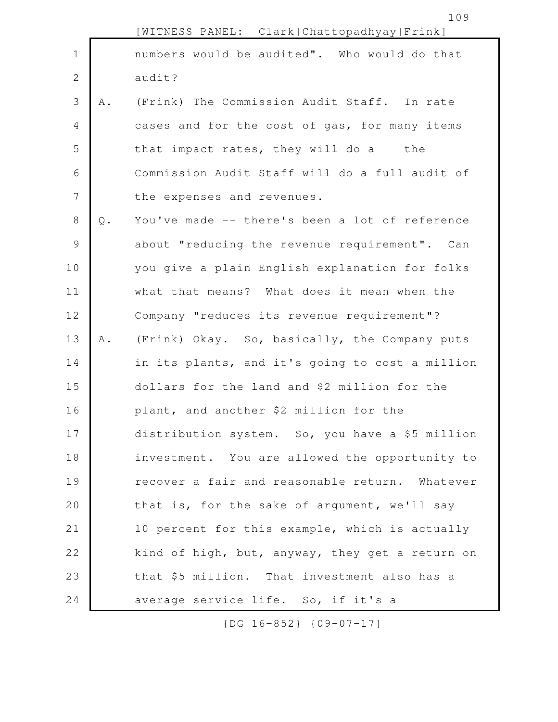|              |               | [WITNESS PANEL: Clark Chattopadhyay Frink]      |
|--------------|---------------|-------------------------------------------------|
| $\mathbf 1$  |               | numbers would be audited". Who would do that    |
| $\mathbf{2}$ |               | audit?                                          |
| 3            | Α.            | (Frink) The Commission Audit Staff. In rate     |
| 4            |               | cases and for the cost of gas, for many items   |
| 5            |               | that impact rates, they will do a $-$ - the     |
| 6            |               | Commission Audit Staff will do a full audit of  |
| 7            |               | the expenses and revenues.                      |
| $8\,$        | $\mathbb Q$ . | You've made -- there's been a lot of reference  |
| $\mathsf{S}$ |               | about "reducing the revenue requirement". Can   |
| 10           |               | you give a plain English explanation for folks  |
| 11           |               | what that means? What does it mean when the     |
| 12           |               | Company "reduces its revenue requirement"?      |
| 13           | Α.            | (Frink) Okay. So, basically, the Company puts   |
| 14           |               | in its plants, and it's going to cost a million |
| 15           |               | dollars for the land and \$2 million for the    |
| 16           |               | plant, and another \$2 million for the          |
| 17           |               | distribution system. So, you have a \$5 million |
| 18           |               | investment. You are allowed the opportunity to  |
| 19           |               | recover a fair and reasonable return. Whatever  |
| 20           |               | that is, for the sake of argument, we'll say    |
| 21           |               | 10 percent for this example, which is actually  |
| 22           |               | kind of high, but, anyway, they get a return on |
| 23           |               | that \$5 million. That investment also has a    |
| 24           |               | average service life. So, if it's a             |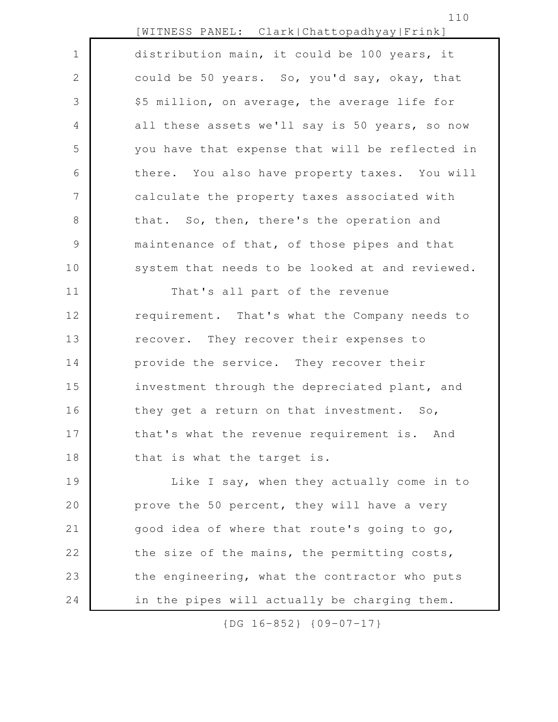|                | [WITNESS PANEL: Clark Chattopadhyay Frink]      |
|----------------|-------------------------------------------------|
| $\mathbf 1$    | distribution main, it could be 100 years, it    |
| $\overline{2}$ | could be 50 years. So, you'd say, okay, that    |
| 3              | \$5 million, on average, the average life for   |
| 4              | all these assets we'll say is 50 years, so now  |
| 5              | you have that expense that will be reflected in |
| 6              | there. You also have property taxes. You will   |
| $\overline{7}$ | calculate the property taxes associated with    |
| 8              | that. So, then, there's the operation and       |
| $\mathcal{G}$  | maintenance of that, of those pipes and that    |
| 10             | system that needs to be looked at and reviewed. |
| 11             | That's all part of the revenue                  |
| 12             | requirement. That's what the Company needs to   |
| 13             | recover. They recover their expenses to         |
| 14             | provide the service. They recover their         |
| 15             | investment through the depreciated plant, and   |
| 16             | they get a return on that investment. So,       |
| 17             | that's what the revenue requirement is. And     |
| 18             | that is what the target is.                     |
| 19             | Like I say, when they actually come in to       |
| 20             | prove the 50 percent, they will have a very     |
| 21             | good idea of where that route's going to go,    |
| 22             | the size of the mains, the permitting costs,    |
| 23             | the engineering, what the contractor who puts   |
| 24             | in the pipes will actually be charging them.    |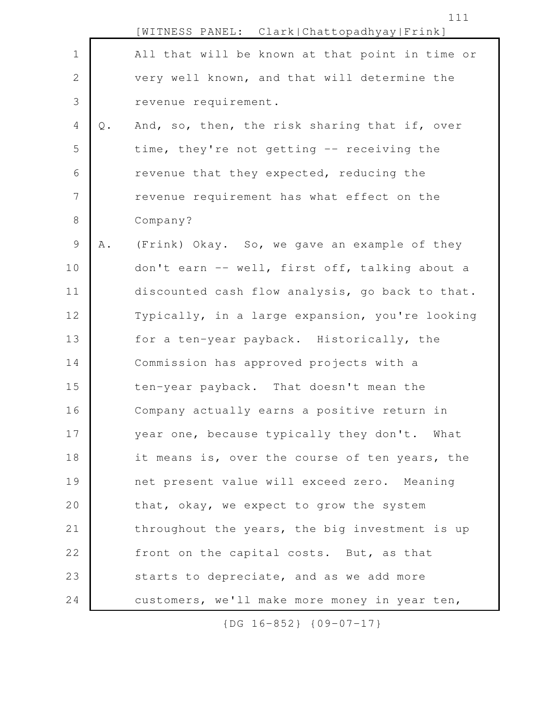|                |       | [WITNESS PANEL: Clark Chattopadhyay Frink]      |
|----------------|-------|-------------------------------------------------|
| $\mathbf 1$    |       | All that will be known at that point in time or |
| $\mathbf{2}$   |       | very well known, and that will determine the    |
| 3              |       | revenue requirement.                            |
| $\overline{4}$ | $Q$ . | And, so, then, the risk sharing that if, over   |
| 5              |       | time, they're not getting -- receiving the      |
| 6              |       | revenue that they expected, reducing the        |
| $\overline{7}$ |       | revenue requirement has what effect on the      |
| $8\,$          |       | Company?                                        |
| $\mathcal{G}$  | Α.    | (Frink) Okay. So, we gave an example of they    |
| 10             |       | don't earn -- well, first off, talking about a  |
| 11             |       | discounted cash flow analysis, go back to that. |
| 12             |       | Typically, in a large expansion, you're looking |
| 13             |       | for a ten-year payback. Historically, the       |
| 14             |       | Commission has approved projects with a         |
| 15             |       | ten-year payback. That doesn't mean the         |
| 16             |       | Company actually earns a positive return in     |
| 17             |       | year one, because typically they don't. What    |
| 18             |       | it means is, over the course of ten years, the  |
| 19             |       | net present value will exceed zero. Meaning     |
| 20             |       | that, okay, we expect to grow the system        |
| 21             |       | throughout the years, the big investment is up  |
| 22             |       | front on the capital costs. But, as that        |
| 23             |       | starts to depreciate, and as we add more        |
| 24             |       | customers, we'll make more money in year ten,   |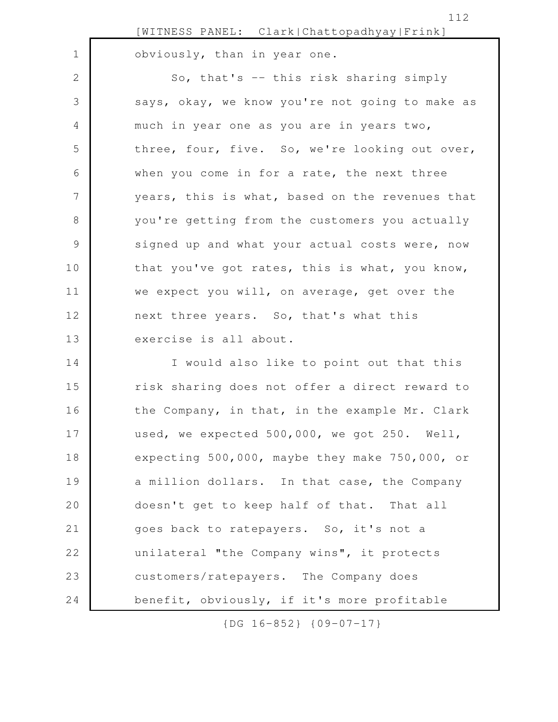obviously, than in year one.

1

So, that's -- this risk sharing simply says, okay, we know you're not going to make as much in year one as you are in years two, three, four, five. So, we're looking out over, when you come in for a rate, the next three years, this is what, based on the revenues that you're getting from the customers you actually signed up and what your actual costs were, now that you've got rates, this is what, you know, we expect you will, on average, get over the next three years. So, that's what this exercise is all about. 2 3 4 5 6 7 8 9 10 11 12 13

I would also like to point out that this risk sharing does not offer a direct reward to the Company, in that, in the example Mr. Clark used, we expected 500,000, we got 250. Well, expecting 500,000, maybe they make 750,000, or a million dollars. In that case, the Company doesn't get to keep half of that. That all goes back to ratepayers. So, it's not a unilateral "the Company wins", it protects customers/ratepayers. The Company does benefit, obviously, if it's more profitable 14 15 16 17 18 19 20 21 22 23 24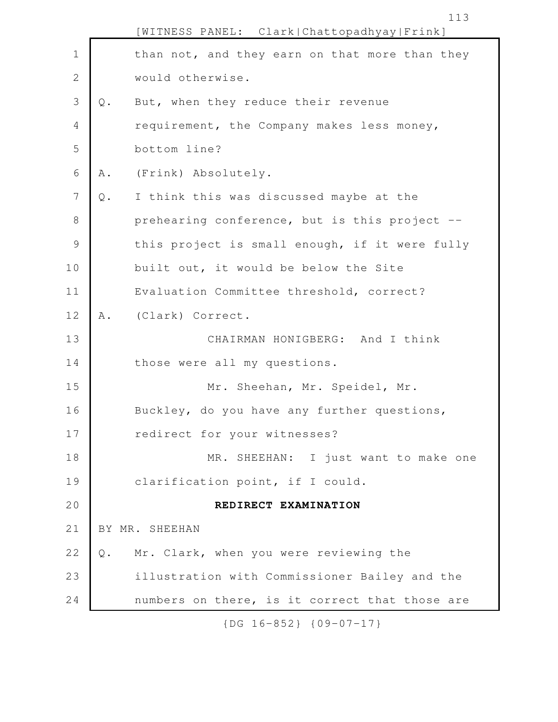|                |               | [WITNESS PANEL: Clark Chattopadhyay Frink]     |
|----------------|---------------|------------------------------------------------|
| $\mathbf 1$    |               | than not, and they earn on that more than they |
| $\mathbf{2}$   |               | would otherwise.                               |
| 3              | Q.            | But, when they reduce their revenue            |
| 4              |               | requirement, the Company makes less money,     |
| 5              |               | bottom line?                                   |
| 6              | Α.            | (Frink) Absolutely.                            |
| $\overline{7}$ | $\mathbb Q$ . | I think this was discussed maybe at the        |
| 8              |               | prehearing conference, but is this project --  |
| $\mathcal{G}$  |               | this project is small enough, if it were fully |
| 10             |               | built out, it would be below the Site          |
| 11             |               | Evaluation Committee threshold, correct?       |
| 12             | Α.            | (Clark) Correct.                               |
| 13             |               | CHAIRMAN HONIGBERG: And I think                |
| 14             |               | those were all my questions.                   |
| 15             |               | Mr. Sheehan, Mr. Speidel, Mr.                  |
| 16             |               | Buckley, do you have any further questions,    |
| 17             |               | redirect for your witnesses?                   |
| 18             |               | MR. SHEEHAN: I just want to make one           |
| 19             |               | clarification point, if I could.               |
| 20             |               | REDIRECT EXAMINATION                           |
| 21             |               | BY MR. SHEEHAN                                 |
| 22             | Q.            | Mr. Clark, when you were reviewing the         |
| 23             |               | illustration with Commissioner Bailey and the  |
| 24             |               | numbers on there, is it correct that those are |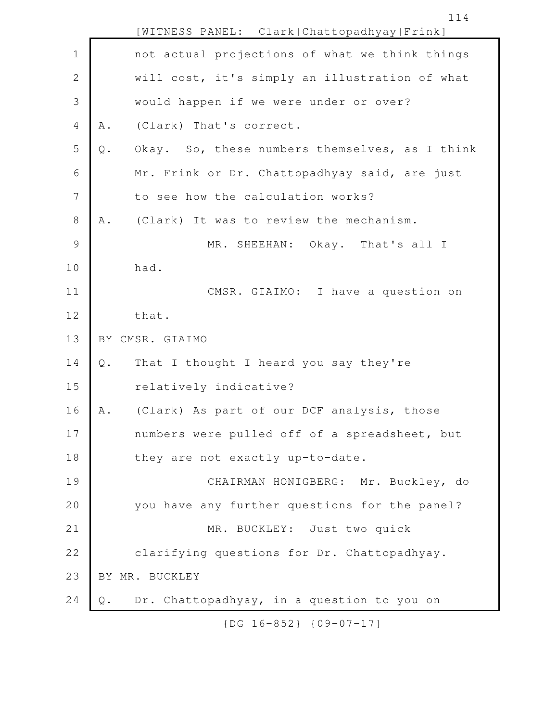[WITNESS PANEL: Clark|Chattopadhyay|Frink] not actual projections of what we think things will cost, it's simply an illustration of what would happen if we were under or over? A. (Clark) That's correct. Q. Okay. So, these numbers themselves, as I think Mr. Frink or Dr. Chattopadhyay said, are just to see how the calculation works? A. (Clark) It was to review the mechanism. MR. SHEEHAN: Okay. That's all I had. CMSR. GIAIMO: I have a question on that. BY CMSR. GIAIMO Q. That I thought I heard you say they're relatively indicative? A. (Clark) As part of our DCF analysis, those numbers were pulled off of a spreadsheet, but they are not exactly up-to-date. CHAIRMAN HONIGBERG: Mr. Buckley, do you have any further questions for the panel? MR. BUCKLEY: Just two quick clarifying questions for Dr. Chattopadhyay. BY MR. BUCKLEY Q. Dr. Chattopadhyay, in a question to you on 1 2 3 4 5 6 7 8 9 10 11 12 13 14 15 16 17 18 19 20 21 22 23 24

114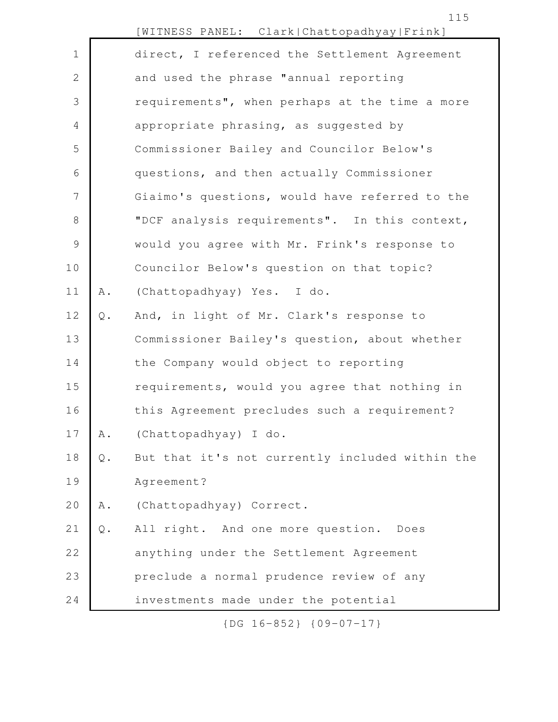|              |               | [WITNESS PANEL: Clark Chattopadhyay Frink]      |
|--------------|---------------|-------------------------------------------------|
| $\mathbf 1$  |               | direct, I referenced the Settlement Agreement   |
| $\mathbf{2}$ |               | and used the phrase "annual reporting           |
| 3            |               | requirements", when perhaps at the time a more  |
| 4            |               | appropriate phrasing, as suggested by           |
| 5            |               | Commissioner Bailey and Councilor Below's       |
| 6            |               | questions, and then actually Commissioner       |
| 7            |               | Giaimo's questions, would have referred to the  |
| 8            |               | "DCF analysis requirements". In this context,   |
| 9            |               | would you agree with Mr. Frink's response to    |
| 10           |               | Councilor Below's question on that topic?       |
| 11           | Α.            | (Chattopadhyay) Yes. I do.                      |
| 12           | $\mathbb Q$ . | And, in light of Mr. Clark's response to        |
| 13           |               | Commissioner Bailey's question, about whether   |
| 14           |               | the Company would object to reporting           |
| 15           |               | requirements, would you agree that nothing in   |
| 16           |               | this Agreement precludes such a requirement?    |
| 17           | Α.            | (Chattopadhyay) I do.                           |
| 18           | $\mathsf Q$ . | But that it's not currently included within the |
| 19           |               | Agreement?                                      |
| 20           | Α.            | (Chattopadhyay) Correct.                        |
| 21           | $\mathbb Q$ . | All right. And one more question. Does          |
| 22           |               | anything under the Settlement Agreement         |
| 23           |               | preclude a normal prudence review of any        |
| 24           |               | investments made under the potential            |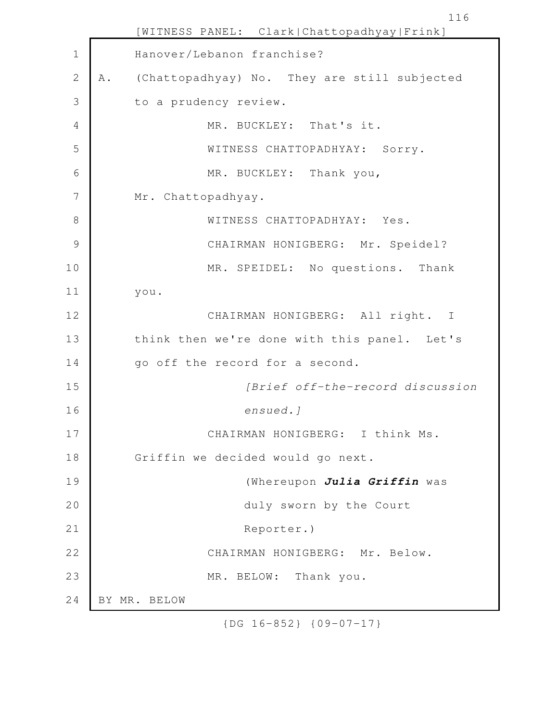[WITNESS PANEL: Clark|Chattopadhyay|Frink] Hanover/Lebanon franchise? A. (Chattopadhyay) No. They are still subjected to a prudency review. MR. BUCKLEY: That's it. WITNESS CHATTOPADHYAY: Sorry. MR. BUCKLEY: Thank you, Mr. Chattopadhyay. WITNESS CHATTOPADHYAY: Yes. CHAIRMAN HONIGBERG: Mr. Speidel? MR. SPEIDEL: No questions. Thank you. CHAIRMAN HONIGBERG: All right. I think then we're done with this panel. Let's go off the record for a second. *[Brief off-the-record discussion ensued.]* CHAIRMAN HONIGBERG: I think Ms. Griffin we decided would go next. (Whereupon *Julia Griffin* was duly sworn by the Court Reporter.) CHAIRMAN HONIGBERG: Mr. Below. MR. BELOW: Thank you. BY MR. BELOW 1 2 3 4 5 6 7 8 9 10 11 12 13 14 15 16 17 18 19 20 21 22 23 24

116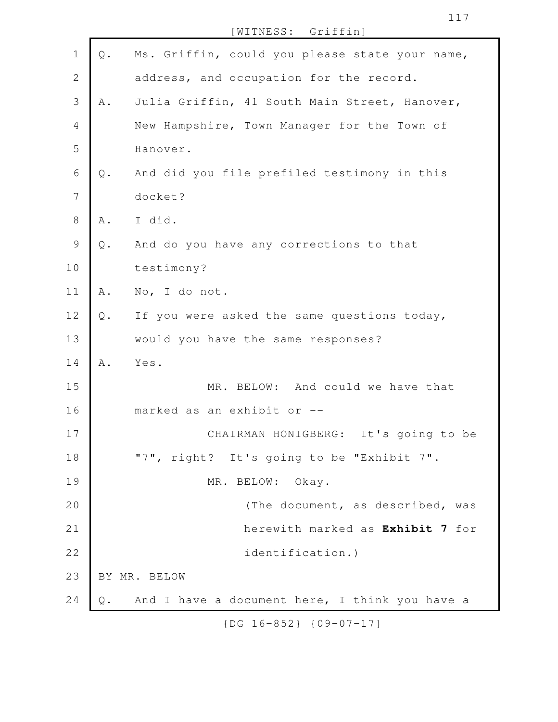[WITNESS: Griffin]

| $\mathbf 1$    | $\mathbb Q$ . | Ms. Griffin, could you please state your name, |
|----------------|---------------|------------------------------------------------|
|                |               |                                                |
| $\mathbf{2}$   |               | address, and occupation for the record.        |
| 3              | Α.            | Julia Griffin, 41 South Main Street, Hanover,  |
| $\overline{4}$ |               | New Hampshire, Town Manager for the Town of    |
| 5              |               | Hanover.                                       |
| 6              | Q.            | And did you file prefiled testimony in this    |
| $\overline{7}$ |               | docket?                                        |
| $\,8\,$        | Α.            | I did.                                         |
| $\mathsf 9$    | $\mathbb Q$ . | And do you have any corrections to that        |
| 10             |               | testimony?                                     |
| 11             | Α.            | No, I do not.                                  |
| 12             | $\mathbb Q$ . | If you were asked the same questions today,    |
| 13             |               | would you have the same responses?             |
| 14             | Α.            | Yes.                                           |
| 15             |               | MR. BELOW: And could we have that              |
| 16             |               | marked as an exhibit or --                     |
| 17             |               | CHAIRMAN HONIGBERG: It's going to be           |
| 18             |               | "7", right? It's going to be "Exhibit 7".      |
| 19             |               | MR. BELOW: Okay.                               |
| 20             |               | (The document, as described, was               |
| 21             |               | herewith marked as Exhibit 7 for               |
| 22             |               | identification.)                               |
| 23             |               | BY MR. BELOW                                   |
| 24             | Q.            | And I have a document here, I think you have a |
|                |               | $\{DG\ 16-852\}$ $\{09-07-17\}$                |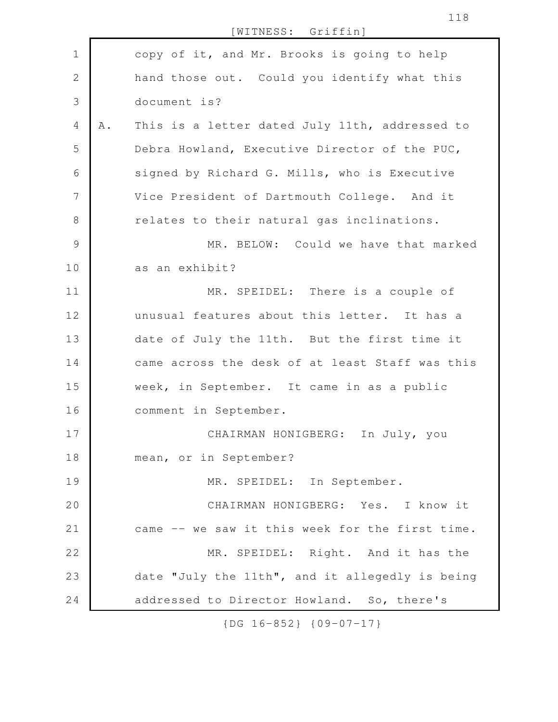[WITNESS: Griffin] copy of it, and Mr. Brooks is going to help hand those out. Could you identify what this document is? A. This is a letter dated July 11th, addressed to Debra Howland, Executive Director of the PUC, signed by Richard G. Mills, who is Executive Vice President of Dartmouth College. And it relates to their natural gas inclinations. MR. BELOW: Could we have that marked as an exhibit? MR. SPEIDEL: There is a couple of unusual features about this letter. It has a date of July the 11th. But the first time it came across the desk of at least Staff was this week, in September. It came in as a public comment in September. CHAIRMAN HONIGBERG: In July, you mean, or in September? MR. SPEIDEL: In September. CHAIRMAN HONIGBERG: Yes. I know it came -- we saw it this week for the first time. MR. SPEIDEL: Right. And it has the date "July the 11th", and it allegedly is being addressed to Director Howland. So, there's 1 2 3 4 5 6 7 8 9 10 11 12 13 14 15 16 17 18 19 20 21 22 23 24

{DG 16-852} {09-07-17}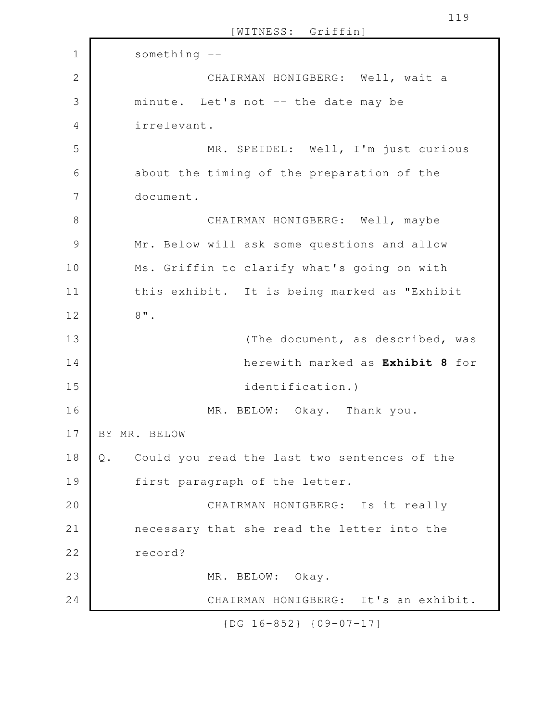[WITNESS: Griffin] something -- CHAIRMAN HONIGBERG: Well, wait a minute. Let's not -- the date may be irrelevant. MR. SPEIDEL: Well, I'm just curious about the timing of the preparation of the document. CHAIRMAN HONIGBERG: Well, maybe Mr. Below will ask some questions and allow Ms. Griffin to clarify what's going on with this exhibit. It is being marked as "Exhibit 8". (The document, as described, was herewith marked as **Exhibit 8** for identification.) MR. BELOW: Okay. Thank you. BY MR. BELOW Q. Could you read the last two sentences of the first paragraph of the letter. CHAIRMAN HONIGBERG: Is it really necessary that she read the letter into the record? MR. BELOW: Okay. CHAIRMAN HONIGBERG: It's an exhibit. 1 2 3 4 5 6 7 8 9 10 11 12 13 14 15 16 17 18 19 20 21 22 23 24

{DG 16-852} {09-07-17}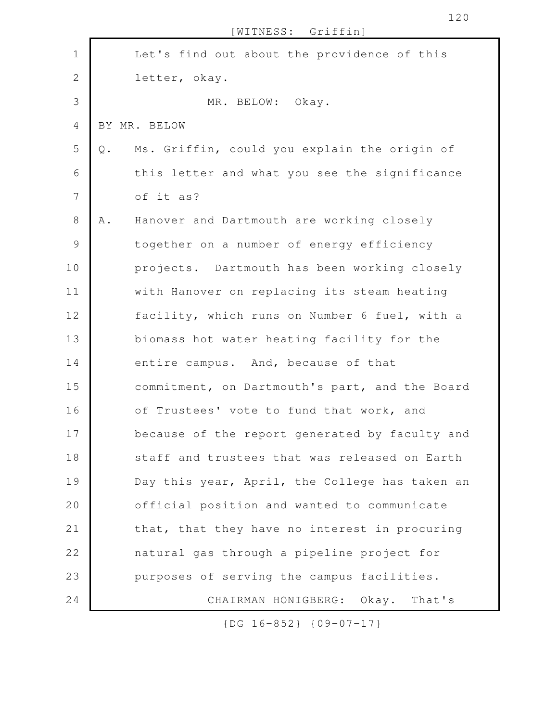|                |               | [WITNESS: Griffin]                             |
|----------------|---------------|------------------------------------------------|
| $\mathbf 1$    |               | Let's find out about the providence of this    |
| $\overline{2}$ |               | letter, okay.                                  |
| 3              |               | MR. BELOW: Okay.                               |
| 4              |               | BY MR. BELOW                                   |
| 5              | $\mathbb Q$ . | Ms. Griffin, could you explain the origin of   |
| 6              |               | this letter and what you see the significance  |
| $\overline{7}$ |               | of it as?                                      |
| 8              | Α.            | Hanover and Dartmouth are working closely      |
| $\mathsf 9$    |               | together on a number of energy efficiency      |
| 10             |               | projects. Dartmouth has been working closely   |
| 11             |               | with Hanover on replacing its steam heating    |
| 12             |               | facility, which runs on Number 6 fuel, with a  |
| 13             |               | biomass hot water heating facility for the     |
| 14             |               | entire campus. And, because of that            |
| 15             |               | commitment, on Dartmouth's part, and the Board |
| 16             |               | of Trustees' vote to fund that work, and       |
| 17             |               | because of the report generated by faculty and |
| 18             |               | staff and trustees that was released on Earth  |
| 19             |               | Day this year, April, the College has taken an |
| 20             |               | official position and wanted to communicate    |
| 21             |               | that, that they have no interest in procuring  |
| 22             |               | natural gas through a pipeline project for     |
| 23             |               | purposes of serving the campus facilities.     |
| 24             |               | CHAIRMAN HONIGBERG: Okay. That's               |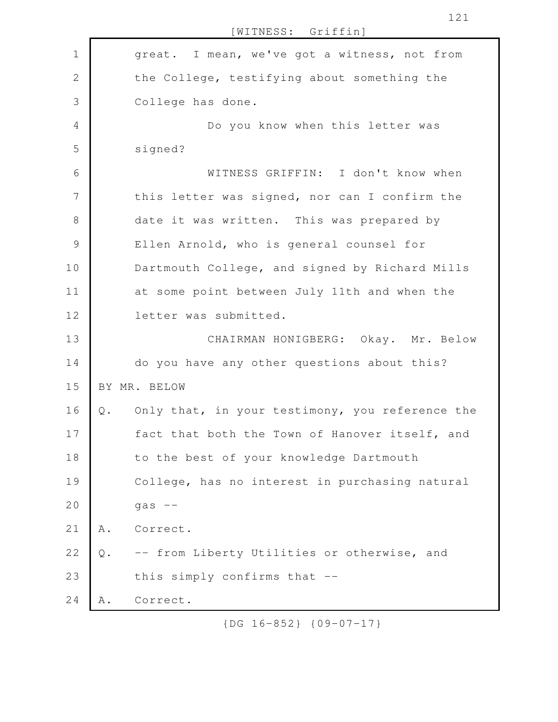great. I mean, we've got a witness, not from the College, testifying about something the College has done. Do you know when this letter was signed? WITNESS GRIFFIN: I don't know when this letter was signed, nor can I confirm the date it was written. This was prepared by Ellen Arnold, who is general counsel for Dartmouth College, and signed by Richard Mills at some point between July 11th and when the letter was submitted. CHAIRMAN HONIGBERG: Okay. Mr. Below do you have any other questions about this? BY MR. BELOW Q. Only that, in your testimony, you reference the fact that both the Town of Hanover itself, and to the best of your knowledge Dartmouth College, has no interest in purchasing natural  $gas$   $--$ A. Correct. Q. -- from Liberty Utilities or otherwise, and this simply confirms that -- A. Correct. 1 2 3 4 5 6 7 8 9 10 11 12 13 14 15 16 17 18 19 20 21 22 23 24

[WITNESS: Griffin]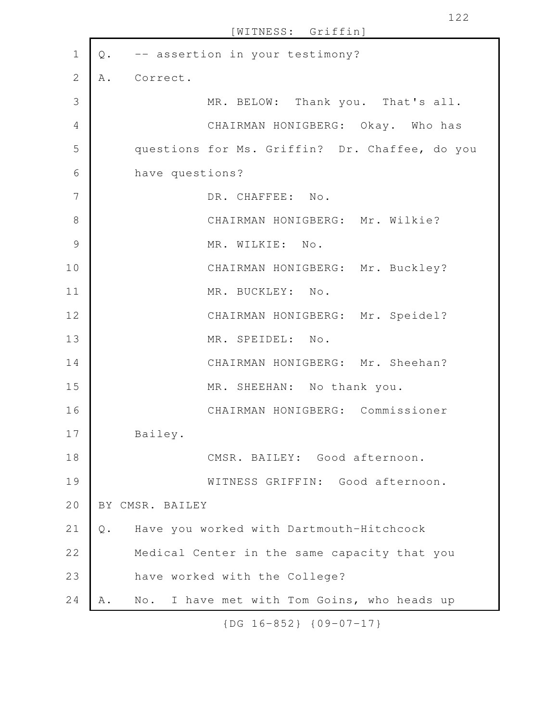| $\mathbf 1$    | $\mathsf Q$ . | -- assertion in your testimony?                                 |
|----------------|---------------|-----------------------------------------------------------------|
| $\mathbf{2}$   | Α.            | Correct.                                                        |
| 3              |               | MR. BELOW: Thank you. That's all.                               |
| $\overline{4}$ |               | CHAIRMAN HONIGBERG: Okay. Who has                               |
| 5              |               | questions for Ms. Griffin? Dr. Chaffee, do you                  |
| 6              |               | have questions?                                                 |
| 7              |               | DR. CHAFFEE: No.                                                |
| 8              |               | CHAIRMAN HONIGBERG: Mr. Wilkie?                                 |
| $\mathcal{G}$  |               | MR. WILKIE: No.                                                 |
| 10             |               | CHAIRMAN HONIGBERG: Mr. Buckley?                                |
| 11             |               | MR. BUCKLEY: No.                                                |
| 12             |               | CHAIRMAN HONIGBERG: Mr. Speidel?                                |
| 13             |               | MR. SPEIDEL: No.                                                |
| 14             |               | CHAIRMAN HONIGBERG: Mr. Sheehan?                                |
| 15             |               | MR. SHEEHAN: No thank you.                                      |
| 16             |               | CHAIRMAN HONIGBERG: Commissioner                                |
| 17             |               | Bailey.                                                         |
| 18             |               | CMSR. BAILEY: Good afternoon.                                   |
| 19             |               | WITNESS GRIFFIN: Good afternoon.                                |
| 20             |               | BY CMSR. BAILEY                                                 |
| 21             | $Q$ .         | Have you worked with Dartmouth-Hitchcock                        |
| 22             |               | Medical Center in the same capacity that you                    |
| 23             |               | have worked with the College?                                   |
| 24             | Α.            | I have met with Tom Goins, who heads up<br>$\mathbb{N} \circ$ . |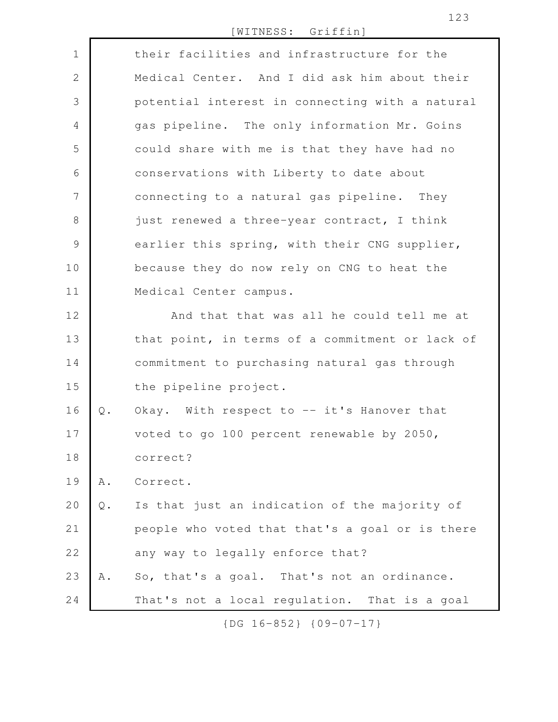[WITNESS: Griffin]

| $\mathbf 1$    |               | their facilities and infrastructure for the     |
|----------------|---------------|-------------------------------------------------|
| $\mathbf{2}$   |               | Medical Center. And I did ask him about their   |
| $\mathfrak{Z}$ |               | potential interest in connecting with a natural |
| $\overline{4}$ |               | gas pipeline. The only information Mr. Goins    |
| 5              |               | could share with me is that they have had no    |
| 6              |               | conservations with Liberty to date about        |
| 7              |               | connecting to a natural gas pipeline. They      |
| $\,8\,$        |               | just renewed a three-year contract, I think     |
| $\mathcal{G}$  |               | earlier this spring, with their CNG supplier,   |
| 10             |               | because they do now rely on CNG to heat the     |
| 11             |               | Medical Center campus.                          |
| 12             |               | And that that was all he could tell me at       |
| 13             |               | that point, in terms of a commitment or lack of |
| 14             |               | commitment to purchasing natural gas through    |
| 15             |               | the pipeline project.                           |
| 16             | $Q$ .         | Okay. With respect to -- it's Hanover that      |
| 17             |               | voted to go 100 percent renewable by 2050,      |
| 18             |               | correct?                                        |
| 19             | A .           | Correct.                                        |
| 20             | $\mathsf Q$ . | Is that just an indication of the majority of   |
| 21             |               | people who voted that that's a goal or is there |
| 22             |               | any way to legally enforce that?                |
| 23             | Α.            | So, that's a goal. That's not an ordinance.     |
| 24             |               | That's not a local regulation. That is a goal   |

{DG 16-852} {09-07-17}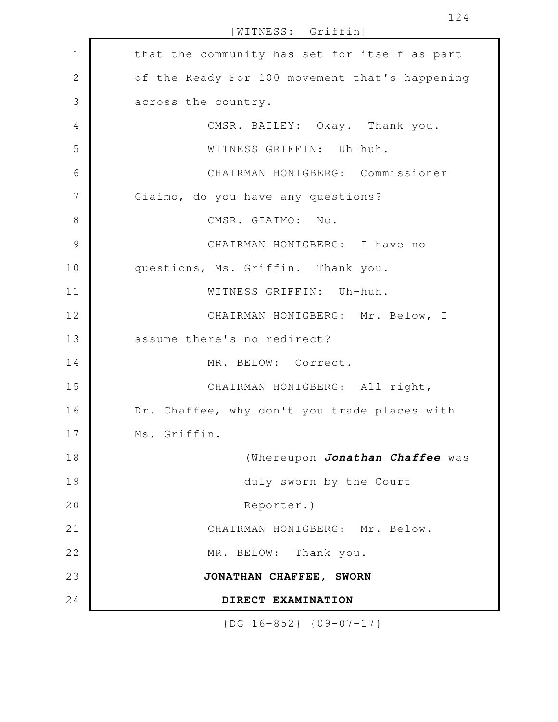| $\mathbf 1$    | that the community has set for itself as part  |
|----------------|------------------------------------------------|
| $\overline{2}$ | of the Ready For 100 movement that's happening |
| 3              | across the country.                            |
| $\overline{4}$ | CMSR. BAILEY: Okay. Thank you.                 |
| 5              | WITNESS GRIFFIN: Uh-huh.                       |
| 6              | CHAIRMAN HONIGBERG: Commissioner               |
| 7              | Giaimo, do you have any questions?             |
| $\,8\,$        | CMSR. GIAIMO: No.                              |
| $\mathcal{G}$  | CHAIRMAN HONIGBERG: I have no                  |
| 10             | questions, Ms. Griffin. Thank you.             |
| 11             | WITNESS GRIFFIN: Uh-huh.                       |
| 12             | CHAIRMAN HONIGBERG: Mr. Below, I               |
| 13             | assume there's no redirect?                    |
| 14             | MR. BELOW: Correct.                            |
| 15             | CHAIRMAN HONIGBERG: All right,                 |
| 16             | Dr. Chaffee, why don't you trade places with   |
| 17             | Ms. Griffin.                                   |
| 18             | (Whereupon Jonathan Chaffee was                |
| 19             | duly sworn by the Court                        |
| 20             | Reporter.)                                     |
| 21             | CHAIRMAN HONIGBERG: Mr. Below.                 |
| 22             | MR. BELOW: Thank you.                          |
| 23             | JONATHAN CHAFFEE, SWORN                        |
| 24             | DIRECT EXAMINATION                             |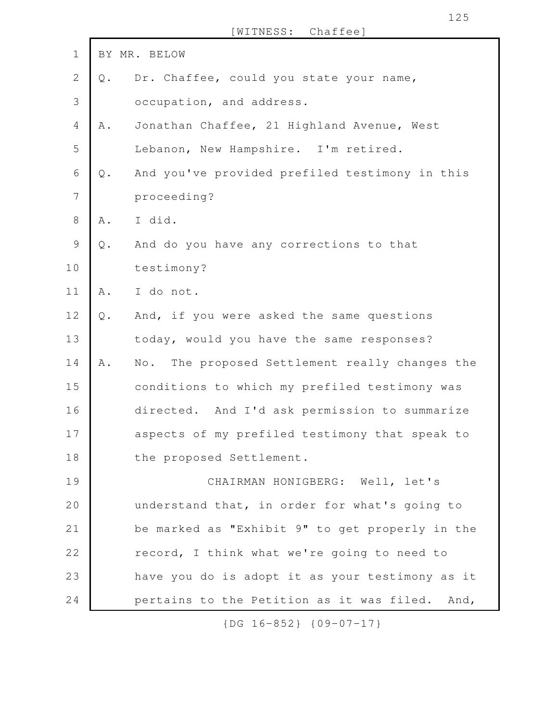| $\mathbf 1$    |               | BY MR. BELOW                                                      |
|----------------|---------------|-------------------------------------------------------------------|
| $\mathbf{2}$   | $Q$ .         | Dr. Chaffee, could you state your name,                           |
| 3              |               | occupation, and address.                                          |
| $\overline{4}$ | A .           | Jonathan Chaffee, 21 Highland Avenue, West                        |
| 5              |               | Lebanon, New Hampshire. I'm retired.                              |
| 6              | $\mathbb Q$ . | And you've provided prefiled testimony in this                    |
| 7              |               | proceeding?                                                       |
| 8              | A .           | I did.                                                            |
| 9              | $\mathbb Q$ . | And do you have any corrections to that                           |
| 10             |               | testimony?                                                        |
| 11             | A .           | I do not.                                                         |
| 12             | $Q$ .         | And, if you were asked the same questions                         |
| 13             |               | today, would you have the same responses?                         |
| 14             | A .           | The proposed Settlement really changes the<br>$\mathbb N \circ$ . |
| 15             |               | conditions to which my prefiled testimony was                     |
| 16             |               | directed. And I'd ask permission to summarize                     |
| 17             |               | aspects of my prefiled testimony that speak to                    |
| 18             |               | the proposed Settlement.                                          |
| 19             |               | CHAIRMAN HONIGBERG: Well, let's                                   |
| 20             |               | understand that, in order for what's going to                     |
| 21             |               | be marked as "Exhibit 9" to get properly in the                   |
| 22             |               | record, I think what we're going to need to                       |
| 23             |               | have you do is adopt it as your testimony as it                   |
| 24             |               | pertains to the Petition as it was filed. And,                    |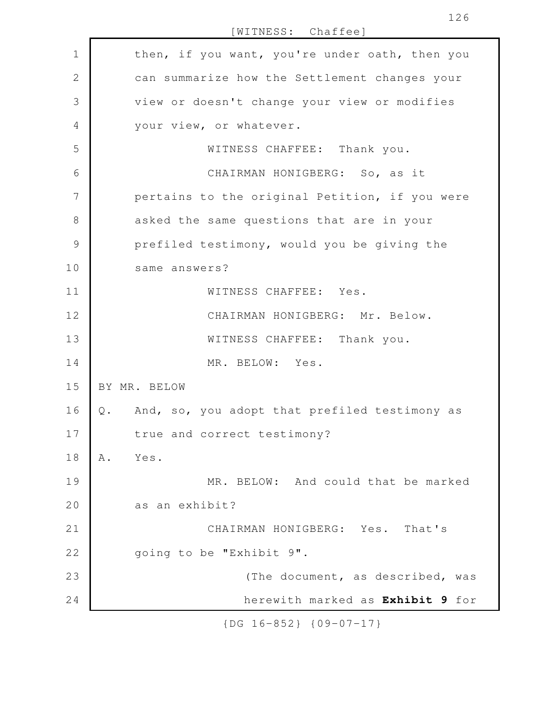| $\mathbf 1$   | then, if you want, you're under oath, then you                 |
|---------------|----------------------------------------------------------------|
| 2             | can summarize how the Settlement changes your                  |
| 3             | view or doesn't change your view or modifies                   |
| 4             | your view, or whatever.                                        |
| 5             | WITNESS CHAFFEE: Thank you.                                    |
| 6             | CHAIRMAN HONIGBERG: So, as it                                  |
| 7             | pertains to the original Petition, if you were                 |
| 8             | asked the same questions that are in your                      |
| $\mathcal{G}$ | prefiled testimony, would you be giving the                    |
| 10            | same answers?                                                  |
| 11            | WITNESS CHAFFEE: Yes.                                          |
| 12            | CHAIRMAN HONIGBERG: Mr. Below.                                 |
| 13            | WITNESS CHAFFEE: Thank you.                                    |
| 14            | MR. BELOW: Yes.                                                |
| 15            | BY MR. BELOW                                                   |
| 16            | And, so, you adopt that prefiled testimony as<br>$\mathbb Q$ . |
| 17            | true and correct testimony?                                    |
| 18            | Yes.<br>Α.                                                     |
| 19            | MR. BELOW: And could that be marked                            |
| 20            | as an exhibit?                                                 |
| 21            | CHAIRMAN HONIGBERG: Yes. That's                                |
| 22            | going to be "Exhibit 9".                                       |
| 23            | (The document, as described, was                               |
| 24            | herewith marked as Exhibit 9 for                               |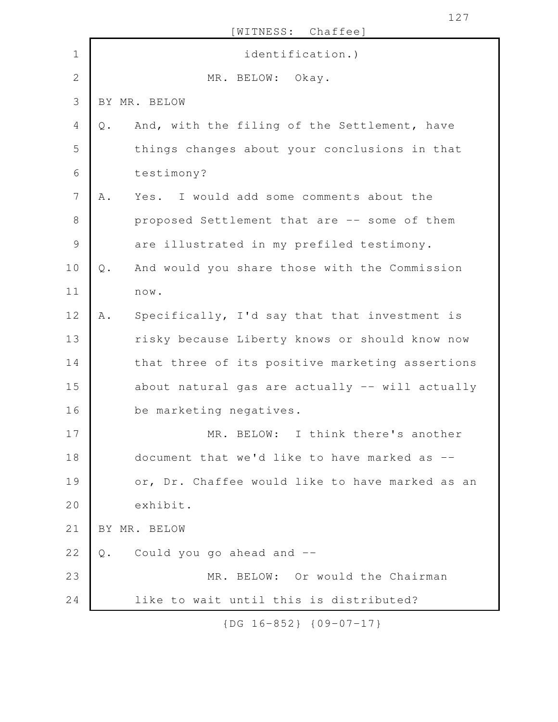| $\mathbf 1$<br>identification.)<br>$\sqrt{2}$<br>MR. BELOW: Okay.<br>3<br>BY MR. BELOW<br>4<br>And, with the filing of the Settlement, have<br>$Q$ .<br>5<br>things changes about your conclusions in that<br>6<br>testimony?<br>7<br>Yes. I would add some comments about the<br>Α.<br>8<br>proposed Settlement that are -- some of them<br>$\mathsf 9$<br>are illustrated in my prefiled testimony.<br>10<br>And would you share those with the Commission<br>$Q$ .<br>11<br>$\texttt{n}\, \texttt{o}\, \texttt{w}$ .<br>12<br>Specifically, I'd say that that investment is<br>A .<br>13<br>risky because Liberty knows or should know now<br>14<br>that three of its positive marketing assertions<br>15<br>16<br>be marketing negatives.<br>17<br>BELOW: I think there's another<br>MR.<br>18<br>document that we'd like to have marked as --<br>19<br>20<br>exhibit.<br>21<br>BY MR. BELOW<br>22<br>Could you go ahead and --<br>Q.<br>23<br>MR. BELOW: Or would the Chairman<br>24<br>like to wait until this is distributed? |  | [WITNESS: Chaffee]                              |
|--------------------------------------------------------------------------------------------------------------------------------------------------------------------------------------------------------------------------------------------------------------------------------------------------------------------------------------------------------------------------------------------------------------------------------------------------------------------------------------------------------------------------------------------------------------------------------------------------------------------------------------------------------------------------------------------------------------------------------------------------------------------------------------------------------------------------------------------------------------------------------------------------------------------------------------------------------------------------------------------------------------------------------------|--|-------------------------------------------------|
|                                                                                                                                                                                                                                                                                                                                                                                                                                                                                                                                                                                                                                                                                                                                                                                                                                                                                                                                                                                                                                      |  |                                                 |
|                                                                                                                                                                                                                                                                                                                                                                                                                                                                                                                                                                                                                                                                                                                                                                                                                                                                                                                                                                                                                                      |  |                                                 |
|                                                                                                                                                                                                                                                                                                                                                                                                                                                                                                                                                                                                                                                                                                                                                                                                                                                                                                                                                                                                                                      |  |                                                 |
|                                                                                                                                                                                                                                                                                                                                                                                                                                                                                                                                                                                                                                                                                                                                                                                                                                                                                                                                                                                                                                      |  |                                                 |
|                                                                                                                                                                                                                                                                                                                                                                                                                                                                                                                                                                                                                                                                                                                                                                                                                                                                                                                                                                                                                                      |  |                                                 |
|                                                                                                                                                                                                                                                                                                                                                                                                                                                                                                                                                                                                                                                                                                                                                                                                                                                                                                                                                                                                                                      |  |                                                 |
|                                                                                                                                                                                                                                                                                                                                                                                                                                                                                                                                                                                                                                                                                                                                                                                                                                                                                                                                                                                                                                      |  |                                                 |
|                                                                                                                                                                                                                                                                                                                                                                                                                                                                                                                                                                                                                                                                                                                                                                                                                                                                                                                                                                                                                                      |  |                                                 |
|                                                                                                                                                                                                                                                                                                                                                                                                                                                                                                                                                                                                                                                                                                                                                                                                                                                                                                                                                                                                                                      |  |                                                 |
|                                                                                                                                                                                                                                                                                                                                                                                                                                                                                                                                                                                                                                                                                                                                                                                                                                                                                                                                                                                                                                      |  |                                                 |
|                                                                                                                                                                                                                                                                                                                                                                                                                                                                                                                                                                                                                                                                                                                                                                                                                                                                                                                                                                                                                                      |  |                                                 |
|                                                                                                                                                                                                                                                                                                                                                                                                                                                                                                                                                                                                                                                                                                                                                                                                                                                                                                                                                                                                                                      |  |                                                 |
|                                                                                                                                                                                                                                                                                                                                                                                                                                                                                                                                                                                                                                                                                                                                                                                                                                                                                                                                                                                                                                      |  |                                                 |
|                                                                                                                                                                                                                                                                                                                                                                                                                                                                                                                                                                                                                                                                                                                                                                                                                                                                                                                                                                                                                                      |  |                                                 |
|                                                                                                                                                                                                                                                                                                                                                                                                                                                                                                                                                                                                                                                                                                                                                                                                                                                                                                                                                                                                                                      |  | about natural gas are actually -- will actually |
|                                                                                                                                                                                                                                                                                                                                                                                                                                                                                                                                                                                                                                                                                                                                                                                                                                                                                                                                                                                                                                      |  |                                                 |
|                                                                                                                                                                                                                                                                                                                                                                                                                                                                                                                                                                                                                                                                                                                                                                                                                                                                                                                                                                                                                                      |  |                                                 |
|                                                                                                                                                                                                                                                                                                                                                                                                                                                                                                                                                                                                                                                                                                                                                                                                                                                                                                                                                                                                                                      |  |                                                 |
|                                                                                                                                                                                                                                                                                                                                                                                                                                                                                                                                                                                                                                                                                                                                                                                                                                                                                                                                                                                                                                      |  | or, Dr. Chaffee would like to have marked as an |
|                                                                                                                                                                                                                                                                                                                                                                                                                                                                                                                                                                                                                                                                                                                                                                                                                                                                                                                                                                                                                                      |  |                                                 |
|                                                                                                                                                                                                                                                                                                                                                                                                                                                                                                                                                                                                                                                                                                                                                                                                                                                                                                                                                                                                                                      |  |                                                 |
|                                                                                                                                                                                                                                                                                                                                                                                                                                                                                                                                                                                                                                                                                                                                                                                                                                                                                                                                                                                                                                      |  |                                                 |
|                                                                                                                                                                                                                                                                                                                                                                                                                                                                                                                                                                                                                                                                                                                                                                                                                                                                                                                                                                                                                                      |  |                                                 |
|                                                                                                                                                                                                                                                                                                                                                                                                                                                                                                                                                                                                                                                                                                                                                                                                                                                                                                                                                                                                                                      |  |                                                 |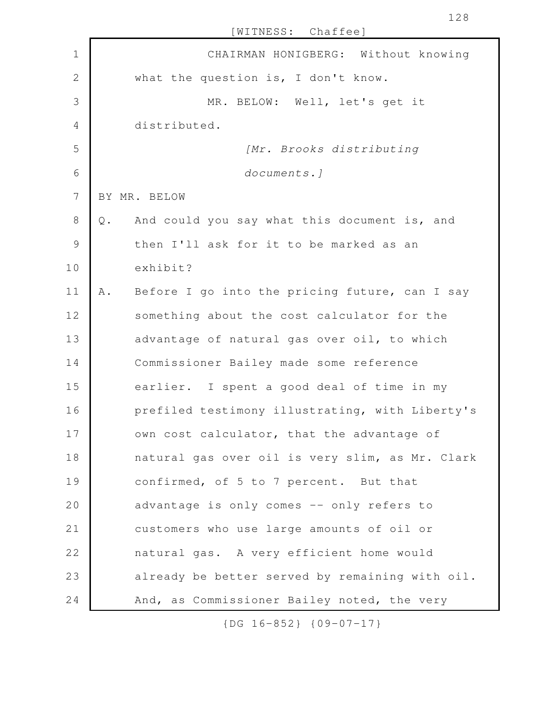| $\mathbf 1$    | CHAIRMAN HONIGBERG: Without knowing                  |
|----------------|------------------------------------------------------|
| $\overline{2}$ | what the question is, I don't know.                  |
| 3              | MR. BELOW: Well, let's get it                        |
| $\overline{4}$ | distributed.                                         |
| 5              | [Mr. Brooks distributing                             |
| 6              | documents.]                                          |
| $\overline{7}$ | BY MR. BELOW                                         |
| 8              | And could you say what this document is, and<br>Q.   |
| $\mathsf 9$    | then I'll ask for it to be marked as an              |
| 10             | exhibit?                                             |
| 11             | Before I go into the pricing future, can I say<br>Α. |
| 12             | something about the cost calculator for the          |
| 13             | advantage of natural gas over oil, to which          |
| 14             | Commissioner Bailey made some reference              |
| 15             | earlier. I spent a good deal of time in my           |
| 16             | prefiled testimony illustrating, with Liberty's      |
| 17             | own cost calculator, that the advantage of           |
| 18             | natural gas over oil is very slim, as Mr. Clark      |
| 19             | confirmed, of 5 to 7 percent. But that               |
| 20             | advantage is only comes -- only refers to            |
| 21             | customers who use large amounts of oil or            |
| 22             | natural gas. A very efficient home would             |
| 23             | already be better served by remaining with oil.      |
| 24             | And, as Commissioner Bailey noted, the very          |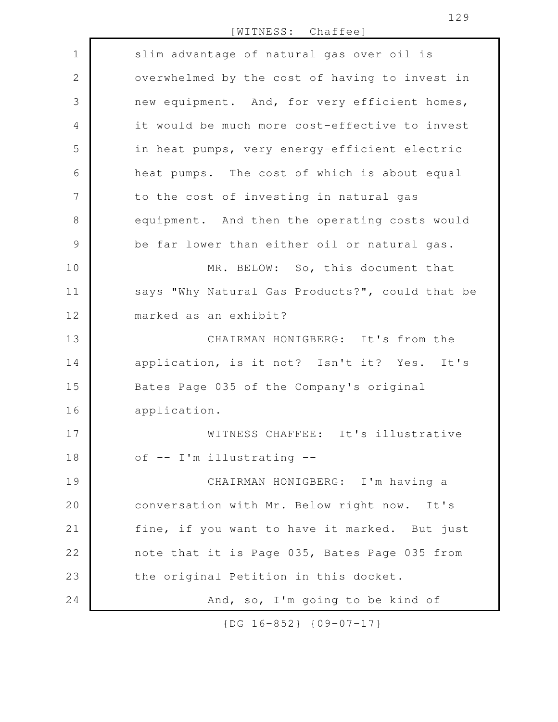[WITNESS: Chaffee]

| $\mathbf{1}$  | slim advantage of natural gas over oil is       |
|---------------|-------------------------------------------------|
| $\mathbf{2}$  | overwhelmed by the cost of having to invest in  |
| 3             | new equipment. And, for very efficient homes,   |
| 4             | it would be much more cost-effective to invest  |
| 5             | in heat pumps, very energy-efficient electric   |
| 6             | heat pumps. The cost of which is about equal    |
| 7             | to the cost of investing in natural gas         |
| $8\,$         | equipment. And then the operating costs would   |
| $\mathcal{G}$ | be far lower than either oil or natural gas.    |
| 10            | MR. BELOW: So, this document that               |
| 11            | says "Why Natural Gas Products?", could that be |
| 12            | marked as an exhibit?                           |
| 13            | CHAIRMAN HONIGBERG: It's from the               |
| 14            | application, is it not? Isn't it? Yes. It's     |
| 15            | Bates Page 035 of the Company's original        |
| 16            | application.                                    |
| 17            | WITNESS CHAFFEE: It's illustrative              |
| 18            | of -- I'm illustrating --                       |
| 19            | CHAIRMAN HONIGBERG: I'm having a                |
| 20            | conversation with Mr. Below right now. It's     |
| 21            | fine, if you want to have it marked. But just   |
| 22            | note that it is Page 035, Bates Page 035 from   |
| 23            | the original Petition in this docket.           |
| 24            | And, so, I'm going to be kind of                |

{DG 16-852} {09-07-17}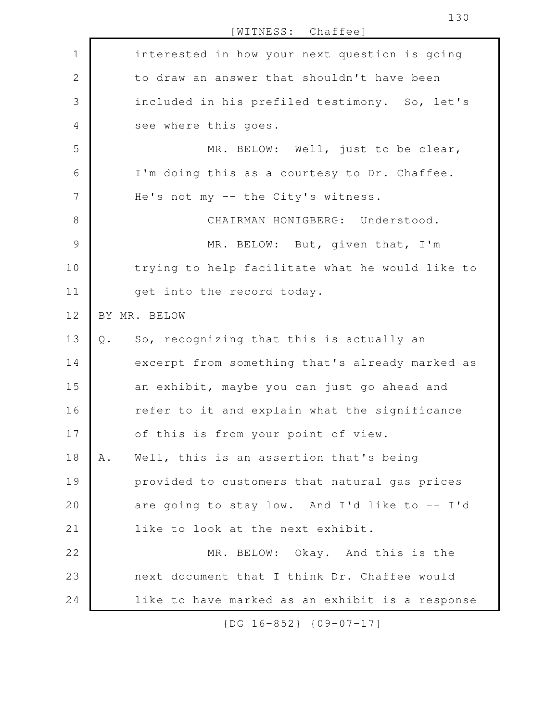[WITNESS: Chaffee] interested in how your next question is going to draw an answer that shouldn't have been included in his prefiled testimony. So, let's see where this goes. MR. BELOW: Well, just to be clear, I'm doing this as a courtesy to Dr. Chaffee. He's not my -- the City's witness. CHAIRMAN HONIGBERG: Understood. MR. BELOW: But, given that, I'm trying to help facilitate what he would like to get into the record today. BY MR. BELOW Q. So, recognizing that this is actually an excerpt from something that's already marked as an exhibit, maybe you can just go ahead and refer to it and explain what the significance of this is from your point of view. A. Well, this is an assertion that's being provided to customers that natural gas prices are going to stay low. And I'd like to  $-$  I'd like to look at the next exhibit. MR. BELOW: Okay. And this is the next document that I think Dr. Chaffee would like to have marked as an exhibit is a response 1 2 3 4 5 6 7 8 9 10 11 12 13 14 15 16 17 18 19 20 21 22 23 24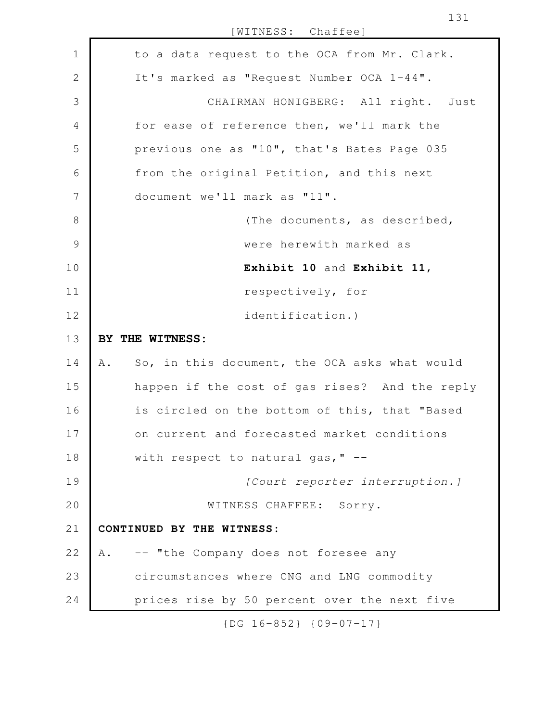[WITNESS: Chaffee] to a data request to the OCA from Mr. Clark. It's marked as "Request Number OCA 1-44". CHAIRMAN HONIGBERG: All right. Just for ease of reference then, we'll mark the previous one as "10", that's Bates Page 035 from the original Petition, and this next document we'll mark as "11". (The documents, as described, were herewith marked as **Exhibit 10** and **Exhibit 11**, respectively, for identification.) **BY THE WITNESS:** A. So, in this document, the OCA asks what would happen if the cost of gas rises? And the reply is circled on the bottom of this, that "Based on current and forecasted market conditions with respect to natural gas,  $" -$ *[Court reporter interruption.]* WITNESS CHAFFEE: Sorry. **CONTINUED BY THE WITNESS:** A. -- "the Company does not foresee any circumstances where CNG and LNG commodity prices rise by 50 percent over the next five 1 2 3 4 5 6 7 8 9 10 11 12 13 14 15 16 17 18 19 20 21 22 23 24

{DG 16-852} {09-07-17}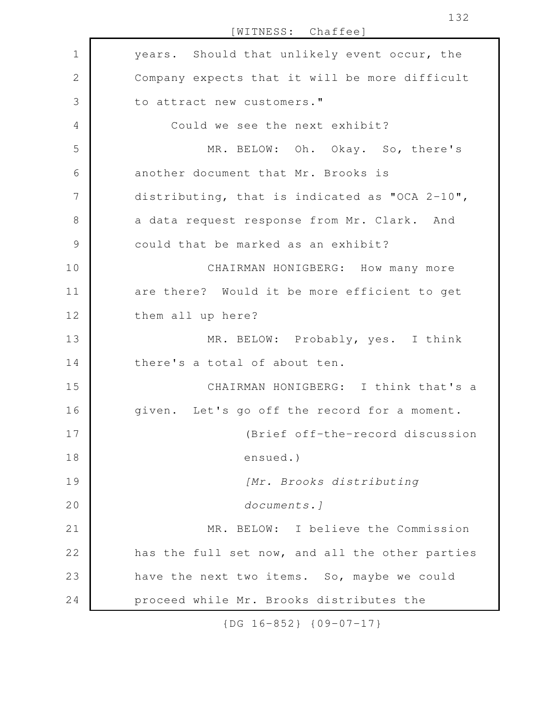[WITNESS: Chaffee] years. Should that unlikely event occur, the Company expects that it will be more difficult to attract new customers." Could we see the next exhibit? MR. BELOW: Oh. Okay. So, there's another document that Mr. Brooks is distributing, that is indicated as "OCA 2-10", a data request response from Mr. Clark. And could that be marked as an exhibit? CHAIRMAN HONIGBERG: How many more are there? Would it be more efficient to get them all up here? MR. BELOW: Probably, yes. I think there's a total of about ten. CHAIRMAN HONIGBERG: I think that's a given. Let's go off the record for a moment. (Brief off-the-record discussion ensued.) *[Mr. Brooks distributing documents.]* MR. BELOW: I believe the Commission has the full set now, and all the other parties have the next two items. So, maybe we could proceed while Mr. Brooks distributes the 1 2 3 4 5 6 7 8 9 10 11 12 13 14 15 16 17 18 19 20 21 22 23 24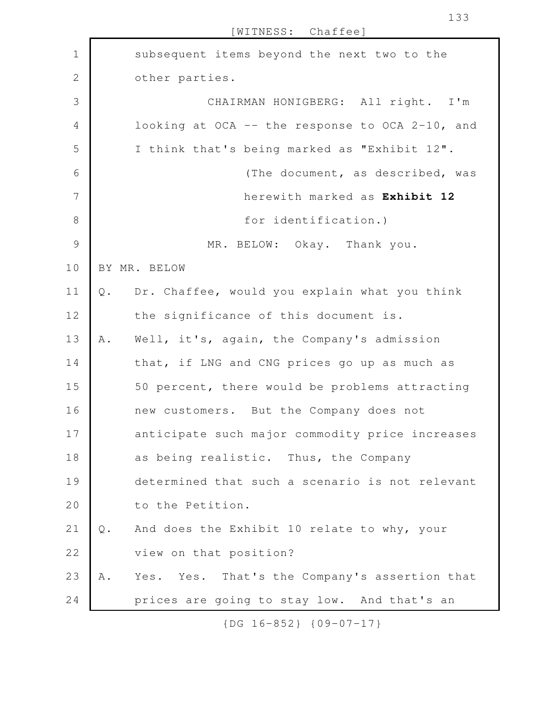|                |       | WITNESS: Chaffee]                               |
|----------------|-------|-------------------------------------------------|
| 1              |       | subsequent items beyond the next two to the     |
| $\mathbf{2}$   |       | other parties.                                  |
| 3              |       | CHAIRMAN HONIGBERG: All right. I'm              |
| $\overline{4}$ |       | looking at OCA -- the response to OCA 2-10, and |
| 5              |       | I think that's being marked as "Exhibit 12".    |
| 6              |       | (The document, as described, was                |
| 7              |       | herewith marked as Exhibit 12                   |
| 8              |       | for identification.)                            |
| $\mathcal{G}$  |       | MR. BELOW: Okay. Thank you.                     |
| 10             |       | BY MR. BELOW                                    |
| 11             | $Q$ . | Dr. Chaffee, would you explain what you think   |
| 12             |       | the significance of this document is.           |
| 13             | Α.    | Well, it's, again, the Company's admission      |
| 14             |       | that, if LNG and CNG prices go up as much as    |
| 15             |       | 50 percent, there would be problems attracting  |
| 16             |       | new customers. But the Company does not         |
| 17             |       | anticipate such major commodity price increases |
| 18             |       | as being realistic. Thus, the Company           |
| 19             |       | determined that such a scenario is not relevant |
| 20             |       | to the Petition.                                |
| 21             | $Q$ . | And does the Exhibit 10 relate to why, your     |
| 22             |       | view on that position?                          |
| 23             | Α.    | Yes. Yes. That's the Company's assertion that   |
| 24             |       | prices are going to stay low. And that's an     |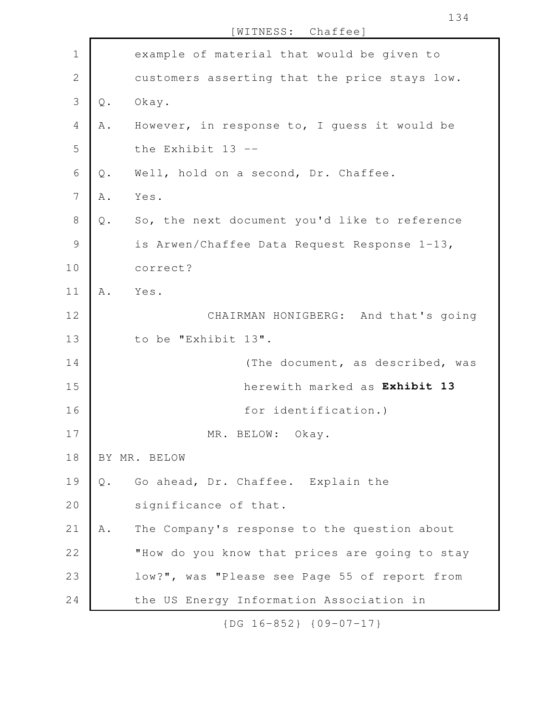example of material that would be given to customers asserting that the price stays low. Q. Okay. A. However, in response to, I guess it would be the Exhibit 13 -- Q. Well, hold on a second, Dr. Chaffee. A. Yes. Q. So, the next document you'd like to reference is Arwen/Chaffee Data Request Response 1-13, correct? A. Yes. CHAIRMAN HONIGBERG: And that's going to be "Exhibit 13". (The document, as described, was herewith marked as **Exhibit 13** for identification.) MR. BELOW: Okay. BY MR. BELOW Q. Go ahead, Dr. Chaffee. Explain the significance of that. A. The Company's response to the question about "How do you know that prices are going to stay low?", was "Please see Page 55 of report from the US Energy Information Association in 1 2 3 4 5 6 7 8 9 10 11 12 13 14 15 16 17 18 19 20 21 22 23 24

[WITNESS: Chaffee]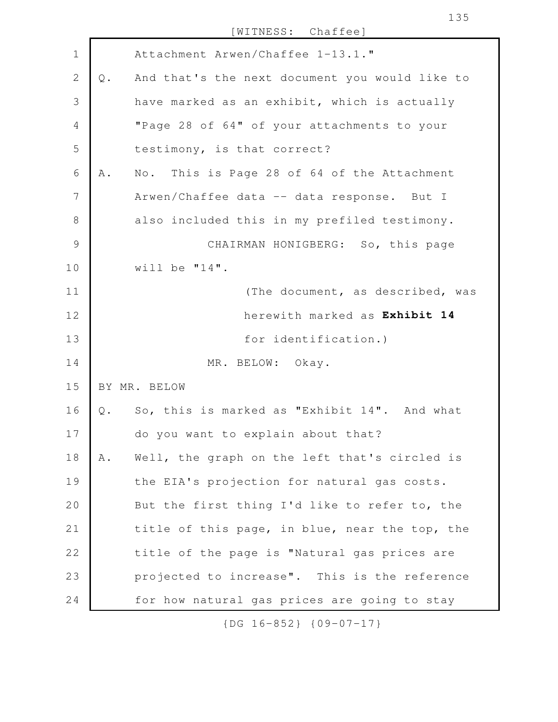|               |       | WITNESS: Chaffee]                                              |
|---------------|-------|----------------------------------------------------------------|
| $\mathbf 1$   |       | Attachment Arwen/Chaffee 1-13.1."                              |
| 2             | $Q$ . | And that's the next document you would like to                 |
| 3             |       | have marked as an exhibit, which is actually                   |
| 4             |       | "Page 28 of 64" of your attachments to your                    |
| 5             |       | testimony, is that correct?                                    |
| 6             | Α.    | This is Page 28 of 64 of the Attachment<br>$\mathbb N \circ$ . |
| 7             |       | Arwen/Chaffee data -- data response. But I                     |
| 8             |       | also included this in my prefiled testimony.                   |
| $\mathcal{G}$ |       | CHAIRMAN HONIGBERG: So, this page                              |
| 10            |       | will be $"14"$ .                                               |
| 11            |       | (The document, as described, was                               |
| 12            |       | herewith marked as Exhibit 14                                  |
| 13            |       | for identification.)                                           |
| 14            |       | MR. BELOW: Okay.                                               |
| 15            |       | BY MR. BELOW                                                   |
| 16            | Q.    | So, this is marked as "Exhibit 14". And what                   |
| $17$          |       | do you want to explain about that?                             |
| 18            | Α.    | Well, the graph on the left that's circled is                  |
| 19            |       | the EIA's projection for natural gas costs.                    |
| 20            |       | But the first thing I'd like to refer to, the                  |
| 21            |       | title of this page, in blue, near the top, the                 |
| 22            |       | title of the page is "Natural gas prices are                   |
| 23            |       | projected to increase". This is the reference                  |
| 24            |       | for how natural gas prices are going to stay                   |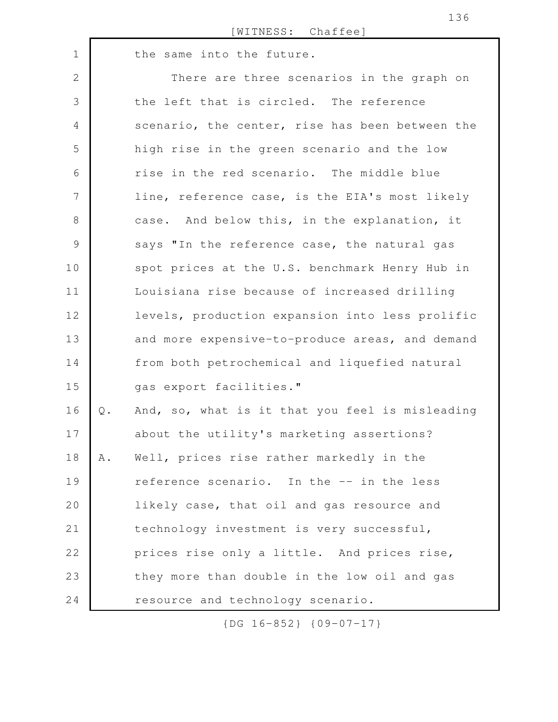|                |       | WITNESS: Chaffee]                               |
|----------------|-------|-------------------------------------------------|
| $\mathbf 1$    |       | the same into the future.                       |
| $\mathbf 2$    |       | There are three scenarios in the graph on       |
| 3              |       | the left that is circled. The reference         |
| $\overline{4}$ |       | scenario, the center, rise has been between the |
| 5              |       | high rise in the green scenario and the low     |
| 6              |       | rise in the red scenario. The middle blue       |
| 7              |       | line, reference case, is the EIA's most likely  |
| $8\,$          |       | case. And below this, in the explanation, it    |
| $\mathcal{G}$  |       | says "In the reference case, the natural gas    |
| 10             |       | spot prices at the U.S. benchmark Henry Hub in  |
| 11             |       | Louisiana rise because of increased drilling    |
| 12             |       | levels, production expansion into less prolific |
| 13             |       | and more expensive-to-produce areas, and demand |
| 14             |       | from both petrochemical and liquefied natural   |
| 15             |       | qas export facilities."                         |
| 16             | $Q$ . | And, so, what is it that you feel is misleading |
| 17             |       | about the utility's marketing assertions?       |
| 18             | Α.    | Well, prices rise rather markedly in the        |
| 19             |       | reference scenario. In the -- in the less       |
| 20             |       | likely case, that oil and gas resource and      |
| 21             |       | technology investment is very successful,       |
| 22             |       | prices rise only a little. And prices rise,     |
| 23             |       | they more than double in the low oil and gas    |
| 24             |       | resource and technology scenario.               |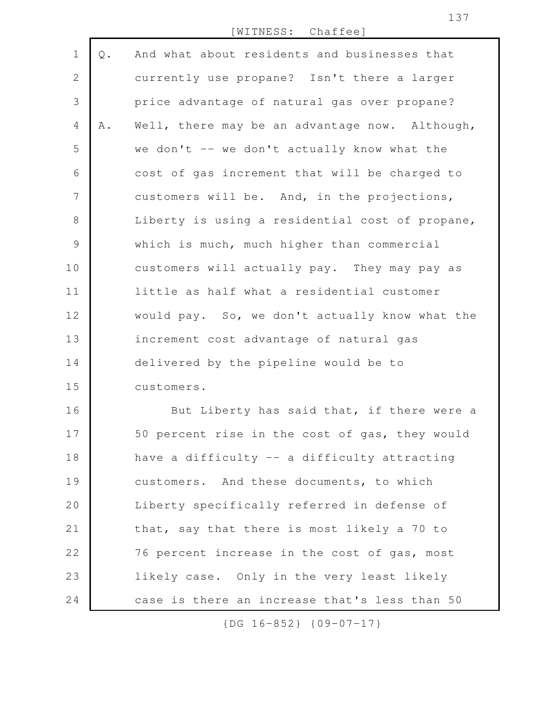[WITNESS: Chaffee]

Q. And what about residents and businesses that currently use propane? Isn't there a larger price advantage of natural gas over propane? A. Well, there may be an advantage now. Although, we don't  $-$  we don't actually know what the cost of gas increment that will be charged to customers will be. And, in the projections, Liberty is using a residential cost of propane, which is much, much higher than commercial customers will actually pay. They may pay as little as half what a residential customer would pay. So, we don't actually know what the increment cost advantage of natural gas delivered by the pipeline would be to customers. 1 2 3 4 5 6 7 8 9 10 11 12 13 14 15

But Liberty has said that, if there were a 50 percent rise in the cost of gas, they would have a difficulty -- a difficulty attracting customers. And these documents, to which Liberty specifically referred in defense of that, say that there is most likely a 70 to 76 percent increase in the cost of gas, most likely case. Only in the very least likely case is there an increase that's less than 50 16 17 18 19 20 21 22 23 24

{DG 16-852} {09-07-17}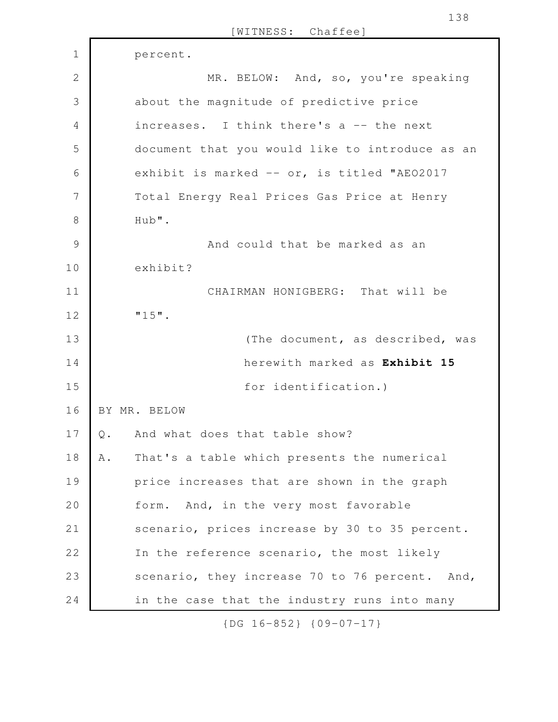|                |                               | WITNESS: Chaffee]                               |
|----------------|-------------------------------|-------------------------------------------------|
| $\mathbf 1$    |                               | percent.                                        |
| $\overline{2}$ |                               | MR. BELOW: And, so, you're speaking             |
| 3              |                               | about the magnitude of predictive price         |
| 4              |                               | increases. I think there's a -- the next        |
| 5              |                               | document that you would like to introduce as an |
| 6              |                               | exhibit is marked -- or, is titled "AE02017     |
| 7              |                               | Total Energy Real Prices Gas Price at Henry     |
| $\,8\,$        |                               | Hub".                                           |
| $\mathcal{G}$  |                               | And could that be marked as an                  |
| 10             |                               | exhibit?                                        |
| 11             |                               | CHAIRMAN HONIGBERG: That will be                |
| 12             |                               | $"15"$ .                                        |
| 13             |                               | (The document, as described, was                |
| 14             |                               | herewith marked as Exhibit 15                   |
| 15             |                               | for identification.)                            |
| 16             |                               | BY MR. BELOW                                    |
| 17             | $\mathsf{Q}% _{\mathsf{Q}}$ . | And what does that table show?                  |
| 18             | Α.                            | That's a table which presents the numerical     |
| 19             |                               | price increases that are shown in the graph     |
| 20             |                               | form. And, in the very most favorable           |
| 21             |                               | scenario, prices increase by 30 to 35 percent.  |
| 22             |                               | In the reference scenario, the most likely      |
| 23             |                               | scenario, they increase 70 to 76 percent. And,  |
| 24             |                               | in the case that the industry runs into many    |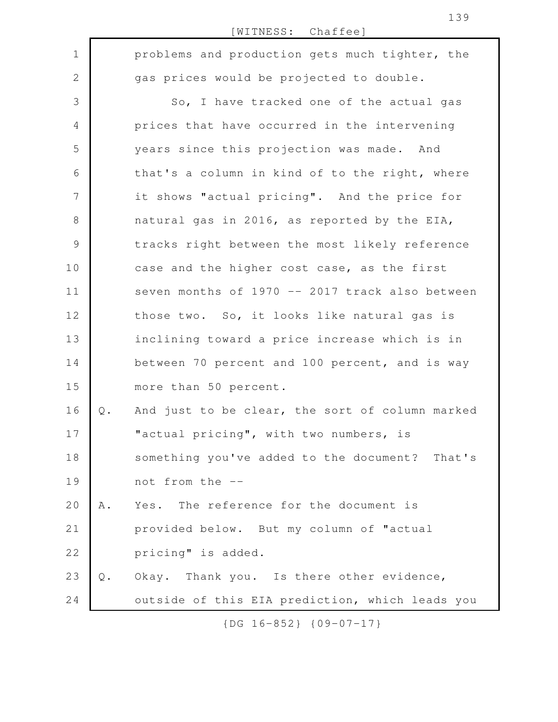|               |               | [WITNESS: Chaffee]                              |
|---------------|---------------|-------------------------------------------------|
| $\mathbf 1$   |               | problems and production gets much tighter, the  |
| 2             |               | gas prices would be projected to double.        |
| 3             |               | So, I have tracked one of the actual gas        |
| 4             |               | prices that have occurred in the intervening    |
| 5             |               | years since this projection was made. And       |
| 6             |               | that's a column in kind of to the right, where  |
| 7             |               | it shows "actual pricing". And the price for    |
| 8             |               | natural gas in 2016, as reported by the EIA,    |
| $\mathcal{G}$ |               | tracks right between the most likely reference  |
| 10            |               | case and the higher cost case, as the first     |
| 11            |               | seven months of 1970 -- 2017 track also between |
| 12            |               | those two. So, it looks like natural gas is     |
| 13            |               | inclining toward a price increase which is in   |
| 14            |               | between 70 percent and 100 percent, and is way  |
| 15            |               | more than 50 percent.                           |
| 16            | $Q$ .         | And just to be clear, the sort of column marked |
| 17            |               | "actual pricing", with two numbers, is          |
| 18            |               | something you've added to the document? That's  |
| 19            |               | not from the --                                 |
| 20            | Α.            | Yes. The reference for the document is          |
| 21            |               | provided below. But my column of "actual        |
| 22            |               | pricing" is added.                              |
| 23            | $\mathbb Q$ . | Okay. Thank you. Is there other evidence,       |
| 24            |               | outside of this EIA prediction, which leads you |
|               |               |                                                 |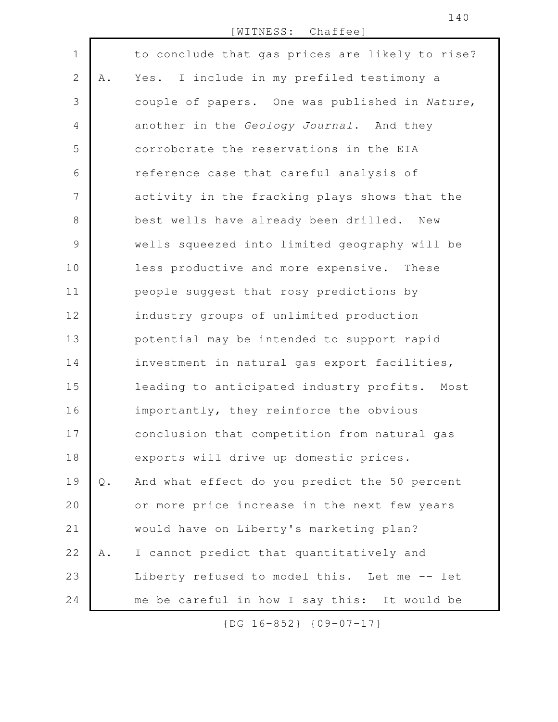[WITNESS: Chaffee]

to conclude that gas prices are likely to rise? A. Yes. I include in my prefiled testimony a couple of papers. One was published in *Nature*, another in the *Geology Journal*. And they corroborate the reservations in the EIA reference case that careful analysis of activity in the fracking plays shows that the best wells have already been drilled. New wells squeezed into limited geography will be less productive and more expensive. These people suggest that rosy predictions by industry groups of unlimited production potential may be intended to support rapid investment in natural gas export facilities, leading to anticipated industry profits. Most importantly, they reinforce the obvious conclusion that competition from natural gas exports will drive up domestic prices. Q. And what effect do you predict the 50 percent or more price increase in the next few years would have on Liberty's marketing plan? A. I cannot predict that quantitatively and Liberty refused to model this. Let me -- let me be careful in how I say this: It would be 1 2 3 4 5 6 7 8 9 10 11 12 13 14 15 16 17 18 19 20 21 22 23 24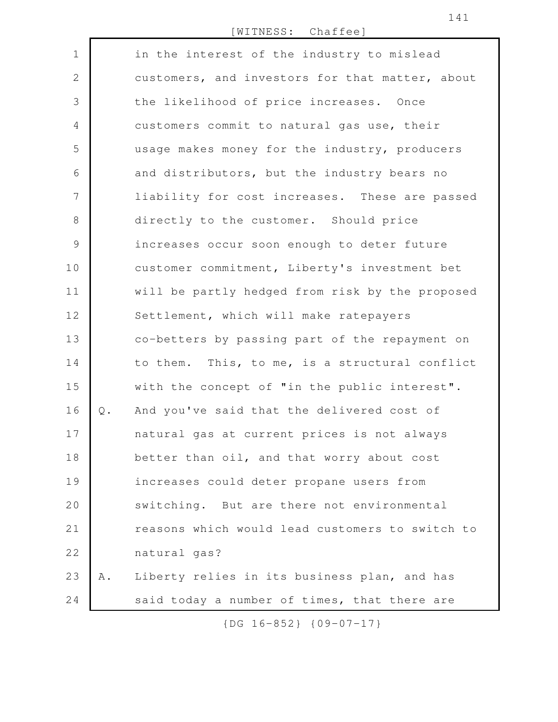[WITNESS: Chaffee]

| $\mathbf 1$  |       | in the interest of the industry to mislead      |
|--------------|-------|-------------------------------------------------|
| $\mathbf{2}$ |       | customers, and investors for that matter, about |
| 3            |       | the likelihood of price increases. Once         |
| 4            |       | customers commit to natural gas use, their      |
| 5            |       | usage makes money for the industry, producers   |
| 6            |       | and distributors, but the industry bears no     |
| 7            |       | liability for cost increases. These are passed  |
| 8            |       | directly to the customer. Should price          |
| $\mathsf 9$  |       | increases occur soon enough to deter future     |
| 10           |       | customer commitment, Liberty's investment bet   |
| 11           |       | will be partly hedged from risk by the proposed |
| 12           |       | Settlement, which will make ratepayers          |
| 13           |       | co-betters by passing part of the repayment on  |
| 14           |       | to them. This, to me, is a structural conflict  |
| 15           |       | with the concept of "in the public interest".   |
| 16           | $Q$ . | And you've said that the delivered cost of      |
| 17           |       | natural gas at current prices is not always     |
| 18           |       | better than oil, and that worry about cost      |
| 19           |       | increases could deter propane users from        |
| 20           |       | switching. But are there not environmental      |
| 21           |       | reasons which would lead customers to switch to |
| 22           |       | natural gas?                                    |
| 23           | Α.    | Liberty relies in its business plan, and has    |
| 24           |       | said today a number of times, that there are    |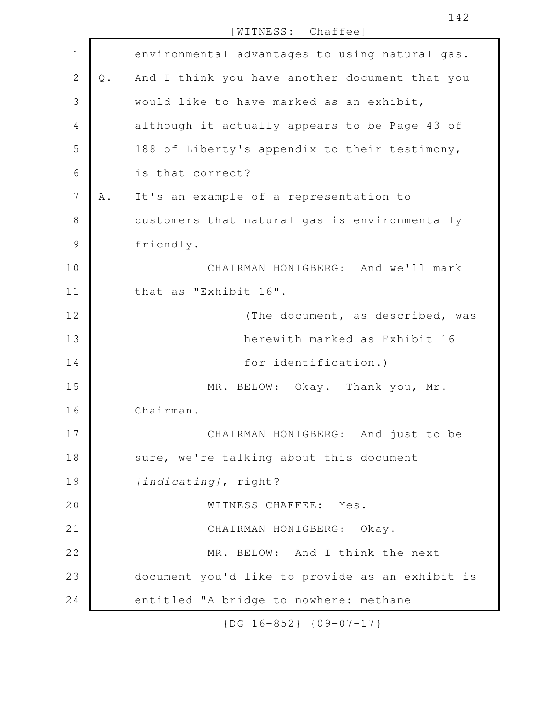[WITNESS: Chaffee] environmental advantages to using natural gas. Q. And I think you have another document that you would like to have marked as an exhibit, although it actually appears to be Page 43 of 188 of Liberty's appendix to their testimony, is that correct? A. It's an example of a representation to customers that natural gas is environmentally friendly. CHAIRMAN HONIGBERG: And we'll mark that as "Exhibit 16". (The document, as described, was herewith marked as Exhibit 16 for identification.) MR. BELOW: Okay. Thank you, Mr. Chairman. CHAIRMAN HONIGBERG: And just to be sure, we're talking about this document *[indicating]*, right? WITNESS CHAFFEE: Yes. CHAIRMAN HONIGBERG: Okay. MR. BELOW: And I think the next document you'd like to provide as an exhibit is entitled "A bridge to nowhere: methane 1 2 3 4 5 6 7 8 9 10 11 12 13 14 15 16 17 18 19 20 21 22 23 24

{DG 16-852} {09-07-17}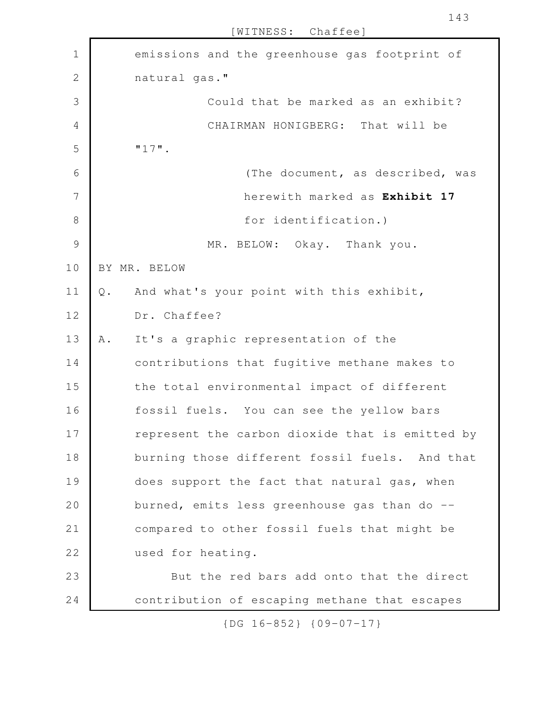| $\mathbf 1$    |       | emissions and the greenhouse gas footprint of   |
|----------------|-------|-------------------------------------------------|
| $\mathbf 2$    |       | natural gas."                                   |
| 3              |       | Could that be marked as an exhibit?             |
| $\overline{4}$ |       | CHAIRMAN HONIGBERG: That will be                |
| 5              |       | $"17"$ .                                        |
| 6              |       | (The document, as described, was                |
| 7              |       | herewith marked as Exhibit 17                   |
| $\,8\,$        |       | for identification.)                            |
| 9              |       | MR. BELOW: Okay. Thank you.                     |
| 10             |       | BY MR. BELOW                                    |
| 11             | $Q$ . | And what's your point with this exhibit,        |
| 12             |       | Dr. Chaffee?                                    |
| 13             | Α.    | It's a graphic representation of the            |
| 14             |       | contributions that fugitive methane makes to    |
| 15             |       | the total environmental impact of different     |
| 16             |       | fossil fuels. You can see the yellow bars       |
| 17             |       | represent the carbon dioxide that is emitted by |
| 18             |       | burning those different fossil fuels. And that  |
| 19             |       | does support the fact that natural gas, when    |
| 20             |       | burned, emits less greenhouse gas than do --    |
| 21             |       | compared to other fossil fuels that might be    |
| 22             |       | used for heating.                               |
| 23             |       | But the red bars add onto that the direct       |
| 24             |       | contribution of escaping methane that escapes   |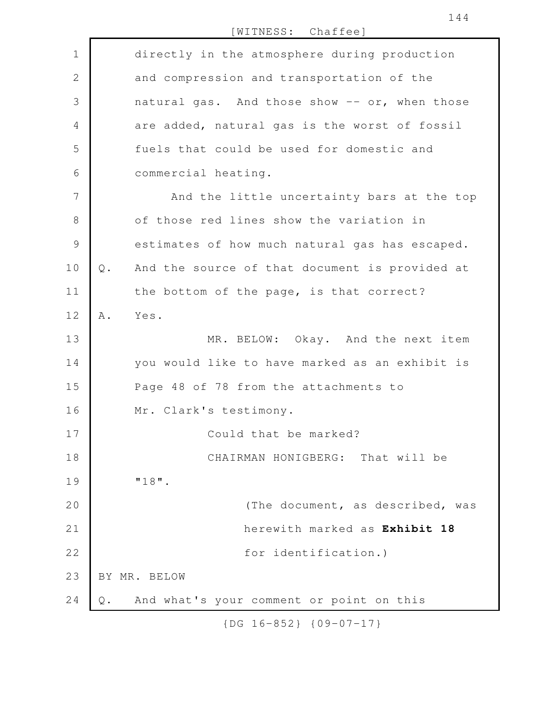[WITNESS: Chaffee] directly in the atmosphere during production and compression and transportation of the natural gas. And those show -- or, when those are added, natural gas is the worst of fossil fuels that could be used for domestic and commercial heating. And the little uncertainty bars at the top of those red lines show the variation in estimates of how much natural gas has escaped. Q. And the source of that document is provided at the bottom of the page, is that correct? A. Yes. MR. BELOW: Okay. And the next item you would like to have marked as an exhibit is Page 48 of 78 from the attachments to Mr. Clark's testimony. Could that be marked? CHAIRMAN HONIGBERG: That will be "18". (The document, as described, was herewith marked as **Exhibit 18** for identification.) BY MR. BELOW Q. And what's your comment or point on this 1 2 3 4 5 6 7 8 9 10 11 12 13 14 15 16 17 18 19 20 21 22 23 24

{DG 16-852} {09-07-17}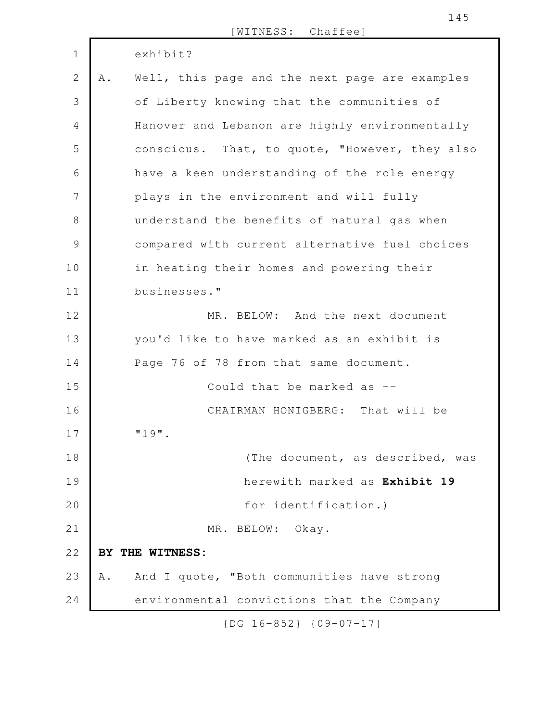|               |     | [WITNESS: Chaffee]                             |
|---------------|-----|------------------------------------------------|
| $\mathbf 1$   |     | exhibit?                                       |
| $\mathbf{2}$  | A . | Well, this page and the next page are examples |
| 3             |     | of Liberty knowing that the communities of     |
| 4             |     | Hanover and Lebanon are highly environmentally |
| 5             |     | conscious. That, to quote, "However, they also |
| 6             |     | have a keen understanding of the role energy   |
| 7             |     | plays in the environment and will fully        |
| 8             |     | understand the benefits of natural gas when    |
| $\mathcal{G}$ |     | compared with current alternative fuel choices |
| 10            |     | in heating their homes and powering their      |
| 11            |     | businesses."                                   |
| 12            |     | MR. BELOW: And the next document               |
| 13            |     | you'd like to have marked as an exhibit is     |
| 14            |     | Page 76 of 78 from that same document.         |
| 15            |     | Could that be marked as --                     |
| 16            |     | CHAIRMAN HONIGBERG: That will be               |
| 17            |     | $"19"$ .                                       |
| 18            |     | (The document, as described, was               |
| 19            |     | herewith marked as Exhibit 19                  |
| 20            |     | for identification.)                           |
| 21            |     | MR. BELOW: Okay.                               |
| 22            |     | BY THE WITNESS:                                |
| 23            | Α.  | And I quote, "Both communities have strong     |
| 24            |     | environmental convictions that the Company     |
|               |     |                                                |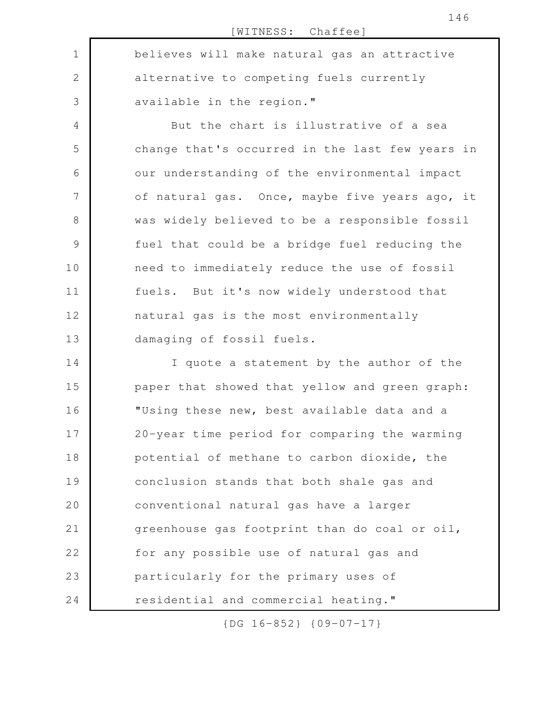[WITNESS: Chaffee] believes will make natural gas an attractive alternative to competing fuels currently available in the region." But the chart is illustrative of a sea change that's occurred in the last few years in our understanding of the environmental impact of natural gas. Once, maybe five years ago, it was widely believed to be a responsible fossil fuel that could be a bridge fuel reducing the need to immediately reduce the use of fossil fuels. But it's now widely understood that natural gas is the most environmentally damaging of fossil fuels. I quote a statement by the author of the paper that showed that yellow and green graph: "Using these new, best available data and a 20-year time period for comparing the warming potential of methane to carbon dioxide, the conclusion stands that both shale gas and conventional natural gas have a larger greenhouse gas footprint than do coal or oil, for any possible use of natural gas and particularly for the primary uses of residential and commercial heating." 1 2 3 4 5 6 7 8 9 10 11 12 13 14 15 16 17 18 19 20 21 22 23 24

{DG 16-852} {09-07-17}

146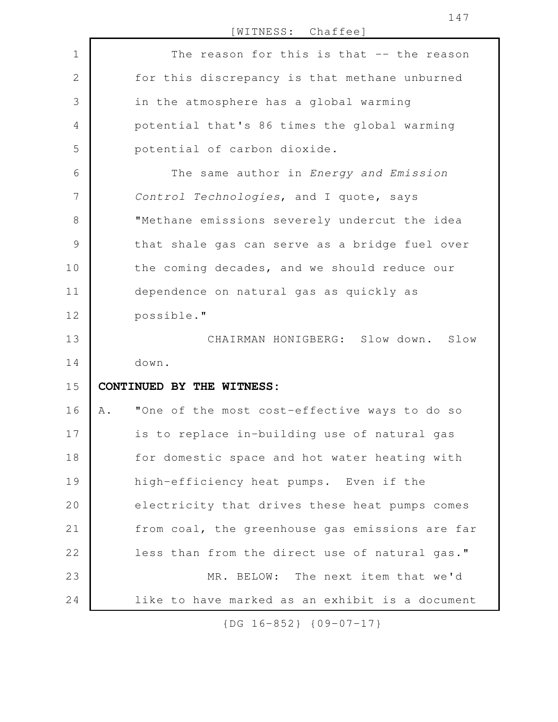[WITNESS: Chaffee] The reason for this is that -- the reason for this discrepancy is that methane unburned in the atmosphere has a global warming potential that's 86 times the global warming potential of carbon dioxide. The same author in *Energy and Emission Control Technologies*, and I quote, says "Methane emissions severely undercut the idea that shale gas can serve as a bridge fuel over the coming decades, and we should reduce our dependence on natural gas as quickly as possible." CHAIRMAN HONIGBERG: Slow down. Slow down. **CONTINUED BY THE WITNESS:** A. "One of the most cost-effective ways to do so is to replace in-building use of natural gas for domestic space and hot water heating with high-efficiency heat pumps. Even if the electricity that drives these heat pumps comes from coal, the greenhouse gas emissions are far less than from the direct use of natural gas." MR. BELOW: The next item that we'd like to have marked as an exhibit is a document 1 2 3 4 5 6 7 8 9 10 11 12 13 14 15 16 17 18 19 20 21 22 23 24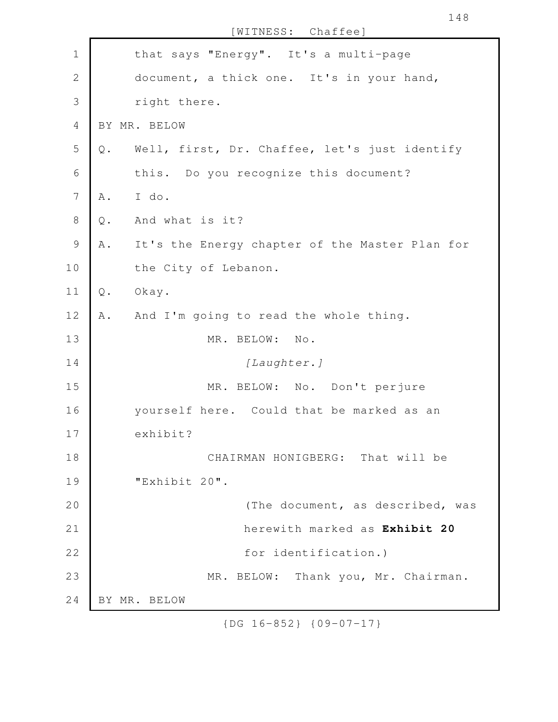that says "Energy". It's a multi-page document, a thick one. It's in your hand, right there. BY MR. BELOW Q. Well, first, Dr. Chaffee, let's just identify this. Do you recognize this document? A. I do. Q. And what is it? A. It's the Energy chapter of the Master Plan for the City of Lebanon. Q. Okay. A. And I'm going to read the whole thing. MR. BELOW: No. *[Laughter.]* MR. BELOW: No. Don't perjure yourself here. Could that be marked as an exhibit? CHAIRMAN HONIGBERG: That will be "Exhibit 20". (The document, as described, was herewith marked as **Exhibit 20** for identification.) MR. BELOW: Thank you, Mr. Chairman. BY MR. BELOW 1 2 3 4 5 6 7 8 9 10 11 12 13 14 15 16 17 18 19 20 21 22 23 24

[WITNESS: Chaffee]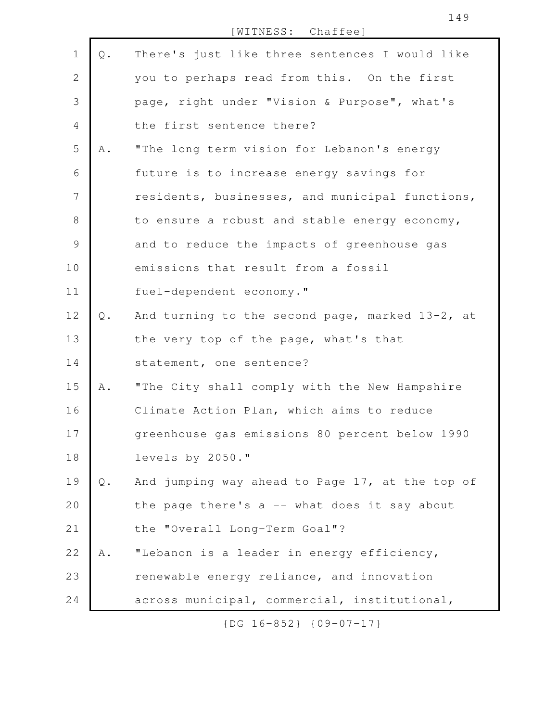| $\mathbf 1$    | Q.            | There's just like three sentences I would like  |
|----------------|---------------|-------------------------------------------------|
| $\overline{2}$ |               | you to perhaps read from this. On the first     |
| 3              |               | page, right under "Vision & Purpose", what's    |
| $\overline{4}$ |               | the first sentence there?                       |
| 5              | Α.            | "The long term vision for Lebanon's energy      |
| 6              |               | future is to increase energy savings for        |
| 7              |               | residents, businesses, and municipal functions, |
| $8\,$          |               | to ensure a robust and stable energy economy,   |
| $\mathsf 9$    |               | and to reduce the impacts of greenhouse gas     |
| 10             |               | emissions that result from a fossil             |
| 11             |               | fuel-dependent economy."                        |
| 12             | $Q$ .         | And turning to the second page, marked 13-2, at |
| 13             |               | the very top of the page, what's that           |
| 14             |               | statement, one sentence?                        |
| 15             | Α.            | "The City shall comply with the New Hampshire   |
| 16             |               | Climate Action Plan, which aims to reduce       |
| 17             |               | greenhouse gas emissions 80 percent below 1990  |
| 18             |               | levels by 2050."                                |
| 19             | $\mathbb Q$ . | And jumping way ahead to Page 17, at the top of |
| 20             |               | the page there's $a$ -- what does it say about  |
| 21             |               | the "Overall Long-Term Goal"?                   |
| 22             | Α.            | "Lebanon is a leader in energy efficiency,      |
| 23             |               | renewable energy reliance, and innovation       |
| 24             |               | across municipal, commercial, institutional,    |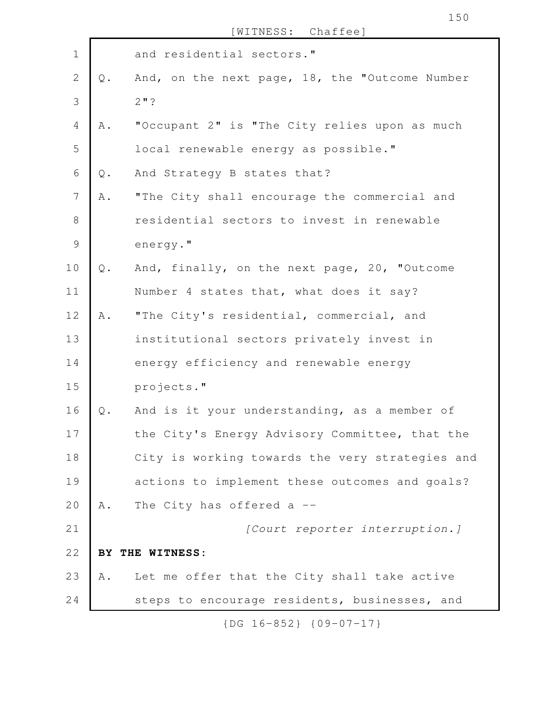|               | [WITNESS: Chaffee]                             |
|---------------|------------------------------------------------|
|               | and residential sectors."                      |
| Q.            | And, on the next page, 18, the "Outcome Number |
|               | $2"$ ?                                         |
| Α.            | "Occupant 2" is "The City relies upon as much  |
|               | local renewable energy as possible."           |
| $\mathbb Q$ . | And Strategy B states that?                    |
| Α.            | "The City shall encourage the commercial and   |

|  | residential sectors to invest in renewable |  |  |  |
|--|--------------------------------------------|--|--|--|
|  | energy."                                   |  |  |  |

1

2

3

4

5

6

7

Q. And, finally, on the next page, 20, "Outcome Number 4 states that, what does it say? 10 11

A. "The City's residential, commercial, and institutional sectors privately invest in energy efficiency and renewable energy projects." 12 13 14 15

Q. And is it your understanding, as a member of the City's Energy Advisory Committee, that the City is working towards the very strategies and actions to implement these outcomes and goals? A. The City has offered a --16 17 18 19 20

*[Court reporter interruption.]* **BY THE WITNESS:** A. Let me offer that the City shall take active steps to encourage residents, businesses, and 21 22 23 24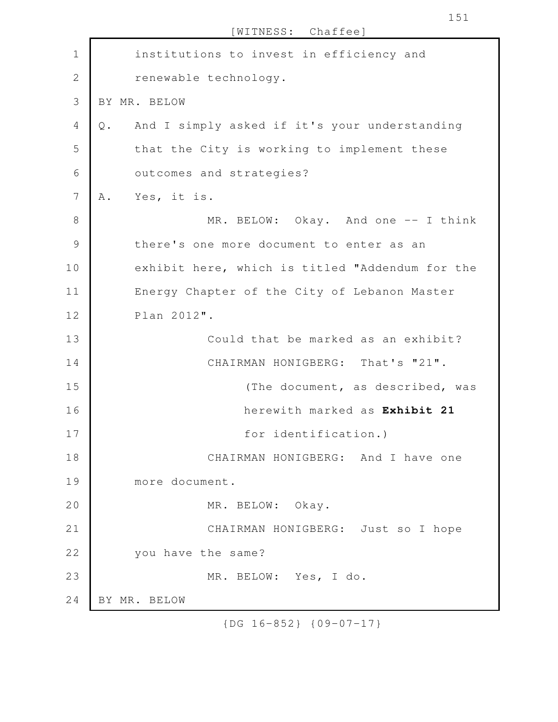|               | [WITNESS: Chaffee]                                             |
|---------------|----------------------------------------------------------------|
| $\mathbf 1$   | institutions to invest in efficiency and                       |
| $\mathbf{2}$  | renewable technology.                                          |
| 3             | BY MR. BELOW                                                   |
| 4             | And I simply asked if it's your understanding<br>$\mathbb Q$ . |
| 5             | that the City is working to implement these                    |
| 6             | outcomes and strategies?                                       |
| 7             | Yes, it is.<br>Α.                                              |
| $8\,$         | MR. BELOW: Okay. And one -- I think                            |
| $\mathcal{G}$ | there's one more document to enter as an                       |
| 10            | exhibit here, which is titled "Addendum for the                |
| 11            | Energy Chapter of the City of Lebanon Master                   |
| 12            | Plan 2012".                                                    |
| 13            | Could that be marked as an exhibit?                            |
| 14            | CHAIRMAN HONIGBERG: That's "21".                               |
| 15            | (The document, as described, was                               |
| 16            | herewith marked as Exhibit 21                                  |
| 17            | for identification.)                                           |
| 18            | CHAIRMAN HONIGBERG: And I have one                             |
| 19            | more document.                                                 |
| 20            | MR. BELOW: Okay.                                               |
| 21            | CHAIRMAN HONIGBERG: Just so I hope                             |
| 22            | you have the same?                                             |
| 23            | MR. BELOW: Yes, I do.                                          |
| 24            | BY MR. BELOW                                                   |

151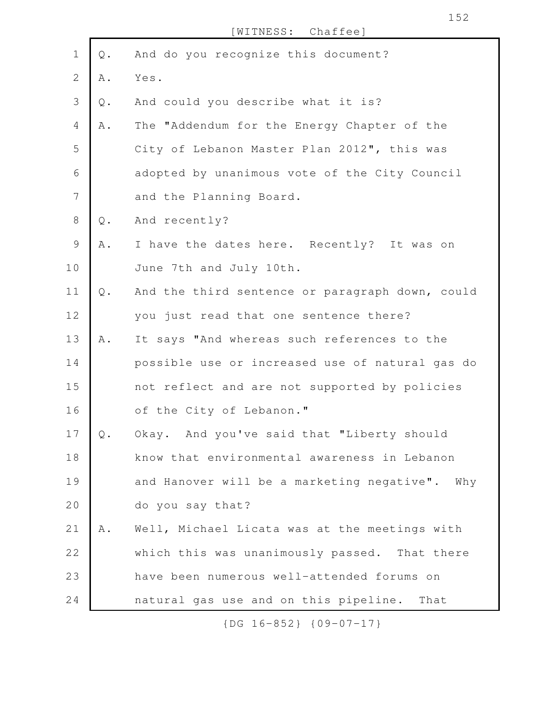| $\mathbf 1$    | $\mathbb Q$ . | And do you recognize this document?             |
|----------------|---------------|-------------------------------------------------|
| $\overline{2}$ | A .           | Yes.                                            |
| 3              | Q.            | And could you describe what it is?              |
| $\overline{4}$ | A .           | The "Addendum for the Energy Chapter of the     |
| 5              |               | City of Lebanon Master Plan 2012", this was     |
| 6              |               | adopted by unanimous vote of the City Council   |
| 7              |               | and the Planning Board.                         |
| $\,8\,$        | $\mathbb Q$ . | And recently?                                   |
| $\mathcal{G}$  | Α.            | I have the dates here. Recently? It was on      |
| 10             |               | June 7th and July 10th.                         |
| 11             | $Q$ .         | And the third sentence or paragraph down, could |
| 12             |               | you just read that one sentence there?          |
| 13             | Α.            | It says "And whereas such references to the     |
| 14             |               | possible use or increased use of natural gas do |
| 15             |               | not reflect and are not supported by policies   |
| 16             |               | of the City of Lebanon."                        |
| 17             | $\mathbb Q$ . | Okay. And you've said that "Liberty should      |
| 18             |               | know that environmental awareness in Lebanon    |
| 19             |               | and Hanover will be a marketing negative". Why  |
| 20             |               | do you say that?                                |
| 21             | A .           | Well, Michael Licata was at the meetings with   |
| 22             |               | which this was unanimously passed. That there   |
| 23             |               | have been numerous well-attended forums on      |
| 24             |               | natural gas use and on this pipeline.<br>That   |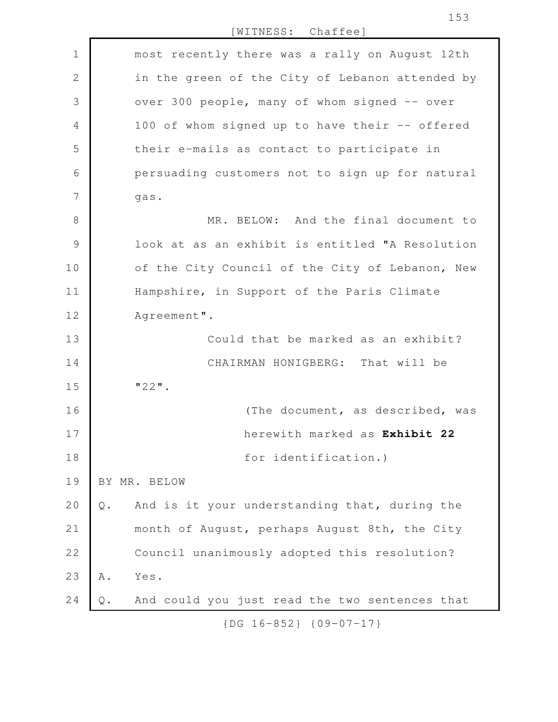[WITNESS: Chaffee] most recently there was a rally on August 12th in the green of the City of Lebanon attended by over 300 people, many of whom signed -- over 100 of whom signed up to have their -- offered their e-mails as contact to participate in persuading customers not to sign up for natural gas. MR. BELOW: And the final document to look at as an exhibit is entitled "A Resolution of the City Council of the City of Lebanon, New Hampshire, in Support of the Paris Climate Agreement". Could that be marked as an exhibit? CHAIRMAN HONIGBERG: That will be "22". (The document, as described, was herewith marked as **Exhibit 22** for identification.) BY MR. BELOW Q. And is it your understanding that, during the month of August, perhaps August 8th, the City Council unanimously adopted this resolution? A. Yes. Q. And could you just read the two sentences that 1 2 3 4 5 6 7 8 9 10 11 12 13 14 15 16 17 18 19 20 21 22 23 24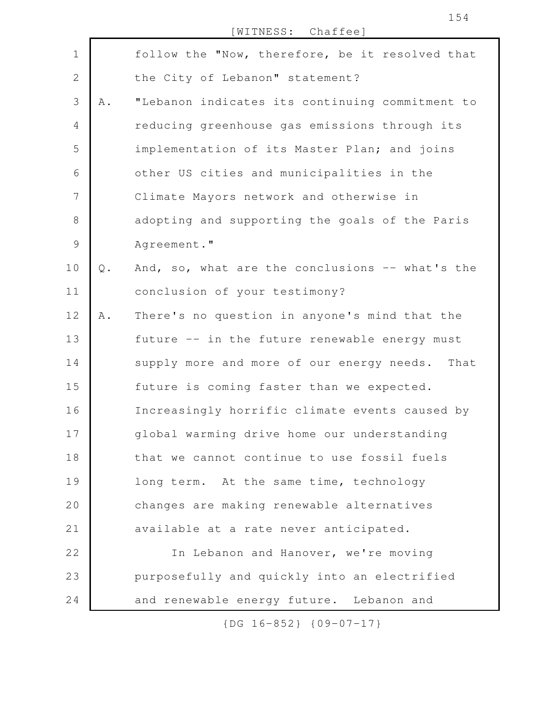|                |               | WITNESS: Chaffee]                                 |
|----------------|---------------|---------------------------------------------------|
| $\mathbf 1$    |               | follow the "Now, therefore, be it resolved that   |
| $\mathbf{2}$   |               | the City of Lebanon" statement?                   |
| 3              | Α.            | "Lebanon indicates its continuing commitment to   |
| $\overline{4}$ |               | reducing greenhouse gas emissions through its     |
| 5              |               | implementation of its Master Plan; and joins      |
| 6              |               | other US cities and municipalities in the         |
| 7              |               | Climate Mayors network and otherwise in           |
| $8\,$          |               | adopting and supporting the goals of the Paris    |
| $\mathsf{S}$   |               | Agreement."                                       |
| 10             | $\mathsf Q$ . | And, so, what are the conclusions -- what's the   |
| 11             |               | conclusion of your testimony?                     |
| 12             | Α.            | There's no question in anyone's mind that the     |
| 13             |               | future -- in the future renewable energy must     |
| 14             |               | supply more and more of our energy needs.<br>That |
| 15             |               | future is coming faster than we expected.         |
| 16             |               | Increasingly horrific climate events caused by    |
| 17             |               | global warming drive home our understanding       |
| 18             |               | that we cannot continue to use fossil fuels       |
| 19             |               | long term. At the same time, technology           |
| 20             |               | changes are making renewable alternatives         |
| 21             |               | available at a rate never anticipated.            |
| 22             |               | In Lebanon and Hanover, we're moving              |
| 23             |               | purposefully and quickly into an electrified      |
| 24             |               | and renewable energy future. Lebanon and          |

154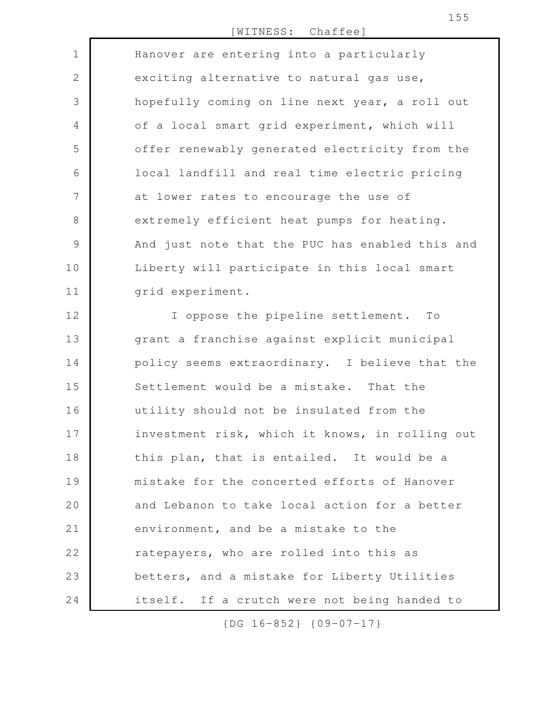Hanover are entering into a particularly exciting alternative to natural gas use, hopefully coming on line next year, a roll out of a local smart grid experiment, which will offer renewably generated electricity from the local landfill and real time electric pricing at lower rates to encourage the use of extremely efficient heat pumps for heating. And just note that the PUC has enabled this and Liberty will participate in this local smart grid experiment. 1 2 3 4 5 6 7 8 9 10 11

I oppose the pipeline settlement. To grant a franchise against explicit municipal policy seems extraordinary. I believe that the Settlement would be a mistake. That the utility should not be insulated from the investment risk, which it knows, in rolling out this plan, that is entailed. It would be a mistake for the concerted efforts of Hanover and Lebanon to take local action for a better environment, and be a mistake to the ratepayers, who are rolled into this as betters, and a mistake for Liberty Utilities itself. If a crutch were not being handed to 12 13 14 15 16 17 18 19 20 21 22 23 24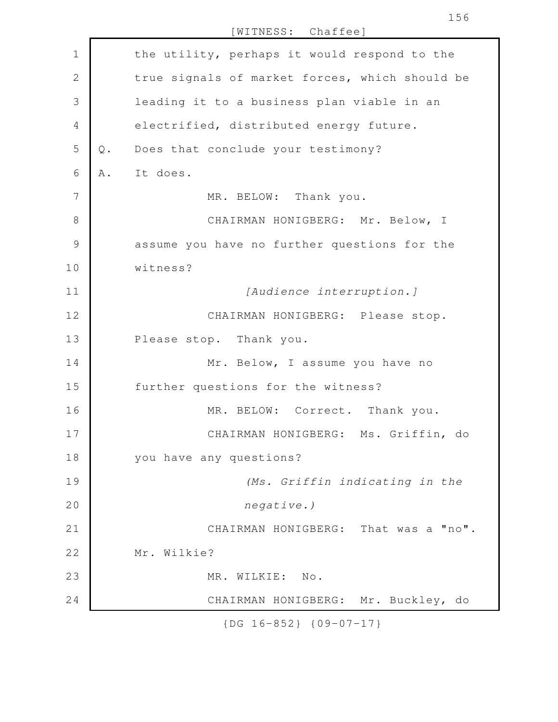| $\mathbf 1$     |     | the utility, perhaps it would respond to the   |
|-----------------|-----|------------------------------------------------|
| $\mathbf{2}$    |     | true signals of market forces, which should be |
| $\mathfrak{Z}$  |     | leading it to a business plan viable in an     |
| $\overline{4}$  |     | electrified, distributed energy future.        |
| 5               | Q.  | Does that conclude your testimony?             |
| 6               | A . | It does.                                       |
| $7\phantom{.0}$ |     | MR. BELOW: Thank you.                          |
| $8\,$           |     | CHAIRMAN HONIGBERG: Mr. Below, I               |
| $\mathcal{G}$   |     | assume you have no further questions for the   |
| 10              |     | witness?                                       |
| 11              |     | [Audience interruption.]                       |
| 12              |     | CHAIRMAN HONIGBERG: Please stop.               |
| 13              |     | Please stop. Thank you.                        |
| 14              |     | Mr. Below, I assume you have no                |
| 15              |     | further questions for the witness?             |
| 16              |     | MR. BELOW: Correct. Thank you.                 |
| 17              |     | CHAIRMAN HONIGBERG: Ms. Griffin, do            |
| 18              |     | you have any questions?                        |
| 19              |     | (Ms. Griffin indicating in the                 |
| 20              |     | negative.)                                     |
| 21              |     | CHAIRMAN HONIGBERG: That was a "no".           |
| 22              |     | Mr. Wilkie?                                    |
| 23              |     | MR. WILKIE: No.                                |
| 24              |     | CHAIRMAN HONIGBERG: Mr. Buckley, do            |
|                 |     |                                                |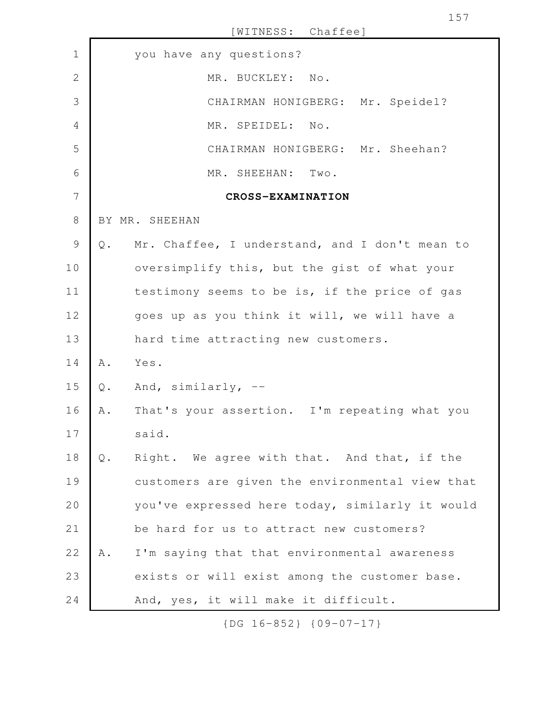you have any questions? MR. BUCKLEY: No. CHAIRMAN HONIGBERG: Mr. Speidel? MR. SPEIDEL: No. CHAIRMAN HONIGBERG: Mr. Sheehan? MR. SHEEHAN: Two. **CROSS-EXAMINATION** BY MR. SHEEHAN Q. Mr. Chaffee, I understand, and I don't mean to oversimplify this, but the gist of what your testimony seems to be is, if the price of gas goes up as you think it will, we will have a hard time attracting new customers. A. Yes. Q. And, similarly, -- A. That's your assertion. I'm repeating what you said. Q. Right. We agree with that. And that, if the customers are given the environmental view that you've expressed here today, similarly it would be hard for us to attract new customers? A. I'm saying that that environmental awareness exists or will exist among the customer base. And, yes, it will make it difficult. 1 2 3 4 5 6 7 8 9 10 11 12 13 14 15 16 17 18 19 20 21 22 23 24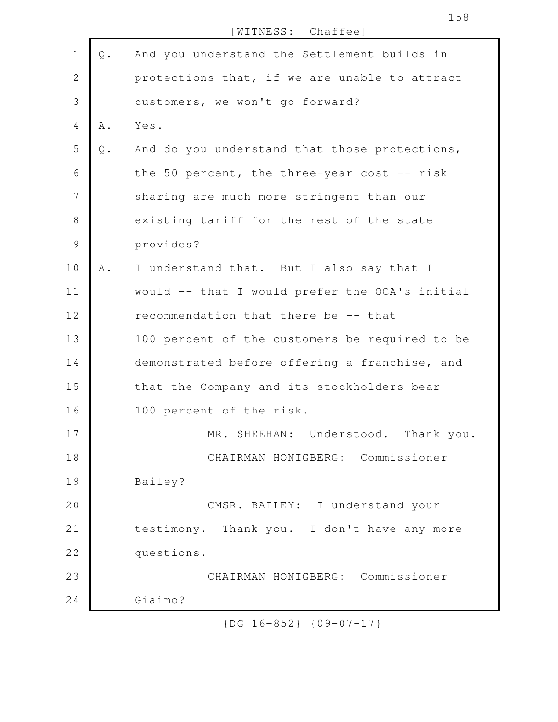|               |       | [WITNESS: Chaffee]                             |
|---------------|-------|------------------------------------------------|
| $\mathbf 1$   | $Q$ . | And you understand the Settlement builds in    |
| $\mathbf{2}$  |       | protections that, if we are unable to attract  |
| 3             |       | customers, we won't go forward?                |
| 4             | Α.    | Yes.                                           |
| 5             | $Q$ . | And do you understand that those protections,  |
| 6             |       | the 50 percent, the three-year cost $-$ - risk |
| 7             |       | sharing are much more stringent than our       |
| $8\,$         |       | existing tariff for the rest of the state      |
| $\mathcal{G}$ |       | provides?                                      |
| 10            | Α.    | I understand that. But I also say that I       |
| 11            |       | would -- that I would prefer the OCA's initial |
| 12            |       | recommendation that there be -- that           |
| 13            |       | 100 percent of the customers be required to be |
| 14            |       | demonstrated before offering a franchise, and  |
| 15            |       | that the Company and its stockholders bear     |
| 16            |       | 100 percent of the risk.                       |
| 17            |       | MR. SHEEHAN: Understood. Thank you.            |
| 18            |       | CHAIRMAN HONIGBERG: Commissioner               |
| 19            |       | Bailey?                                        |
| 20            |       | CMSR. BAILEY: I understand your                |
| 21            |       | testimony. Thank you. I don't have any more    |
| 22            |       | questions.                                     |
| 23            |       | CHAIRMAN HONIGBERG: Commissioner               |
| 24            |       | Giaimo?                                        |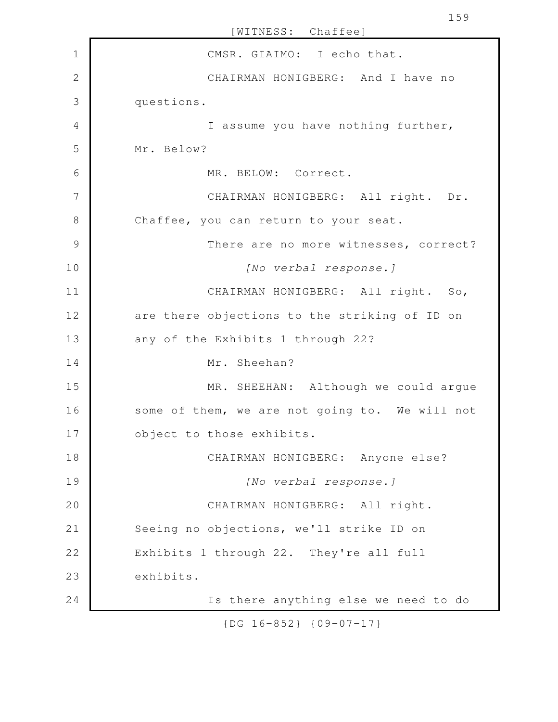[WITNESS: Chaffee] CMSR. GIAIMO: I echo that. CHAIRMAN HONIGBERG: And I have no questions. I assume you have nothing further, Mr. Below? MR. BELOW: Correct. CHAIRMAN HONIGBERG: All right. Dr. Chaffee, you can return to your seat. There are no more witnesses, correct? *[No verbal response.]* CHAIRMAN HONIGBERG: All right. So, are there objections to the striking of ID on any of the Exhibits 1 through 22? Mr. Sheehan? MR. SHEEHAN: Although we could argue some of them, we are not going to. We will not object to those exhibits. CHAIRMAN HONIGBERG: Anyone else? *[No verbal response.]* CHAIRMAN HONIGBERG: All right. Seeing no objections, we'll strike ID on Exhibits 1 through 22. They're all full exhibits. Is there anything else we need to do 1 2 3 4 5 6 7 8 9 10 11 12 13 14 15 16 17 18 19 20 21 22 23 24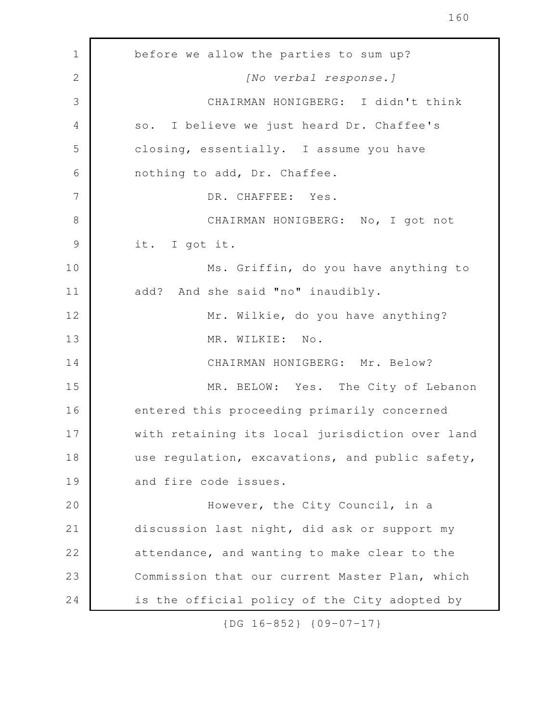160

before we allow the parties to sum up? *[No verbal response.]* CHAIRMAN HONIGBERG: I didn't think so. I believe we just heard Dr. Chaffee's closing, essentially. I assume you have nothing to add, Dr. Chaffee. DR. CHAFFEE: Yes. CHAIRMAN HONIGBERG: No, I got not it. I got it. Ms. Griffin, do you have anything to add? And she said "no" inaudibly. Mr. Wilkie, do you have anything? MR. WILKIE: No. CHAIRMAN HONIGBERG: Mr. Below? MR. BELOW: Yes. The City of Lebanon entered this proceeding primarily concerned with retaining its local jurisdiction over land use regulation, excavations, and public safety, and fire code issues. However, the City Council, in a discussion last night, did ask or support my attendance, and wanting to make clear to the Commission that our current Master Plan, which is the official policy of the City adopted by 1 2 3 4 5 6 7 8 9 10 11 12 13 14 15 16 17 18 19 20 21 22 23 24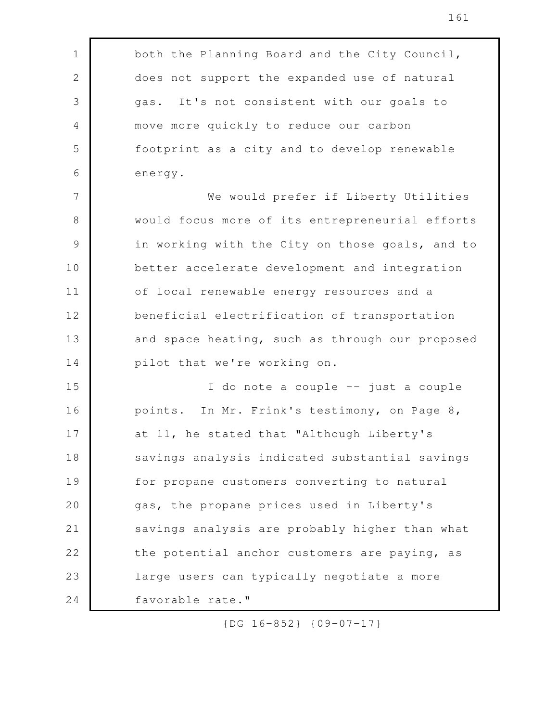both the Planning Board and the City Council, does not support the expanded use of natural gas. It's not consistent with our goals to move more quickly to reduce our carbon footprint as a city and to develop renewable energy. We would prefer if Liberty Utilities would focus more of its entrepreneurial efforts in working with the City on those goals, and to better accelerate development and integration of local renewable energy resources and a beneficial electrification of transportation and space heating, such as through our proposed pilot that we're working on. I do note a couple -- just a couple points. In Mr. Frink's testimony, on Page 8, at 11, he stated that "Although Liberty's savings analysis indicated substantial savings for propane customers converting to natural gas, the propane prices used in Liberty's savings analysis are probably higher than what the potential anchor customers are paying, as large users can typically negotiate a more favorable rate." 1 2 3 4 5 6 7 8 9 10 11 12 13 14 15 16 17 18 19 20 21 22 23 24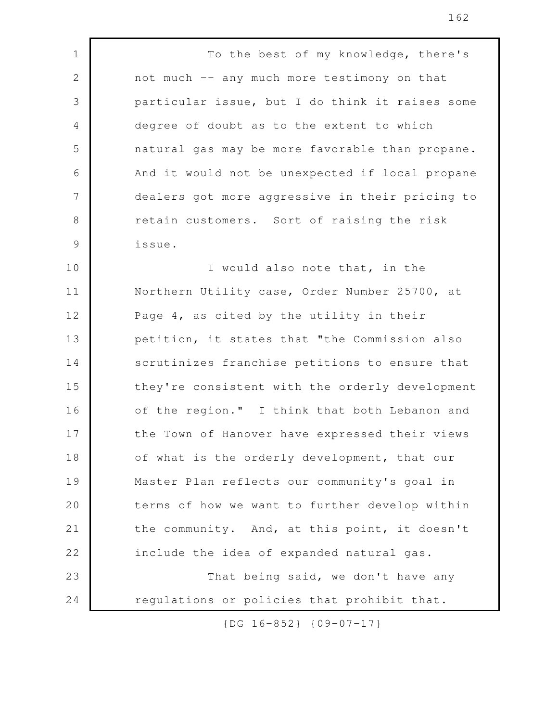To the best of my knowledge, there's not much -- any much more testimony on that particular issue, but I do think it raises some degree of doubt as to the extent to which natural gas may be more favorable than propane. And it would not be unexpected if local propane dealers got more aggressive in their pricing to retain customers. Sort of raising the risk issue. 1 2 3 4 5 6 7 8 9

I would also note that, in the Northern Utility case, Order Number 25700, at Page 4, as cited by the utility in their petition, it states that "the Commission also scrutinizes franchise petitions to ensure that they're consistent with the orderly development of the region." I think that both Lebanon and the Town of Hanover have expressed their views of what is the orderly development, that our Master Plan reflects our community's goal in terms of how we want to further develop within the community. And, at this point, it doesn't include the idea of expanded natural gas. That being said, we don't have any regulations or policies that prohibit that. 10 11 12 13 14 15 16 17 18 19 20 21 22 23 24

{DG 16-852} {09-07-17}

162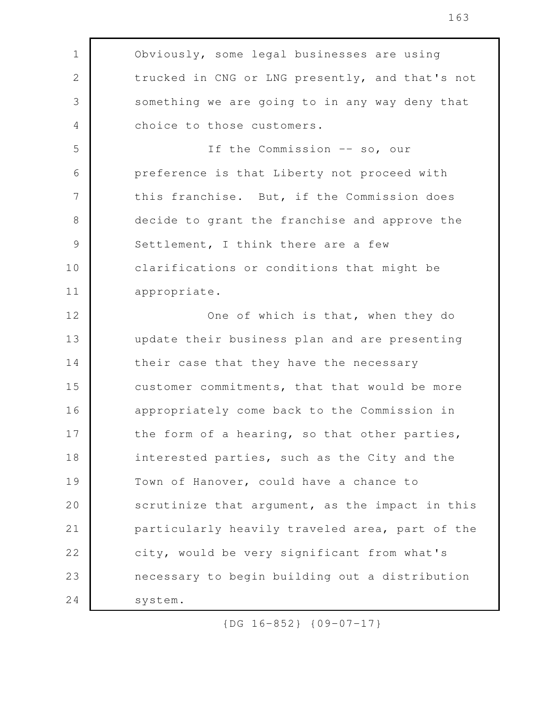Obviously, some legal businesses are using trucked in CNG or LNG presently, and that's not something we are going to in any way deny that choice to those customers. If the Commission -- so, our preference is that Liberty not proceed with this franchise. But, if the Commission does decide to grant the franchise and approve the Settlement, I think there are a few clarifications or conditions that might be appropriate. One of which is that, when they do update their business plan and are presenting their case that they have the necessary customer commitments, that that would be more appropriately come back to the Commission in the form of a hearing, so that other parties, interested parties, such as the City and the Town of Hanover, could have a chance to scrutinize that argument, as the impact in this particularly heavily traveled area, part of the city, would be very significant from what's necessary to begin building out a distribution system. 1 2 3 4 5 6 7 8 9 10 11 12 13 14 15 16 17 18 19 20 21 22 23 24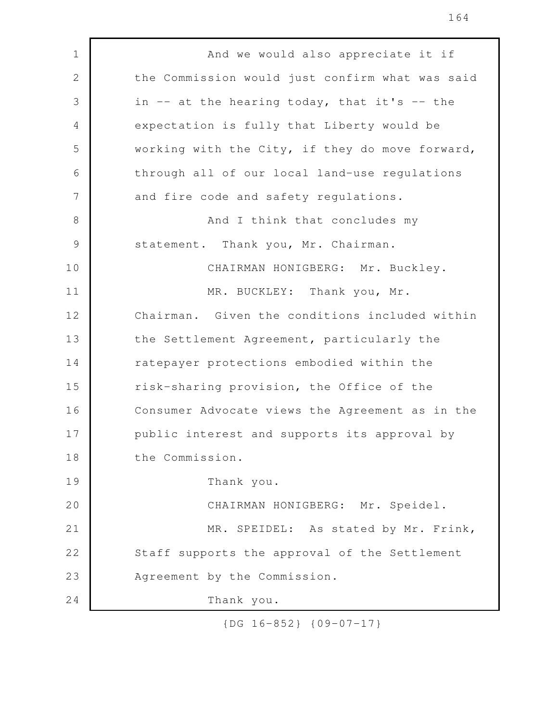And we would also appreciate it if the Commission would just confirm what was said in  $--$  at the hearing today, that it's  $--$  the expectation is fully that Liberty would be working with the City, if they do move forward, through all of our local land-use regulations and fire code and safety regulations. And I think that concludes my statement. Thank you, Mr. Chairman. CHAIRMAN HONIGBERG: Mr. Buckley. MR. BUCKLEY: Thank you, Mr. Chairman. Given the conditions included within the Settlement Agreement, particularly the ratepayer protections embodied within the risk-sharing provision, the Office of the Consumer Advocate views the Agreement as in the public interest and supports its approval by the Commission. Thank you. CHAIRMAN HONIGBERG: Mr. Speidel. MR. SPEIDEL: As stated by Mr. Frink, Staff supports the approval of the Settlement Agreement by the Commission. Thank you. 1 2 3 4 5 6 7 8 9 10 11 12 13 14 15 16 17 18 19 20 21 22 23 24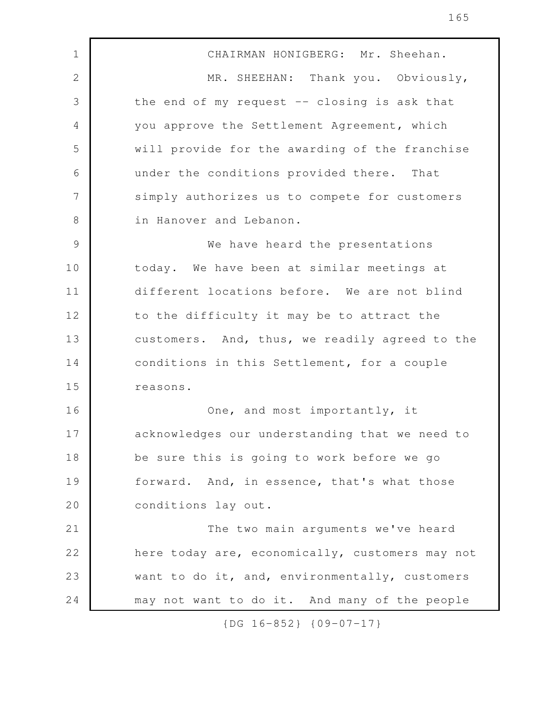CHAIRMAN HONIGBERG: Mr. Sheehan. MR. SHEEHAN: Thank you. Obviously, the end of my request  $-$  closing is ask that you approve the Settlement Agreement, which will provide for the awarding of the franchise under the conditions provided there. That simply authorizes us to compete for customers in Hanover and Lebanon. We have heard the presentations today. We have been at similar meetings at different locations before. We are not blind to the difficulty it may be to attract the customers. And, thus, we readily agreed to the conditions in this Settlement, for a couple reasons. One, and most importantly, it acknowledges our understanding that we need to be sure this is going to work before we go forward. And, in essence, that's what those conditions lay out. The two main arguments we've heard here today are, economically, customers may not want to do it, and, environmentally, customers may not want to do it. And many of the people 1 2 3 4 5 6 7 8 9 10 11 12 13 14 15 16 17 18 19 20 21 22 23 24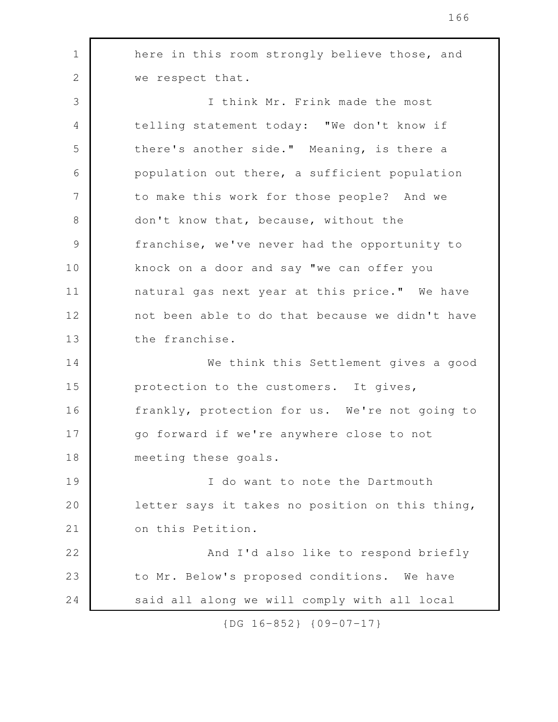here in this room strongly believe those, and we respect that. I think Mr. Frink made the most telling statement today: "We don't know if there's another side." Meaning, is there a population out there, a sufficient population to make this work for those people? And we don't know that, because, without the franchise, we've never had the opportunity to knock on a door and say "we can offer you natural gas next year at this price." We have not been able to do that because we didn't have the franchise. We think this Settlement gives a good protection to the customers. It gives, frankly, protection for us. We're not going to go forward if we're anywhere close to not meeting these goals. I do want to note the Dartmouth letter says it takes no position on this thing, on this Petition. And I'd also like to respond briefly to Mr. Below's proposed conditions. We have said all along we will comply with all local 1 2 3 4 5 6 7 8 9 10 11 12 13 14 15 16 17 18 19 20 21 22 23 24